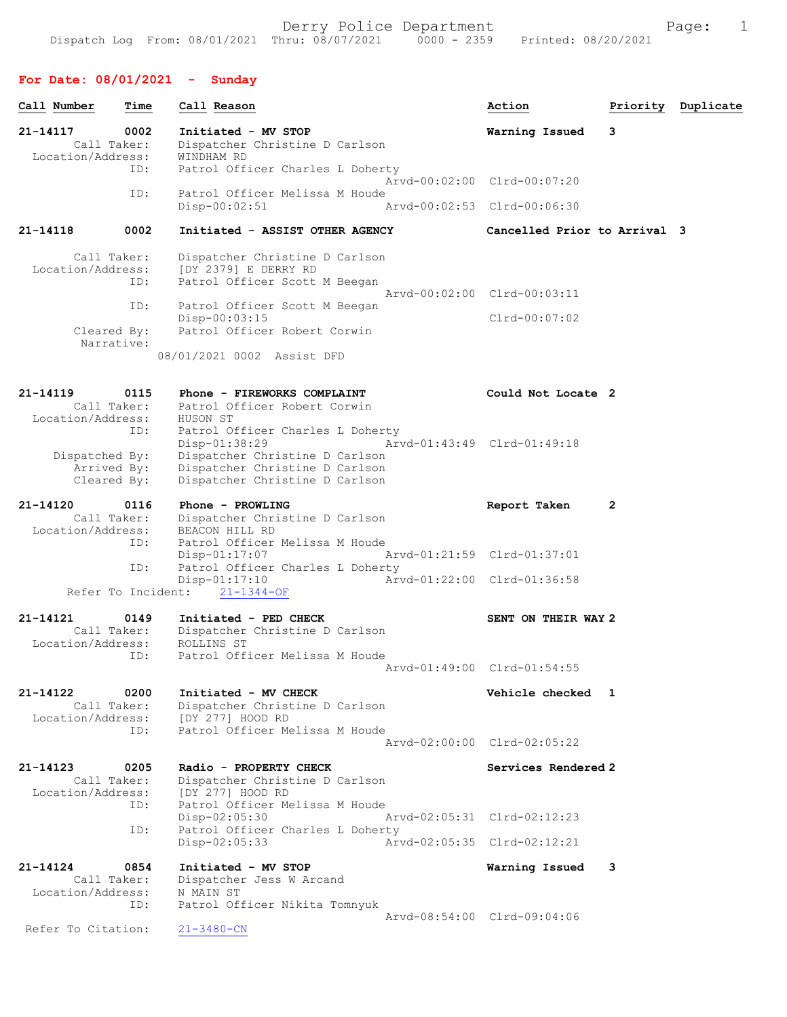## For Date: 08/01/2021 - Sunday

| Call Number                                  | Time                       | Call Reason                                                                                                           | Action                                         |              | Priority Duplicate |
|----------------------------------------------|----------------------------|-----------------------------------------------------------------------------------------------------------------------|------------------------------------------------|--------------|--------------------|
| 21-14117<br>Call Taker:<br>Location/Address: | 0002                       | Initiated - MV STOP<br>Dispatcher Christine D Carlson<br>WINDHAM RD                                                   | Warning Issued                                 | 3            |                    |
|                                              | ID:                        | Patrol Officer Charles L Doherty                                                                                      | Arvd-00:02:00 Clrd-00:07:20                    |              |                    |
|                                              | ID:                        | Patrol Officer Melissa M Houde<br>$Disp-00:02:51$                                                                     | Arvd-00:02:53 Clrd-00:06:30                    |              |                    |
| 21-14118                                     | 0002                       | Initiated - ASSIST OTHER AGENCY                                                                                       | Cancelled Prior to Arrival 3                   |              |                    |
| Call Taker:<br>Location/Address:             | ID:                        | Dispatcher Christine D Carlson<br>[DY 2379] E DERRY RD<br>Patrol Officer Scott M Beegan                               |                                                |              |                    |
| Cleared By:                                  | ID:<br>Narrative:          | Patrol Officer Scott M Beegan<br>$Disp-00:03:15$<br>Patrol Officer Robert Corwin<br>08/01/2021 0002 Assist DFD        | Arvd-00:02:00 Clrd-00:03:11<br>$Clrd-00:07:02$ |              |                    |
|                                              |                            |                                                                                                                       |                                                |              |                    |
| $21 - 14119$<br>Location/Address:            | 0115<br>Call Taker:<br>ID: | Phone - FIREWORKS COMPLAINT<br>Patrol Officer Robert Corwin<br>HUSON ST<br>Patrol Officer Charles L Doherty           | Could Not Locate 2                             |              |                    |
| Dispatched By:<br>Arrived By:<br>Cleared By: |                            | $Disp-01:38:29$<br>Dispatcher Christine D Carlson<br>Dispatcher Christine D Carlson<br>Dispatcher Christine D Carlson | Arvd-01:43:49 Clrd-01:49:18                    |              |                    |
| 21-14120<br>Call Taker:<br>Location/Address: | 0116<br>ID:                | Phone - PROWLING<br>Dispatcher Christine D Carlson<br>BEACON HILL RD<br>Patrol Officer Melissa M Houde                | Report Taken                                   | $\mathbf{2}$ |                    |
|                                              | ID:                        | $Disp-01:17:07$<br>Patrol Officer Charles L Doherty                                                                   | Arvd-01:21:59 Clrd-01:37:01                    |              |                    |
|                                              | Refer To Incident:         | $Disp-01:17:10$<br>$21 - 1344 - OF$                                                                                   | Arvd-01:22:00 Clrd-01:36:58                    |              |                    |
| 21-14121<br>Location/Address:                | 0149<br>Call Taker:        | Initiated - PED CHECK<br>Dispatcher Christine D Carlson<br>ROLLINS ST                                                 | SENT ON THEIR WAY 2                            |              |                    |
|                                              | ID:                        | Patrol Officer Melissa M Houde                                                                                        | Aryd-01:49:00 Clrd-01:54:55                    |              |                    |
| 21-14122<br>Call Taker:<br>Location/Address: | 0200<br>ID:                | Initiated - MV CHECK<br>Dispatcher Christine D Carlson<br>[DY 277] HOOD RD<br>Patrol Officer Melissa M Houde          | Vehicle checked 1                              |              |                    |
|                                              |                            |                                                                                                                       | Aryd-02:00:00 Clrd-02:05:22                    |              |                    |
| 21-14123<br>Call Taker:<br>Location/Address: | 0205<br>ID:                | Radio - PROPERTY CHECK<br>Dispatcher Christine D Carlson<br>[DY 277] HOOD RD<br>Patrol Officer Melissa M Houde        | Services Rendered 2                            |              |                    |
|                                              | ID:                        | Disp-02:05:30<br>Patrol Officer Charles L Doherty                                                                     | Arvd-02:05:31 Clrd-02:12:23                    |              |                    |
|                                              |                            | $Disp-02:05:33$                                                                                                       | Arvd-02:05:35 Clrd-02:12:21                    |              |                    |
| 21-14124<br>Call Taker:<br>Location/Address: | 0854<br>ID:                | Initiated - MV STOP<br>Dispatcher Jess W Arcand<br>N MAIN ST<br>Patrol Officer Nikita Tomnyuk                         | Warning Issued                                 | 3            |                    |
| Refer To Citation:                           |                            | $21 - 3480 - CN$                                                                                                      | Arvd-08:54:00 Clrd-09:04:06                    |              |                    |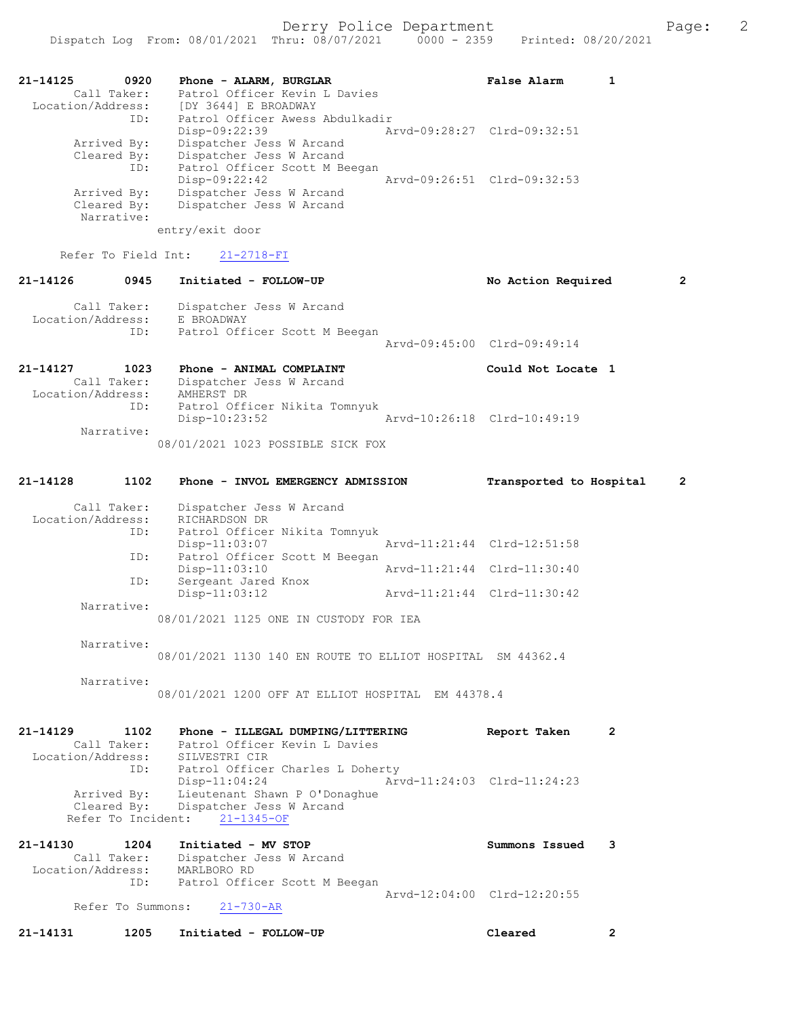| 21-14125<br>0920<br>Call Taker:<br>Location/Address:<br>ID: | Phone - ALARM, BURGLAR<br>Patrol Officer Kevin L Davies<br>[DY 3644] E BROADWAY<br>Patrol Officer Awess Abdulkadir |                             | False Alarm                 |  |
|-------------------------------------------------------------|--------------------------------------------------------------------------------------------------------------------|-----------------------------|-----------------------------|--|
|                                                             | $Disp-09:22:39$                                                                                                    | Aryd-09:28:27 Clrd-09:32:51 |                             |  |
| Arrived By:<br>Cleared By:<br>ID:                           | Dispatcher Jess W Arcand<br>Dispatcher Jess W Arcand<br>Patrol Officer Scott M Beegan                              |                             |                             |  |
|                                                             | $Disp-09:22:42$                                                                                                    |                             | Aryd-09:26:51 Clrd-09:32:53 |  |
| Arrived By:                                                 | Dispatcher Jess W Arcand                                                                                           |                             |                             |  |
| Cleared By:<br>Narrative:                                   | Dispatcher Jess W Arcand                                                                                           |                             |                             |  |
|                                                             | entry/exit door                                                                                                    |                             |                             |  |

Refer To Field Int: 21-2718-FI

| $21 - 14126$      | 0945               | Initiated - FOLLOW-UP                                                   | No Action Required          |  |
|-------------------|--------------------|-------------------------------------------------------------------------|-----------------------------|--|
| Location/Address: | Call Taker:<br>ID: | Dispatcher Jess W Arcand<br>E BROADWAY<br>Patrol Officer Scott M Beegan | Aryd-09:45:00 Clrd-09:49:14 |  |
| 21-14127          | 1023               | Phone - ANIMAL COMPLAINT                                                | Could Not Locate 1          |  |

| Call Taker:       | Dispatcher Jess W Arcand                     |  |
|-------------------|----------------------------------------------|--|
| Location/Address: | AMHERST DR                                   |  |
| ID:               | Patrol Officer Nikita Tomnyuk                |  |
|                   | Disp-10:23:52<br>Arvd-10:26:18 Clrd-10:49:19 |  |
| Narrative:        |                                              |  |
|                   | 08/01/2021 1023 POSSIBLE SICK FOX            |  |

#### 21-14128 1102 Phone - INVOL EMERGENCY ADMISSION Transported to Hospital 2 Call Taker: Dispatcher Jess W Arcand Location/Address: RICHARDSON DR ID: Patrol Officer Nikita Tomnyuk Disp-11:03:07 Arvd-11:21:44 Clrd-12:51:58 ID: Patrol Officer Scott M Beegan<br>Disp-11:03:10 Disp-11:03:10 Arvd-11:21:44 Clrd-11:30:40 ID: Sergeant Jared Knox

 Disp-11:03:12 Arvd-11:21:44 Clrd-11:30:42 Narrative: 08/01/2021 1125 ONE IN CUSTODY FOR IEA

Narrative:

08/01/2021 1130 140 EN ROUTE TO ELLIOT HOSPITAL SM 44362.4

Narrative:

08/01/2021 1200 OFF AT ELLIOT HOSPITAL EM 44378.4

21-14129 1102 Phone - ILLEGAL DUMPING/LITTERING Report Taken 2 Call Taker: Patrol Officer Kevin L Davies Location/Address: SILVESTRI CIR ID: Patrol Officer Charles L Doherty<br>Disp-11:04:24 Arv Disp-11:04:24 Arvd-11:24:03 Clrd-11:24:23 Arrived By: Lieutenant Shawn P O'Donaghue Cleared By: Dispatcher Jess W Arcand Refer To Incident: 21-1345-OF

21-14130 1204 Initiated - MV STOP Summons Issued 3 Call Taker: Dispatcher Jess W Arcand Location/Address: MARLBORO RD ID: Patrol Officer Scott M Beegan Arvd-12:04:00 Clrd-12:20:55<br>21-730-AR Refer To Summons:

21-14131 1205 Initiated - FOLLOW-UP Cleared 2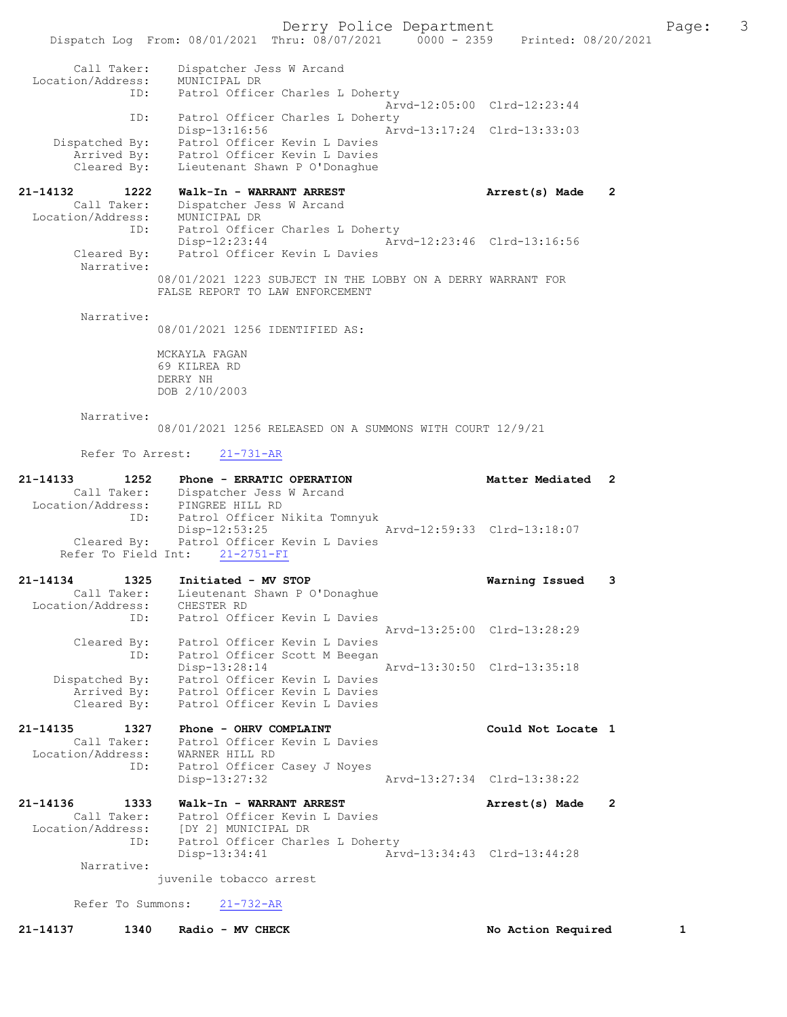Dispatch Log From: 08/01/2021 Thru: 08/07/2021 0000 - 2359 Printed: 08/20/2021 Call Taker: Dispatcher Jess W Arcand Location/Address: MUNICIPAL DR ID: Patrol Officer Charles L Doherty Arvd-12:05:00 Clrd-12:23:44 ID: Patrol Officer Charles L Doherty Disp-13:16:56 Arvd-13:17:24 Clrd-13:33:03 Dispatched By: Patrol Officer Kevin L Davies Arrived By: Patrol Officer Kevin L Davies Cleared By: Lieutenant Shawn P O'Donaghue 21-14132 1222 Walk-In - WARRANT ARREST Arrest(s) Made 2 Call Taker: Dispatcher Jess W Arcand Location/Address: MUNICIPAL DR ID: Patrol Officer Charles L Doherty Disp-12:23:44 Arvd-12:23:46 Clrd-13:16:56 Cleared By: Patrol Officer Kevin L Davies Narrative: 08/01/2021 1223 SUBJECT IN THE LOBBY ON A DERRY WARRANT FOR FALSE REPORT TO LAW ENFORCEMENT

08/01/2021 1256 IDENTIFIED AS:

MCKAYLA FAGAN 69 KILREA RD DERRY NH DOB 2/10/2003

#### Narrative:

Narrative:

08/01/2021 1256 RELEASED ON A SUMMONS WITH COURT 12/9/21

Refer To Arrest: 21-731-AR

| $21 - 14133$      | 1252        | Phone - ERRATIC OPERATION                 | Matter Mediated 2           |  |
|-------------------|-------------|-------------------------------------------|-----------------------------|--|
|                   | Call Taker: | Dispatcher Jess W Arcand                  |                             |  |
| Location/Address: |             | PINGREE HILL RD                           |                             |  |
|                   | ID:         | Patrol Officer Nikita Tomnyuk             |                             |  |
|                   |             | $Disp-12:53:25$                           | Arvd-12:59:33 Clrd-13:18:07 |  |
|                   |             | Cleared By: Patrol Officer Kevin L Davies |                             |  |
|                   |             | Refer To Field Int: 21-2751-FI            |                             |  |
| $21 - 14134$      | 1325        | Initiated - MV STOP                       | Warning Issued 3            |  |
|                   | Call Taker: | Lieutenant Shawn P O'Donaghue             |                             |  |

| Location/Address: | CHESTER RD                                   |
|-------------------|----------------------------------------------|
| ID:               | Patrol Officer Kevin L Davies                |
|                   | Aryd-13:25:00 Clrd-13:28:29                  |
| Cleared By:       | Patrol Officer Kevin L Davies                |
| ID:               | Patrol Officer Scott M Beegan                |
|                   | Arvd-13:30:50 Clrd-13:35:18<br>Disp-13:28:14 |
| Dispatched By:    | Patrol Officer Kevin L Davies                |
| Arrived By:       | Patrol Officer Kevin L Davies                |
| Cleared By:       | Patrol Officer Kevin L Davies                |

| 21-14135          | 1327        | Phone - OHRV COMPLAINT        |                             | Could Not Locate 1 |  |
|-------------------|-------------|-------------------------------|-----------------------------|--------------------|--|
|                   | Call Taker: | Patrol Officer Kevin L Davies |                             |                    |  |
| Location/Address: |             | WARNER HILL RD                |                             |                    |  |
|                   | ID:         | Patrol Officer Casey J Noyes  |                             |                    |  |
|                   |             | Disp-13:27:32                 | Arvd-13:27:34 Clrd-13:38:22 |                    |  |

21-14136 1333 Walk-In - WARRANT ARREST Arrest(s) Made 2 Call Taker: Patrol Officer Kevin L Davies Location/Address: [DY 2] MUNICIPAL DR ID: Patrol Officer Charles L Doherty<br>Disp-13:34:41 Arv Disp-13:34:41 Arvd-13:34:43 Clrd-13:44:28 Narrative:

juvenile tobacco arrest

Refer To Summons: 21-732-AR

21-14137 1340 Radio - MV CHECK 1 No Action Required 1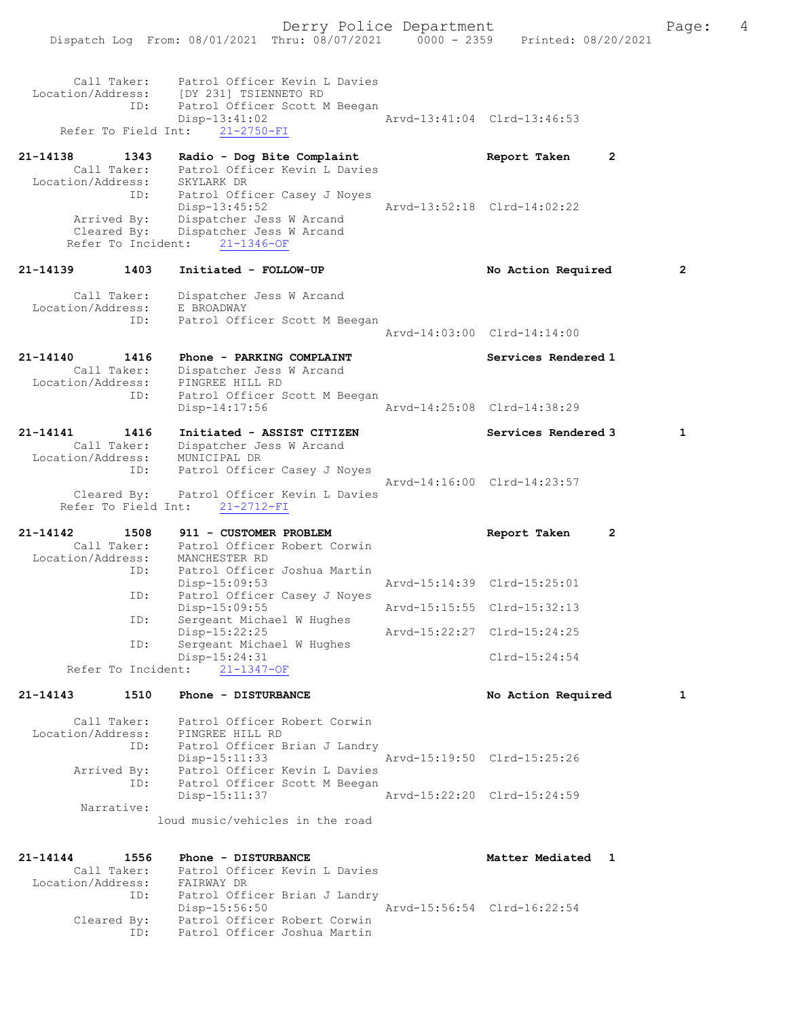|                                  |                                    | Dispatch Log From: 08/01/2021 Thru: 08/07/2021                           | $0000 - 2359$ | Printed: 08/20/2021            |              |
|----------------------------------|------------------------------------|--------------------------------------------------------------------------|---------------|--------------------------------|--------------|
|                                  | Call Taker:                        | Patrol Officer Kevin L Davies                                            |               |                                |              |
|                                  | ID:                                | Location/Address: [DY 231] TSIENNETO RD<br>Patrol Officer Scott M Beegan |               |                                |              |
|                                  |                                    | Disp-13:41:02                                                            |               | Arvd-13:41:04 Clrd-13:46:53    |              |
|                                  | Refer To Field Int:                | $21 - 2750 - FI$                                                         |               |                                |              |
| 21-14138                         | 1343                               | Radio - Dog Bite Complaint                                               |               | Report Taken<br>$\overline{2}$ |              |
|                                  | Call Taker:                        | Patrol Officer Kevin L Davies                                            |               |                                |              |
| Location/Address:                | ID:                                | SKYLARK DR<br>Patrol Officer Casey J Noyes                               |               |                                |              |
|                                  |                                    | $Disp-13:45:52$                                                          |               | Arvd-13:52:18 Clrd-14:02:22    |              |
|                                  | Arrived By:                        | Dispatcher Jess W Arcand                                                 |               |                                |              |
|                                  | Cleared By:<br>Refer To Incident:  | Dispatcher Jess W Arcand<br>$21 - 1346 - OF$                             |               |                                |              |
|                                  |                                    |                                                                          |               |                                |              |
| 21-14139                         | 1403                               | Initiated - FOLLOW-UP                                                    |               | No Action Required             | 2            |
|                                  | Call Taker:                        | Dispatcher Jess W Arcand                                                 |               |                                |              |
| Location/Address:                |                                    | E BROADWAY                                                               |               |                                |              |
|                                  | ID:                                | Patrol Officer Scott M Beegan                                            |               | Arvd-14:03:00 Clrd-14:14:00    |              |
|                                  |                                    |                                                                          |               |                                |              |
| 21-14140                         | 1416                               | Phone - PARKING COMPLAINT                                                |               | Services Rendered 1            |              |
| Location/Address:                | Call Taker:                        | Dispatcher Jess W Arcand<br>PINGREE HILL RD                              |               |                                |              |
|                                  | ID:                                | Patrol Officer Scott M Beegan                                            |               |                                |              |
|                                  |                                    | $Disp-14:17:56$                                                          |               | Arvd-14:25:08 Clrd-14:38:29    |              |
| 21-14141                         | 1416                               | Initiated - ASSIST CITIZEN                                               |               | Services Rendered 3            | $\mathbf{1}$ |
| Call Taker:<br>Location/Address: | Call Taker:                        | Dispatcher Jess W Arcand                                                 |               |                                |              |
|                                  | ID:                                | MUNICIPAL DR<br>Patrol Officer Casey J Noyes                             |               |                                |              |
|                                  |                                    |                                                                          |               | Arvd-14:16:00 Clrd-14:23:57    |              |
|                                  | Cleared By:<br>Refer To Field Int: | Patrol Officer Kevin L Davies                                            |               |                                |              |
|                                  |                                    | $21 - 2712 - FI$                                                         |               |                                |              |
| 21-14142                         | 1508                               | 911 - CUSTOMER PROBLEM                                                   |               | Report Taken<br>$\mathbf{2}$   |              |
| Location/Address:                |                                    | Call Taker: Patrol Officer Robert Corwin<br>MANCHESTER RD                |               |                                |              |
|                                  | ID:                                | Patrol Officer Joshua Martin                                             |               |                                |              |
|                                  |                                    | $Disp-15:09:53$                                                          |               | Arvd-15:14:39 Clrd-15:25:01    |              |
|                                  | ID:                                | Patrol Officer Casey J Noyes<br>Disp-15:09:55                            |               | Arvd-15:15:55 Clrd-15:32:13    |              |
|                                  | ID:                                | Sergeant Michael W Hughes                                                |               |                                |              |
|                                  | ID:                                | Disp-15:22:25<br>Sergeant Michael W Hughes                               |               | Arvd-15:22:27 Clrd-15:24:25    |              |
|                                  |                                    | Disp-15:24:31                                                            |               | $Clrd-15:24:54$                |              |
|                                  | Refer To Incident:                 | $21 - 1347 - OF$                                                         |               |                                |              |
| 21-14143                         | 1510                               | Phone - DISTURBANCE                                                      |               | No Action Required             | 1            |
|                                  | Call Taker:                        | Patrol Officer Robert Corwin                                             |               |                                |              |
| Location/Address:                |                                    | PINGREE HILL RD                                                          |               |                                |              |
|                                  | ID:                                | Patrol Officer Brian J Landry                                            |               |                                |              |
|                                  | Arrived By:                        | $Disp-15:11:33$<br>Patrol Officer Kevin L Davies                         |               | Arvd-15:19:50 Clrd-15:25:26    |              |
|                                  | ID:                                | Patrol Officer Scott M Beegan                                            |               |                                |              |
|                                  |                                    | Disp-15:11:37                                                            |               | Arvd-15:22:20 Clrd-15:24:59    |              |
|                                  | Narrative:                         | loud music/vehicles in the road                                          |               |                                |              |
|                                  |                                    |                                                                          |               |                                |              |
| 21-14144                         | 1556                               | Phone - DISTURBANCE                                                      |               | Matter Mediated 1              |              |
|                                  | Call Taker:                        | Patrol Officer Kevin L Davies                                            |               |                                |              |
| Location/Address:                |                                    | FAIRWAY DR                                                               |               |                                |              |
|                                  | ID:                                | Patrol Officer Brian J Landry<br>Disp-15:56:50                           |               | Arvd-15:56:54 Clrd-16:22:54    |              |
|                                  | Cleared By:                        | Patrol Officer Robert Corwin                                             |               |                                |              |
|                                  | ID:                                | Patrol Officer Joshua Martin                                             |               |                                |              |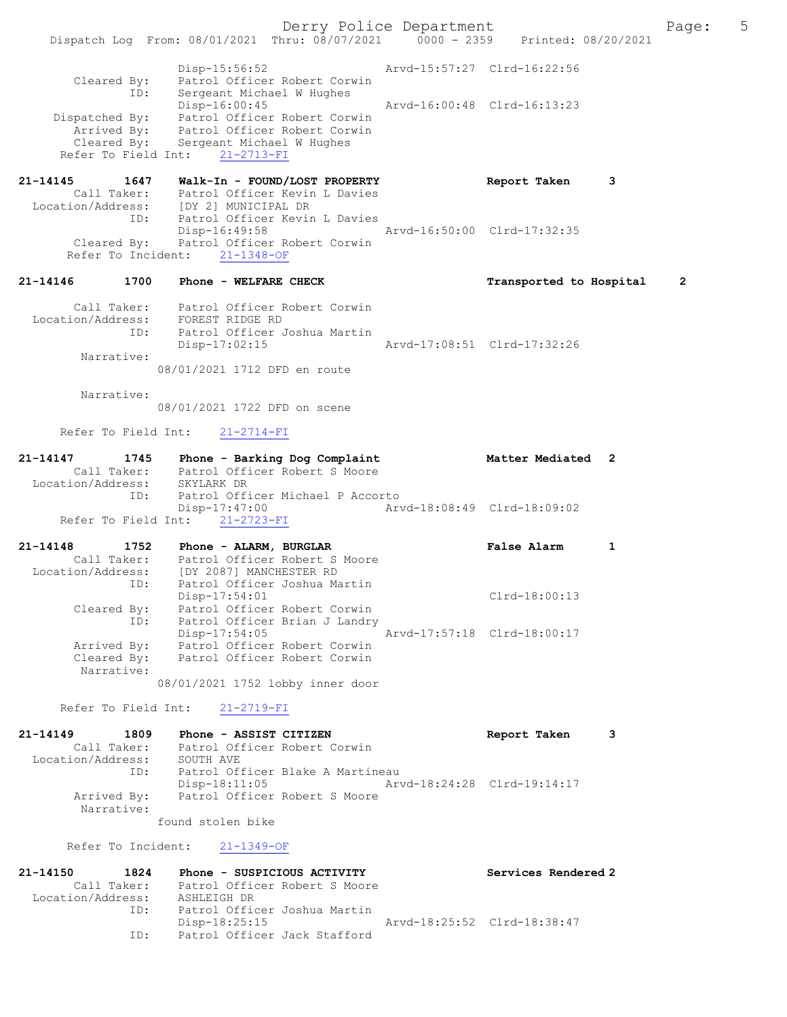Derry Police Department Fage: 5 Dispatch Log From: 08/01/2021 Thru: 08/07/2021 0000 - 2359 Printed: 08/20/2021 Disp-15:56:52 Arvd-15:57:27 Clrd-16:22:56 Cleared By: Patrol Officer Robert Corwin ID: Sergeant Michael W Hughes Disp-16:00:45 Arvd-16:00:48 Clrd-16:13:23 Dispatched By: Patrol Officer Robert Corwin Arrived By: Patrol Officer Robert Corwin Cleared By: Sergeant Michael W Hughes Refer To Field Int: 21-2713-FI 21-14145 1647 Walk-In - FOUND/LOST PROPERTY Report Taken 3 Call Taker: Patrol Officer Kevin L Davies Location/Address: [DY 2] MUNICIPAL DR ID: Patrol Officer Kevin L Davies Disp-16:49:58 Arvd-16:50:00 Clrd-17:32:35 Cleared By: Patrol Officer Robert Corwin Refer To Incident: 21-1348-OF 21-14146 1700 Phone - WELFARE CHECK Transported to Hospital 2 Call Taker: Patrol Officer Robert Corwin

 Location/Address: FOREST RIDGE RD ID: Patrol Officer Joshua Martin Disp-17:02:15 Arvd-17:08:51 Clrd-17:32:26 Narrative:

08/01/2021 1712 DFD en route

Narrative:

08/01/2021 1722 DFD on scene

Refer To Field Int: 21-2714-FI

| 21-14147          | 1745        | Phone - Barking Dog Complaint    | Matter Mediated 2           |  |
|-------------------|-------------|----------------------------------|-----------------------------|--|
|                   | Call Taker: | Patrol Officer Robert S Moore    |                             |  |
| Location/Address: |             | SKYLARK DR                       |                             |  |
|                   | ID:         | Patrol Officer Michael P Accorto |                             |  |
|                   |             | Disp-17:47:00                    | Aryd-18:08:49 Clrd-18:09:02 |  |
|                   |             | Refer To Field Int: 21-2723-FI   |                             |  |

| $21 - 14148$      | 1752        | False Alarm<br>Phone - ALARM, BURGLAR          |  |
|-------------------|-------------|------------------------------------------------|--|
|                   | Call Taker: | Patrol Officer Robert S Moore                  |  |
| Location/Address: |             | [DY 2087] MANCHESTER RD                        |  |
|                   | ID:         | Patrol Officer Joshua Martin                   |  |
|                   |             | $Clrd-18:00:13$<br>$Disp-17:54:01$             |  |
|                   | Cleared By: | Patrol Officer Robert Corwin                   |  |
|                   | ID:         | Patrol Officer Brian J Landry                  |  |
|                   |             | Arvd-17:57:18 Clrd-18:00:17<br>$Disp-17:54:05$ |  |
|                   | Arrived By: | Patrol Officer Robert Corwin                   |  |
|                   | Cleared By: | Patrol Officer Robert Corwin                   |  |
|                   | Narrative:  |                                                |  |
|                   |             | 08/01/2021 1752 lobby inner door               |  |

Refer To Field Int: 21-2719-FI

21-14149 1809 Phone - ASSIST CITIZEN Report Taken 3 Call Taker: Patrol Officer Robert Corwin Location/Address: SOUTH AVE ID: Patrol Officer Blake A Martineau Disp-18:11:05 Arvd-18:24:28 Clrd-19:14:17<br>Arrived By: Patrol Officer Robert S Moore Patrol Officer Robert S Moore Narrative: found stolen bike

Refer To Incident: 21-1349-OF

| 21-14150          | 1824        | Phone - SUSPICIOUS ACTIVITY   | Services Rendered 2         |
|-------------------|-------------|-------------------------------|-----------------------------|
|                   | Call Taker: | Patrol Officer Robert S Moore |                             |
| Location/Address: |             | ASHLEIGH DR                   |                             |
|                   | ID:         | Patrol Officer Joshua Martin  |                             |
|                   |             | Disp-18:25:15                 | Arvd-18:25:52 Clrd-18:38:47 |
|                   | TD:         | Patrol Officer Jack Stafford  |                             |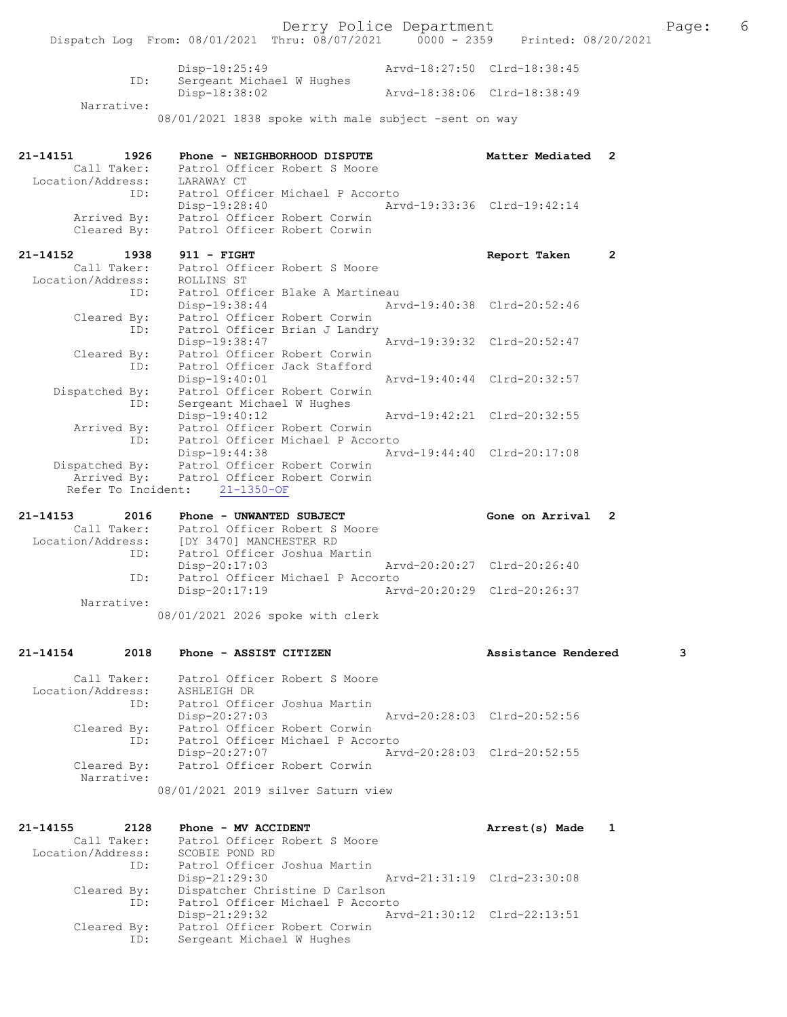| Call Taker:                      | Patrol Officer Robert S Moore                                                           |                             |   |     |
|----------------------------------|-----------------------------------------------------------------------------------------|-----------------------------|---|-----|
| 21-14154<br>2018                 | Phone - ASSIST CITIZEN                                                                  | Assistance Rendered         |   | з   |
|                                  | 08/01/2021 2026 spoke with clerk                                                        |                             |   |     |
| Narrative:                       |                                                                                         |                             |   |     |
| ID:                              | Patrol Officer Michael P Accorto<br>$Disp-20:17:19$                                     | Arvd-20:20:29 Clrd-20:26:37 |   |     |
|                                  | $Disp-20:17:03$                                                                         | Arvd-20:20:27 Clrd-20:26:40 |   |     |
| Location/Address:<br>ID:         | [DY 3470] MANCHESTER RD<br>Patrol Officer Joshua Martin                                 |                             |   |     |
| Call Taker:                      | Patrol Officer Robert S Moore                                                           |                             |   |     |
| 21-14153<br>2016                 | Phone - UNWANTED SUBJECT                                                                | Gone on Arrival 2           |   |     |
|                                  | Refer To Incident: 21-1350-OF                                                           |                             |   |     |
|                                  |                                                                                         |                             |   |     |
|                                  | Dispatched By: Patrol Officer Robert Corwin<br>Arrived By: Patrol Officer Robert Corwin |                             |   |     |
|                                  | Disp-19:44:38                                                                           | Arvd-19:44:40 Clrd-20:17:08 |   |     |
| ID:                              | Patrol Officer Michael P Accorto                                                        |                             |   |     |
| Arrived By:                      | $Disp-19:40:12$<br>Patrol Officer Robert Corwin                                         | Arvd-19:42:21 Clrd-20:32:55 |   |     |
| ID:                              | Sergeant Michael W Hughes                                                               |                             |   |     |
| Dispatched By:                   | Patrol Officer Robert Corwin                                                            |                             |   |     |
|                                  | $Disp-19:40:01$                                                                         | Arvd-19:40:44 Clrd-20:32:57 |   |     |
| Cleared By:<br>ID:               | Patrol Officer Robert Corwin<br>Patrol Officer Jack Stafford                            |                             |   |     |
|                                  | Disp-19:38:47                                                                           | Arvd-19:39:32 Clrd-20:52:47 |   |     |
| ID:                              | Patrol Officer Brian J Landry                                                           |                             |   |     |
| Cleared By:                      | Patrol Officer Robert Corwin                                                            |                             |   |     |
| ID:                              | Patrol Officer Blake A Martineau<br>Disp-19:38:44                                       | Arvd-19:40:38 Clrd-20:52:46 |   |     |
| Location/Address:                | ROLLINS ST                                                                              |                             |   |     |
| Call Taker:                      | Patrol Officer Robert S Moore                                                           |                             |   |     |
| 21-14152<br>1938                 | $911 - FIGHT$                                                                           | Report Taken                | 2 |     |
| Cleared By:                      | Patrol Officer Robert Corwin                                                            |                             |   |     |
| Arrived By:                      | Patrol Officer Robert Corwin<br>Patrol Officer D.                                       |                             |   |     |
|                                  | Disp-19:28:40                                                                           | Arvd-19:33:36 Clrd-19:42:14 |   |     |
| ID:                              | Patrol Officer Michael P Accorto                                                        |                             |   |     |
| Call Taker:<br>Location/Address: | Patrol Officer Robert S Moore<br>LARAWAY CT                                             |                             |   |     |
| 21-14151<br>1926                 | Phone - NEIGHBORHOOD DISPUTE                                                            | Matter Mediated 2           |   |     |
|                                  |                                                                                         |                             |   |     |
|                                  | 08/01/2021 1838 spoke with male subject -sent on way                                    |                             |   |     |
| Narrative:                       |                                                                                         |                             |   |     |
|                                  | Disp-18:38:02                                                                           | Arvd-18:38:06 Clrd-18:38:49 |   |     |
| ID:                              | $Disp-18:25:49$<br>Sergeant Michael W Hughes                                            | Arvd-18:27:50 Clrd-18:38:45 |   |     |
|                                  |                                                                                         |                             |   |     |
|                                  | Dispatch Log From: 08/01/2021 Thru: 08/07/2021 0000 - 2359                              | Printed: 08/20/2021         |   |     |
|                                  | Derry Police Department                                                                 |                             |   | Pac |

 Location/Address: ASHLEIGH DR ID: Patrol Officer Joshua Martin Disp-20:27:03 Arvd-20:28:03 Clrd-20:52:56 Cleared By: Patrol Officer Robert Corwin ID: Patrol Officer Michael P Accorto Disp-20:27:07 Arvd-20:28:03 Cleared By: Patrol Officer Robert Corwin Patrol Officer Robert Corwin Narrative: 08/01/2021 2019 silver Saturn view

21-14155 2128 Phone - MV ACCIDENT Arrest(s) Made 1 Call Taker: Patrol Officer Robert S Moore<br>ion/Address: SCOBIE POND RD Location/Address:<br>ID: Patrol Officer Joshua Martin<br>Disp-21:29:30 Disp-21:29:30 Arvd-21:31:19 Clrd-23:30:08<br>Cleared By: Dispatcher Christine D Carlson Dispatcher Christine D Carlson ID: Patrol Officer Michael P Accorto Disp-21:29:32 Arvd-21:30:12 Clrd-22:13:51 Cleared By: Patrol Officer Robert Corwin<br>ID: Sergeant Michael W Hughes Sergeant Michael W Hughes

Page:  $6$ <br>21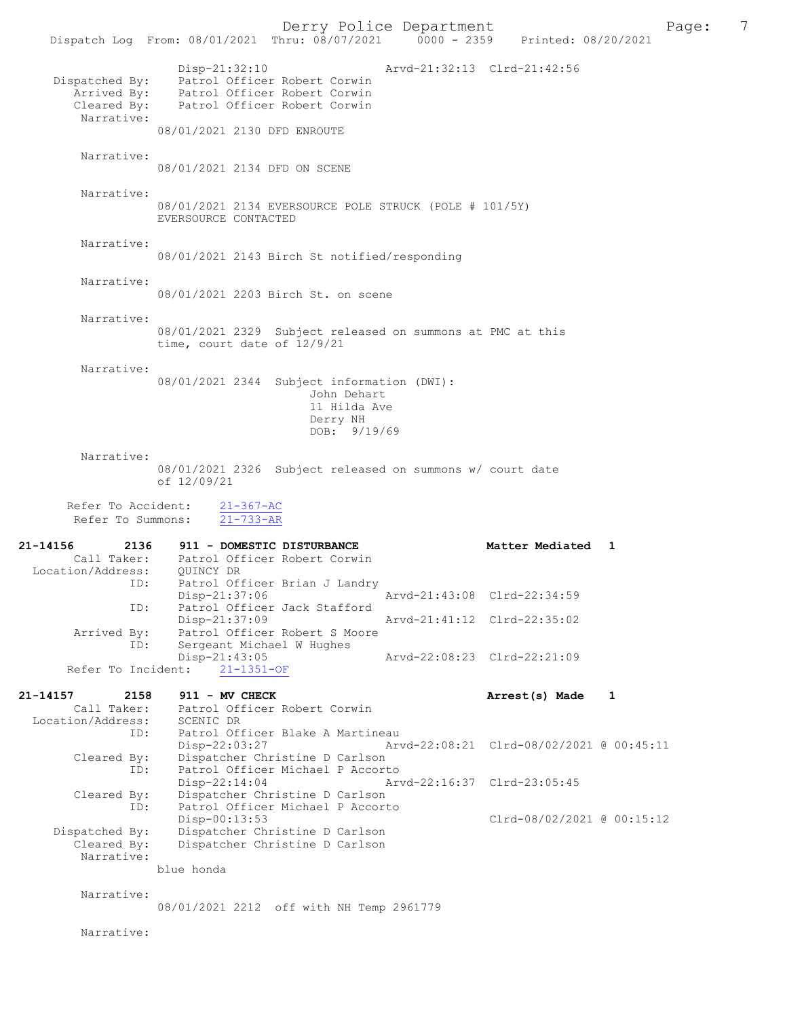Derry Police Department<br>
Page: 7<br>
Phru: 08/07/2021 0000 - 2359 Printed: 08/20/2021 Dispatch Log From: 08/01/2021 Thru: 08/07/2021 Disp-21:32:10 Arvd-21:32:13 Clrd-21:42:56 Dispatched By: Patrol Officer Robert Corwin<br>Arrived By: Patrol Officer Robert Corwin Parrived By: Patrol Officer Robert Corwin<br>Cleared By: Patrol Officer Robert Corwin Patrol Officer Robert Corwin Narrative: 08/01/2021 2130 DFD ENROUTE Narrative: 08/01/2021 2134 DFD ON SCENE Narrative: 08/01/2021 2134 EVERSOURCE POLE STRUCK (POLE # 101/5Y) EVERSOURCE CONTACTED Narrative: 08/01/2021 2143 Birch St notified/responding Narrative: 08/01/2021 2203 Birch St. on scene Narrative: 08/01/2021 2329 Subject released on summons at PMC at this time, court date of 12/9/21 Narrative: 08/01/2021 2344 Subject information (DWI): John Dehart 11 Hilda Ave Derry NH DOB: 9/19/69 Narrative: 08/01/2021 2326 Subject released on summons w/ court date of 12/09/21 Refer To Accident:  $\frac{21-367-AC}{21-733-AR}$ Refer To Summons: 21-14156 2136 911 - DOMESTIC DISTURBANCE Matter Mediated 1 Call Taker: Patrol Officer Robert Corwin Location/Address: QUINCY DR ID: Patrol Officer Brian J Landry Disp-21:37:06 <br>Disp-21:37:06 Arvd-21:43:08 Clrd-22:34:59<br>Displacement of the staff ord Patrol Officer Jack Stafford<br>Disp-21:37:09 Disp-21:37:09 Arvd-21:41:12 Clrd-22:35:02<br>Arrived By: Patrol Officer Robert S Moore By: Patrol Officer Robert S Moore<br>ID: Sergeant Michael W Hughes Sergeant Michael W Hughes<br>Disp-21:43:05 -21:43:05 Arvd-22:08:23 Clrd-22:21:09<br>21-1351-0F Refer To Incident: 21-14157 2158 911 - MV CHECK 21-14157 2158 21-14157 Call Taker: Patrol Officer Robert Corwin<br>ion/Address: SCENIC DR Location/Address: ID: Patrol Officer Blake A Martineau Disp-22:03:27 Arvd-22:08:21 Clrd-08/02/2021 @ 00:45:11 Cleared By: Dispatcher Christine D Carlson ID: Patrol Officer Michael P Accorto<br>Disp-22:14:04 Ar Disp-22:14:04 Arvd-22:16:37 Clrd-23:05:45<br>Cleared By: Dispatcher Christine D Carlson By: Dispatcher Christine D Carlson<br>ID: Patrol Officer Michael P Accort Patrol Officer Michael P Accorto<br>Disp-00:13:53 Disp-00:13:53 Clrd-08/02/2021 @ 00:15:12<br>Dispatched By: Dispatcher Christine D Carlson patched By: Dispatcher Christine D Carlson<br>Cleared By: Dispatcher Christine D Carlson Dispatcher Christine D Carlson Narrative: blue honda Narrative: 08/01/2021 2212 off with NH Temp 2961779 Narrative: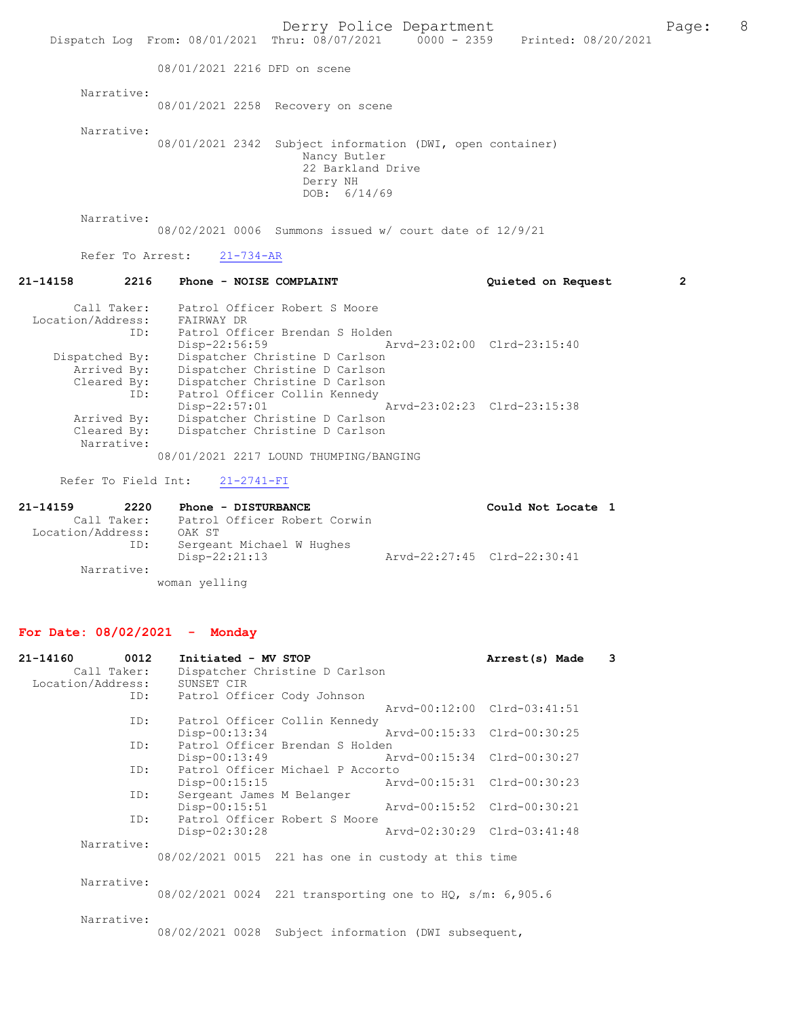Derry Police Department The Page: 8 Dispatch Log From: 08/01/2021 Thru: 08/07/2021 0000 - 2359 Printed: 08/20/2021 08/01/2021 2216 DFD on scene Narrative: 08/01/2021 2258 Recovery on scene Narrative: 08/01/2021 2342 Subject information (DWI, open container) Nancy Butler 22 Barkland Drive Derry NH DOB: 6/14/69 Narrative: 08/02/2021 0006 Summons issued w/ court date of 12/9/21 Refer To Arrest: 21-734-AR 21-14158 2216 Phone - NOISE COMPLAINT Quieted on Request 2 Call Taker: Patrol Officer Robert S Moore Location/Address: FAIRWAY DR ID: Patrol Officer Brendan S Holden Disp-22:56:59 Arvd-23:02:00 Clrd-23:15:40 Dispatched By: Dispatcher Christine D Carlson Arrived By: Dispatcher Christine D Carlson Cleared By: Dispatcher Christine D Carlson ID: Patrol Officer Collin Kennedy Disp-22:57:01 Arvd-23:02:23 Clrd-23:15:38<br>Arrived By: Dispatcher Christine D Carlson Arrived By: Dispatcher Christine D Carlson<br>Cleared By: Dispatcher Christine D Carlson Dispatcher Christine D Carlson Narrative: 08/01/2021 2217 LOUND THUMPING/BANGING Refer To Field Int: 21-2741-FI 21-14159 2220 Phone - DISTURBANCE Could Not Locate 1<br>Call Taker: Patrol Officer Robert Corwin Patrol Officer Robert Corwin<br>OAK ST Location/Address: ID: Sergeant Michael W Hughes<br>Disp-22:21:13 Disp-22:21:13 Arvd-22:27:45 Clrd-22:30:41 Narrative: woman yelling For Date: 08/02/2021 - Monday 21-14160 0012 Initiated - MV STOP **Arrest(s) Made** 3<br>Call Taker: Dispatcher Christine D Carlson Dispatcher Christine D Carlson Location/Address: SUNSET CIR<br>TD: Patrol Off Patrol Officer Cody Johnson Arvd-00:12:00 Clrd-03:41:51<br>TD: Patrol Officer Collin Kennedy Patrol Officer Collin Kennedy<br>Disp-00:13:34 Disp-00:13:34 Arvd-00:15:33 Clrd-00:30:25 ID: Patrol Officer Brendan S Holden<br>Disp-00:13:49 A Disp-00:13:49 Arvd-00:15:34 Clrd-00:30:27<br>ID: Patrol Officer Michael P Accorto Patrol Officer Michael P Accorto<br>Disp-00:15:15 Ar Disp-00:15:15 Arvd-00:15:31 Clrd-00:30:23<br>ID: Sergeant James M Belanger Sergeant James M Belanger Disp-00:15:51 Arvd-00:15:52 Clrd-00:30:21 ID: Patrol Officer Robert S Moore<br>Disp-02:30:28

Narrative:

 Narrative: 08/02/2021 0024 221 transporting one to HQ, s/m: 6,905.6

08/02/2021 0015 221 has one in custody at this time

Disp-02:30:28 Arvd-02:30:29 Clrd-03:41:48

Narrative:

08/02/2021 0028 Subject information (DWI subsequent,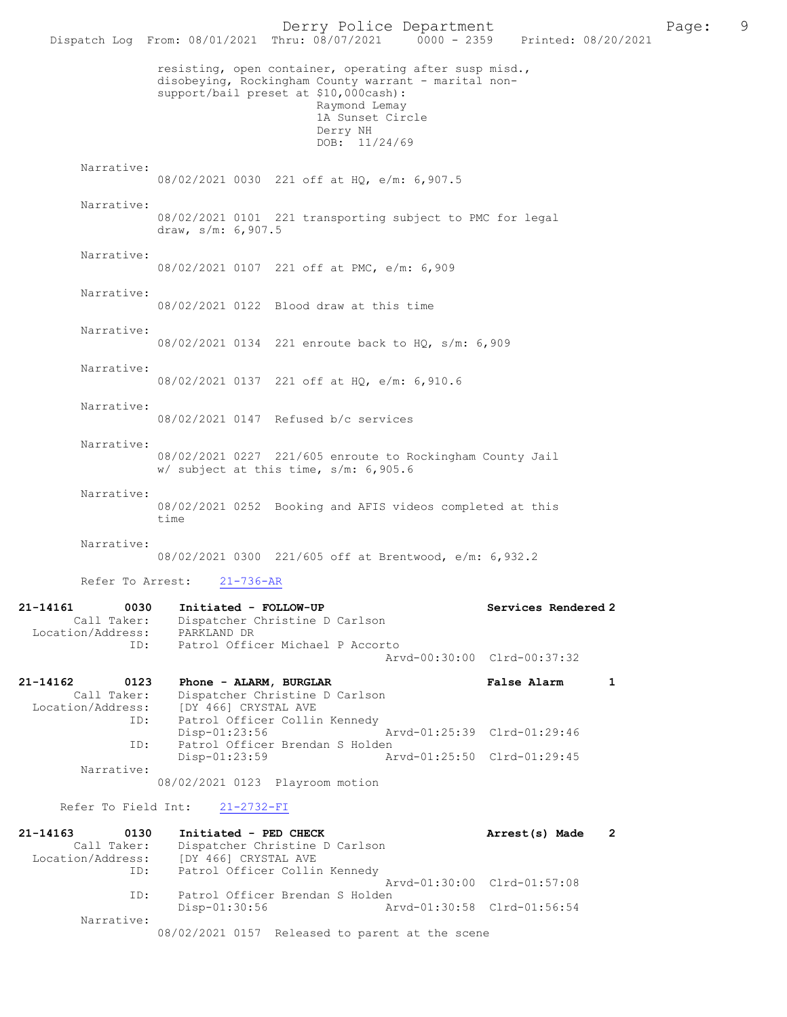Derry Police Department<br>Page: 9 Page: 9 Printed: 08/20/2021 Dispatch Log From: 08/01/2021 Thru: 08/07/2021 resisting, open container, operating after susp misd., disobeying, Rockingham County warrant - marital nonsupport/bail preset at \$10,000cash): Raymond Lemay 1A Sunset Circle Derry NH DOB: 11/24/69 Narrative: 08/02/2021 0030 221 off at HQ, e/m: 6,907.5 Narrative: 08/02/2021 0101 221 transporting subject to PMC for legal draw, s/m: 6,907.5 Narrative: 08/02/2021 0107 221 off at PMC, e/m: 6,909 Narrative: 08/02/2021 0122 Blood draw at this time Narrative: 08/02/2021 0134 221 enroute back to HQ, s/m: 6,909 Narrative: 08/02/2021 0137 221 off at HQ, e/m: 6,910.6 Narrative: 08/02/2021 0147 Refused b/c services Narrative: 08/02/2021 0227 221/605 enroute to Rockingham County Jail w/ subject at this time, s/m: 6,905.6 Narrative: 08/02/2021 0252 Booking and AFIS videos completed at this time Narrative: 08/02/2021 0300 221/605 off at Brentwood, e/m: 6,932.2 Refer To Arrest: 21-736-AR 21-14161 0030 Initiated - FOLLOW-UP Call Taker: Dispatcher Christine D Carlson Dispatcher Christine D Carlson<br>PARKLAND DR Location/Address: ID: Patrol Officer Michael P Accorto Arvd-00:30:00 Clrd-00:37:32 21-14162 0123 Phone - ALARM, BURGLAR False Alarm 1 Call Taker: Dispatcher Christine D Carlson Location/Address: [DY 466] CRYSTAL AVE Patrol Officer Collin Kennedy<br>Disp-01:23:56 Disp-01:23:56 Arvd-01:25:39 Clrd-01:29:46 ID: Patrol Officer Brendan S Holden Disp-01:23:59 Arvd-01:25:50 Clrd-01:29:45 Narrative: 08/02/2021 0123 Playroom motion Refer To Field Int: 21-2732-FI 21-14163 0130 Initiated - PED CHECK 2<br>Call Taker: Dispatcher Christine D Carlson<br>Call Taker: Dispatcher Christine D Carlson Call Taker: Dispatcher Christine D Carlson<br>Location/Address: [DY 466] CRYSTAL AVE [DY 466] CRYSTAL AVE ID: Patrol Officer Collin Kennedy Arvd-01:30:00 Clrd-01:57:08<br>TD: Patrol Officer Brendan S Holden Patrol Officer Brendan S Holden Disp-01:30:56 Arvd-01:30:58 Clrd-01:56:54 Narrative: 08/02/2021 0157 Released to parent at the scene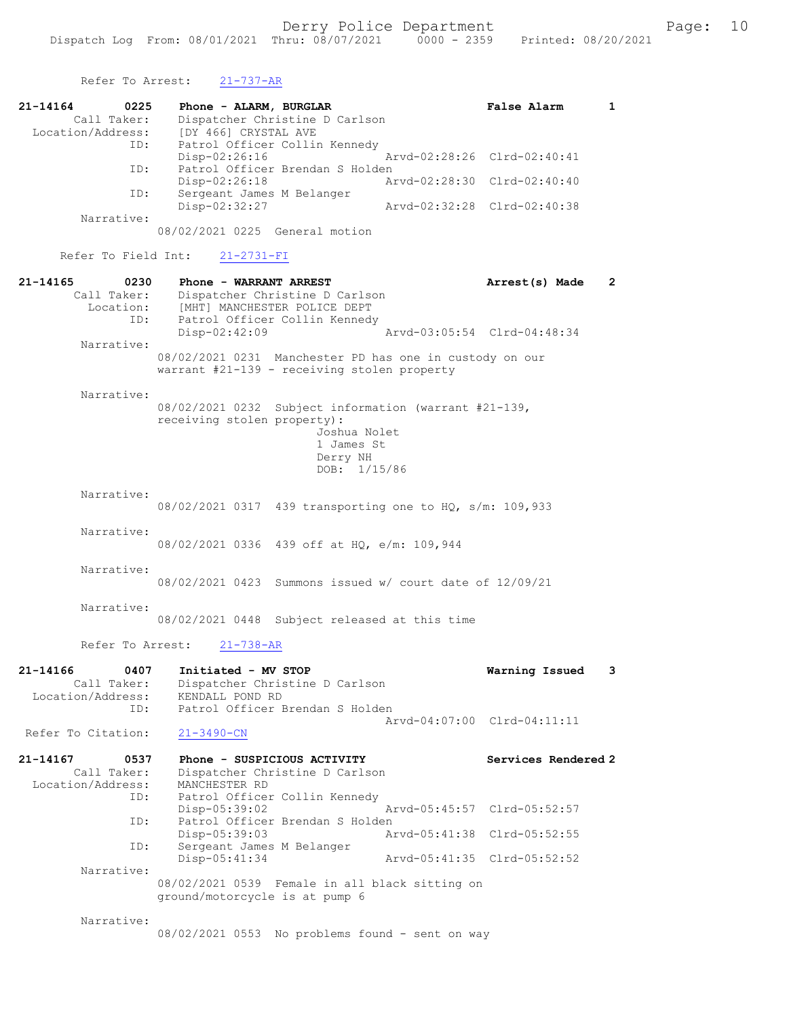Refer To Arrest: 21-737-AR

21-14164 0225 Phone - ALARM, BURGLAR **False Alarm** 1<br>Call Taker: Dispatcher Christine D Carlson Call Taker: Dispatcher Christine D Carlson<br>Location/Address: [DY 466] CRYSTAL AVE [DY 466] CRYSTAL AVE ID: Patrol Officer Collin Kennedy<br>Disp-02:26:16 Disp-02:26:16 <br>Th: Patrol Officer Brendan S Holden Patrol Officer Brendan S Holden<br>Disp-02:26:18 A Disp-02:26:18 Arvd-02:28:30 Clrd-02:40:40<br>ID: Sergeant James M Belanger Sergeant James M Belanger Disp-02:32:27 Arvd-02:32:28 Clrd-02:40:38 Narrative: 08/02/2021 0225 General motion Refer To Field Int: 21-2731-FI 21-14165 0230 Phone - WARRANT ARREST 21-14165 Arrest(s) Made 2 Call Taker: Dispatcher Christine D Carlson Location: [MHT] MANCHESTER POLICE DEPT ID: Patrol Officer Collin Kennedy<br>Disp-02:42:09 Disp-02:42:09 Arvd-03:05:54 Clrd-04:48:34 Narrative: 08/02/2021 0231 Manchester PD has one in custody on our warrant #21-139 - receiving stolen property Narrative: 08/02/2021 0232 Subject information (warrant #21-139, receiving stolen property): Joshua Nolet 1 James St Derry NH DOB: 1/15/86 Narrative: 08/02/2021 0317 439 transporting one to HQ, s/m: 109,933 Narrative: 08/02/2021 0336 439 off at HQ, e/m: 109,944 Narrative: 08/02/2021 0423 Summons issued w/ court date of 12/09/21 Narrative: 08/02/2021 0448 Subject released at this time Refer To Arrest: 21-738-AR 21-14166 0407 Initiated - MV STOP Warning Issued 3 Call Taker: Dispatcher Christine D Carlson Location/Address: KENDALL POND RD ID: Patrol Officer Brendan S Holden Arvd-04:07:00 Clrd-04:11:11 Refer To Citation: 21-14167 0537 Phone - SUSPICIOUS ACTIVITY<br>Call Taker: Dispatcher Christine D Carlson<br>Call Taker: Dispatcher Christine D Carlson Dispatcher Christine D Carlson<br>MANCHESTER RD Location/Address:<br>ID: Patrol Officer Collin Kennedy Disp-05:39:02 Arvd-05:45:57 Clrd-05:52:57<br>ID: Patrol Officer Brendan S Holden Patrol Officer Brendan S Holden<br>Disp-05:39:03 Ar Disp-05:39:03 Arvd-05:41:38 Clrd-05:52:55 ID: Sergeant James M Belanger Disp-05:41:34 Arvd-05:41:35 Clrd-05:52:52 Narrative: 08/02/2021 0539 Female in all black sitting on ground/motorcycle is at pump 6 Narrative: 08/02/2021 0553 No problems found - sent on way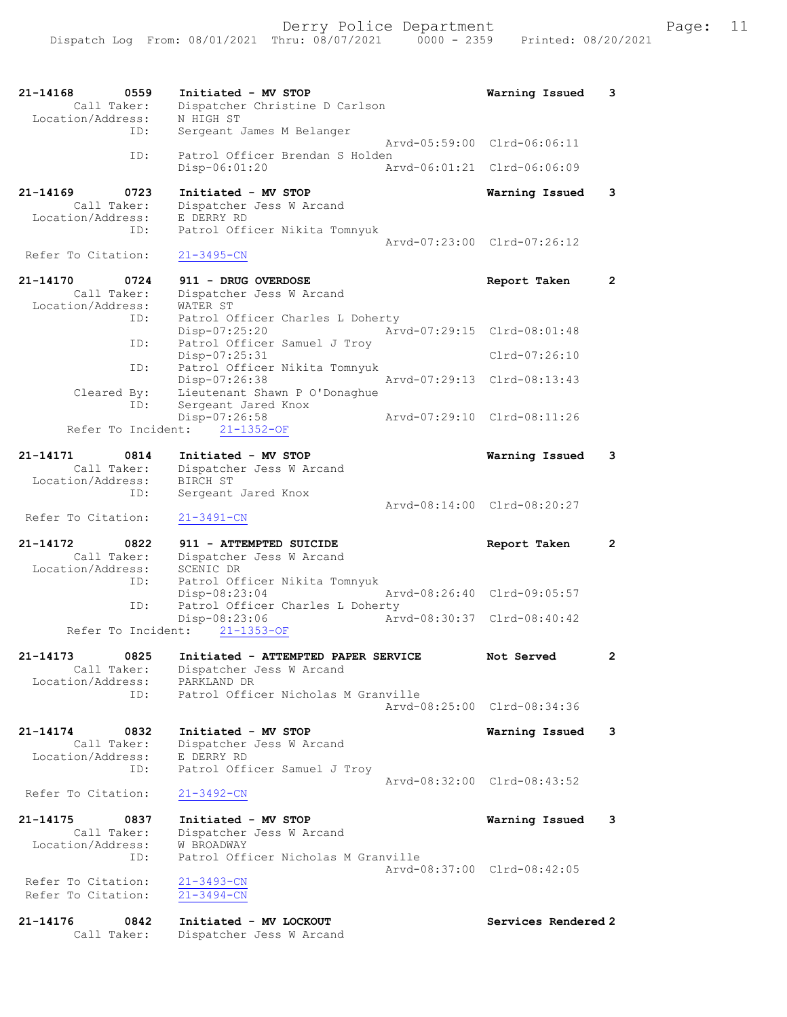| 21-14168<br>0559<br>Call Taker:<br>Location/Address: | Initiated - MV STOP<br>Dispatcher Christine D Carlson<br>N HIGH ST | Warning Issued              | 3            |
|------------------------------------------------------|--------------------------------------------------------------------|-----------------------------|--------------|
| ID:                                                  | Sergeant James M Belanger                                          |                             |              |
| ID:                                                  | Patrol Officer Brendan S Holden                                    | Arvd-05:59:00 Clrd-06:06:11 |              |
|                                                      | Disp-06:01:20                                                      | Arvd-06:01:21 Clrd-06:06:09 |              |
| $21 - 14169$<br>0723                                 | Initiated - MV STOP                                                | Warning Issued              | 3            |
| Call Taker:<br>Location/Address:                     | Dispatcher Jess W Arcand<br>E DERRY RD                             |                             |              |
| ID:                                                  | Patrol Officer Nikita Tomnyuk                                      |                             |              |
| Refer To Citation:                                   | $21 - 3495 - CN$                                                   | Arvd-07:23:00 Clrd-07:26:12 |              |
| 21-14170<br>0724                                     | 911 - DRUG OVERDOSE                                                | Report Taken                | $\mathbf{2}$ |
| Call Taker:                                          | Dispatcher Jess W Arcand                                           |                             |              |
| Location/Address:<br>ID:                             | WATER ST<br>Patrol Officer Charles L Doherty                       |                             |              |
|                                                      | Disp-07:25:20                                                      | Arvd-07:29:15 Clrd-08:01:48 |              |
| ID:                                                  | Patrol Officer Samuel J Troy                                       |                             |              |
|                                                      | Disp-07:25:31                                                      | $Clrd-07:26:10$             |              |
| ID:                                                  | Patrol Officer Nikita Tomnyuk<br>Disp-07:26:38                     | Arvd-07:29:13 Clrd-08:13:43 |              |
| Cleared By:                                          | Lieutenant Shawn P O'Donaghue                                      |                             |              |
| ID:                                                  | Sergeant Jared Knox                                                |                             |              |
| Refer To Incident:                                   | Disp-07:26:58<br>$21 - 1352 - OF$                                  | Arvd-07:29:10 Clrd-08:11:26 |              |
|                                                      |                                                                    |                             |              |
| 21-14171<br>0814<br>Call Taker:                      | Initiated - MV STOP<br>Dispatcher Jess W Arcand                    | Warning Issued              | 3            |
| Location/Address:                                    | BIRCH ST                                                           |                             |              |
| ID:                                                  | Sergeant Jared Knox                                                |                             |              |
| Refer To Citation:                                   | $21 - 3491 - CN$                                                   | Arvd-08:14:00 Clrd-08:20:27 |              |
| 21-14172<br>0822<br>Call Taker:                      | 911 - ATTEMPTED SUICIDE<br>Dispatcher Jess W Arcand                | Report Taken                | 2            |
| Location/Address:                                    | SCENIC DR                                                          |                             |              |
| ID:                                                  | Patrol Officer Nikita Tomnyuk<br>Disp-08:23:04                     | Arvd-08:26:40 Clrd-09:05:57 |              |
| ID:                                                  | Patrol Officer Charles L Doherty                                   |                             |              |
|                                                      | Disp-08:23:06<br>Refer To Incident: 21-1353-OF                     | Arvd-08:30:37 Clrd-08:40:42 |              |
|                                                      |                                                                    |                             |              |
| 21-14173<br>0825<br>Call Taker:                      | Initiated - ATTEMPTED PAPER SERVICE<br>Dispatcher Jess W Arcand    | Not Served                  |              |
| Location/Address:                                    | PARKLAND DR                                                        |                             |              |
| ID:                                                  | Patrol Officer Nicholas M Granville                                |                             |              |
|                                                      |                                                                    | Arvd-08:25:00 Clrd-08:34:36 |              |
| 21-14174<br>0832                                     | Initiated - MV STOP                                                | Warning Issued              | 3            |
| Call Taker:                                          | Dispatcher Jess W Arcand                                           |                             |              |
| Location/Address:<br>ID:                             | E DERRY RD<br>Patrol Officer Samuel J Troy                         |                             |              |
|                                                      |                                                                    | Arvd-08:32:00 Clrd-08:43:52 |              |
| Refer To Citation:                                   | $21 - 3492 - CN$                                                   |                             |              |
| $21 - 14175$<br>0837                                 | Initiated - MV STOP                                                | Warning Issued              | 3            |
| Call Taker:                                          | Dispatcher Jess W Arcand                                           |                             |              |
| Location/Address:<br>ID:                             | W BROADWAY<br>Patrol Officer Nicholas M Granville                  |                             |              |
|                                                      |                                                                    | Arvd-08:37:00 Clrd-08:42:05 |              |
| Refer To Citation:<br>Refer To Citation:             | $21 - 3493 - CN$<br>$21 - 3494 - CN$                               |                             |              |
| 21-14176<br>0842                                     | Initiated - MV LOCKOUT                                             | Services Rendered 2         |              |

Call Taker: Dispatcher Jess W Arcand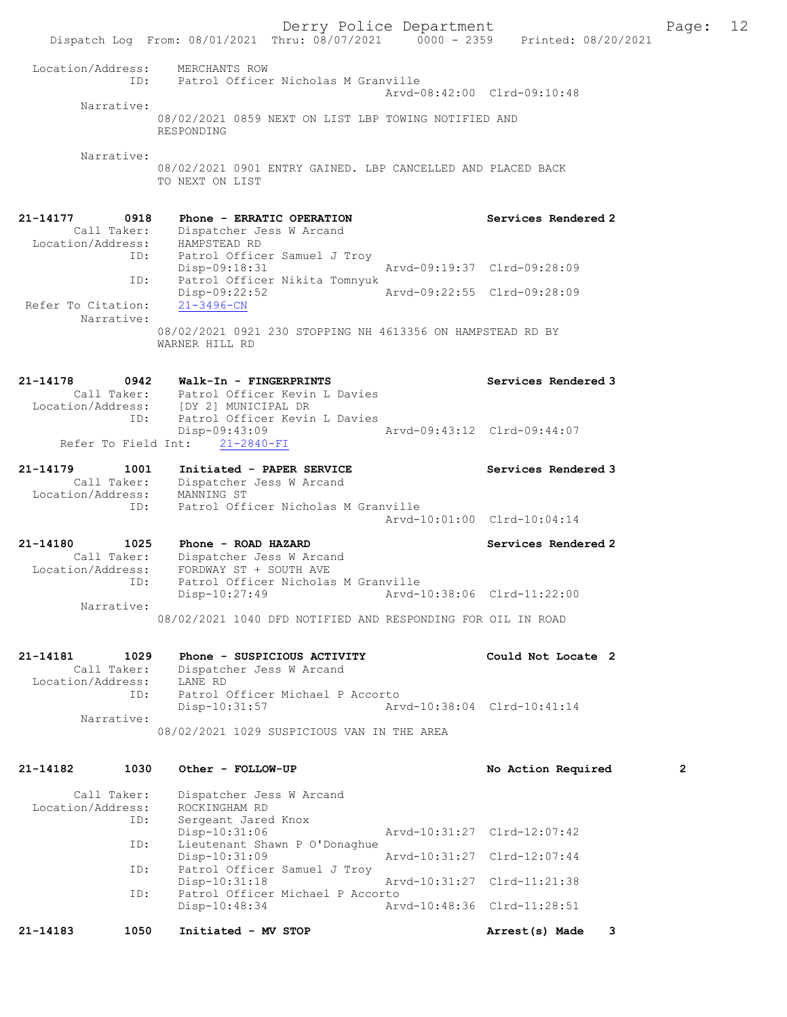Dispatch Log From: 08/01/2021 Thru: 08/07/2021 0000 - 2359 Printed: 08/20/2021 Location/Address: MERCHANTS ROW ID: Patrol Officer Nicholas M Granville Arvd-08:42:00 Clrd-09:10:48 Narrative: 08/02/2021 0859 NEXT ON LIST LBP TOWING NOTIFIED AND RESPONDING Narrative: 08/02/2021 0901 ENTRY GAINED. LBP CANCELLED AND PLACED BACK TO NEXT ON LIST 21-14177 0918 Phone - ERRATIC OPERATION Services Rendered 2 Call Taker: Dispatcher Jess W Arcand Location/Address: HAMPSTEAD RD ID: Patrol Officer Samuel J Troy Disp-09:18:31 Arvd-09:19:37 Clrd-09:28:09<br>ID: Patrol Officer Nikita Tomnyuk ID: Patrol Officer Nikita Tomnyuk Disp-09:22:52 Arvd-09:22:55 Clrd-09:28:09 Refer To Citation: 21-3496-CN Narrative: 08/02/2021 0921 230 STOPPING NH 4613356 ON HAMPSTEAD RD BY WARNER HILL RD 21-14178 0942 Walk-In - FINGERPRINTS Services Rendered 3 Call Taker: Patrol Officer Kevin L Davies Location/Address: [DY 2] MUNICIPAL DR ID: Patrol Officer Kevin L Davies Disp-09:43:09<br>http://www.comparecommunical/hyd-09:43:12 Clrd-09:44:07 Refer To Field Int: 21-2840-FI 21-14179 1001 Initiated - PAPER SERVICE Services Rendered 3 Call Taker: Dispatcher Jess W Arcand Location/Address: MANNING ST ID: Patrol Officer Nicholas M Granville Arvd-10:01:00 Clrd-10:04:14 21-14180 1025 Phone - ROAD HAZARD Services Rendered 2 Call Taker: Dispatcher Jess W Arcand Location/Address: FORDWAY ST + SOUTH AVE ID: Patrol Officer Nicholas M Granville Disp-10:27:49 Arvd-10:38:06 Clrd-11:22:00 Narrative: 08/02/2021 1040 DFD NOTIFIED AND RESPONDING FOR OIL IN ROAD 21-14181 1029 Phone - SUSPICIOUS ACTIVITY Could Not Locate 2 Call Taker: Dispatcher Jess W Arcand Location/Address: LANE RD ID: Patrol Officer Michael P Accorto Disp-10:31:57 Arvd-10:38:04 Clrd-10:41:14 Narrative: 08/02/2021 1029 SUSPICIOUS VAN IN THE AREA 21-14182 1030 Other - FOLLOW-UP No Action Required 2 Call Taker: Dispatcher Jess W Arcand Location/Address: ROCKINGHAM RD ID: Sergeant Jared Knox Disp-10:31:06 Arvd-10:31:27 Clrd-12:07:42 ID: Lieutenant Shawn P O'Donaghue Disp-10:31:09 Arvd-10:31:27 Clrd-12:07:44<br>ID: Patrol Officer Samuel J Troy Patrol Officer Samuel J Troy<br>Disp-10:31:18 Arvd-10:31:27 Clrd-11:21:38 ID: Patrol Officer Michael P Accorto<br>Disp-10:48:34 Ar Disp-10:48:34 Arvd-10:48:36 Clrd-11:28:51

21-14183 1050 Initiated - MV STOP 100 Arrest(s) Made 3

Derry Police Department The Page: 12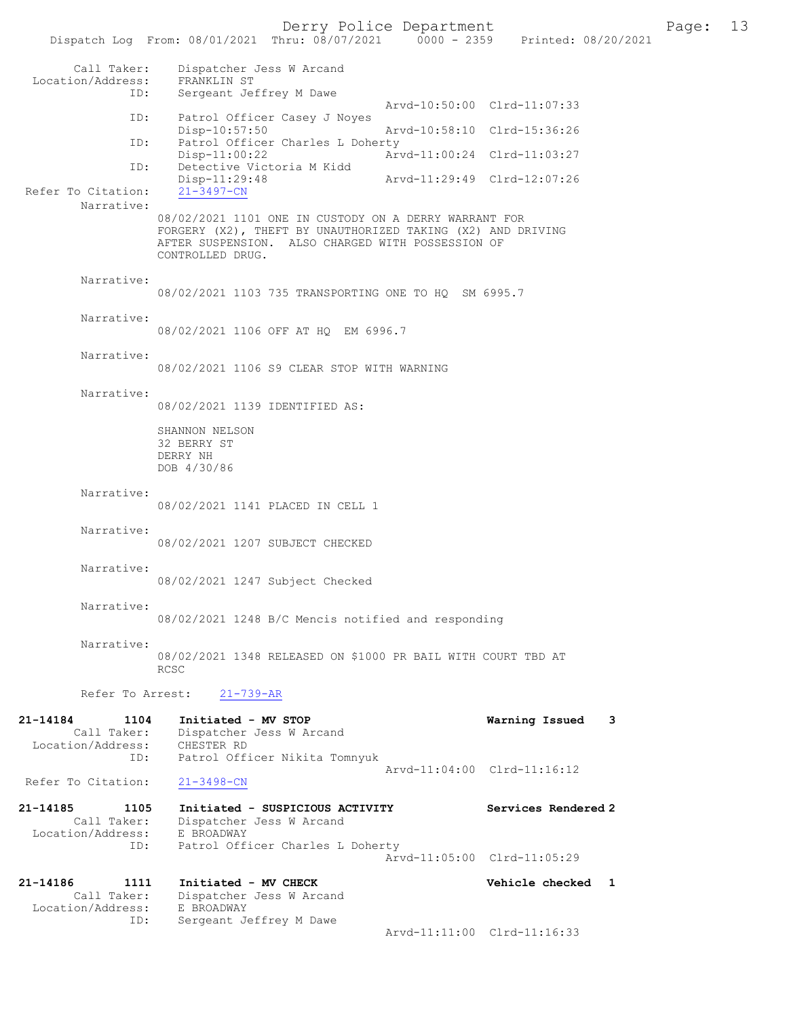Derry Police Department The Page: 13 Dispatch Log From: 08/01/2021 Thru: 08/07/2021 0000 - 2359 Printed: 08/20/2021 Call Taker: Dispatcher Jess W Arcand Location/Address: FRANKLIN ST<br>ID: Sergeant Jo Sergeant Jeffrey M Dawe Arvd-10:50:00 Clrd-11:07:33 ID: Patrol Officer Casey J Noyes Disp-10:57:50 Arvd-10:58:10 Clrd-15:36:26 ID: Patrol Officer Charles L Doherty<br>Disp-11:00:22 Ar Disp-11:00:22 <br>
Detective Victoria M Kidd<br>
Detective Victoria M Kidd Detective Victoria M Kidd<br>Disp-11:29:48 Disp-11:29:48 Arvd-11:29:49 Clrd-12:07:26 Refer To Citation: Narrative: 08/02/2021 1101 ONE IN CUSTODY ON A DERRY WARRANT FOR FORGERY (X2), THEFT BY UNAUTHORIZED TAKING (X2) AND DRIVING AFTER SUSPENSION. ALSO CHARGED WITH POSSESSION OF CONTROLLED DRUG. Narrative: 08/02/2021 1103 735 TRANSPORTING ONE TO HQ SM 6995.7 Narrative: 08/02/2021 1106 OFF AT HQ EM 6996.7 Narrative: 08/02/2021 1106 S9 CLEAR STOP WITH WARNING Narrative: 08/02/2021 1139 IDENTIFIED AS: SHANNON NELSON 32 BERRY ST DERRY NH DOB 4/30/86 Narrative: 08/02/2021 1141 PLACED IN CELL 1 Narrative: 08/02/2021 1207 SUBJECT CHECKED Narrative: 08/02/2021 1247 Subject Checked Narrative: 08/02/2021 1248 B/C Mencis notified and responding Narrative: 08/02/2021 1348 RELEASED ON \$1000 PR BAIL WITH COURT TBD AT RCSC Refer To Arrest: 21-739-AR 21-14184 1104 Initiated - MV STOP Warning Issued 3 Call Taker: Dispatcher Jess W Arcand Location/Address: CHESTER RD<br>ID: Patrol Off Patrol Officer Nikita Tomnyuk Arvd-11:04:00 Clrd-11:16:12 Refer To Citation: 21-3498-CN 21-14185 1105 Initiated - SUSPICIOUS ACTIVITY Services Rendered 2 Call Taker: Dispatcher Jess W Arcand Location/Address: E BROADWAY ID: Patrol Officer Charles L Doherty Arvd-11:05:00 Clrd-11:05:29 21-14186 1111 Initiated - MV CHECK Vehicle checked 1 Call Taker: Dispatcher Jess W Arcand Location/Address: E BROADWAY<br>ID: Sergeant J Sergeant Jeffrey M Dawe Arvd-11:11:00 Clrd-11:16:33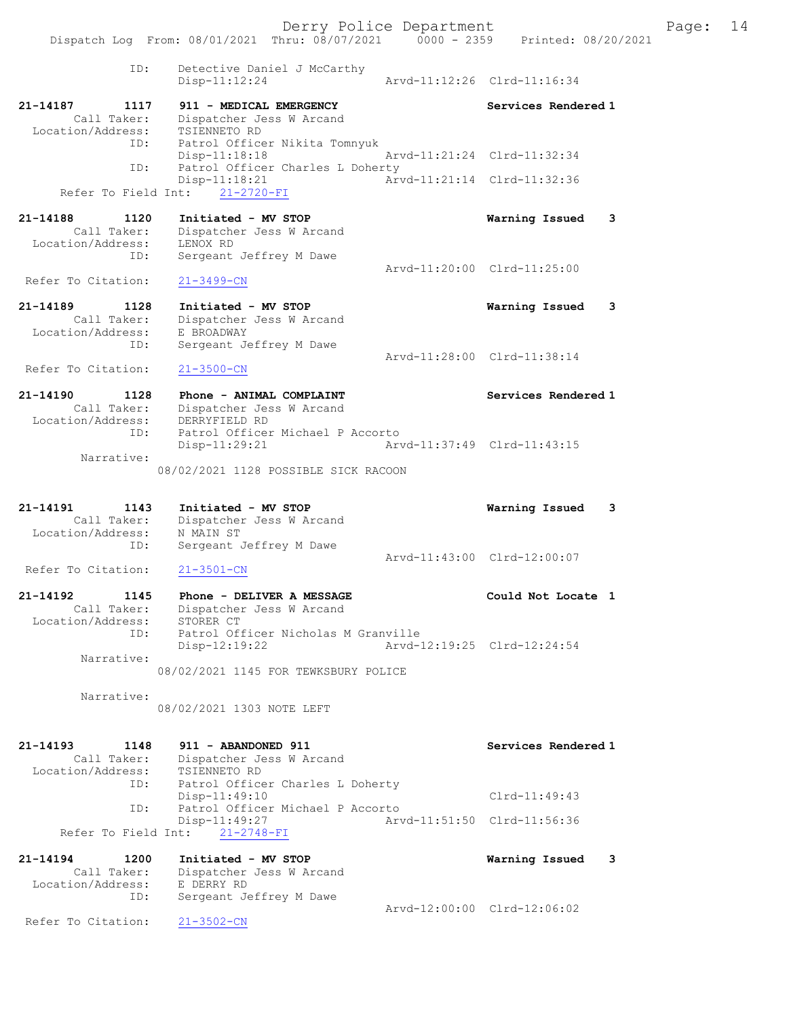Dispatch Log From: 08/01/2021 Thru: 08/07/2021 0000 - 2359 Printed: 08/20/2021 ID: Detective Daniel J McCarthy Disp-11:12:24 Arvd-11:12:26 Clrd-11:16:34 21-14187 1117 911 - MEDICAL EMERGENCY Services Rendered 1 Call Taker: Dispatcher Jess W Arcand Location/Address: TSIENNETO RD ID: Patrol Officer Nikita Tomnyuk Disp-11:18:18 Arvd-11:21:24 Clrd-11:32:34 Patrol Officer Charles L Doherty Disp-11:18:21 Arvd-11:21:14 Clrd-11:32:36 Refer To Field Int: 21-2720-FI 21-14188 1120 Initiated - MV STOP Warning Issued 3 Call Taker: Dispatcher Jess W Arcand Location/Address: LENOX RD ID: Sergeant Jeffrey M Dawe Arvd-11:20:00 Clrd-11:25:00<br>21-3499-CN Refer To Citation: 21-14189 1128 Initiated - MV STOP Warning Issued 3 Call Taker: Dispatcher Jess W Arcand Location/Address: E BROADWAY ID: Sergeant Jeffrey M Dawe Arvd-11:28:00 Clrd-11:38:14 Refer To Citation: 21-3500-CN 21-14190 1128 Phone - ANIMAL COMPLAINT Services Rendered 1 Call Taker: Dispatcher Jess W Arcand Location/Address: DERRYFIELD RD ID: Patrol Officer Michael P Accorto Disp-11:29:21 Arvd-11:37:49 Clrd-11:43:15 Narrative: 08/02/2021 1128 POSSIBLE SICK RACOON 21-14191 1143 Initiated - MV STOP Warning Issued 3 Call Taker: Dispatcher Jess W Arcand Location/Address: N MAIN ST ID: Sergeant Jeffrey M Dawe Arvd-11:43:00 Clrd-12:00:07<br>21-3501-CN Refer To Citation: 21-14192 1145 Phone - DELIVER A MESSAGE NERRIS Could Not Locate 1 Call Taker: Dispatcher Jess W Arcand Location/Address: STORER CT ID: Patrol Officer Nicholas M Granville Disp-12:19:22 Arvd-12:19:25 Clrd-12:24:54 Narrative: 08/02/2021 1145 FOR TEWKSBURY POLICE Narrative: 08/02/2021 1303 NOTE LEFT 21-14193 1148 911 - ABANDONED 911 Services Rendered 1 Call Taker: Dispatcher Jess W Arcand Location/Address: TSIENNETO RD ID: Patrol Officer Charles L Doherty<br>Disp-11:49:10 Disp-11:49:10 Clrd-11:49:43<br>ID: Patrol Officer Michael P Accorto Patrol Officer Michael P Accorto<br>Disp-11:49:27 Arv Arvd-11:51:50 Clrd-11:56:36 Refer To Field Int: 21-2748-FI 21-14194 1200 Initiated - MV STOP Warning Issued 3 Call Taker: Dispatcher Jess W Arcand Location/Address: E DERRY RD ID: Sergeant Jeffrey M Dawe Arvd-12:00:00 Clrd-12:06:02<br>21-3502-CN Refer To Citation: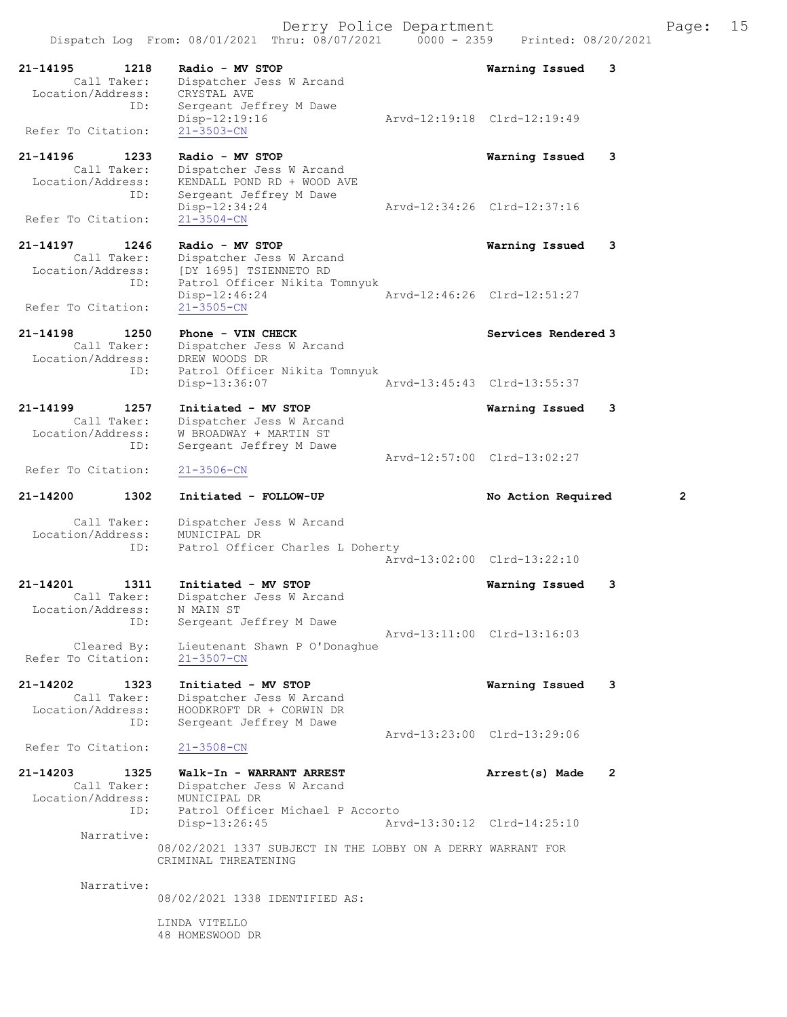21-14195 1218 Radio - MV STOP Warning Issued 3<br>Call Taker: Dispatcher Jess W Arcand Dispatcher Jess W Arcand<br>CRYSTAL AVE Location/Address:<br>ID: Sergeant Jeffrey M Dawe<br>Disp-12:19:16 Disp-12:19:16 Arvd-12:19:18 Clrd-12:19:49 Refer To Citation: 21-3503-CN 21-14196 1233 Radio - MV STOP **Warning Issued 3**<br>Call Taker: Dispatcher Jess W Arcand Call Taker: Dispatcher Jess W Arcand<br>Location/Address: KENDALL POND RD + WOOD AV KENDALL POND RD + WOOD AVE ID: Sergeant Jeffrey M Dawe<br>Disp-12:34:24 Disp-12:34:24 Arvd-12:34:26 Clrd-12:37:16 Refer To Citation: 21-14197 1246 Radio - MV STOP Warning Issued 3 Call Taker: Dispatcher Jess W Arcand Location/Address: [DY 1695] TSIENNETO RD ID: Patrol Officer Nikita Tomnyuk<br>ID: Patrol Officer Nikita Tomnyuk<br>Disp-12:46:24 Disp-12:46:24 Arvd-12:46:26 Clrd-12:51:27<br>21-3505-CN Refer To Citation: 21-14198 1250 Phone - VIN CHECK North Services Rendered 3 Call Taker: Dispatcher Jess W Arcand Location/Address: DREW WOODS DR ess: DARM MOODD DE.<br>ID: Patrol Officer Nikita Tomnyuk Disp-13:36:07 Arvd-13:45:43 Clrd-13:55:37 21-14199 1257 Initiated - MV STOP 1257 Varning Issued 3<br>Call Taker: Dispatcher Jess W Arcand Dispatcher Jess W Arcand Location/Address: W BROADWAY + MARTIN ST Sergeant Jeffrey M Dawe Arvd-12:57:00 Clrd-13:02:27<br>21-3506-CN Refer To Citation: 21-14200 1302 Initiated - FOLLOW-UP No Action Required 2 Call Taker: Dispatcher Jess W Arcand<br>ion/Address: MUNICIPAL DR Location/Address:<br>ID: Patrol Officer Charles L Doherty Arvd-13:02:00 Clrd-13:22:10 21-14201 1311 Initiated - MV STOP Warning Issued 3 Call Taker: Dispatcher Jess W Arcand Location/Address: N MAIN ST ess: N MALIN SI<br>ID: Sergeant Jeffrey M Dawe Arvd-13:11:00 Clrd-13:16:03 Cleared By: Lieutenant Shawn P O'Donaghue Refer To Citation: 21-3507-CN 21-14202 1323 Initiated - MV STOP Warning Issued 3 Call Taker: Dispatcher Jess W Arcand Location/Address: HOODKROFT DR + CORWIN DR ID: Sergeant Jeffrey M Dawe Arvd-13:23:00 Clrd-13:29:06<br>21-3508-CN Refer To Citation: 21-14203 1325 Walk-In - WARRANT ARREST Arrest(s) Made 2<br>Call Taker: Dispatcher Jess W Arcand Dispatcher Jess W Arcand<br>MUNICIPAL DR Location/Address:<br>TD: Patrol Officer Michael P Accorto Disp-13:26:45 Arvd-13:30:12 Clrd-14:25:10 Narrative: 08/02/2021 1337 SUBJECT IN THE LOBBY ON A DERRY WARRANT FOR CRIMINAL THREATENING Narrative: 08/02/2021 1338 IDENTIFIED AS: LINDA VITELLO

48 HOMESWOOD DR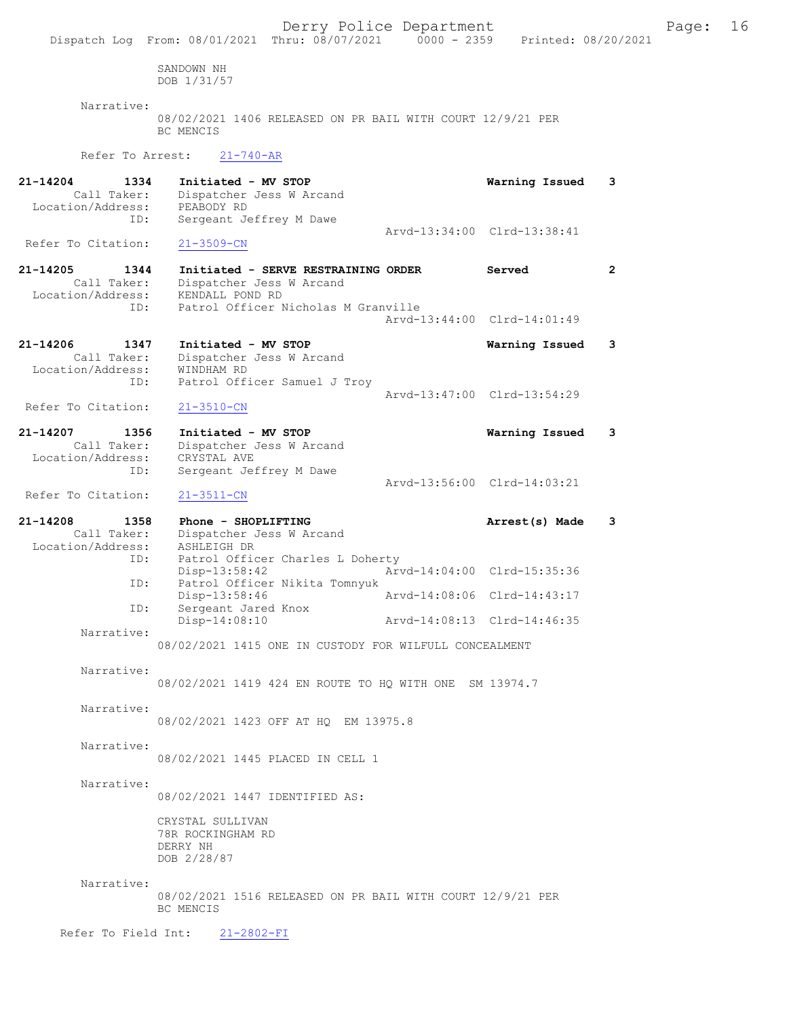Dispatch Log From: 08/01/2021 Thru: 08/07/2021 0000 - 2359 Printed: 08/20/2021 SANDOWN NH DOB 1/31/57 Narrative: 08/02/2021 1406 RELEASED ON PR BAIL WITH COURT 12/9/21 PER BC MENCIS Refer To Arrest: 21-740-AR 21-14204 1334 Initiated - MV STOP Warning Issued 3 Call Taker: Dispatcher Jess W Arcand<br>ion/Address: PEABODY RD Location/Address:<br>TD: Sergeant Jeffrey M Dawe Arvd-13:34:00 Clrd-13:38:41<br>21-3509-CN Refer To Citation: 21-14205 1344 Initiated - SERVE RESTRAINING ORDER Served Call Taker: Dispatcher Jess W Arcand Dispatcher Jess W Arcand Location/Address: KENDALL POND RD ID: Patrol Officer Nicholas M Granville Arvd-13:44:00 Clrd-14:01:49 21-14206 1347 Initiated - MV STOP 121-14206 1347 Call Taker: Dispatcher Jess W Arcand Dispatcher Jess W Arcand Location/Address: WINDHAM RD ID: Patrol Officer Samuel J Troy Arvd-13:47:00 Clrd-13:54:29<br>21-3510-CN Refer To Citation: 21-14207 1356 Initiated - MV STOP 1356 Varning Issued 3<br>Call Taker: Dispatcher Jess W Arcand Dispatcher Jess W Arcand Location/Address: CRYSTAL AVE ID: Sergeant Jeffrey M Dawe Arvd-13:56:00 Clrd-14:03:21 Refer To Citation: 21-3511-CN 21-14208 1358 Phone - SHOPLIFTING 1358 Phone - SHOPLIFTING 21-14208 21-14208 21-14208 21-14208 2011 Dispatcher Jess W Arcand<br>ASHLEIGH DR Location/Address:<br>ID: Patrol Officer Charles L Doherty Disp-13:58:42 Arvd-14:04:00 Clrd-15:35:36<br>ID: Patrol Officer Nikita Tomnyuk Patrol Officer Nikita Tomnyuk Disp-13:58:46 Arvd-14:08:06 Clrd-14:43:17<br>TD: Sergeant Jared Knox Sergeant Jared Knox<br>Disp-14:08:10 Disp-14:08:10 Arvd-14:08:13 Clrd-14:46:35 Narrative: 08/02/2021 1415 ONE IN CUSTODY FOR WILFULL CONCEALMENT Narrative: 08/02/2021 1419 424 EN ROUTE TO HQ WITH ONE SM 13974.7 Narrative: 08/02/2021 1423 OFF AT HQ EM 13975.8 Narrative: 08/02/2021 1445 PLACED IN CELL 1 Narrative: 08/02/2021 1447 IDENTIFIED AS: CRYSTAL SULLIVAN 78R ROCKINGHAM RD DERRY NH DOB 2/28/87 Narrative: 08/02/2021 1516 RELEASED ON PR BAIL WITH COURT 12/9/21 PER BC MENCIS Refer To Field Int: 21-2802-FI

Derry Police Department The Page: 16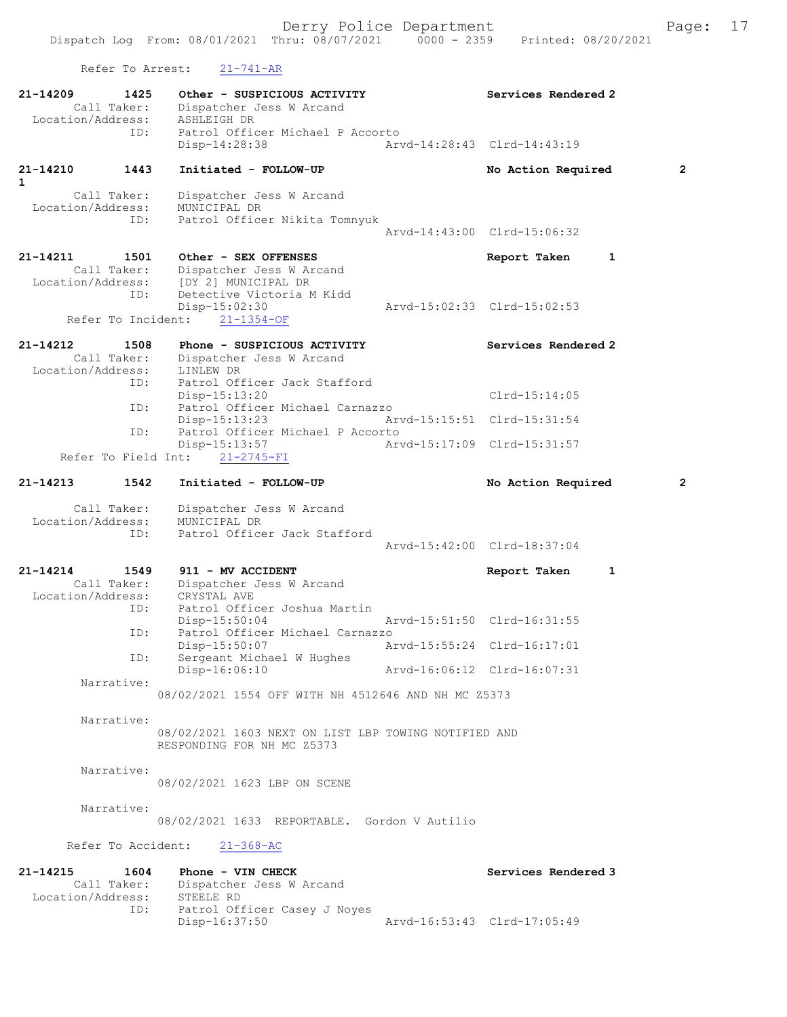Refer To Arrest: 21-741-AR

| $21 - 14209$<br>Call Taker:      | 1425 | Other - SUSPICIOUS ACTIVITY<br>Dispatcher Jess W Arcand                            |                             | Services Rendered 2          |              |
|----------------------------------|------|------------------------------------------------------------------------------------|-----------------------------|------------------------------|--------------|
| Location/Address:                |      | ASHLEIGH DR                                                                        |                             |                              |              |
|                                  | ID:  | Patrol Officer Michael P Accorto<br>Disp-14:28:38                                  |                             | Arvd-14:28:43 Clrd-14:43:19  |              |
| 21-14210<br>$\mathbf{1}$         | 1443 | Initiated - FOLLOW-UP                                                              |                             | No Action Required           | $\mathbf{2}$ |
| Call Taker:<br>Location/Address: |      | Dispatcher Jess W Arcand<br>MUNICIPAL DR                                           |                             |                              |              |
|                                  | ID:  | Patrol Officer Nikita Tomnyuk                                                      |                             |                              |              |
|                                  |      |                                                                                    |                             | Arvd-14:43:00 Clrd-15:06:32  |              |
| 21-14211                         | 1501 | Other - SEX OFFENSES                                                               |                             | 1<br>Report Taken            |              |
| Call Taker:                      |      | Dispatcher Jess W Arcand                                                           |                             |                              |              |
| Location/Address:                |      | [DY 2] MUNICIPAL DR                                                                |                             |                              |              |
|                                  | ID:  | Detective Victoria M Kidd<br>$Disp-15:02:30$                                       |                             | Arvd-15:02:33 Clrd-15:02:53  |              |
| Refer To Incident:               |      | $21 - 1354 - OF$                                                                   |                             |                              |              |
| 21-14212                         | 1508 | Phone - SUSPICIOUS ACTIVITY                                                        |                             | Services Rendered 2          |              |
| Call Taker:                      |      | Dispatcher Jess W Arcand                                                           |                             |                              |              |
| Location/Address:                | ID:  | LINLEW DR<br>Patrol Officer Jack Stafford                                          |                             |                              |              |
|                                  |      | Disp-15:13:20                                                                      |                             | $Clrd-15:14:05$              |              |
|                                  | ID:  | Patrol Officer Michael Carnazzo<br>$Disp-15:13:23$                                 | Arvd-15:15:51 Clrd-15:31:54 |                              |              |
|                                  | ID:  | Patrol Officer Michael P Accorto                                                   |                             |                              |              |
| Refer To Field Int:              |      | Disp-15:13:57<br>$21 - 2745 - FI$                                                  | Arvd-15:17:09 Clrd-15:31:57 |                              |              |
| 21-14213                         | 1542 | Initiated - FOLLOW-UP                                                              |                             | No Action Required           | $\mathbf{2}$ |
| Call Taker:                      |      | Dispatcher Jess W Arcand                                                           |                             |                              |              |
| Location/Address:                |      | MUNICIPAL DR                                                                       |                             |                              |              |
|                                  | ID:  | Patrol Officer Jack Stafford                                                       |                             | Arvd-15:42:00 Clrd-18:37:04  |              |
| 21-14214                         | 1549 | 911 - MV ACCIDENT                                                                  |                             | $\mathbf{1}$<br>Report Taken |              |
| Call Taker:                      |      | Dispatcher Jess W Arcand                                                           |                             |                              |              |
| Location/Address:                |      | CRYSTAL AVE                                                                        |                             |                              |              |
|                                  | ID:  | Patrol Officer Joshua Martin<br>$Disp-15:50:04$                                    | Arvd-15:51:50 Clrd-16:31:55 |                              |              |
|                                  | ID:  | Patrol Officer Michael Carnazzo                                                    |                             |                              |              |
|                                  |      | Disp-15:50:07                                                                      |                             | Arvd-15:55:24 Clrd-16:17:01  |              |
|                                  | ID:  | Sergeant Michael W Hughes<br>Disp-16:06:10                                         | Arvd-16:06:12 Clrd-16:07:31 |                              |              |
| Narrative:                       |      |                                                                                    |                             |                              |              |
|                                  |      | 08/02/2021 1554 OFF WITH NH 4512646 AND NH MC Z5373                                |                             |                              |              |
| Narrative:                       |      |                                                                                    |                             |                              |              |
|                                  |      | 08/02/2021 1603 NEXT ON LIST LBP TOWING NOTIFIED AND<br>RESPONDING FOR NH MC Z5373 |                             |                              |              |
|                                  |      |                                                                                    |                             |                              |              |
| Narrative:                       |      | 08/02/2021 1623 LBP ON SCENE                                                       |                             |                              |              |
| Narrative:                       |      |                                                                                    |                             |                              |              |
|                                  |      | 08/02/2021 1633 REPORTABLE. Gordon V Autilio                                       |                             |                              |              |
|                                  |      | Refer To Accident: 21-368-AC                                                       |                             |                              |              |
| 21-14215                         | 1604 | Phone - VIN CHECK                                                                  |                             | Services Rendered 3          |              |
|                                  |      | Call Taker: Dispatcher Jess W Arcand                                               |                             |                              |              |
| Location/Address:                | ID:  | STEELE RD<br>Patrol Officer Casey J Noyes                                          |                             |                              |              |
|                                  |      |                                                                                    |                             |                              |              |

Disp-16:37:50 Arvd-16:53:43 Clrd-17:05:49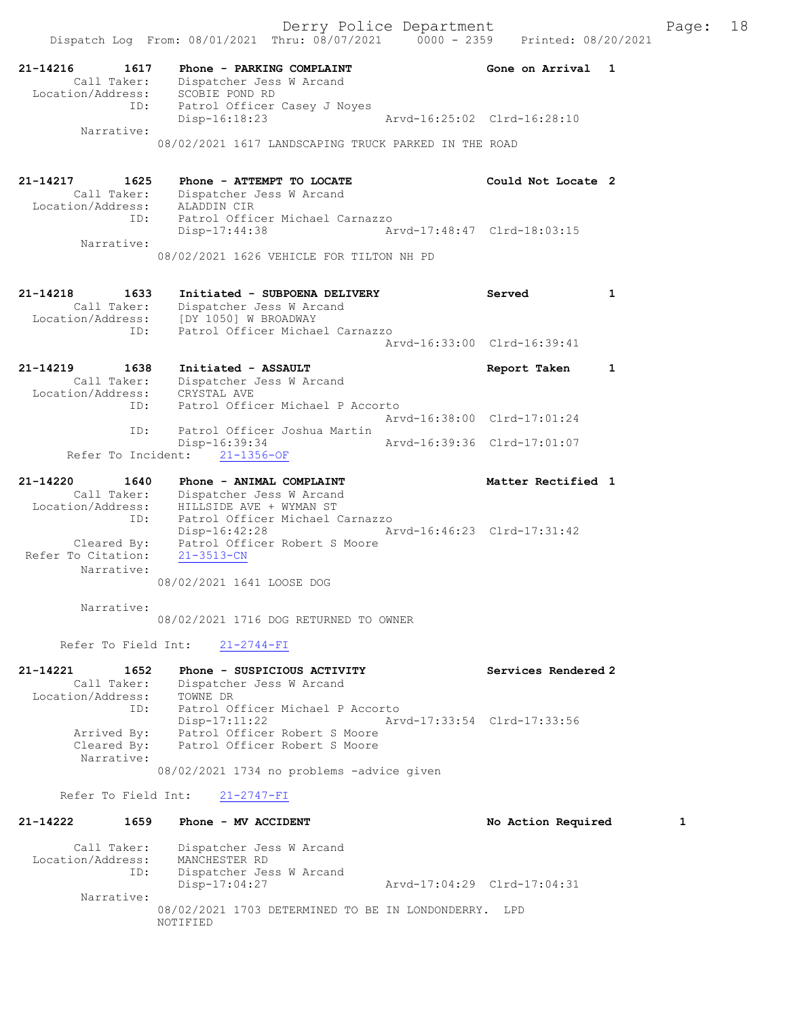21-14216 1617 Phone - PARKING COMPLAINT 1997 (Sone on Arrival 1 Call Taker: Dispatcher Jess W Arcand Location/Address: SCOBIE POND RD ID: Patrol Officer Casey J Noyes Disp-16:18:23 Arvd-16:25:02 Clrd-16:28:10 Narrative: 08/02/2021 1617 LANDSCAPING TRUCK PARKED IN THE ROAD 21-14217 1625 Phone - ATTEMPT TO LOCATE Could Not Locate 2 Call Taker: Dispatcher Jess W Arcand Location/Address: ALADDIN CIR ID: Patrol Officer Michael Carnazzo Disp-17:44:38 Arvd-17:48:47 Clrd-18:03:15 Narrative: 08/02/2021 1626 VEHICLE FOR TILTON NH PD 21-14218 1633 Initiated - SUBPOENA DELIVERY Served 1 Call Taker: Dispatcher Jess W Arcand Location/Address: [DY 1050] W BROADWAY ID: Patrol Officer Michael Carnazzo Arvd-16:33:00 Clrd-16:39:41 21-14219 1638 Initiated - ASSAULT Report Taken 1 Call Taker: Dispatcher Jess W Arcand Location/Address: CRYSTAL AVE ID: Patrol Officer Michael P Accorto Arvd-16:38:00 Clrd-17:01:24 ID: Patrol Officer Joshua Martin Disp-16:39:34 Arvd-16:39:36 Clrd-17:01:07 Refer To Incident: 21-1356-OF 21-14220 1640 Phone - ANIMAL COMPLAINT Nettless and Matter Rectified 1 Call Taker: Dispatcher Jess W Arcand Location/Address: HILLSIDE AVE + WYMAN ST ID: Patrol Officer Michael Carnazzo Disp-16:42:28 Arvd-16:46:23 Clrd-17:31:42 Cleared By: Patrol Officer Robert S Moore Refer To Citation: 21-3513-CN Narrative: 08/02/2021 1641 LOOSE DOG Narrative: 08/02/2021 1716 DOG RETURNED TO OWNER Refer To Field Int: 21-2744-FI 21-14221 1652 Phone - SUSPICIOUS ACTIVITY Services Rendered 2 Call Taker: Dispatcher Jess W Arcand Location/Address: TOWNE DR ID: Patrol Officer Michael P Accorto Disp-17:11:22 Arvd-17:33:54 Clrd-17:33:56 Arrived By: Patrol Officer Robert S Moore Cleared By: Patrol Officer Robert S Moore Narrative: 08/02/2021 1734 no problems -advice given Refer To Field Int: 21-2747-FI 21-14222 1659 Phone - MV ACCIDENT 1 No Action Required 1 Call Taker: Dispatcher Jess W Arcand Location/Address: MANCHESTER RD ID: Dispatcher Jess W Arcand Disp-17:04:27 Arvd-17:04:29 Clrd-17:04:31 Narrative:

08/02/2021 1703 DETERMINED TO BE IN LONDONDERRY. LPD NOTIFIED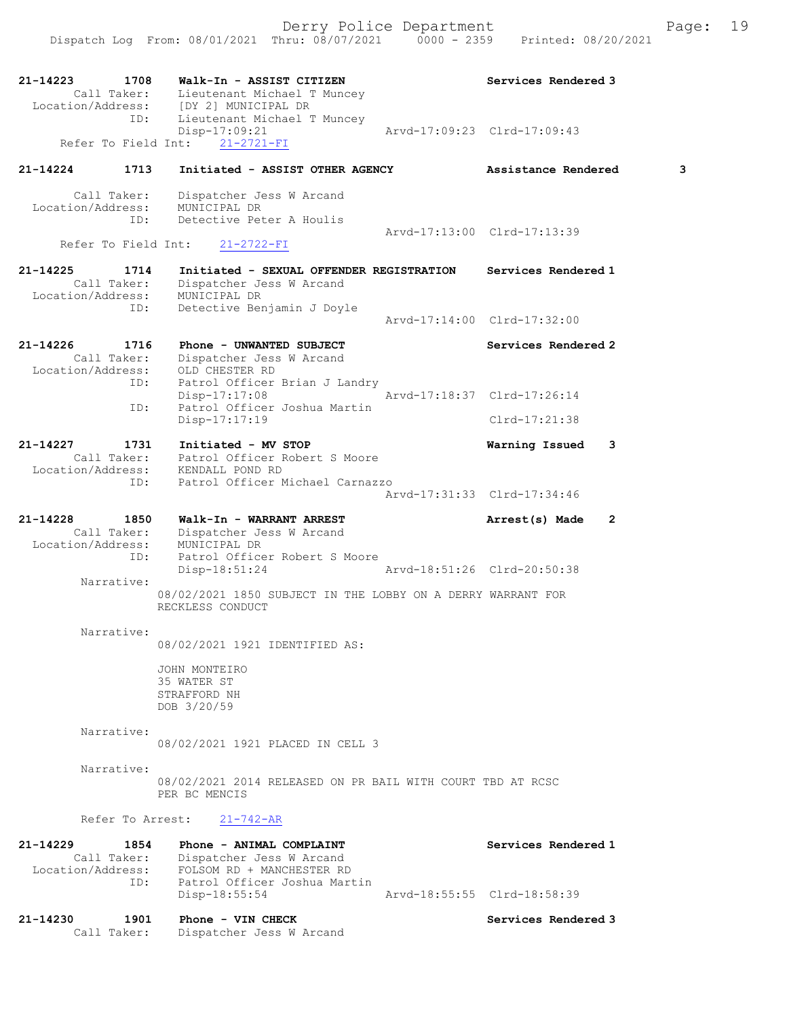21-14223 1708 Walk-In - ASSIST CITIZEN Services Rendered 3 Call Taker: Lieutenant Michael T Muncey Location/Address: [DY 2] MUNICIPAL DR ID: Lieutenant Michael T Muncey Disp-17:09:21 Arvd-17:09:23 Clrd-17:09:43 Refer To Field Int:  $21-2721-FI$ 21-14224 1713 Initiated - ASSIST OTHER AGENCY Assistance Rendered 3 Call Taker: Dispatcher Jess W Arcand Location/Address: MUNICIPAL DR ID: Detective Peter A Houlis Arvd-17:13:00 Clrd-17:13:39 Refer To Field Int: 21-2722-FI 21-14225 1714 Initiated - SEXUAL OFFENDER REGISTRATION Services Rendered 1 Call Taker: Dispatcher Jess W Arcand Location/Address: MUNICIPAL DR ID: Detective Benjamin J Doyle Arvd-17:14:00 Clrd-17:32:00 21-14226 1716 Phone - UNWANTED SUBJECT Subsequent Services Rendered 2 Call Taker: Dispatcher Jess W Arcand Location/Address: OLD CHESTER RD ID: Patrol Officer Brian J Landry Disp-17:17:08 Arvd-17:18:37 Clrd-17:26:14 ID: Patrol Officer Joshua Martin Disp-17:17:19 Clrd-17:21:38 21-14227 1731 Initiated - MV STOP Warning Issued 3 Call Taker: Patrol Officer Robert S Moore Location/Address: KENDALL POND RD ID: Patrol Officer Michael Carnazzo Arvd-17:31:33 Clrd-17:34:46 21-14228 1850 Walk-In - WARRANT ARREST 2 Arrest(s) Made 2 Call Taker: Dispatcher Jess W Arcand Location/Address: MUNICIPAL DR ID: Patrol Officer Robert S Moore Disp-18:51:24 Arvd-18:51:26 Clrd-20:50:38 Narrative: 08/02/2021 1850 SUBJECT IN THE LOBBY ON A DERRY WARRANT FOR RECKLESS CONDUCT Narrative: 08/02/2021 1921 IDENTIFIED AS: JOHN MONTEIRO 35 WATER ST STRAFFORD NH DOB 3/20/59 Narrative: 08/02/2021 1921 PLACED IN CELL 3 Narrative: 08/02/2021 2014 RELEASED ON PR BAIL WITH COURT TBD AT RCSC PER BC MENCIS Refer To Arrest: 21-742-AR 21-14229 1854 Phone - ANIMAL COMPLAINT Services Rendered 1 Call Taker: Dispatcher Jess W Arcand Location/Address: FOLSOM RD + MANCHESTER RD ID: Patrol Officer Joshua Martin<br>Disp-18:55:54 Arvd-18:55:55 Clrd-18:58:39  $Disp-18:55:54$ 21-14230 1901 Phone - VIN CHECK Services Rendered 3 Call Taker: Dispatcher Jess W Arcand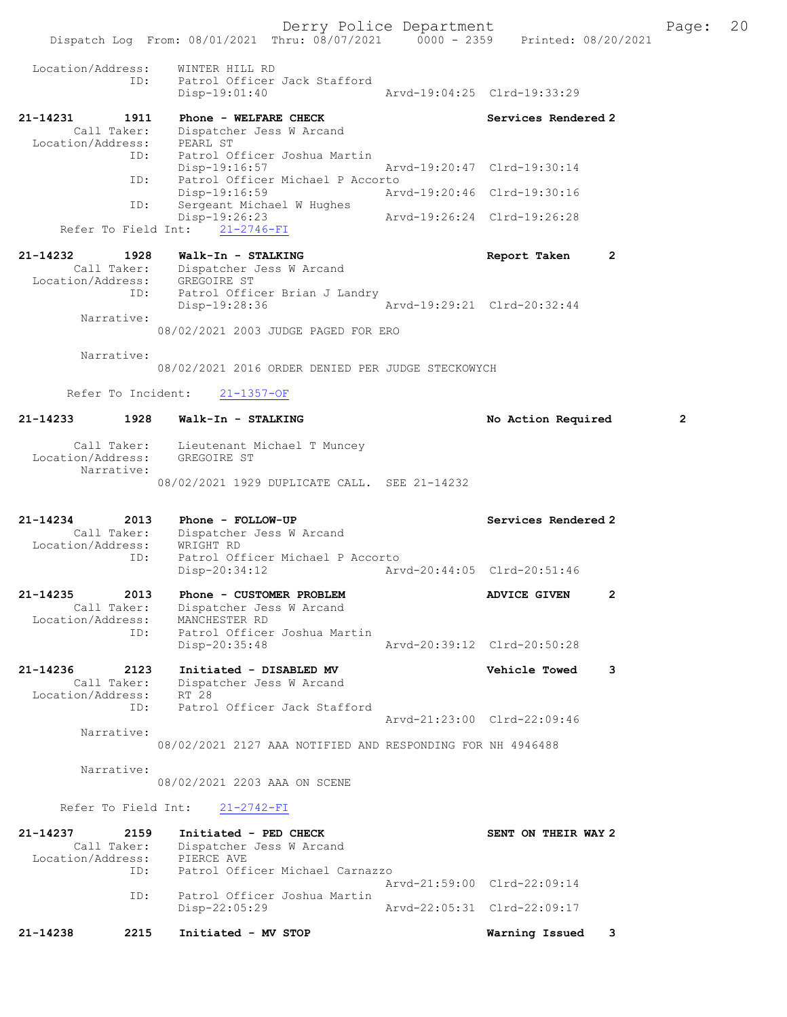Derry Police Department Fage: 20 Dispatch Log From: 08/01/2021 Thru: 08/07/2021 0000 - 2359 Printed: 08/20/2021 Location/Address: WINTER HILL RD ID: Patrol Officer Jack Stafford Disp-19:01:40 Arvd-19:04:25 Clrd-19:33:29 21-14231 1911 Phone - WELFARE CHECK Services Rendered 2 Call Taker: Dispatcher Jess W Arcand Location/Address: PEARL ST ID: Patrol Officer Joshua Martin Disp-19:16:57 Arvd-19:20:47 Clrd-19:30:14 ID: Patrol Officer Michael P Accorto Disp-19:16:59 Arvd-19:20:46 Clrd-19:30:16 ID: Sergeant Michael W Hughes<br>Disp-19:26:23 Disp-19:26:23 Arvd-19:26:24 Clrd-19:26:28 Refer To Field Int: 21-2746-FI 21-14232 1928 Walk-In - STALKING Report Taken 2 Call Taker: Dispatcher Jess W Arcand Location/Address: GREGOIRE ST ID: Patrol Officer Brian J Landry<br>Disp-19:28:36 Arvd-19:29:21 Clrd-20:32:44 Disp-19:28:36 Narrative: 08/02/2021 2003 JUDGE PAGED FOR ERO Narrative: 08/02/2021 2016 ORDER DENIED PER JUDGE STECKOWYCH Refer To Incident: 21-1357-OF 21-14233 1928 Walk-In - STALKING No Action Required 2 Call Taker: Lieutenant Michael T Muncey Location/Address: GREGOIRE ST Narrative: 08/02/2021 1929 DUPLICATE CALL. SEE 21-14232 21-14234 2013 Phone - FOLLOW-UP Services Rendered 2 Call Taker: Dispatcher Jess W Arcand Location/Address: WRIGHT RD ID: Patrol Officer Michael P Accorto Disp-20:34:12 Arvd-20:44:05 Clrd-20:51:46 21-14235 2013 Phone - CUSTOMER PROBLEM ADVICE GIVEN 2 Call Taker: Dispatcher Jess W Arcand Location/Address: MANCHESTER RD ID: Patrol Officer Joshua Martin Disp-20:35:48 Arvd-20:39:12 Clrd-20:50:28 21-14236 2123 Initiated - DISABLED MV Vehicle Towed 3 Call Taker: Dispatcher Jess W Arcand Location/Address: RT 28 ID: Patrol Officer Jack Stafford Arvd-21:23:00 Clrd-22:09:46 Narrative: 08/02/2021 2127 AAA NOTIFIED AND RESPONDING FOR NH 4946488 Narrative: 08/02/2021 2203 AAA ON SCENE Refer To Field Int: 21-2742-FI

| 21-14238          | 2215        | Initiated - MV STOP                           |                             | Warning Issued      | - 3 |
|-------------------|-------------|-----------------------------------------------|-----------------------------|---------------------|-----|
|                   | ID:         | Patrol Officer Joshua Martin<br>Disp-22:05:29 | Arvd-22:05:31 Clrd-22:09:17 |                     |     |
|                   |             |                                               | Aryd-21:59:00 Clrd-22:09:14 |                     |     |
|                   | TD:         | Patrol Officer Michael Carnazzo               |                             |                     |     |
| Location/Address: |             | PIERCE AVE                                    |                             |                     |     |
|                   | Call Taker: | Dispatcher Jess W Arcand                      |                             |                     |     |
| 21-14237          | 2159        | Initiated - PED CHECK                         |                             | SENT ON THEIR WAY 2 |     |
|                   |             |                                               |                             |                     |     |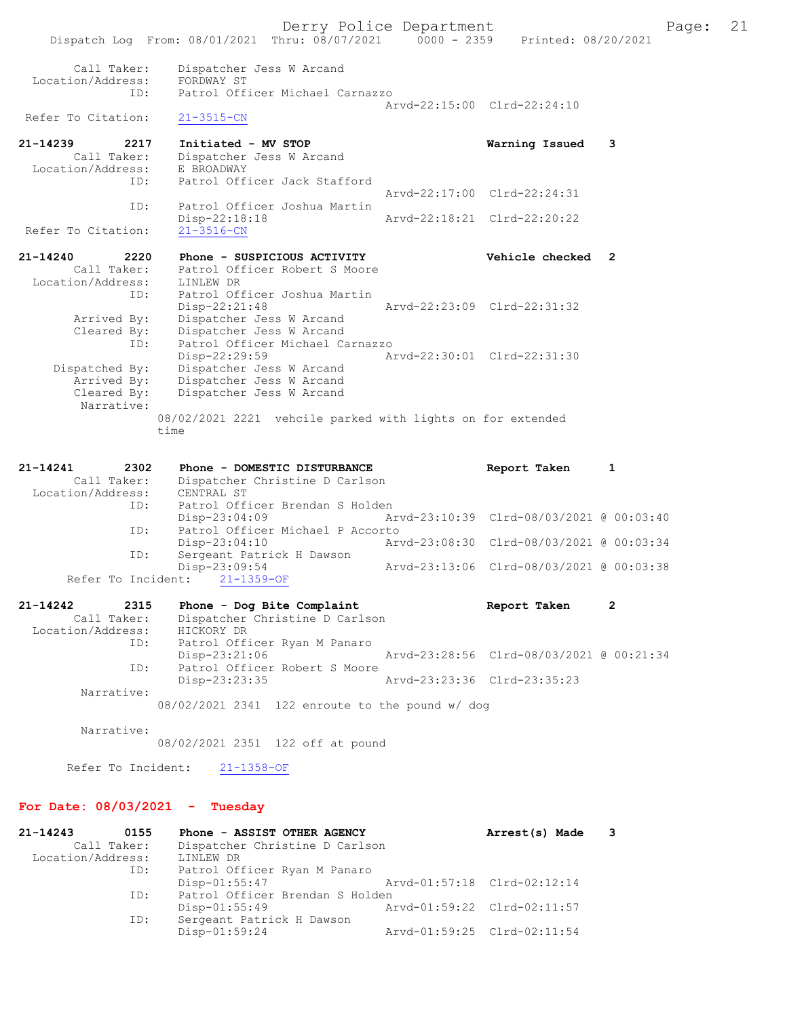Call Taker: Dispatcher Jess W Arcand Location/Address: FORDWAY ST<br>ID: Patrol Off Patrol Officer Michael Carnazzo Arvd-22:15:00 Clrd-22:24:10<br>21-3515-CN Refer To Citation: 21-14239 2217 Initiated - MV STOP Warning Issued 3 Call Taker: Dispatcher Jess W Arcand Location/Address: E BROADWAY ID: Patrol Officer Jack Stafford Arvd-22:17:00 Clrd-22:24:31 ID: Patrol Officer Joshua Martin Disp-22:18:18 Arvd-22:18:21 Clrd-22:20:22 Refer To Citation: 21-14240 2220 Phone - SUSPICIOUS ACTIVITY Vehicle checked 2 Call Taker: Patrol Officer Robert S Moore Location/Address: LINLEW DR ID: Patrol Officer Joshua Martin<br>Disp-22:21:48 Arvd-22:23:09 Clrd-22:31:32 Disp-22:21:48 Arvd-22:23:09 Clrd-22:31:32 Arrived By: Dispatcher Jess W Arcand Cleared By: Dispatcher Jess W Arcand ID: Patrol Officer Michael Carnazzo Disp-22:29:59 Arvd-22:30:01 Clrd-22:31:30<br>Dispatched By: Dispatcher Jess W Arcand Dispatcher Jess W Arcand Arrived By: Dispatcher Jess W Arcand Cleared By: Dispatcher Jess W Arcand Narrative:

08/02/2021 2221 vehcile parked with lights on for extended time

| 21-14241          | 2302 | Phone - DOMESTIC DISTURBANCE     | Report Taken                             | 1 |
|-------------------|------|----------------------------------|------------------------------------------|---|
| Call Taker:       |      | Dispatcher Christine D Carlson   |                                          |   |
| Location/Address: |      | CENTRAL ST                       |                                          |   |
|                   | ID:  | Patrol Officer Brendan S Holden  |                                          |   |
|                   |      | $Disp-23:04:09$                  | Arvd-23:10:39 Clrd-08/03/2021 @ 00:03:40 |   |
|                   | ID:  | Patrol Officer Michael P Accorto |                                          |   |
|                   |      | $Disp-23:04:10$                  | Arvd-23:08:30 Clrd-08/03/2021 @ 00:03:34 |   |
|                   | ID:  | Sergeant Patrick H Dawson        |                                          |   |
|                   |      | Disp-23:09:54                    | Arvd-23:13:06 Clrd-08/03/2021 @ 00:03:38 |   |
|                   |      | Refer To Incident: 21-1359-OF    |                                          |   |

| 21-14242          | 2315        | Phone - Dog Bite Complaint     | Report Taken                             | $\overline{2}$ |
|-------------------|-------------|--------------------------------|------------------------------------------|----------------|
|                   | Call Taker: | Dispatcher Christine D Carlson |                                          |                |
| Location/Address: |             | HICKORY DR                     |                                          |                |
|                   | ID:         | Patrol Officer Ryan M Panaro   |                                          |                |
|                   |             | Disp-23:21:06                  | Arvd-23:28:56 Clrd-08/03/2021 @ 00:21:34 |                |
|                   | ID:         | Patrol Officer Robert S Moore  |                                          |                |
|                   |             | Disp-23:23:35                  | Arvd-23:23:36 Clrd-23:35:23              |                |
|                   | Narrative:  |                                |                                          |                |
|                   |             |                                |                                          |                |

08/02/2021 2341 122 enroute to the pound w/ dog

Narrative:

08/02/2021 2351 122 off at pound

Refer To Incident: 21-1358-OF

### For Date: 08/03/2021 - Tuesday

| $21 - 14243$      | 0155 | Phone - ASSIST OTHER AGENCY     | Arrest(s) Made              | 3 |
|-------------------|------|---------------------------------|-----------------------------|---|
| Call Taker:       |      | Dispatcher Christine D Carlson  |                             |   |
| Location/Address: |      | LINLEW DR                       |                             |   |
|                   | ID:  | Patrol Officer Ryan M Panaro    |                             |   |
|                   |      | $Disp-01:55:47$                 | Arvd-01:57:18 Clrd-02:12:14 |   |
|                   | ID:  | Patrol Officer Brendan S Holden |                             |   |
|                   |      | $Disp-01:55:49$                 | Arvd-01:59:22 Clrd-02:11:57 |   |
|                   | ID:  | Sergeant Patrick H Dawson       |                             |   |
|                   |      | Disp-01:59:24                   | Arvd-01:59:25 Clrd-02:11:54 |   |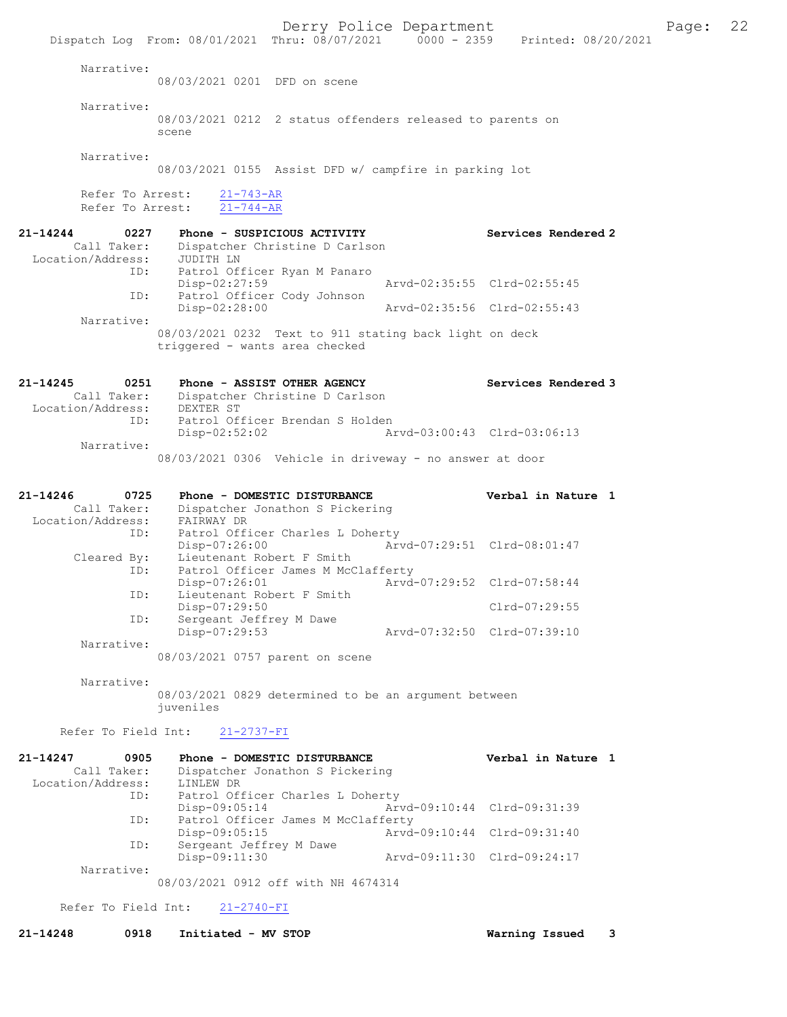Dispatch Log From: 08/01/2021 Thru: 08/07/2021 0000 - 2359 Printed: 08/20/2021 Narrative: 08/03/2021 0201 DFD on scene Narrative: 08/03/2021 0212 2 status offenders released to parents on scene Narrative: 08/03/2021 0155 Assist DFD w/ campfire in parking lot Refer To Arrest:  $\frac{21-743-AR}{21-744-AR}$ Refer To Arrest: 21-14244 0227 Phone - SUSPICIOUS ACTIVITY Services Rendered 2 Call Taker: Dispatcher Christine D Carlson<br>ion/Address: JUDITH LN<br> Location/Address:<br>ID: Patrol Officer Ryan M Panaro<br>Disp-02:27:59 Arvd-02:35:55 Clrd-02:55:45 ID: Patrol Officer Cody Johnson<br>Disp-02:28:00 Disp-02:28:00 Arvd-02:35:56 Clrd-02:55:43 Narrative: 08/03/2021 0232 Text to 911 stating back light on deck triggered - wants area checked 21-14245 0251 Phone - ASSIST OTHER AGENCY Services Rendered 3 Call Taker: Dispatcher Christine D Carlson Location/Address: DEXTER ST ID: Patrol Officer Brendan S Holden<br>Disp-02:52:02 A Disp-02:52:02 Arvd-03:00:43 Clrd-03:06:13 Narrative: 08/03/2021 0306 Vehicle in driveway - no answer at door 21-14246 0725 Phone - DOMESTIC DISTURBANCE Verbal in Nature 1 Call Taker: Dispatcher Jonathon S Pickering Location/Address: FAIRWAY DR ID: Patrol Officer Charles L Doherty<br>Disp-07:26:00 Art Disp-07:26:00 Arvd-07:29:51 Clrd-08:01:47<br>Cleared By: Lieutenant Robert F Smith Lieutenant Robert F Smith ID: Patrol Officer James M McClafferty<br>Disp-07:26:01 Mivd Disp-07:26:01 Arvd-07:29:52 Clrd-07:58:44 ID: Lieutenant Robert F Smith Disp-07:29:50 Clrd-07:29:55 ID: Sergeant Jeffrey M Dawe<br>Disp-07:29:53 Disp-07:29:53 Arvd-07:32:50 Clrd-07:39:10 Narrative: 08/03/2021 0757 parent on scene Narrative: 08/03/2021 0829 determined to be an argument between juveniles Refer To Field Int: 21-2737-FI 21-14247 0905 Phone - DOMESTIC DISTURBANCE Verbal in Nature 1 Call Taker: Dispatcher Jonathon S Pickering Location/Address: LINLEW DR<br>TD: Patrol Of Patrol Officer Charles L Doherty Disp-09:05:14 Arvd-09:10:44 Clrd-09:31:39 ID: Patrol Officer James M McClafferty Disp-09:05:15 Arvd-09:10:44 Clrd-09:31:40<br>TD: Sergeant Jeffrey M Dawe Sergeant Jeffrey M Dawe<br>Disp-09:11:30 Disp-09:11:30 Arvd-09:11:30 Clrd-09:24:17 Narrative: 08/03/2021 0912 off with NH 4674314

Refer To Field Int: 21-2740-FI

21-14248 0918 Initiated - MV STOP Warning Issued 3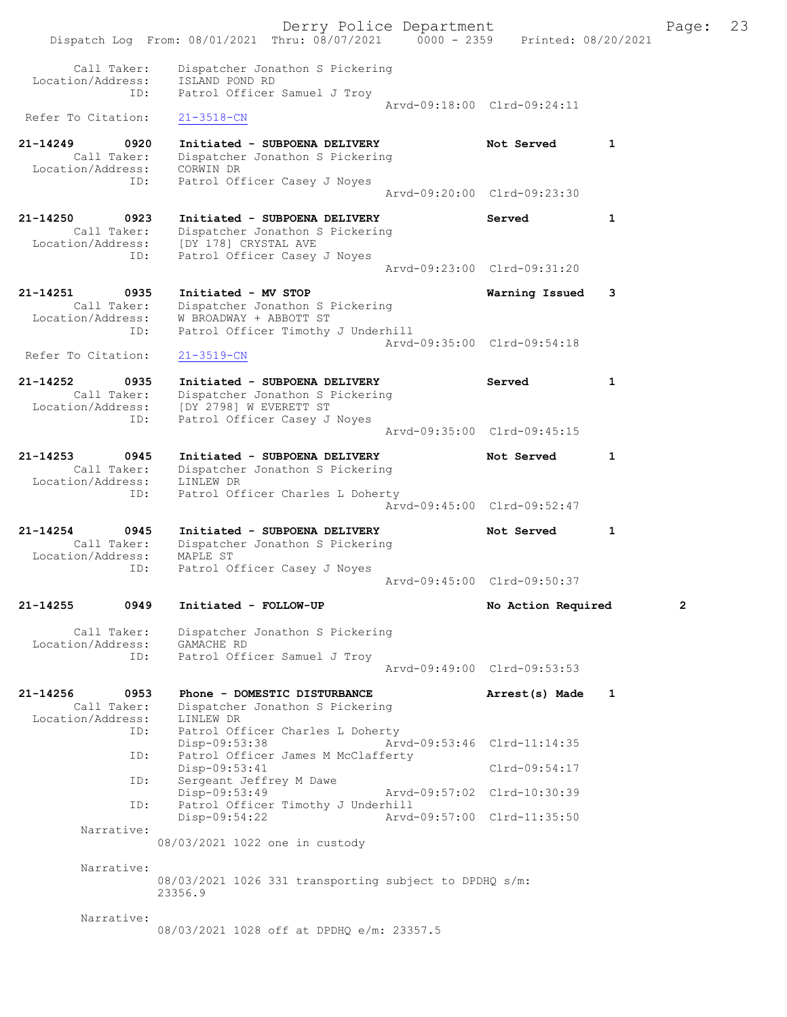|                                                                 |                                                                                                                          | Derry Police Department     |                             |              | Page: | 23 |
|-----------------------------------------------------------------|--------------------------------------------------------------------------------------------------------------------------|-----------------------------|-----------------------------|--------------|-------|----|
|                                                                 | Dispatch Log From: 08/01/2021 Thru: 08/07/2021 0000 - 2359                                                               |                             | Printed: 08/20/2021         |              |       |    |
| Call Taker:<br>Location/Address:<br>ID:                         | Dispatcher Jonathon S Pickering<br>ISLAND POND RD<br>Patrol Officer Samuel J Troy                                        |                             |                             |              |       |    |
|                                                                 |                                                                                                                          |                             | Arvd-09:18:00 Clrd-09:24:11 |              |       |    |
| Refer To Citation:                                              | $21 - 3518 - CN$                                                                                                         |                             |                             |              |       |    |
| 21-14249<br>0920<br>Call Taker:<br>Location/Address:<br>ID:     | Initiated - SUBPOENA DELIVERY<br>Dispatcher Jonathon S Pickering<br>CORWIN DR<br>Patrol Officer Casey J Noyes            |                             | Not Served                  | 1            |       |    |
|                                                                 |                                                                                                                          | Arvd-09:20:00 Clrd-09:23:30 |                             |              |       |    |
| 21-14250<br>0923<br>Call Taker:<br>Location/Address:<br>ID:     | Initiated - SUBPOENA DELIVERY<br>Dispatcher Jonathon S Pickering<br>[DY 178] CRYSTAL AVE<br>Patrol Officer Casey J Noyes |                             | Served                      | 1            |       |    |
|                                                                 |                                                                                                                          | Arvd-09:23:00 Clrd-09:31:20 |                             |              |       |    |
| 21-14251<br>0935<br>Call Taker:<br>Location/Address:<br>ID:     | Initiated - MV STOP<br>Dispatcher Jonathon S Pickering<br>W BROADWAY + ABBOTT ST<br>Patrol Officer Timothy J Underhill   |                             | Warning Issued              | 3            |       |    |
| Refer To Citation:                                              | $21 - 3519 - CN$                                                                                                         | Arvd-09:35:00 Clrd-09:54:18 |                             |              |       |    |
| $21 - 14252$<br>0935<br>Call Taker:<br>Location/Address:<br>ID: | Initiated - SUBPOENA DELIVERY<br>Dispatcher Jonathon S Pickering<br>[DY 2798] W EVERETT ST                               |                             | Served                      | $\mathbf{1}$ |       |    |
|                                                                 | Patrol Officer Casey J Noyes                                                                                             | Arvd-09:35:00 Clrd-09:45:15 |                             |              |       |    |
| 21-14253<br>0945<br>Call Taker:<br>Location/Address:            | Initiated - SUBPOENA DELIVERY<br>Dispatcher Jonathon S Pickering<br>LINLEW DR                                            |                             | Not Served                  | 1            |       |    |
| ID:                                                             | Patrol Officer Charles L Doherty                                                                                         |                             | Arvd-09:45:00 Clrd-09:52:47 |              |       |    |
| 21-14254<br>0945<br>Call Taker:<br>Location/Address:            | Initiated - SUBPOENA DELIVERY<br>Dispatcher Jonathon S Pickering<br>MAPLE ST                                             |                             | Not Served                  | 1            |       |    |
| ID:                                                             | Patrol Officer Casey J Noyes                                                                                             | Arvd-09:45:00 Clrd-09:50:37 |                             |              |       |    |
| 0949<br>21-14255                                                | Initiated - FOLLOW-UP                                                                                                    |                             | No Action Required          |              | 2     |    |
| Call Taker:<br>Location/Address:<br>ID:                         | Dispatcher Jonathon S Pickering<br>GAMACHE RD                                                                            |                             |                             |              |       |    |
|                                                                 | Patrol Officer Samuel J Troy                                                                                             |                             | Aryd-09:49:00 Clrd-09:53:53 |              |       |    |
| 21-14256<br>0953                                                | Phone - DOMESTIC DISTURBANCE                                                                                             |                             | Arrest(s) Made              | $\mathbf{1}$ |       |    |
| Call Taker:<br>Location/Address:<br>ID:                         | Dispatcher Jonathon S Pickering<br>LINLEW DR<br>Patrol Officer Charles L Doherty                                         |                             |                             |              |       |    |
| ID:                                                             | Disp-09:53:38<br>Patrol Officer James M McClafferty                                                                      |                             | Arvd-09:53:46 Clrd-11:14:35 |              |       |    |
| ID:                                                             | Disp-09:53:41<br>Sergeant Jeffrey M Dawe                                                                                 |                             | $Clrd-09:54:17$             |              |       |    |
| ID:                                                             | Disp-09:53:49<br>Patrol Officer Timothy J Underhill                                                                      | Arvd-09:57:02 Clrd-10:30:39 |                             |              |       |    |
| Narrative:                                                      | Disp-09:54:22                                                                                                            | Arvd-09:57:00 Clrd-11:35:50 |                             |              |       |    |
|                                                                 | 08/03/2021 1022 one in custody                                                                                           |                             |                             |              |       |    |
| Narrative:                                                      | 08/03/2021 1026 331 transporting subject to DPDHQ s/m:<br>23356.9                                                        |                             |                             |              |       |    |
| Narrative:                                                      | 08/03/2021 1028 off at DPDHQ e/m: 23357.5                                                                                |                             |                             |              |       |    |
|                                                                 |                                                                                                                          |                             |                             |              |       |    |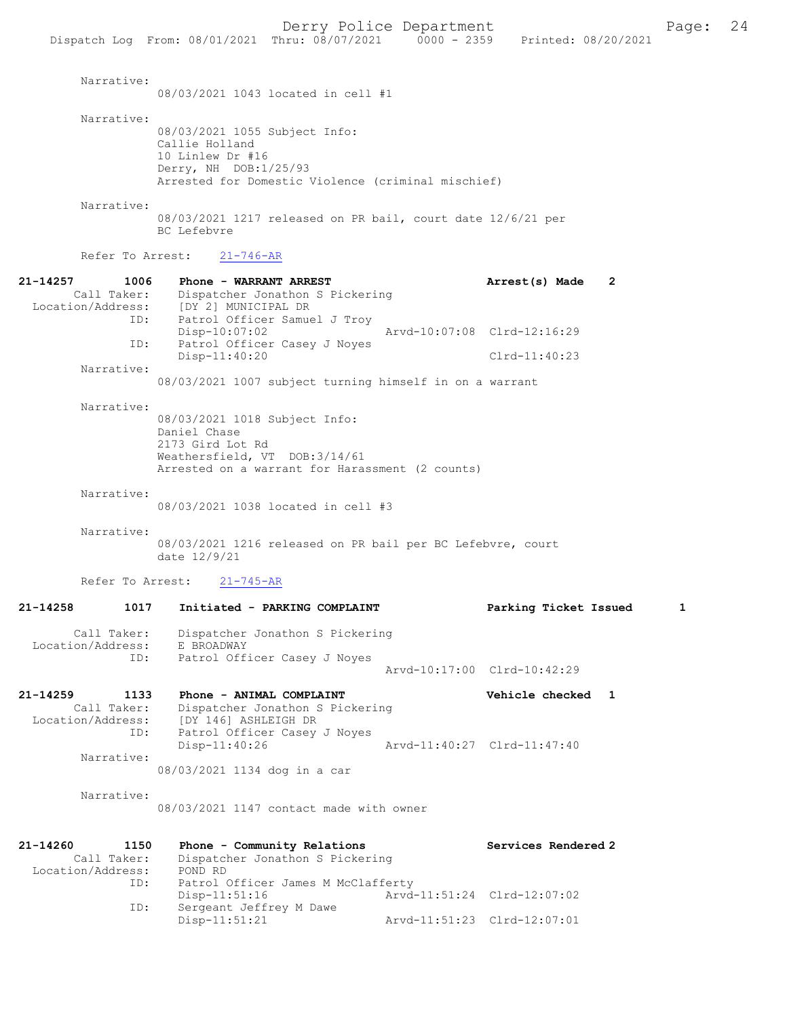08/03/2021 1043 located in cell #1

Narrative:

08/03/2021 1055 Subject Info: Callie Holland 10 Linlew Dr #16 Derry, NH DOB:1/25/93 Arrested for Domestic Violence (criminal mischief)

Narrative:

08/03/2021 1217 released on PR bail, court date 12/6/21 per BC Lefebvre

Refer To Arrest: 21-746-AR

| $21 - 14257$<br>1006 | Phone - WARRANT ARREST                                     | $\overline{2}$<br>Arrest(s) Made |  |
|----------------------|------------------------------------------------------------|----------------------------------|--|
| Call Taker:          | Dispatcher Jonathon S Pickering                            |                                  |  |
| Location/Address:    | [DY 2] MUNICIPAL DR                                        |                                  |  |
| ID:                  | Patrol Officer Samuel J Troy                               |                                  |  |
|                      | $Disp-10:07:02$                                            | Arvd-10:07:08 Clrd-12:16:29      |  |
| ID:                  | Patrol Officer Casey J Noyes                               |                                  |  |
|                      | $Disp-11:40:20$                                            | $Clrd-11:40:23$                  |  |
| Narrative:           |                                                            |                                  |  |
|                      | 08/03/2021 1007 subject turning himself in on a warrant    |                                  |  |
|                      |                                                            |                                  |  |
| Narrative:           |                                                            |                                  |  |
|                      | 08/03/2021 1018 Subject Info:                              |                                  |  |
|                      | Daniel Chase                                               |                                  |  |
|                      | 2173 Gird Lot Rd                                           |                                  |  |
|                      | Weathersfield, VT DOB:3/14/61                              |                                  |  |
|                      | Arrested on a warrant for Harassment (2 counts)            |                                  |  |
|                      |                                                            |                                  |  |
| Narrative:           |                                                            |                                  |  |
|                      | 08/03/2021 1038 located in cell #3                         |                                  |  |
|                      |                                                            |                                  |  |
| Narrative:           |                                                            |                                  |  |
|                      |                                                            |                                  |  |
|                      | 08/03/2021 1216 released on PR bail per BC Lefebvre, court |                                  |  |

date 12/9/21

Refer To Arrest: 21-745-AR

## 21-14258 1017 Initiated - PARKING COMPLAINT Parking Ticket Issued 1 Call Taker: Dispatcher Jonathon S Pickering Location/Address: E BROADWAY ID: Patrol Officer Casey J Noyes Arvd-10:17:00 Clrd-10:42:29 21-14259 1133 Phone - ANIMAL COMPLAINT Vehicle checked 1 Call Taker: Dispatcher Jonathon S Pickering Location/Address: [DY 146] ASHLEIGH DR

 ID: Patrol Officer Casey J Noyes Disp-11:40:26 Arvd-11:40:27 Clrd-11:47:40 Narrative:

08/03/2021 1134 dog in a car

Narrative:

08/03/2021 1147 contact made with owner

| 21-14260          | 1150        | Phone - Community Relations        | Services Rendered 2         |
|-------------------|-------------|------------------------------------|-----------------------------|
|                   | Call Taker: | Dispatcher Jonathon S Pickering    |                             |
| Location/Address: |             | POND RD                            |                             |
|                   | ID:         | Patrol Officer James M McClafferty |                             |
|                   |             | $Disp-11:51:16$                    | Arvd-11:51:24 Clrd-12:07:02 |
|                   | ID:         | Sergeant Jeffrey M Dawe            |                             |
|                   |             | $Disp-11:51:21$                    | Arvd-11:51:23 Clrd-12:07:01 |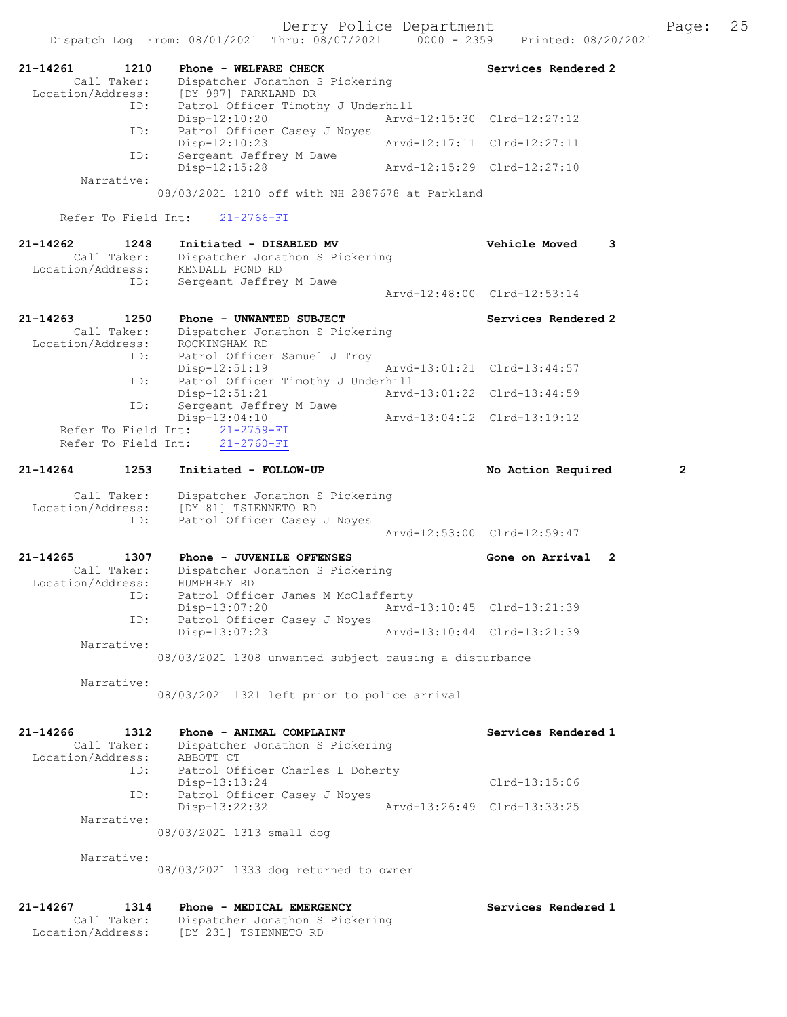Derry Police Department Fage: 25

|                                                             | Dispatch Log From: 08/01/2021 Thru: 08/07/2021                                                           | $0000 - 2359$               | Printed: 08/20/2021         |              |
|-------------------------------------------------------------|----------------------------------------------------------------------------------------------------------|-----------------------------|-----------------------------|--------------|
| 21-14261<br>1210<br>Call Taker:<br>Location/Address:        | Phone - WELFARE CHECK<br>Dispatcher Jonathon S Pickering<br>[DY 997] PARKLAND DR                         |                             | Services Rendered 2         |              |
| ID:                                                         | Patrol Officer Timothy J Underhill<br>$Disp-12:10:20$                                                    |                             | Arvd-12:15:30 Clrd-12:27:12 |              |
| ID:                                                         | Patrol Officer Casey J Noyes<br>Disp-12:10:23                                                            | Arvd-12:17:11 Clrd-12:27:11 |                             |              |
| ID:                                                         | Sergeant Jeffrey M Dawe<br>Disp-12:15:28                                                                 |                             | Aryd-12:15:29 Clrd-12:27:10 |              |
| Narrative:                                                  | 08/03/2021 1210 off with NH 2887678 at Parkland                                                          |                             |                             |              |
| Refer To Field Int:                                         | $21 - 2766 - FI$                                                                                         |                             |                             |              |
|                                                             |                                                                                                          |                             |                             |              |
| 21-14262<br>1248<br>Call Taker:<br>Location/Address:<br>ID: | Initiated - DISABLED MV<br>Dispatcher Jonathon S Pickering<br>KENDALL POND RD<br>Sergeant Jeffrey M Dawe |                             | <b>Vehicle Moved</b><br>3   |              |
|                                                             |                                                                                                          |                             | Arvd-12:48:00 Clrd-12:53:14 |              |
| $21 - 14263$<br>1250                                        | Phone - UNWANTED SUBJECT                                                                                 |                             | Services Rendered 2         |              |
| Call Taker:<br>Location/Address:                            | Dispatcher Jonathon S Pickering<br>ROCKINGHAM RD                                                         |                             |                             |              |
| ID:                                                         | Patrol Officer Samuel J Troy<br>$Disp-12:51:19$                                                          |                             | Arvd-13:01:21 Clrd-13:44:57 |              |
| ID:                                                         | Patrol Officer Timothy J Underhill<br>Disp-12:51:21                                                      |                             | Arvd-13:01:22 Clrd-13:44:59 |              |
| ID:                                                         | Sergeant Jeffrey M Dawe<br>Disp-13:04:10                                                                 |                             | Arvd-13:04:12 Clrd-13:19:12 |              |
| Refer To Field Int:                                         | Refer To Field Int: 21-2759-FI<br>$21 - 2760 - FI$                                                       |                             |                             |              |
| 21-14264<br>1253                                            | Initiated - FOLLOW-UP                                                                                    |                             | No Action Required          | $\mathbf{2}$ |
| Call Taker:<br>Location/Address:                            | Dispatcher Jonathon S Pickering<br>[DY 81] TSIENNETO RD                                                  |                             |                             |              |
| ID:                                                         | Patrol Officer Casey J Noyes                                                                             |                             | Arvd-12:53:00 Clrd-12:59:47 |              |
| 1307<br>21-14265                                            | Phone - JUVENILE OFFENSES                                                                                |                             | Gone on Arrival 2           |              |
| Call Taker:<br>Location/Address:                            | Dispatcher Jonathon S Pickering<br>HUMPHREY RD                                                           |                             |                             |              |
| ID:                                                         | Patrol Officer James M McClafferty<br>Disp-13:07:20                                                      | Arvd-13:10:45 Clrd-13:21:39 |                             |              |
| ID:                                                         |                                                                                                          |                             |                             |              |
|                                                             | Patrol Officer Casey J Noyes<br>Disp-13:07:23                                                            |                             | Arvd-13:10:44 Clrd-13:21:39 |              |
| Narrative:                                                  | 08/03/2021 1308 unwanted subject causing a disturbance                                                   |                             |                             |              |
|                                                             |                                                                                                          |                             |                             |              |
| Narrative:                                                  | 08/03/2021 1321 left prior to police arrival                                                             |                             |                             |              |
| $21 - 14266$<br>1312<br>Call Taker:<br>Location/Address:    | Phone - ANIMAL COMPLAINT<br>Dispatcher Jonathon S Pickering<br>ABBOTT CT                                 |                             | Services Rendered 1         |              |
| ID:                                                         | Patrol Officer Charles L Doherty<br>Disp-13:13:24                                                        |                             | $Clrd-13:15:06$             |              |
| ID:                                                         | Patrol Officer Casey J Noyes                                                                             |                             | Arvd-13:26:49 Clrd-13:33:25 |              |
| Narrative:                                                  | Disp-13:22:32<br>08/03/2021 1313 small dog                                                               |                             |                             |              |
|                                                             |                                                                                                          |                             |                             |              |
| Narrative:                                                  | 08/03/2021 1333 dog returned to owner                                                                    |                             |                             |              |
| 21-14267<br>1314                                            | Phone - MEDICAL EMERGENCY                                                                                |                             | Services Rendered 1         |              |

Location/Address: [DY 231] TSIENNETO RD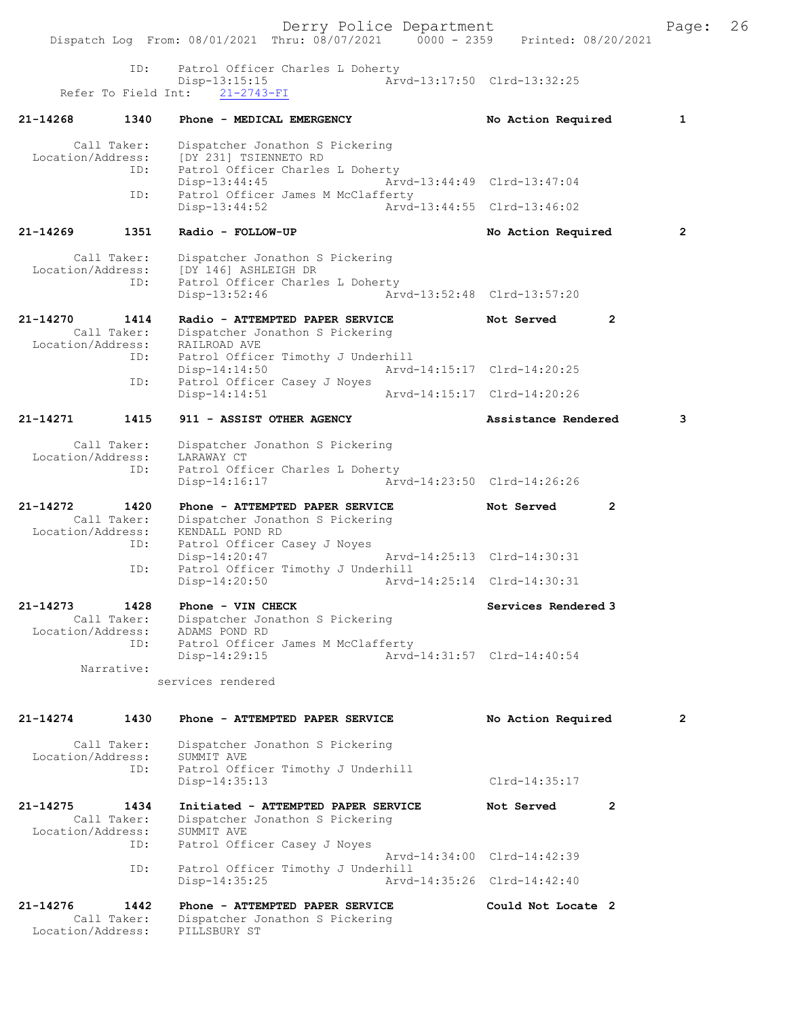Derry Police Department Fage: 26 Dispatch Log From: 08/01/2021 Thru: 08/07/2021 0000 - 2359 Printed: 08/20/2021 ID: Patrol Officer Charles L Doherty Disp-13:15:15 Arvd-13:17:50 Clrd-13:32:25 Refer To Field Int: 21-2743-FI 21-14268 1340 Phone - MEDICAL EMERGENCY No Action Required 1 Call Taker: Dispatcher Jonathon S Pickering Location/Address: [DY 231] TSIENNETO RD ID: Patrol Officer Charles L Doherty Disp-13:44:45 Arvd-13:44:49 Clrd-13:47:04 ID: Patrol Officer James M McClafferty<br>Disp-13:44:52 Arvd-13:44:55 Clrd-13:46:02 Disp-13:44:52 21-14269 1351 Radio - FOLLOW-UP No Action Required 2 Call Taker: Dispatcher Jonathon S Pickering Location/Address: [DY 146] ASHLEIGH DR ID: Patrol Officer Charles L Doherty<br>Disp-13:52:46 Arv Disp-13:52:46 Arvd-13:52:48 Clrd-13:57:20 21-14270 1414 Radio - ATTEMPTED PAPER SERVICE Not Served 2 Call Taker: Dispatcher Jonathon S Pickering Location/Address: RAILROAD AVE ID: Patrol Officer Timothy J Underhill Disp-14:14:50 Arvd-14:15:17 Clrd-14:20:25 ID: Patrol Officer Casey J Noyes<br>Disp-14:14:51 Disp-14:14:51 Arvd-14:15:17 Clrd-14:20:26 21-14271 1415 911 - ASSIST OTHER AGENCY Assistance Rendered 3 Call Taker: Dispatcher Jonathon S Pickering Location/Address: LARAWAY CT ID: Patrol Officer Charles L Doherty<br>Disp-14:16:17 Arw Disp-14:16:17 Arvd-14:23:50 Clrd-14:26:26 21-14272 1420 Phone - ATTEMPTED PAPER SERVICE Not Served 2 Call Taker: Dispatcher Jonathon S Pickering Location/Address: KENDALL POND RD ID: Patrol Officer Casey J Noyes Example of the United-Casey J N<br>Disp-14:20:47<br>ID: Patrol Officer T' Patrol Officer Timothy J Underhill Disp-14:20:50 Arvd-14:25:14 Clrd-14:30:31 21-14273 1428 Phone - VIN CHECK Services Rendered 3 Call Taker: Dispatcher Jonathon S Pickering Location/Address: ADAMS POND RD ID: Patrol Officer James M McClafferty Disp-14:29:15 Arvd-14:31:57 Clrd-14:40:54 Narrative: services rendered 21-14274 1430 Phone - ATTEMPTED PAPER SERVICE No Action Required 2 Call Taker: Dispatcher Jonathon S Pickering Location/Address: SUMMIT AVE<br>ID: Patrol Offi Patrol Officer Timothy J Underhill Disp-14:35:13 Clrd-14:35:17 21-14275 1434 Initiated - ATTEMPTED PAPER SERVICE Not Served 2 Call Taker: Dispatcher Jonathon S Pickering Location/Address: SUMMIT AVE ID: Patrol Officer Casey J Noyes Arvd-14:34:00 Clrd-14:42:39<br>ID: Patrol Officer Timothy J Underhill Patrol Officer Timothy J Underhill<br>Disp-14:35:25 Arvd Disp-14:35:25 Arvd-14:35:26 Clrd-14:42:40 21-14276 1442 Phone - ATTEMPTED PAPER SERVICE Could Not Locate 2 Call Taker: Dispatcher Jonathon S Pickering<br>ion/Address: PILLSBURY ST Location/Address: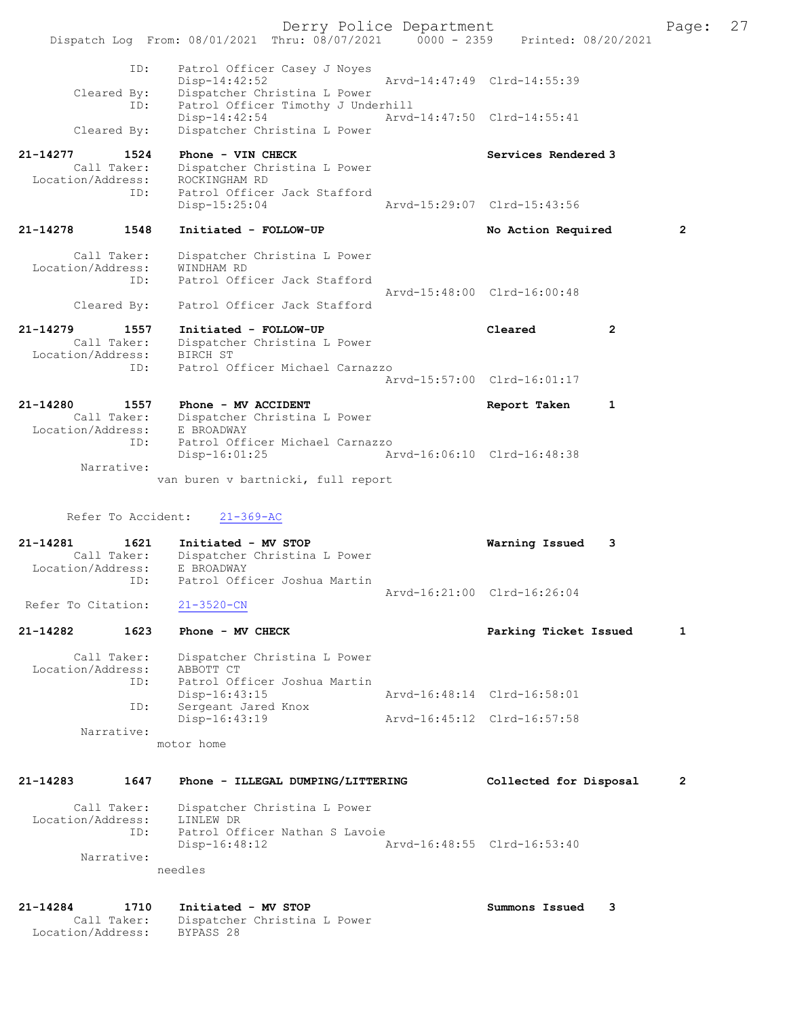Derry Police Department Fage: 27 Dispatch Log From: 08/01/2021 Thru: 08/07/2021 0000 - 2359 Printed: 08/20/2021 ID: Patrol Officer Casey J Noyes Disp-14:42:52 Arvd-14:47:49 Clrd-14:55:39 Cleared By: Dispatcher Christina L Power ID: Patrol Officer Timothy J Underhill Disp-14:42:54 Arvd-14:47:50 Clrd-14:55:41 Cleared By: Dispatcher Christina L Power 21-14277 1524 Phone - VIN CHECK North Services Rendered 3 Call Taker: Dispatcher Christina L Power Location/Address: ROCKINGHAM RD ID: Patrol Officer Jack Stafford<br>Disp-15:25:04 Disp-15:25:04 Arvd-15:29:07 Clrd-15:43:56 21-14278 1548 Initiated - FOLLOW-UP No Action Required 2 Call Taker: Dispatcher Christina L Power Location/Address: WINDHAM RD ID: Patrol Officer Jack Stafford Arvd-15:48:00 Clrd-16:00:48 Cleared By: Patrol Officer Jack Stafford 21-14279 1557 Initiated - FOLLOW-UP Cleared 2 Call Taker: Dispatcher Christina L Power Location/Address: BIRCH ST ID: Patrol Officer Michael Carnazzo Arvd-15:57:00 Clrd-16:01:17 21-14280 1557 Phone - MV ACCIDENT Report Taken 1 Call Taker: Dispatcher Christina L Power Location/Address: E BROADWAY ID: Patrol Officer Michael Carnazzo Disp-16:01:25 Arvd-16:06:10 Clrd-16:48:38 Narrative: van buren v bartnicki, full report Refer To Accident: 21-369-AC 21-14281 1621 Initiated - MV STOP Warning Issued 3 Call Taker: Dispatcher Christina L Power Location/Address: E BROADWAY ID: Patrol Officer Joshua Martin Arvd-16:21:00 Clrd-16:26:04 Refer To Citation: 21-3520-CN 21-14282 1623 Phone - MV CHECK 21 Parking Ticket Issued 1 Call Taker: Dispatcher Christina L Power Location/Address: ABBOTT CT ID: Patrol Officer Joshua Martin<br>Disp-16:43:15 Disp-16:43:15 Arvd-16:48:14 Clrd-16:58:01 ID: Sergeant Jared Knox<br>Disp-16:43:19 Disp-16:43:19 Arvd-16:45:12 Clrd-16:57:58 Narrative: motor home 21-14283 1647 Phone - ILLEGAL DUMPING/LITTERING Collected for Disposal 2 Call Taker: Dispatcher Christina L Power Location/Address: LINLEW DR ID: Patrol Officer Nathan S Lavoie Disp-16:48:12 Arvd-16:48:55 Clrd-16:53:40 Narrative: needles 21-14284 1710 Initiated - MV STOP Summons Issued 3 Call Taker: Dispatcher Christina L Power Location/Address: BYPASS 28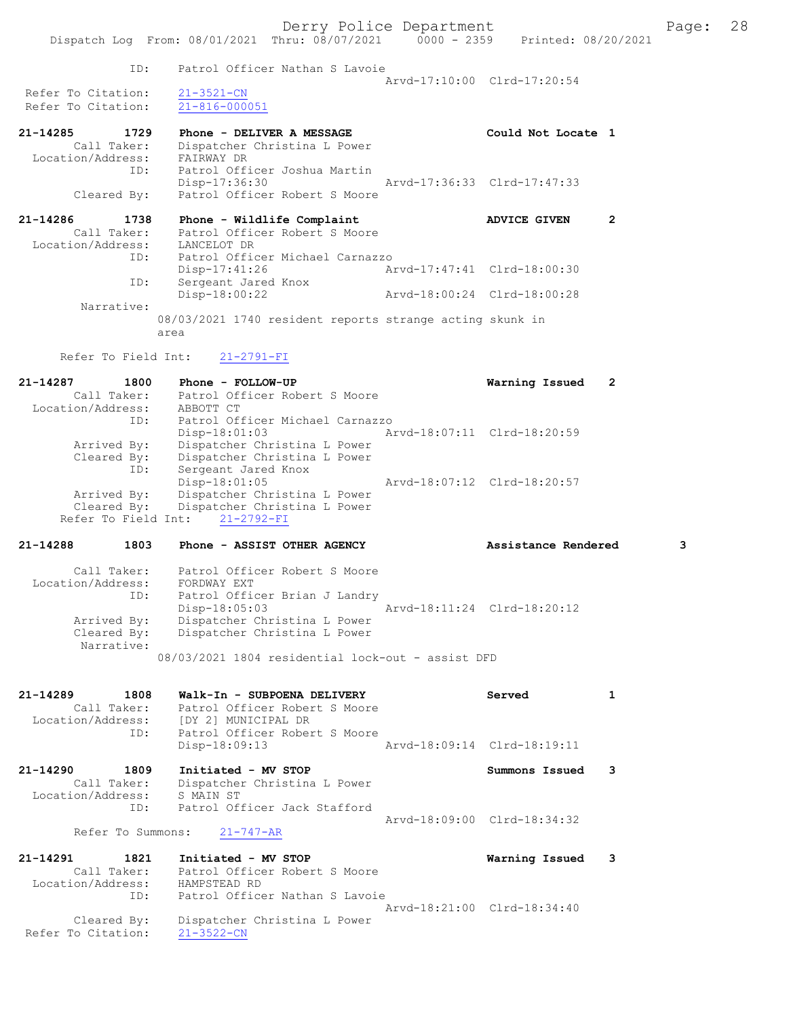|                               |                                                                                | Derry Police Department     |                     |                | Page: | 28 |
|-------------------------------|--------------------------------------------------------------------------------|-----------------------------|---------------------|----------------|-------|----|
|                               | Dispatch Log From: 08/01/2021 Thru: 08/07/2021 0000 - 2359 Printed: 08/20/2021 |                             |                     |                |       |    |
|                               |                                                                                |                             |                     |                |       |    |
| ID:                           | Patrol Officer Nathan S Lavoie                                                 |                             |                     |                |       |    |
|                               |                                                                                | Arvd-17:10:00 Clrd-17:20:54 |                     |                |       |    |
| Refer To Citation:            | $21 - 3521 - CN$                                                               |                             |                     |                |       |    |
| Refer To Citation:            | $21 - 816 - 000051$                                                            |                             |                     |                |       |    |
| 21–14285 1729                 | Phone - DELIVER A MESSAGE                                                      |                             | Could Not Locate 1  |                |       |    |
| Call Taker:                   | Dispatcher Christina L Power                                                   |                             |                     |                |       |    |
| Location/Address:             | FAIRWAY DR                                                                     |                             |                     |                |       |    |
| ID:                           | Patrol Officer Joshua Martin                                                   |                             |                     |                |       |    |
|                               | Disp-17:36:30 Arvd-17:36:33 Clrd-17:47:33                                      |                             |                     |                |       |    |
| Cleared By:                   | Patrol Officer Robert S Moore                                                  |                             |                     |                |       |    |
|                               |                                                                                |                             |                     |                |       |    |
| 21-14286<br>1738              | Phone - Wildlife Complaint                                                     |                             | <b>ADVICE GIVEN</b> | $\overline{2}$ |       |    |
|                               | Call Taker: Patrol Officer Robert S Moore                                      |                             |                     |                |       |    |
| Location/Address: LANCELOT DR |                                                                                |                             |                     |                |       |    |
| ID:                           | Patrol Officer Michael Carnazzo                                                |                             |                     |                |       |    |
|                               | $Disp-17:41:26$                                                                | Arvd-17:47:41 Clrd-18:00:30 |                     |                |       |    |
| ID:                           | Sergeant Jared Knox                                                            |                             |                     |                |       |    |
|                               | Disp-18:00:22                                                                  | Arvd-18:00:24 Clrd-18:00:28 |                     |                |       |    |
| Narrative:                    |                                                                                |                             |                     |                |       |    |
|                               | 08/03/2021 1740 resident reports strange acting skunk in                       |                             |                     |                |       |    |
|                               | area                                                                           |                             |                     |                |       |    |

Refer To Field Int: 21-2791-FI

| Phone - FOLLOW-UP               |  | 2                                                                            |
|---------------------------------|--|------------------------------------------------------------------------------|
| Patrol Officer Robert S Moore   |  |                                                                              |
| ABBOTT CT                       |  |                                                                              |
| Patrol Officer Michael Carnazzo |  |                                                                              |
| $Disp-18:01:03$                 |  |                                                                              |
| Dispatcher Christina L Power    |  |                                                                              |
| Dispatcher Christina L Power    |  |                                                                              |
| Sergeant Jared Knox             |  |                                                                              |
| $Disp-18:01:05$                 |  |                                                                              |
| Dispatcher Christina L Power    |  |                                                                              |
| Dispatcher Christina L Power    |  |                                                                              |
| Refer To Field Int: 21-2792-FI  |  |                                                                              |
|                                 |  | Warning Issued<br>Arvd-18:07:11 Clrd-18:20:59<br>Arvd-18:07:12 Clrd-18:20:57 |

# 21-14288 1803 Phone - ASSIST OTHER AGENCY **Assistance Rendered** 3

| Call Taker:<br>Location/Address:<br>ID:  | Patrol Officer Robert S Moore<br>FORDWAY EXT<br>Patrol Officer Brian J Landry<br>Arvd-18:11:24 Clrd-18:20:12<br>Disp-18:05:03 |
|------------------------------------------|-------------------------------------------------------------------------------------------------------------------------------|
| Arrived By:<br>Cleared By:<br>Narrative: | Dispatcher Christina L Power<br>Dispatcher Christina L Power                                                                  |
|                                          | 08/03/2021 1804 residential lock-out - assist DFD                                                                             |

| 21-14289<br>1808     | Walk-In - SUBPOENA DELIVERY    | Served                      |   |
|----------------------|--------------------------------|-----------------------------|---|
| Call Taker:          | Patrol Officer Robert S Moore  |                             |   |
| Location/Address:    | (DY 21 MUNICIPAL DR            |                             |   |
| ID:                  | Patrol Officer Robert S Moore  |                             |   |
|                      | Disp-18:09:13                  | Arvd-18:09:14 Clrd-18:19:11 |   |
| $21 - 14290$<br>1809 | Initiated - MV STOP            | Summons Issued              | 3 |
| Call Taker:          | Dispatcher Christina L Power   |                             |   |
| Location/Address:    | S MAIN ST                      |                             |   |
| ID:                  | Patrol Officer Jack Stafford   |                             |   |
|                      |                                | Arvd-18:09:00 Clrd-18:34:32 |   |
| Refer To Summons:    | $21 - 747 - AR$                |                             |   |
| 21-14291<br>1821     | Initiated - MV STOP            | Warning Issued              | 3 |
| Call Taker:          | Patrol Officer Robert S Moore  |                             |   |
| Location/Address:    | HAMPSTEAD RD                   |                             |   |
| ID:                  | Patrol Officer Nathan S Lavoie |                             |   |

 Arvd-18:21:00 Clrd-18:34:40 Cleared By: Dispatcher Christina L Power Refer To Citation: 21-3522-CN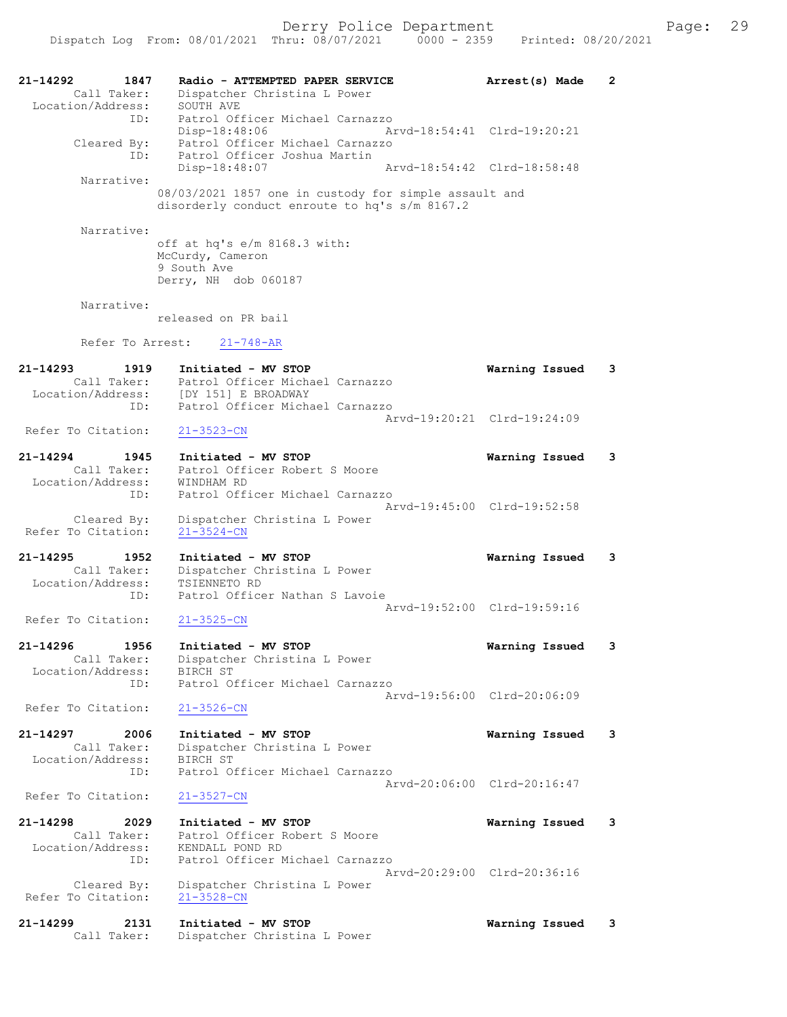| 21-14292<br>1847<br>Call Taker:   | Radio - ATTEMPTED PAPER SERVICE<br>Dispatcher Christina L Power          | Arrest(s) Made              | $\mathbf{2}$ |
|-----------------------------------|--------------------------------------------------------------------------|-----------------------------|--------------|
| Location/Address:                 | SOUTH AVE                                                                |                             |              |
| ID:                               | Patrol Officer Michael Carnazzo                                          |                             |              |
| Cleared By:                       | Disp-18:48:06<br>Patrol Officer Michael Carnazzo                         | Arvd-18:54:41 Clrd-19:20:21 |              |
| ID:                               | Patrol Officer Joshua Martin                                             |                             |              |
|                                   | Disp-18:48:07                                                            | Arvd-18:54:42 Clrd-18:58:48 |              |
| Narrative:                        | 08/03/2021 1857 one in custody for simple assault and                    |                             |              |
|                                   | disorderly conduct enroute to hq's s/m 8167.2                            |                             |              |
|                                   |                                                                          |                             |              |
| Narrative:                        | off at hq's e/m 8168.3 with:                                             |                             |              |
|                                   | McCurdy, Cameron                                                         |                             |              |
|                                   | 9 South Ave                                                              |                             |              |
|                                   | Derry, NH dob 060187                                                     |                             |              |
| Narrative:                        |                                                                          |                             |              |
|                                   | released on PR bail                                                      |                             |              |
| Refer To Arrest:                  | $21 - 748 - AR$                                                          |                             |              |
|                                   |                                                                          |                             |              |
| $21 - 14293$<br>1919              | Initiated - MV STOP                                                      | Warning Issued              | 3            |
| Call Taker:                       | Patrol Officer Michael Carnazzo<br>Location/Address: [DY 151] E BROADWAY |                             |              |
| ID:                               | Patrol Officer Michael Carnazzo                                          |                             |              |
|                                   |                                                                          | Arvd-19:20:21 Clrd-19:24:09 |              |
| Refer To Citation:                | $21 - 3523 - CN$                                                         |                             |              |
| 21-14294<br>1945                  | Initiated - MV STOP                                                      | Warning Issued              | 3            |
| Call Taker:<br>Location/Address:  | Patrol Officer Robert S Moore<br>WINDHAM RD                              |                             |              |
| ID:                               | Patrol Officer Michael Carnazzo                                          |                             |              |
|                                   |                                                                          | Arvd-19:45:00 Clrd-19:52:58 |              |
| Cleared By:<br>Refer To Citation: | Dispatcher Christina L Power<br>$21 - 3524 - CN$                         |                             |              |
|                                   |                                                                          |                             |              |
| $21 - 14295$<br>1952              | Initiated - MV STOP                                                      | Warning Issued              | 3            |
| Call Taker:<br>Location/Address:  | Dispatcher Christina L Power<br>TSIENNETO RD                             |                             |              |
| ID:                               | Patrol Officer Nathan S Lavoie                                           |                             |              |
|                                   |                                                                          | Arvd-19:52:00 Clrd-19:59:16 |              |
| Refer To Citation:                | $21 - 3525 - CN$                                                         |                             |              |
| $21 - 14296$<br>1956              | Initiated - MV STOP                                                      | Warning Issued              | 3            |
| Call Taker:                       | Dispatcher Christina L Power                                             |                             |              |
| Location/Address:<br>ID:          | BIRCH ST<br>Patrol Officer Michael Carnazzo                              |                             |              |
|                                   |                                                                          | Arvd-19:56:00 Clrd-20:06:09 |              |
| Refer To Citation:                | $21 - 3526 - CN$                                                         |                             |              |
| $21 - 14297$<br>2006              | Initiated - MV STOP                                                      | Warning Issued              | 3            |
| Call Taker:                       | Dispatcher Christina L Power                                             |                             |              |
| Location/Address:                 | BIRCH ST                                                                 |                             |              |
| ID:                               | Patrol Officer Michael Carnazzo                                          | Arvd-20:06:00 Clrd-20:16:47 |              |
| Refer To Citation:                | $21 - 3527 - CN$                                                         |                             |              |
|                                   |                                                                          |                             |              |
| 21-14298<br>2029<br>Call Taker:   | Initiated - MV STOP<br>Patrol Officer Robert S Moore                     | Warning Issued              | 3            |
| Location/Address:                 | KENDALL POND RD                                                          |                             |              |
| ID:                               | Patrol Officer Michael Carnazzo                                          | Arvd-20:29:00 Clrd-20:36:16 |              |
| Cleared By:                       | Dispatcher Christina L Power                                             |                             |              |
| Refer To Citation:                | $21 - 3528 - CN$                                                         |                             |              |
| 21-14299<br>2131                  | Initiated - MV STOP                                                      |                             | 3            |
| Call Taker:                       | Dispatcher Christina L Power                                             | Warning Issued              |              |
|                                   |                                                                          |                             |              |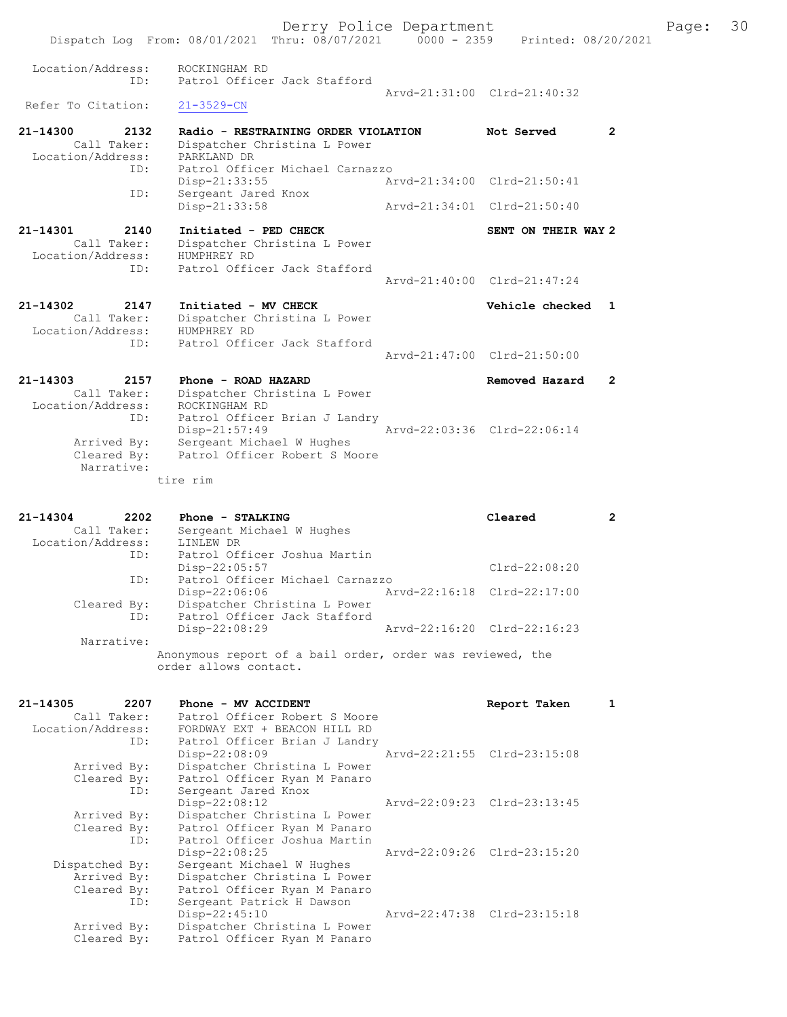Dispatch Log From: 08/01/2021 Thru: 08/07/2021 0000 - 2359 Printed: 08/20/2021 Location/Address: ROCKINGHAM RD ID: Patrol Officer Jack Stafford Arvd-21:31:00 Clrd-21:40:32<br>21-3529-CN Refer To Citation: 21-14300 2132 Radio - RESTRAINING ORDER VIOLATION Not Served 2 Call Taker: Dispatcher Christina L Power Location/Address: PARKLAND DR ID: Patrol Officer Michael Carnazzo Disp-21:33:55 Arvd-21:34:00 Clrd-21:50:41 ID: Sergeant Jared Knox Disp-21:33:58 Arvd-21:34:01 Clrd-21:50:40 21-14301 2140 Initiated - PED CHECK SENT ON THEIR WAY 2 Call Taker: Dispatcher Christina L Power Location/Address: HUMPHREY RD ID: Patrol Officer Jack Stafford Arvd-21:40:00 Clrd-21:47:24 21-14302 2147 Initiated - MV CHECK 21 Vehicle checked 1 Call Taker: Dispatcher Christina L Power Location/Address: HUMPHREY RD ID: Patrol Officer Jack Stafford Arvd-21:47:00 Clrd-21:50:00 21-14303 2157 Phone - ROAD HAZARD Removed Hazard 2 Call Taker: Dispatcher Christina L Power Location/Address: ROCKINGHAM RD ID: Patrol Officer Brian J Landry Disp-21:57:49 Arvd-22:03:36 Clrd-22:06:14 Arrived By: Sergeant Michael W Hughes Cleared By: Patrol Officer Robert S Moore

Derry Police Department Fage: 30

 Narrative: tire rim

| $21 - 14304$      | 2202        | Phone - STALKING                                                                   | Cleared                     | 2 |
|-------------------|-------------|------------------------------------------------------------------------------------|-----------------------------|---|
|                   | Call Taker: | Sergeant Michael W Hughes                                                          |                             |   |
| Location/Address: |             | LINLEW DR                                                                          |                             |   |
|                   | ID:         | Patrol Officer Joshua Martin                                                       |                             |   |
|                   |             | Disp-22:05:57                                                                      | $Clrd-22:08:20$             |   |
|                   | ID:         | Patrol Officer Michael Carnazzo                                                    |                             |   |
|                   |             | $Disp-22:06:06$                                                                    | Arvd-22:16:18 Clrd-22:17:00 |   |
|                   | Cleared By: | Dispatcher Christina L Power                                                       |                             |   |
|                   | ID:         | Patrol Officer Jack Stafford                                                       |                             |   |
|                   |             | Disp-22:08:29                                                                      | Arvd-22:16:20 Clrd-22:16:23 |   |
|                   | Narrative:  |                                                                                    |                             |   |
|                   |             | Anonymous report of a bail order, order was reviewed, the<br>order allows contact. |                             |   |

| 21-14305       | 2207 | Phone - MV ACCIDENT                            |                             | Report Taken                | 1 |
|----------------|------|------------------------------------------------|-----------------------------|-----------------------------|---|
| Call Taker:    |      | Patrol Officer Robert S Moore                  |                             |                             |   |
|                |      | Location/Address: FORDWAY EXT + BEACON HILL RD |                             |                             |   |
|                | ID:  | Patrol Officer Brian J Landry                  |                             |                             |   |
|                |      | Disp-22:08:09                                  | Arvd-22:21:55 Clrd-23:15:08 |                             |   |
| Arrived By:    |      | Dispatcher Christina L Power                   |                             |                             |   |
| Cleared By:    |      | Patrol Officer Ryan M Panaro                   |                             |                             |   |
|                | ID:  | Sergeant Jared Knox                            |                             |                             |   |
|                |      | $Disp-22:08:12$                                |                             | Arvd-22:09:23 Clrd-23:13:45 |   |
| Arrived By:    |      | Dispatcher Christina L Power                   |                             |                             |   |
| Cleared By:    |      | Patrol Officer Ryan M Panaro                   |                             |                             |   |
|                | ID:  | Patrol Officer Joshua Martin                   |                             |                             |   |
|                |      | $Disp-22:08:25$                                |                             | Arvd-22:09:26 Clrd-23:15:20 |   |
| Dispatched By: |      | Sergeant Michael W Hughes                      |                             |                             |   |
| Arrived By:    |      | Dispatcher Christina L Power                   |                             |                             |   |
| Cleared By:    |      | Patrol Officer Ryan M Panaro                   |                             |                             |   |
|                | ID:  | Sergeant Patrick H Dawson                      |                             |                             |   |
|                |      | Disp-22:45:10                                  |                             | Arvd-22:47:38 Clrd-23:15:18 |   |
| Arrived By:    |      | Dispatcher Christina L Power                   |                             |                             |   |
| Cleared By:    |      | Patrol Officer Ryan M Panaro                   |                             |                             |   |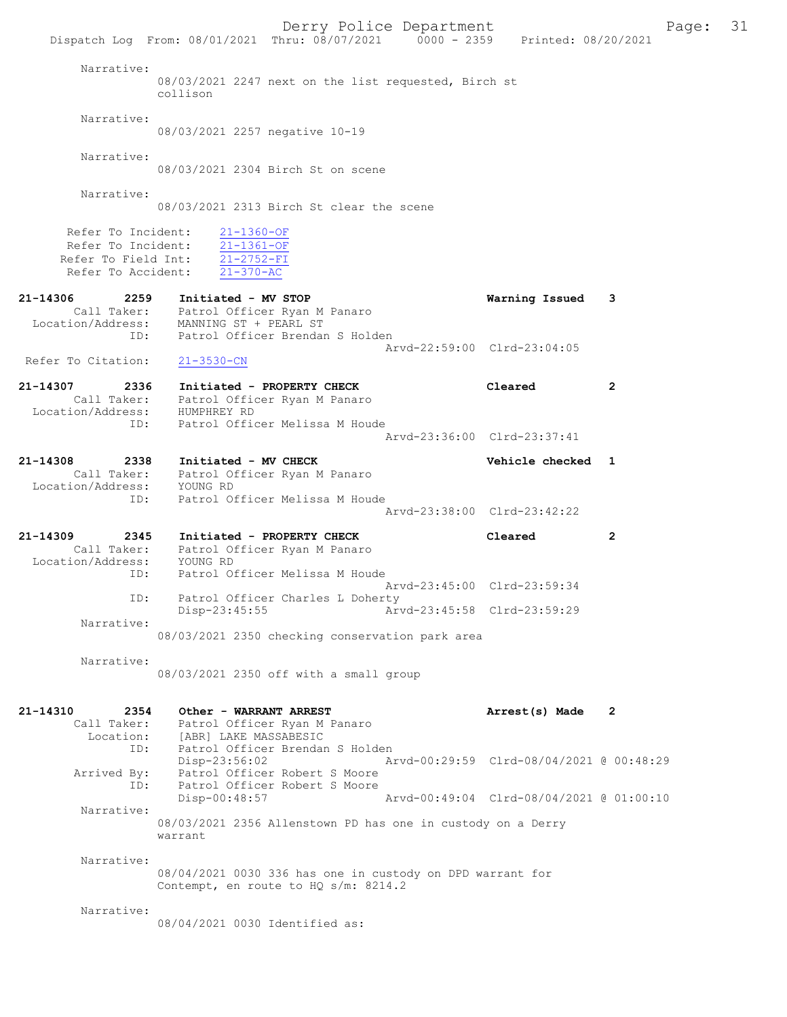Derry Police Department Fage: 31 Dispatch Log From: 08/01/2021 Thru: 08/07/2021 0000 - 2359 Printed: 08/20/2021 Narrative: 08/03/2021 2247 next on the list requested, Birch st collison Narrative: 08/03/2021 2257 negative 10-19 Narrative: 08/03/2021 2304 Birch St on scene Narrative: 08/03/2021 2313 Birch St clear the scene Refer To Incident: 21-1360-OF Refer To Incident: 21-1361-OF Refer To Field Int:  $\frac{21-2752-FI}{21-370-AC}$ Refer To Accident: 21-14306 2259 Initiated - MV STOP Warning Issued 3 Call Taker: Patrol Officer Ryan M Panaro Location/Address: MANNING ST + PEARL ST ID: Patrol Officer Brendan S Holden Arvd-22:59:00 Clrd-23:04:05 Refer To Citation: 21-3530-CN 21-14307 2336 Initiated - PROPERTY CHECK Cleared 2 Call Taker: Patrol Officer Ryan M Panaro Location/Address: HUMPHREY RD ID: Patrol Officer Melissa M Houde Arvd-23:36:00 Clrd-23:37:41 21-14308 2338 Initiated - MV CHECK 21 - 14308 Vehicle checked 1 Call Taker: Patrol Officer Ryan M Panaro Location/Address: YOUNG RD ID: Patrol Officer Melissa M Houde Arvd-23:38:00 Clrd-23:42:22 21-14309 2345 Initiated - PROPERTY CHECK Cleared 2 Call Taker: Patrol Officer Ryan M Panaro Location/Address: YOUNG RD ID: Patrol Officer Melissa M Houde Arvd-23:45:00 Clrd-23:59:34 ID: Patrol Officer Charles L Doherty<br>Disp-23:45:55 Arw Disp-23:45:55 Arvd-23:45:58 Clrd-23:59:29 Narrative: 08/03/2021 2350 checking conservation park area Narrative: 08/03/2021 2350 off with a small group 21-14310 2354 Other - WARRANT ARREST **Arrest(s)** Made 2 Call Taker: Patrol Officer Ryan M Panaro Location: [ABR] LAKE MASSABESIC ID: Patrol Officer Brendan S Holden Disp-23:56:02 Arvd-00:29:59 Clrd-08/04/2021 @ 00:48:29 Arrived By: Patrol Officer Robert S Moore ID: Patrol Officer Robert S Moore Disp-00:48:57 Arvd-00:49:04 Clrd-08/04/2021 @ 01:00:10 Narrative: 08/03/2021 2356 Allenstown PD has one in custody on a Derry warrant Narrative: 08/04/2021 0030 336 has one in custody on DPD warrant for Contempt, en route to HQ s/m: 8214.2 Narrative: 08/04/2021 0030 Identified as: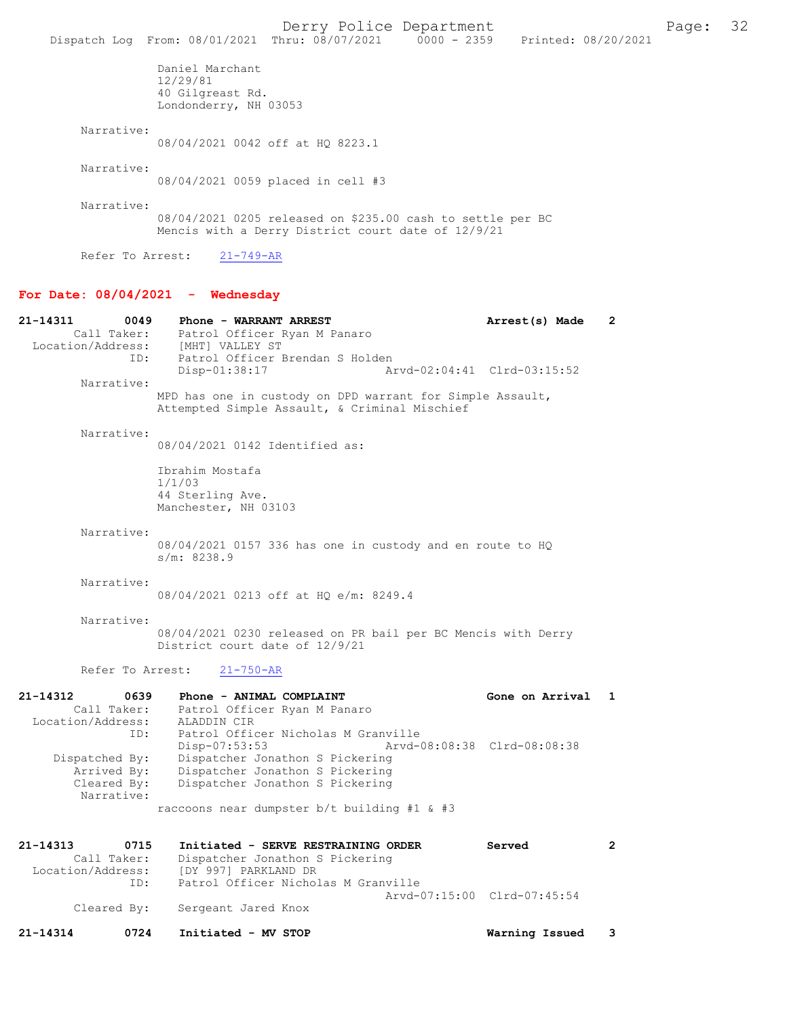|                  |                                                                          | Derry Police Department<br>Dispatch Log From: 08/01/2021 Thru: 08/07/2021 0000 - 2359 Printed: 08/20/2021        |  | Page: | 32 |
|------------------|--------------------------------------------------------------------------|------------------------------------------------------------------------------------------------------------------|--|-------|----|
|                  |                                                                          |                                                                                                                  |  |       |    |
|                  | Daniel Marchant<br>12/29/81<br>40 Gilgreast Rd.<br>Londonderry, NH 03053 |                                                                                                                  |  |       |    |
| Narrative:       |                                                                          |                                                                                                                  |  |       |    |
|                  | 08/04/2021 0042 off at HO 8223.1                                         |                                                                                                                  |  |       |    |
| Narrative:       |                                                                          |                                                                                                                  |  |       |    |
|                  |                                                                          | 08/04/2021 0059 placed in cell #3                                                                                |  |       |    |
| Narrative:       |                                                                          |                                                                                                                  |  |       |    |
|                  |                                                                          | 08/04/2021 0205 released on \$235.00 cash to settle per BC<br>Mencis with a Derry District court date of 12/9/21 |  |       |    |
| Refer To Arrest: | 21-749-AR                                                                |                                                                                                                  |  |       |    |

#### For Date:  $08/04/2021$  - Wednesday

21-14311 0049 Phone - WARRANT ARREST 21-14311 Arrest(s) Made 2 Call Taker: Patrol Officer Ryan M Panaro<br>Location/Address: [MHT] VALLEY ST Location (MHT)<br>[MHT] VALLEY ST ID: Patrol Officer Brendan S Holden<br>Disp-01:38:17 A Disp-01:38:17 Arvd-02:04:41 Clrd-03:15:52 Narrative: MPD has one in custody on DPD warrant for Simple Assault, Attempted Simple Assault, & Criminal Mischief Narrative: 08/04/2021 0142 Identified as: Ibrahim Mostafa 1/1/03 44 Sterling Ave. Manchester, NH 03103 Narrative: 08/04/2021 0157 336 has one in custody and en route to HQ s/m: 8238.9 Narrative: 08/04/2021 0213 off at HQ e/m: 8249.4 Narrative: 08/04/2021 0230 released on PR bail per BC Mencis with Derry District court date of 12/9/21 Refer To Arrest: 21-750-AR 21-14312 0639 Phone - ANIMAL COMPLAINT<br>Call Taker: Patrol Officer Ryan M Panaro<br>Call Taker: Patrol Officer Ryan M Panaro Patrol Officer Ryan M Panaro<br>ALADDIN CIR Location/Address: ID: Patrol Officer Nicholas M Granville Disp-07:53:53 Arvd-08:08:38 Clrd-08:08:38<br>Dispatched By: Dispatcher Jonathon S Pickering spatched By: Dispatcher Jonathon S Pickering<br>Arrived By: Dispatcher Jonathon S Pickering Arrived By: Dispatcher Jonathon S Pickering<br>Cleared By: Dispatcher Jonathon S Pickering Dispatcher Jonathon S Pickering Narrative: raccoons near dumpster b/t building #1 & #3 21-14313 0715 Initiated - SERVE RESTRAINING ORDER Served 2<br>Call Taker: Dispatcher Jonathon S Pickering Call Taker: Dispatcher Jonathon S Pickering<br>Location/Address: [DY 997] PARKLAND DR [DY 997] PARKLAND DR ID: Patrol Officer Nicholas M Granville Arvd-07:15:00 Clrd-07:45:54 Cleared By: Sergeant Jared Knox 21-14314 0724 Initiated - MV STOP Warning Issued 3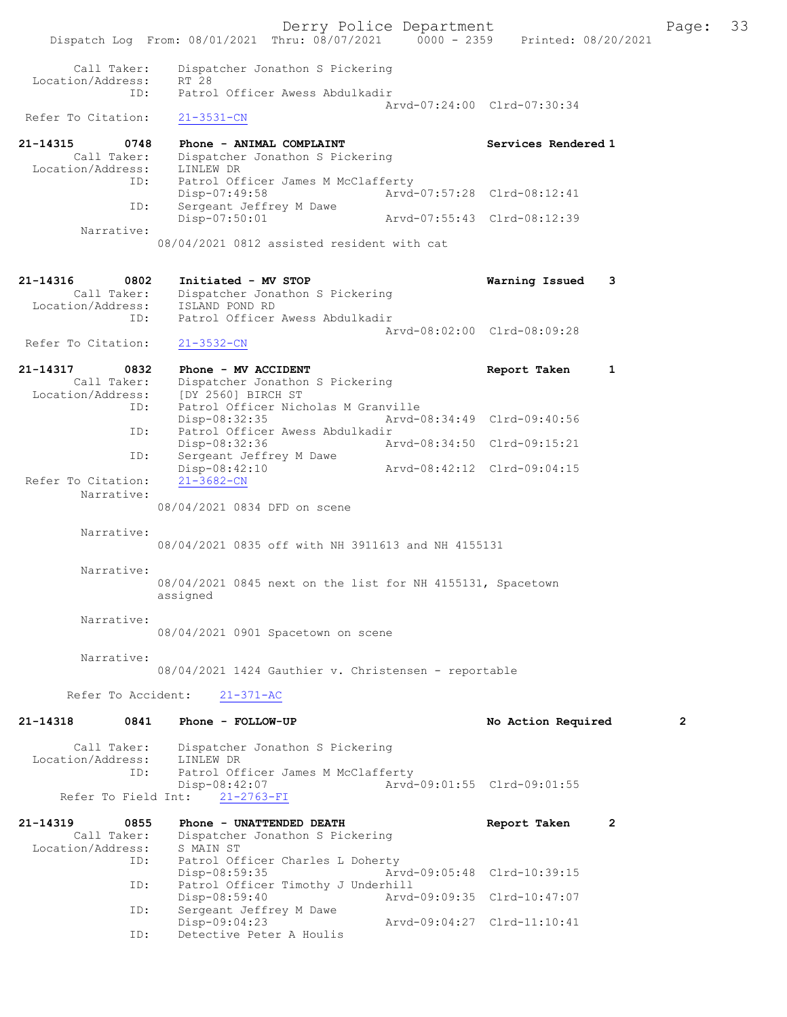Derry Police Department<br>
Page: 33<br>
Printed: 08/20/2021<br>
Printed: 08/20/2021 Dispatch Log From: 08/01/2021 Thru: 08/07/2021 Call Taker: Dispatcher Jonathon S Pickering Location/Address: RT 28<br>ID: Patro Patrol Officer Awess Abdulkadir Arvd-07:24:00 Clrd-07:30:34<br>21-3531-CN Refer To Citation: 21-14315 0748 Phone - ANIMAL COMPLAINT Services Rendered 1 Call Taker: Dispatcher Jonathon S Pickering Location/Address: LINLEW DR ID: Patrol Officer James M McClafferty Disp-07:49:58 Arvd-07:57:28 Clrd-08:12:41 ID: Sergeant Jeffrey M Dawe<br>Disp-07:50:01 Arvd-07:55:43 Clrd-08:12:39 Narrative: 08/04/2021 0812 assisted resident with cat 21-14316 0802 Initiated - MV STOP Warning Issued 3 Call Taker: Dispatcher Jonathon S Pickering Location/Address:<br>ID. ISLAND POND RD<br>ISLAND POND RD<br>Patrol Officer Awess Abdulkadir Arvd-08:02:00 Clrd-08:09:28 Refer To Citation: 21-3532-CN 21-14317 0832 Phone - MV ACCIDENT **Report Taken** 1 Call Taker: Dispatcher Jonathon S Pickering<br>Location/Address: [DY 2560] BIRCH ST Lopatoner Jonathon<br>Pass: [DY 2560] BIRCH ST:<br>ID: Patrol Officer Nich Patrol Officer Nicholas M Granville<br>Disp-08:32:35 Arvd-0 Disp-08:32:35 Arvd-08:34:49 Clrd-09:40:56 ID: Patrol Officer Awess Abdulkadir<br>Disp-08:32:36 Am Disp-08:32:36 Arvd-08:34:50 Clrd-09:15:21<br>TD: Sergeant Jeffrey M Dawe Sergeant Jeffrey M Dawe<br>Disp-08:42:10 Disp-08:42:10 Arvd-08:42:12 Clrd-09:04:15 Refer To Citation: Narrative: 08/04/2021 0834 DFD on scene Narrative: 08/04/2021 0835 off with NH 3911613 and NH 4155131 Narrative: 08/04/2021 0845 next on the list for NH 4155131, Spacetown assigned Narrative: 08/04/2021 0901 Spacetown on scene Narrative: 08/04/2021 1424 Gauthier v. Christensen - reportable Refer To Accident: 21-371-AC 21-14318 0841 Phone - FOLLOW-UP No Retion Required 2 Call Taker: Dispatcher Jonathon S Pickering<br>ion/Address: LINLEW DR Location/Address: ID: Patrol Officer James M McClafferty Disp-08:42:07<br>nt: 21-2763-FI<br> $21-2763-FI$ <br> $21-2763-FI$ Refer To Field Int: 21-14319 0855 Phone - UNATTENDED DEATH Report Taken 2 Call Taker: Dispatcher Jonathon S Pickering<br>ion/Address: S MAIN ST Location/Address:<br>TD: I سر الله المسلم<br>Patrol Officer Charles L Doherty<br>Disp-08:59:35 Ar Disp-08:59:35 Arvd-09:05:48 Clrd-10:39:15 ID: Patrol Officer Timothy J Underhill Disp-08:59:40 Arvd-09:09:35 Clrd-10:47:07<br>ID: Sergeant Jeffrey M Dawe Sergeant Jeffrey M Dawe<br>Disp-09:04:23 Disp-09:04:23 Arvd-09:04:27 Clrd-11:10:41 ID: Detective Peter A Houlis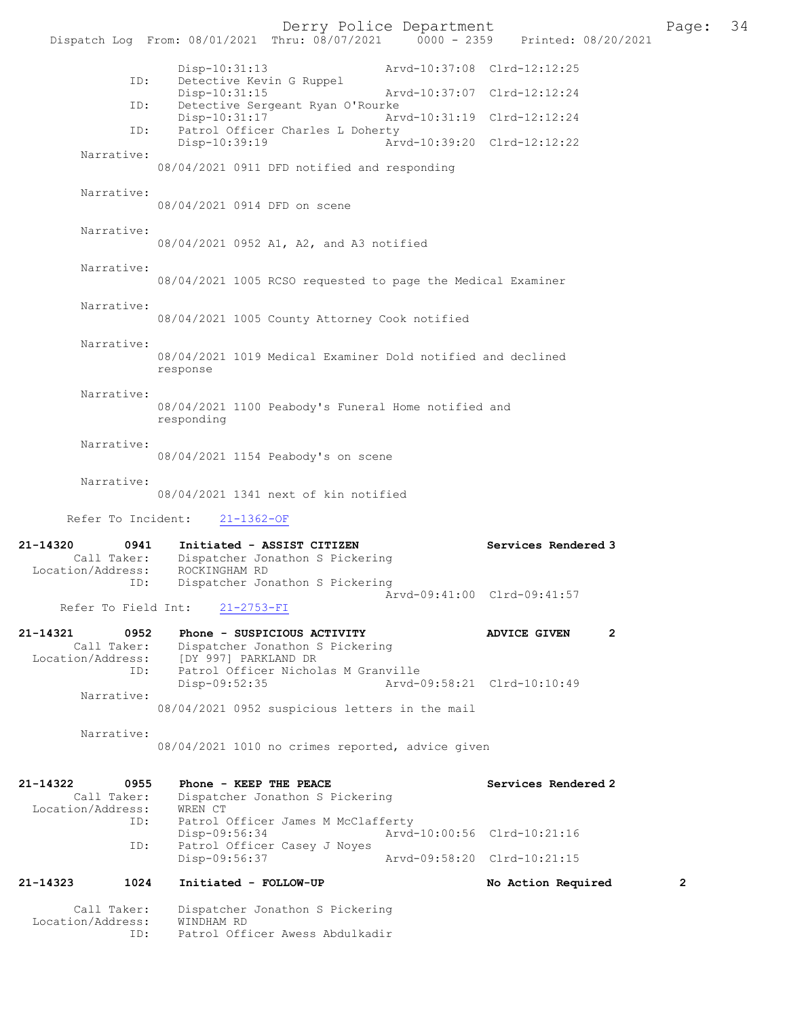Derry Police Department<br>Page: 34 Printed: 08/20/2021 0000 - 2359 Printed: 08/20/2021 Dispatch Log From: 08/01/2021 Thru: 08/07/2021 0000 - 2359 Disp-10:31:13 Arvd-10:37:08 Clrd-12:12:25 D: Detective Kevin G Ruppel<br>Disp-10:31:15 Disp-10:31:15 Arvd-10:37:07 Clrd-12:12:24<br>TD: Detective Sergeant Ryan O'Rourke Detective Sergeant Ryan O'Rourke<br>Disp-10:31:17 Arw Disp-10:31:17 Arvd-10:31:19 Clrd-12:12:24<br>ID: Patrol Officer Charles L Doherty Patrol Officer Charles L Doherty Disp-10:39:19 Arvd-10:39:20 Clrd-12:12:22 Narrative: 08/04/2021 0911 DFD notified and responding Narrative: 08/04/2021 0914 DFD on scene Narrative: 08/04/2021 0952 A1, A2, and A3 notified Narrative: 08/04/2021 1005 RCSO requested to page the Medical Examiner Narrative: 08/04/2021 1005 County Attorney Cook notified Narrative: 08/04/2021 1019 Medical Examiner Dold notified and declined response Narrative: 08/04/2021 1100 Peabody's Funeral Home notified and responding Narrative: 08/04/2021 1154 Peabody's on scene Narrative: 08/04/2021 1341 next of kin notified Refer To Incident: 21-1362-OF 21-14320 0941 Initiated - ASSIST CITIZEN Services Rendered 3 Call Taker: Dispatcher Jonathon S Pickering<br>ion/Address: ROCKINGHAM RD Location/Address:<br>ID: Dispatcher Jonathon S Pickering Arvd-09:41:00 Clrd-09:41:57<br>21-2753-FI Refer To Field Int: 21-14321 0952 Phone - SUSPICIOUS ACTIVITY ADVICE GIVEN 2 Call Taker: Dispatcher Jonathon S Pickering Location/Address: [DY 997] PARKLAND DR ID: Patrol Officer Nicholas M Granville Disp-09:52:35 Arvd-09:58:21 Clrd-10:10:49 Narrative: 08/04/2021 0952 suspicious letters in the mail Narrative: 08/04/2021 1010 no crimes reported, advice given 21-14322 0955 Phone - KEEP THE PEACE<br>Call Taker: Dispatcher Jonathon S Pickering<br>Call Taker: Dispatcher Jonathon S Pickering Dispatcher Jonathon S Pickering<br>WREN CT Location/Address:<br>ID: Patrol Officer James M McClafferty<br>Disp-09:56:34 Arvd Disp-09:56:34 Arvd-10:00:56 Clrd-10:21:16<br>ID: Patrol Officer Casev J Noves Patrol Officer Casey J Noyes<br>Disp-09:56:37 Disp-09:56:37 Arvd-09:58:20 Clrd-10:21:15 21-14323 1024 Initiated - FOLLOW-UP No Action Required 2 Call Taker: Dispatcher Jonathon S Pickering Location/Address: WINDHAM RD ID: Patrol Officer Awess Abdulkadir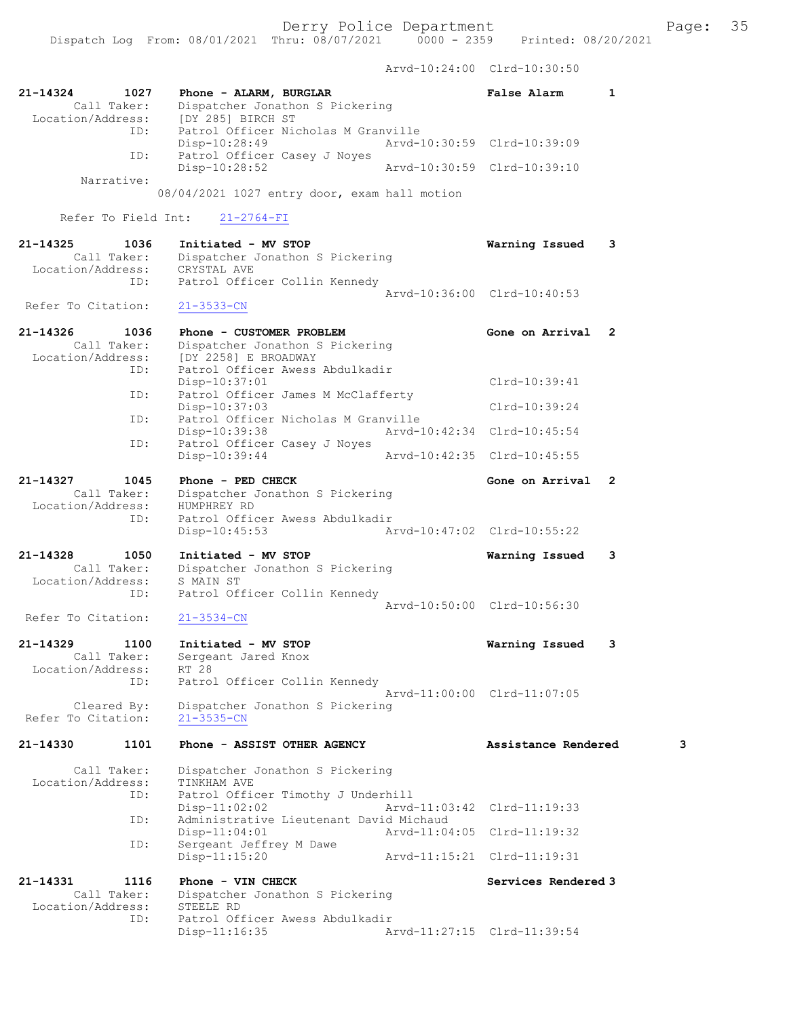Arvd-10:24:00 Clrd-10:30:50

| 21-14324<br>Location/Address:     | 1027<br>Call Taker:        | Phone - ALARM, BURGLAR<br>Dispatcher Jonathon S Pickering<br>[DY 285] BIRCH ST                         | False Alarm                 | $\mathbf{1}$ |
|-----------------------------------|----------------------------|--------------------------------------------------------------------------------------------------------|-----------------------------|--------------|
|                                   | ID:                        | Patrol Officer Nicholas M Granville<br>Disp-10:28:49                                                   | Arvd-10:30:59 Clrd-10:39:09 |              |
|                                   | ID:<br>Narrative:          | Patrol Officer Casey J Noyes<br>Disp-10:28:52                                                          | Arvd-10:30:59 Clrd-10:39:10 |              |
|                                   |                            | 08/04/2021 1027 entry door, exam hall motion                                                           |                             |              |
|                                   | Refer To Field Int:        | $21 - 2764 - FI$                                                                                       |                             |              |
| 21-14325<br>Location/Address:     | 1036<br>Call Taker:<br>ID: | Initiated - MV STOP<br>Dispatcher Jonathon S Pickering<br>CRYSTAL AVE<br>Patrol Officer Collin Kennedy | Warning Issued              | 3            |
| Refer To Citation:                |                            | $21 - 3533 - CN$                                                                                       | Arvd-10:36:00 Clrd-10:40:53 |              |
| $21 - 14326$<br>Location/Address: | 1036<br>Call Taker:        | Phone - CUSTOMER PROBLEM<br>Dispatcher Jonathon S Pickering<br>[DY 2258] E BROADWAY                    | Gone on Arrival             | $\mathbf{2}$ |
|                                   | ID:                        | Patrol Officer Awess Abdulkadir<br>Disp-10:37:01                                                       | Clrd-10:39:41               |              |
|                                   | ID:<br>ID:                 | Patrol Officer James M McClafferty<br>$Disp-10:37:03$<br>Patrol Officer Nicholas M Granville           | $Clrd-10:39:24$             |              |
|                                   | ID:                        | Disp-10:39:38<br>Patrol Officer Casey J Noyes                                                          | Arvd-10:42:34 Clrd-10:45:54 |              |
|                                   |                            | Disp-10:39:44                                                                                          | Arvd-10:42:35 Clrd-10:45:55 |              |
| 21-14327<br>Location/Address:     | 1045<br>Call Taker:<br>ID: | Phone - PED CHECK<br>Dispatcher Jonathon S Pickering<br>HUMPHREY RD<br>Patrol Officer Awess Abdulkadir | Gone on Arrival             | $\mathbf{2}$ |
|                                   |                            | Disp-10:45:53                                                                                          | Arvd-10:47:02 Clrd-10:55:22 |              |
| 21-14328<br>Location/Address:     | 1050<br>Call Taker:        | Initiated - MV STOP<br>Dispatcher Jonathon S Pickering<br>S MAIN ST                                    | Warning Issued              | 3            |
| Refer To Citation:                | ID:                        | Patrol Officer Collin Kennedy<br>$21 - 3534 - CN$                                                      | Arvd-10:50:00 Clrd-10:56:30 |              |
| 21-14329                          | 1100<br>Call Taker:        | Initiated - MV STOP<br>Sergeant Jared Knox                                                             | Warning Issued              | 3            |
| Location/Address:                 | ID:                        | RT 28<br>Patrol Officer Collin Kennedy                                                                 | Arvd-11:00:00 Clrd-11:07:05 |              |
| Refer To Citation:                | Cleared By:                | Dispatcher Jonathon S Pickering<br>$21 - 3535 - CN$                                                    |                             |              |
| 21-14330                          | 1101                       | Phone - ASSIST OTHER AGENCY                                                                            | Assistance Rendered         | 3            |
| Location/Address:                 | Call Taker:<br>ID:         | Dispatcher Jonathon S Pickering<br>TINKHAM AVE<br>Patrol Officer Timothy J Underhill                   |                             |              |
|                                   | ID:                        | $Disp-11:02:02$<br>Administrative Lieutenant David Michaud                                             | Arvd-11:03:42 Clrd-11:19:33 |              |
|                                   | ID:                        | $Disp-11:04:01$<br>Sergeant Jeffrey M Dawe                                                             | Arvd-11:04:05 Clrd-11:19:32 |              |
|                                   |                            | $Disp-11:15:20$                                                                                        | Arvd-11:15:21 Clrd-11:19:31 |              |
| 21-14331<br>Location/Address:     | 1116<br>Call Taker:        | Phone - VIN CHECK<br>Dispatcher Jonathon S Pickering<br>STEELE RD                                      | Services Rendered 3         |              |
|                                   | ID:                        | Patrol Officer Awess Abdulkadir<br>Disp-11:16:35                                                       | Arvd-11:27:15 Clrd-11:39:54 |              |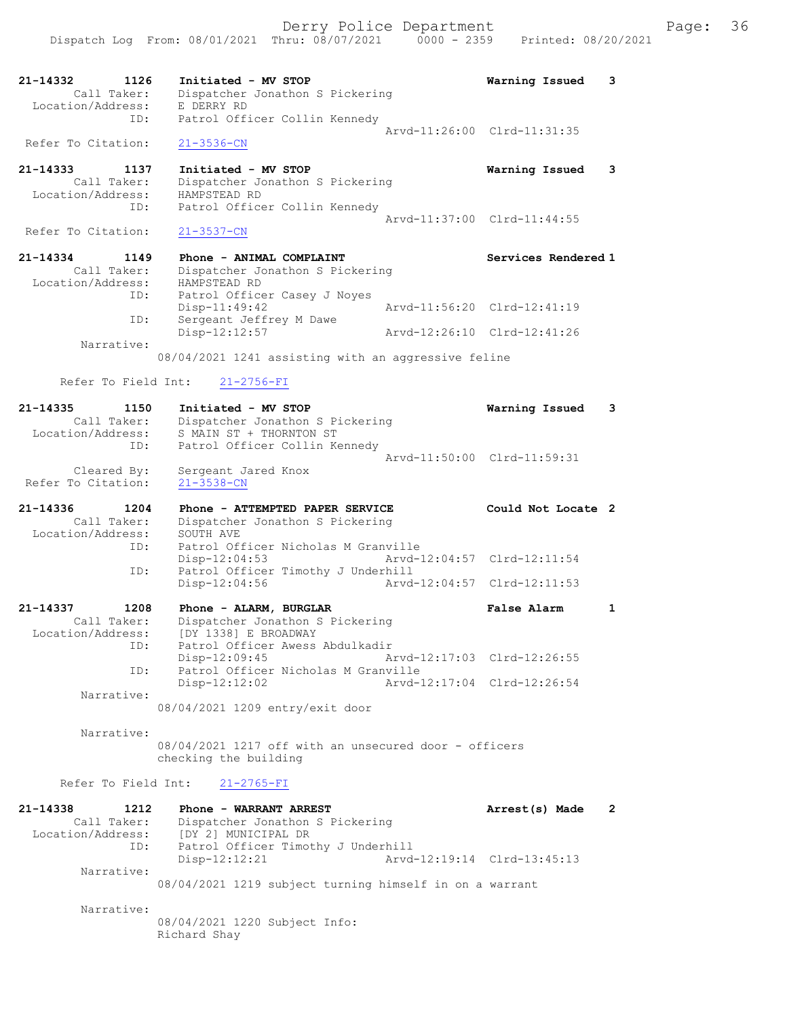| 21-14332<br>1126<br>Call Taker:<br>Location/Address:            | Initiated - MV STOP<br>Dispatcher Jonathon S Pickering<br>E DERRY RD                                                                      | Warning Issued                                             | 3              |
|-----------------------------------------------------------------|-------------------------------------------------------------------------------------------------------------------------------------------|------------------------------------------------------------|----------------|
| ID:                                                             | Patrol Officer Collin Kennedy                                                                                                             | Arvd-11:26:00 Clrd-11:31:35                                |                |
| Refer To Citation:                                              | $21 - 3536 - CN$                                                                                                                          |                                                            |                |
| 21-14333<br>1137<br>Call Taker:<br>Location/Address:<br>ID:     | Initiated - MV STOP<br>Dispatcher Jonathon S Pickering<br>HAMPSTEAD RD<br>Patrol Officer Collin Kennedy                                   | Warning Issued                                             | 3              |
| Refer To Citation:                                              | $21 - 3537 - CN$                                                                                                                          | Arvd-11:37:00 Clrd-11:44:55                                |                |
| 21-14334<br>1149<br>Call Taker:<br>Location/Address:<br>ID:     | Phone - ANIMAL COMPLAINT<br>Dispatcher Jonathon S Pickering<br>HAMPSTEAD RD<br>Patrol Officer Casey J Noyes                               | Services Rendered 1                                        |                |
| ID:                                                             | Disp-11:49:42<br>Sergeant Jeffrey M Dawe                                                                                                  | Arvd-11:56:20 Clrd-12:41:19                                |                |
| Narrative:                                                      | $Disp-12:12:57$                                                                                                                           | Arvd-12:26:10 Clrd-12:41:26                                |                |
|                                                                 | 08/04/2021 1241 assisting with an aggressive feline                                                                                       |                                                            |                |
| Refer To Field Int:                                             | $21 - 2756 - FI$                                                                                                                          |                                                            |                |
| $21 - 14335$<br>1150<br>Call Taker:<br>Location/Address:<br>ID: | Initiated - MV STOP<br>Dispatcher Jonathon S Pickering<br>S MAIN ST + THORNTON ST<br>Patrol Officer Collin Kennedy                        | Warning Issued                                             | 3              |
| Cleared By:<br>Refer To Citation:                               | Sergeant Jared Knox<br>$21 - 3538 - CN$                                                                                                   | Arvd-11:50:00 Clrd-11:59:31                                |                |
|                                                                 |                                                                                                                                           |                                                            |                |
| $21 - 14336$<br>1204<br>Call Taker:<br>Location/Address:        | Phone - ATTEMPTED PAPER SERVICE<br>Dispatcher Jonathon S Pickering<br>SOUTH AVE                                                           | Could Not Locate 2                                         |                |
| ID:<br>ID:                                                      | Patrol Officer Nicholas M Granville<br>Disp-12:04:53<br>Patrol Officer Timothy J Underhill<br>Disp-12:04:56                               | Arvd-12:04:57 Clrd-12:11:54<br>Arvd-12:04:57 Clrd-12:11:53 |                |
| 21-14337<br>1208<br>Call Taker:<br>Location/Address:<br>ID:     | Phone - ALARM, BURGLAR<br>Dispatcher Jonathon S Pickering<br>[DY 1338] E BROADWAY<br>Patrol Officer Awess Abdulkadir                      | False Alarm                                                | $\mathbf{1}$   |
| ID:                                                             | Disp-12:09:45<br>Patrol Officer Nicholas M Granville                                                                                      | Arvd-12:17:03 Clrd-12:26:55                                |                |
| Narrative:                                                      | $Disp-12:12:02$<br>08/04/2021 1209 entry/exit door                                                                                        | Arvd-12:17:04 Clrd-12:26:54                                |                |
| Narrative:                                                      | 08/04/2021 1217 off with an unsecured door - officers<br>checking the building                                                            |                                                            |                |
| Refer To Field Int:                                             | $21 - 2765 - FI$                                                                                                                          |                                                            |                |
| 21-14338<br>1212<br>Call Taker:<br>Location/Address:<br>ID:     | Phone - WARRANT ARREST<br>Dispatcher Jonathon S Pickering<br>[DY 2] MUNICIPAL DR<br>Patrol Officer Timothy J Underhill<br>$Disp-12:12:21$ | Arrest(s) Made<br>Arvd-12:19:14 Clrd-13:45:13              | $\overline{2}$ |
| Narrative:                                                      | 08/04/2021 1219 subject turning himself in on a warrant                                                                                   |                                                            |                |

Richard Shay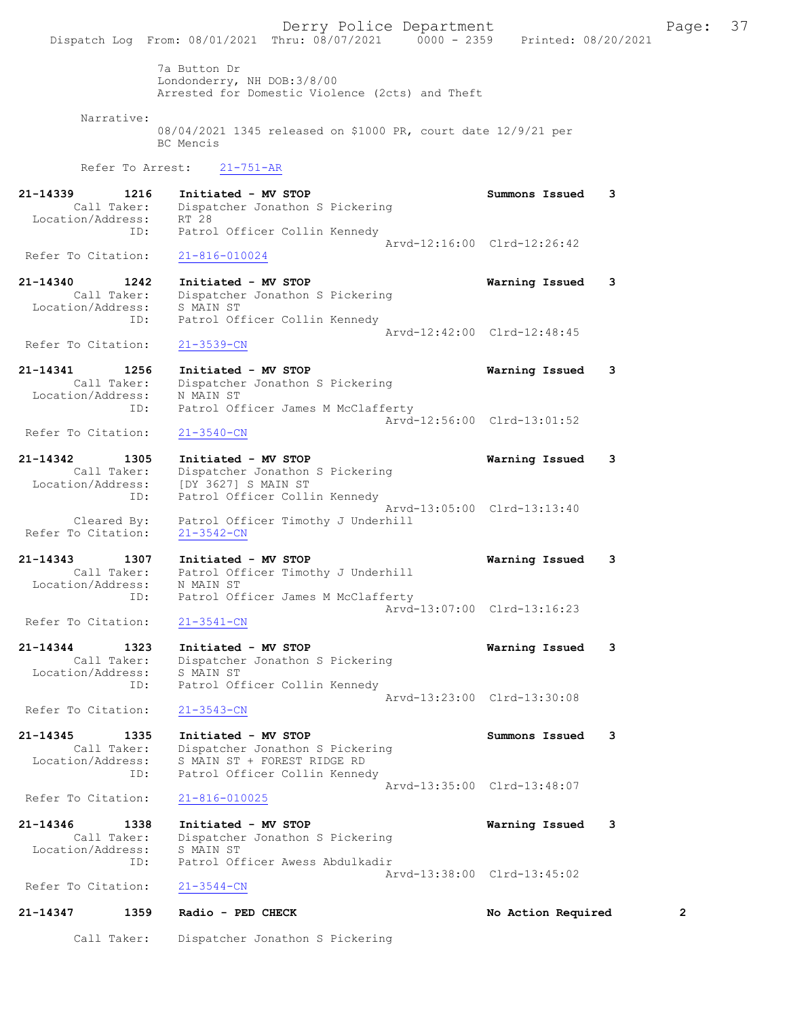Derry Police Department Fage: 37 Dispatch Log From: 08/01/2021 Thru: 08/07/2021 0000 - 2359 Printed: 08/20/2021 7a Button Dr Londonderry, NH DOB:3/8/00 Arrested for Domestic Violence (2cts) and Theft Narrative: 08/04/2021 1345 released on \$1000 PR, court date 12/9/21 per BC Mencis Refer To Arrest: 21-751-AR 21-14339 1216 Initiated - MV STOP Summons Issued 3 Call Taker: Dispatcher Jonathon S Pickering Location/Address: RT 28 ID: Patrol Officer Collin Kennedy Arvd-12:16:00 Clrd-12:26:42<br>21-816-010024 Refer To Citation: 21-14340 1242 Initiated - MV STOP Warning Issued 3 Call Taker: Dispatcher Jonathon S Pickering Location/Address: S MAIN ST ID: Patrol Officer Collin Kennedy Arvd-12:42:00 Clrd-12:48:45 Refer To Citation: 21-3539-CN 21-14341 1256 Initiated - MV STOP Warning Issued 3 Call Taker: Dispatcher Jonathon S Pickering Location/Address: N MAIN ST<br>ID: Patrol Off Patrol Officer James M McClafferty Arvd-12:56:00 Clrd-13:01:52<br>21-3540-CN Refer To Citation: 21-14342 1305 Initiated - MV STOP Warning Issued 3 Call Taker: Dispatcher Jonathon S Pickering Location/Address: [DY 3627] S MAIN ST ID: Patrol Officer Collin Kennedy Arvd-13:05:00 Clrd-13:13:40 Cleared By: Patrol Officer Timothy J Underhill Refer To Citation: 21-3542-CN 21-14343 1307 Initiated - MV STOP Warning Issued 3 Call Taker: Patrol Officer Timothy J Underhill Location/Address: N MAIN ST ID: Patrol Officer James M McClafferty Arvd-13:07:00 Clrd-13:16:23<br>21-3541-CN Refer To Citation: 21-14344 1323 Initiated - MV STOP Warning Issued 3 Call Taker: Dispatcher Jonathon S Pickering Location/Address: S MAIN ST ID: Patrol Officer Collin Kennedy Arvd-13:23:00 Clrd-13:30:08 Refer To Citation: 21-3543-CN 21-14345 1335 Initiated - MV STOP Summons Issued 3 Call Taker: Dispatcher Jonathon S Pickering Location/Address: S MAIN ST + FOREST RIDGE RD ID: Patrol Officer Collin Kennedy Arvd-13:35:00 Clrd-13:48:07<br>21-816-010025 Refer To Citation: 21-14346 1338 Initiated - MV STOP Warning Issued 3 Call Taker: Dispatcher Jonathon S Pickering Location/Address: S MAIN ST ID: Patrol Officer Awess Abdulkadir Arvd-13:38:00 Clrd-13:45:02<br>21-3544-CN Refer To Citation: 21-14347 1359 Radio - PED CHECK No Action Required 2 Call Taker: Dispatcher Jonathon S Pickering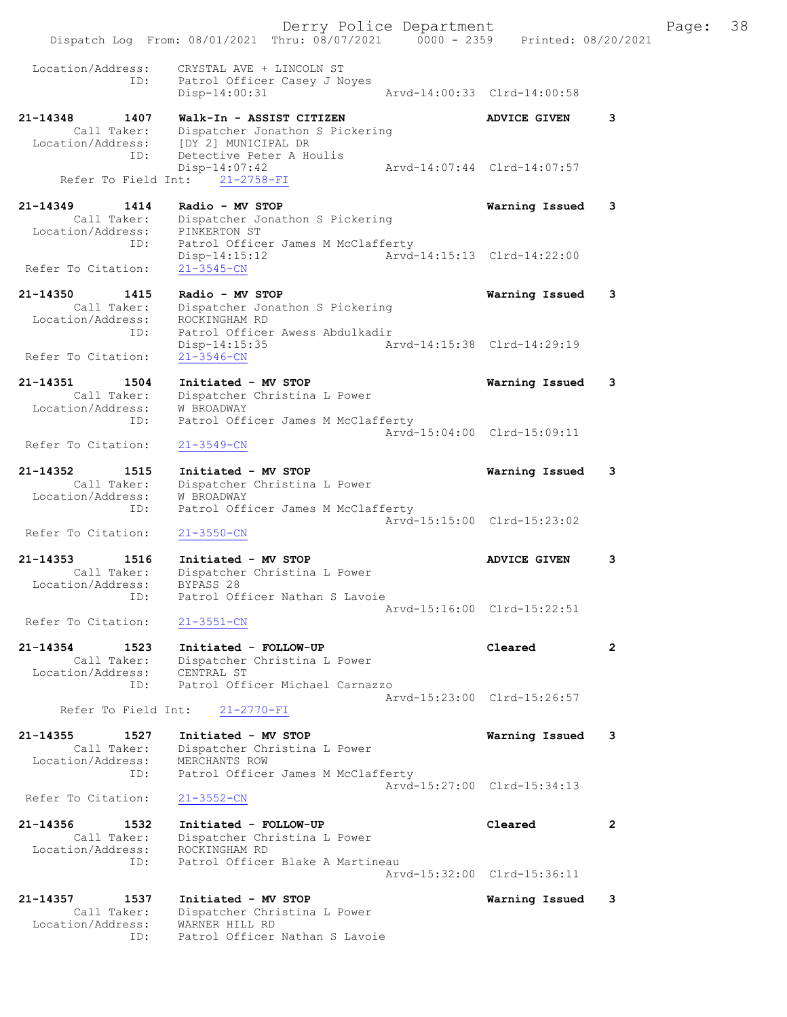Derry Police Department Fage: 38 Dispatch Log From: 08/01/2021 Thru: 08/07/2021 0000 - 2359 Printed: 08/20/2021 Location/Address: CRYSTAL AVE + LINCOLN ST ID: Patrol Officer Casey J Noyes Disp-14:00:31 Arvd-14:00:33 Clrd-14:00:58 21-14348 1407 Walk-In - ASSIST CITIZEN ADVICE GIVEN 3 Call Taker: Dispatcher Jonathon S Pickering Location/Address: [DY 2] MUNICIPAL DR ID: Detective Peter A Houlis Disp-14:07:42 Arvd-14:07:44 Clrd-14:07:57 Disp-14:07:42<br>Refer To Field Int: 21-2758-FI 21-14349 1414 Radio - MV STOP Warning Issued 3 Call Taker: Dispatcher Jonathon S Pickering Location/Address: PINKERTON ST ID: Patrol Officer James M McClafferty Disp-14:15:12 Arvd-14:15:13 Clrd-14:22:00 Refer To Citation: 21-3545-CN 21-14350 1415 Radio - MV STOP Warning Issued 3 Call Taker: Dispatcher Jonathon S Pickering Location/Address: ROCKINGHAM RD ID: Patrol Officer Awess Abdulkadir Disp-14:15:35 Arvd-14:15:38 Clrd-14:29:19 Refer To Citation: 21-3546-CN 21-14351 1504 Initiated - MV STOP Warning Issued 3 Call Taker: Dispatcher Christina L Power Location/Address: W BROADWAY ID: Patrol Officer James M McClafferty Arvd-15:04:00 Clrd-15:09:11<br>
21-3549-CN Refer To Citation: 21-14352 1515 Initiated - MV STOP Warning Issued 3 Call Taker: Dispatcher Christina L Power Location/Address: W BROADWAY ID: Patrol Officer James M McClafferty Arvd-15:15:00 Clrd-15:23:02 Refer To Citation: 21-3550-CN 21-14353 1516 Initiated - MV STOP 121-14353 21-14353 1516 Call Taker: Dispatcher Christina L Power Location/Address: BYPASS 28 ID: Patrol Officer Nathan S Lavoie Arvd-15:16:00 Clrd-15:22:51<br>
21-3551-CN Refer To Citation: 21-14354 1523 Initiated - FOLLOW-UP Cleared 2 Call Taker: Dispatcher Christina L Power Location/Address: CENTRAL ST ID: Patrol Officer Michael Carnazzo Arvd-15:23:00 Clrd-15:26:57 Refer To Field Int: 21-2770-FI 21-14355 1527 Initiated - MV STOP Warning Issued 3 Call Taker: Dispatcher Christina L Power Location/Address: MERCHANTS ROW ID: Patrol Officer James M McClafferty Arvd-15:27:00 Clrd-15:34:13<br>21-3552-CN Refer To Citation: 21-14356 1532 Initiated - FOLLOW-UP Cleared 2 Call Taker: Dispatcher Christina L Power Location/Address: ROCKINGHAM RD ID: Patrol Officer Blake A Martineau Arvd-15:32:00 Clrd-15:36:11 21-14357 1537 Initiated - MV STOP Warning Issued 3 Call Taker: Dispatcher Christina L Power Location/Address: WARNER HILL RD ID: Patrol Officer Nathan S Lavoie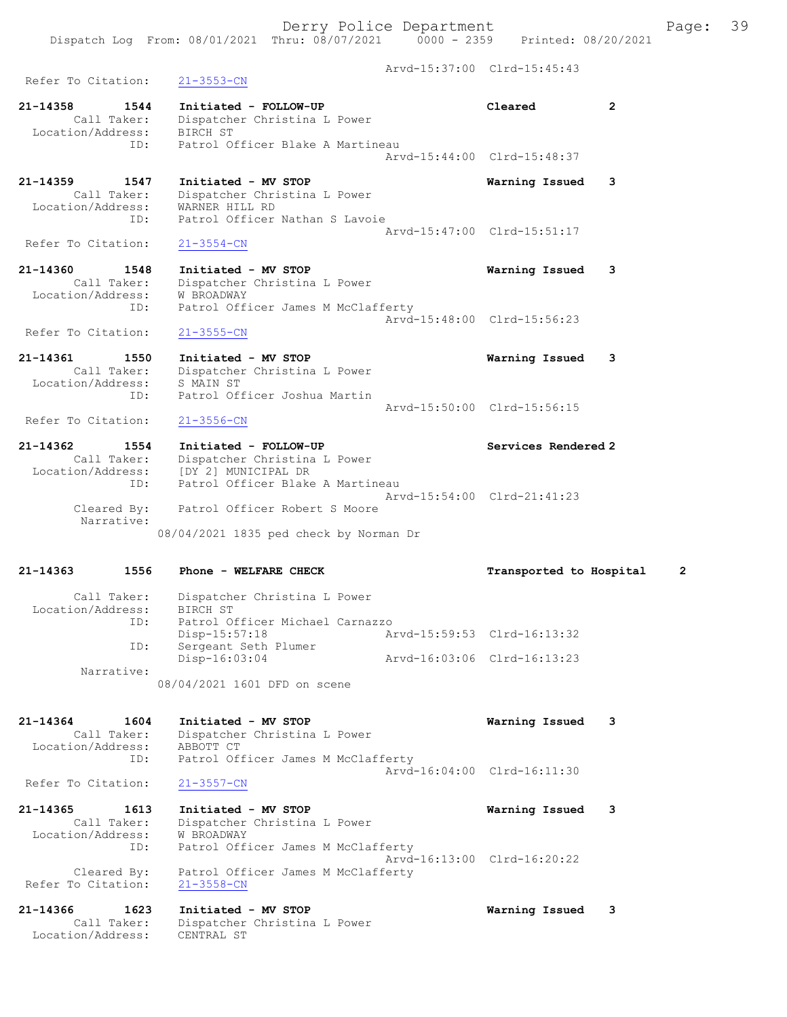Arvd-15:37:00 Clrd-15:45:43 Refer To Citation: 21-3553-CN 21-14358 1544 Initiated - FOLLOW-UP Cleared 2 Call Taker: Dispatcher Christina L Power Location/Address: BIRCH ST ID: Patrol Officer Blake A Martineau Arvd-15:44:00 Clrd-15:48:37 21-14359 1547 Initiated - MV STOP Warning Issued 3 Call Taker: Dispatcher Christina L Power Location/Address: WARNER HILL RD ID: Patrol Officer Nathan S Lavoie Arvd-15:47:00 Clrd-15:51:17<br>21-3554-CN Refer To Citation: 21-14360 1548 Initiated - MV STOP Warning Issued 3 Call Taker: Dispatcher Christina L Power Location/Address: W BROADWAY ID: Patrol Officer James M McClafferty Arvd-15:48:00 Clrd-15:56:23 Refer To Citation: 21-3555-CN 21-14361 1550 Initiated - MV STOP Warning Issued 3 Call Taker: Dispatcher Christina L Power Location/Address: S MAIN ST ID: Patrol Officer Joshua Martin Arvd-15:50:00 Clrd-15:56:15<br>21-3556-CN Refer To Citation: 21-14362 1554 Initiated - FOLLOW-UP Services Rendered 2 Call Taker: Dispatcher Christina L Power Location/Address: [DY 2] MUNICIPAL DR ID: Patrol Officer Blake A Martineau Arvd-15:54:00 Clrd-21:41:23 Cleared By: Patrol Officer Robert S Moore Narrative: 08/04/2021 1835 ped check by Norman Dr 21-14363 1556 Phone - WELFARE CHECK Transported to Hospital 2 Call Taker: Dispatcher Christina L Power Location/Address: BIRCH ST ID: Patrol Officer Michael Carnazzo Disp-15:57:18 Arvd-15:59:53 Clrd-16:13:32 ID: Sergeant Seth Plumer Disp-16:03:04 Arvd-16:03:06 Clrd-16:13:23 Narrative: 08/04/2021 1601 DFD on scene 21-14364 1604 Initiated - MV STOP Warning Issued 3 Call Taker: Dispatcher Christina L Power Location/Address: ABBOTT CT ID: Patrol Officer James M McClafferty Arvd-16:04:00 Clrd-16:11:30<br>
21-3557-CN Refer To Citation: 21-14365 1613 Initiated - MV STOP Warning Issued 3 Call Taker: Dispatcher Christina L Power Location/Address: W BROADWAY ID: Patrol Officer James M McClafferty Arvd-16:13:00 Clrd-16:20:22 Cleared By: Patrol Officer James M McClafferty Refer To Citation: 21-3558-CN 21-14366 1623 Initiated - MV STOP Warning Issued 3 Call Taker: Dispatcher Christina L Power Location/Address: CENTRAL ST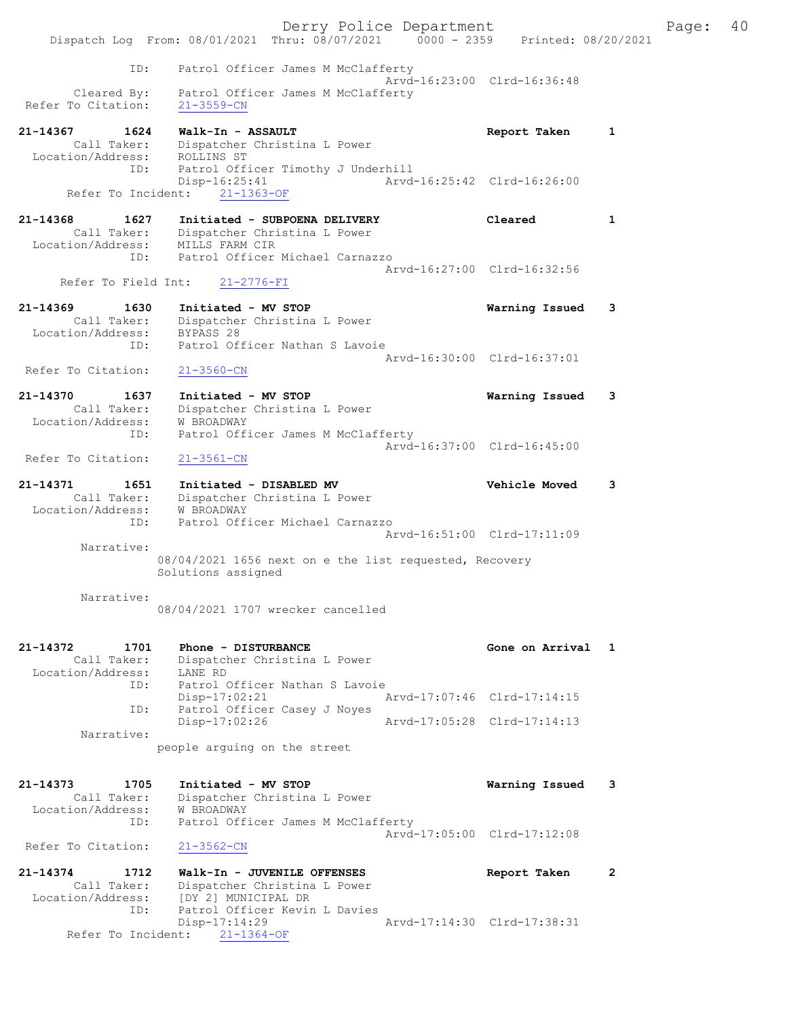Derry Police Department Fage: 40 Dispatch Log From: 08/01/2021 Thru: 08/07/2021 0000 - 2359 Printed: 08/20/2021 ID: Patrol Officer James M McClafferty Arvd-16:23:00 Clrd-16:36:48 Cleared By: Patrol Officer James M McClafferty Refer To Citation: 21-3559-CN 21-14367 1624 Walk-In - ASSAULT Report Taken 1 Call Taker: Dispatcher Christina L Power Location/Address: ROLLINS ST ID: Patrol Officer Timothy J Underhill Disp-16:25:41 Arvd-16:25:42 Clrd-16:26:00 Disp-16:25:41<br>Refer To Incident: 21-1363-OF<br>Refer To Incident: 21-1363-OF 21-14368 1627 Initiated - SUBPOENA DELIVERY Cleared 1 Call Taker: Dispatcher Christina L Power Location/Address: MILLS FARM CIR ID: Patrol Officer Michael Carnazzo Arvd-16:27:00 Clrd-16:32:56 Refer To Field Int: 21-2776-FI 21-14369 1630 Initiated - MV STOP Warning Issued 3 Call Taker: Dispatcher Christina L Power Location/Address: BYPASS 28 ID: Patrol Officer Nathan S Lavoie Arvd-16:30:00 Clrd-16:37:01 Refer To Citation: 21-3560-CN 21-14370 1637 Initiated - MV STOP Warning Issued 3 Call Taker: Dispatcher Christina L Power Location/Address: W BROADWAY ID: Patrol Officer James M McClafferty Arvd-16:37:00 Clrd-16:45:00 Refer To Citation: 21-3561-CN 21-14371 1651 Initiated - DISABLED MV Vehicle Moved 3 Call Taker: Dispatcher Christina L Power Location/Address: W BROADWAY ID: Patrol Officer Michael Carnazzo Arvd-16:51:00 Clrd-17:11:09 Narrative: 08/04/2021 1656 next on e the list requested, Recovery Solutions assigned Narrative: 08/04/2021 1707 wrecker cancelled 21-14372 1701 Phone - DISTURBANCE Gone on Arrival 1 Call Taker: Dispatcher Christina L Power Location/Address: LANE RD ID: Patrol Officer Nathan S Lavoie Disp-17:02:21 Arvd-17:07:46 Clrd-17:14:15 ID: Patrol Officer Casey J Noyes<br>Disp-17:02:26 Disp-17:02:26 Arvd-17:05:28 Clrd-17:14:13 Narrative: people arguing on the street 21-14373 1705 Initiated - MV STOP Warning Issued 3 Call Taker: Dispatcher Christina L Power Location/Address: W BROADWAY ID: Patrol Officer James M McClafferty Arvd-17:05:00 Clrd-17:12:08 Refer To Citation: 21-3562-CN 21-14374 1712 Walk-In - JUVENILE OFFENSES Report Taken 2 Call Taker: Dispatcher Christina L Power Location/Address: [DY 2] MUNICIPAL DR ID: Patrol Officer Kevin L Davies Disp-17:14:29 Arvd-17:14:30 Clrd-17:38:31 Refer To Incident: 21-1364-OF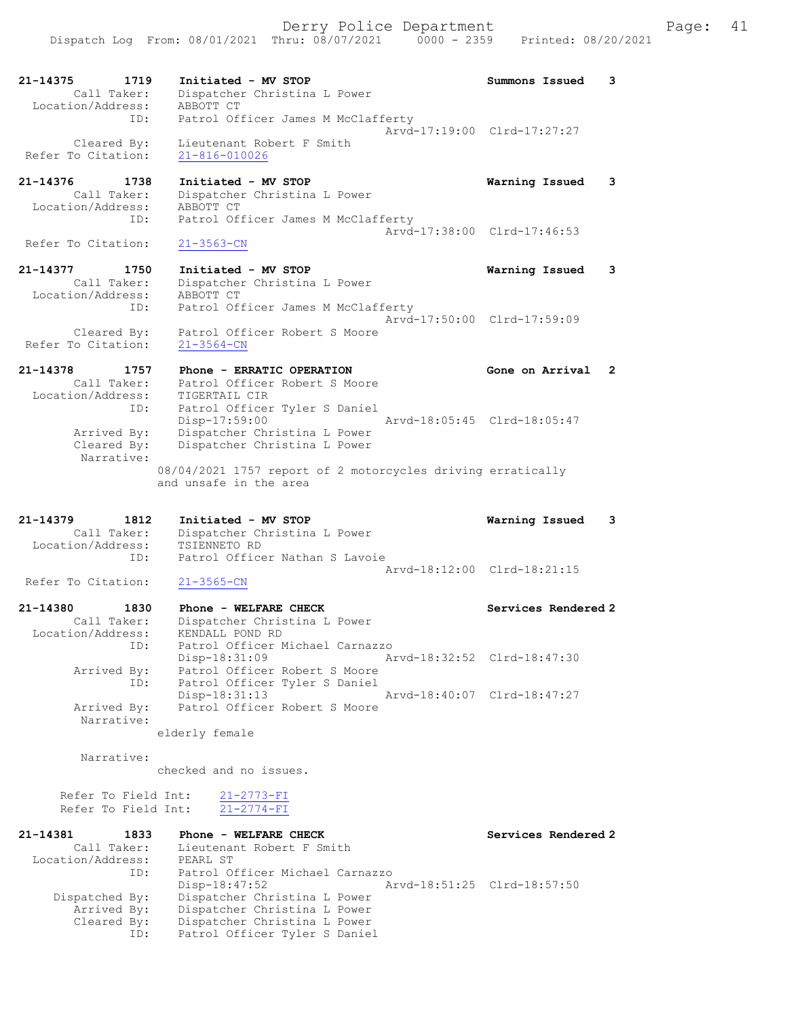21-14375 1719 Initiated - MV STOP Summons Issued 3 Call Taker: Dispatcher Christina L Power Location/Address: ABBOTT CT ID: Patrol Officer James M McClafferty Arvd-17:19:00 Clrd-17:27:27 Cleared By: Lieutenant Robert F Smith Refer To Citation: 21-816-010026

## 21-14376 1738 Initiated - MV STOP Warning Issued 3 Call Taker: Dispatcher Christina L Power Location/Address: ABBOTT CT ID: Patrol Officer James M McClafferty Arvd-17:38:00 Clrd-17:46:53<br>
21-3563-CN

Refer To Citation:

21-14377 1750 Initiated - MV STOP Warning Issued 3 Call Taker: Dispatcher Christina L Power Location/Address: ABBOTT CT ID: Patrol Officer James M McClafferty Arvd-17:50:00 Clrd-17:59:09 Cleared By: Patrol Officer Robert S Moore Refer To Citation: 21-3564-CN

### 21-14378 1757 Phone - ERRATIC OPERATION Gone on Arrival 2 Call Taker: Patrol Officer Robert S Moore Location/Address: TIGERTAIL CIR ID: Patrol Officer Tyler S Daniel Disp-17:59:00 Arvd-18:05:45 Clrd-18:05:47 Arrived By: Dispatcher Christina L Power Cleared By: Dispatcher Christina L Power Narrative: 08/04/2021 1757 report of 2 motorcycles driving erratically and unsafe in the area

## 21-14379 1812 Initiated - MV STOP Warning Issued 3 Call Taker: Dispatcher Christina L Power Location/Address: TSIENNETO RD ID: Patrol Officer Nathan S Lavoie Arvd-18:12:00 Clrd-18:21:15<br>21-3565-CN

Refer To Citation:

### 21-14380 1830 Phone - WELFARE CHECK Services Rendered 2 Call Taker: Dispatcher Christina L Power Location/Address: KENDALL POND RD ID: Patrol Officer Michael Carnazzo Disp-18:31:09 Arvd-18:32:52 Clrd-18:47:30 Arrived By: Patrol Officer Robert S Moore ID: Patrol Officer Tyler S Daniel Disp-18:31:13 Arvd-18:40:07 Clrd-18:47:27 Arrived By: Patrol Officer Robert S Moore Narrative:

elderly female

Narrative:

checked and no issues.

 Refer To Field Int: 21-2773-FI Refer To Field Int: 21-2774-FI

| 1833              | Phone - WELFARE CHECK        | Services Rendered 2                                              |
|-------------------|------------------------------|------------------------------------------------------------------|
| Call Taker:       | Lieutenant Robert F Smith    |                                                                  |
| Location/Address: | PEARL ST                     |                                                                  |
| ID:               |                              |                                                                  |
|                   | Disp-18:47:52                | Arvd-18:51:25 Clrd-18:57:50                                      |
| Dispatched By:    | Dispatcher Christina L Power |                                                                  |
| Arrived By:       | Dispatcher Christina L Power |                                                                  |
| Cleared By:       | Dispatcher Christina L Power |                                                                  |
| ID:               |                              |                                                                  |
|                   |                              | Patrol Officer Michael Carnazzo<br>Patrol Officer Tyler S Daniel |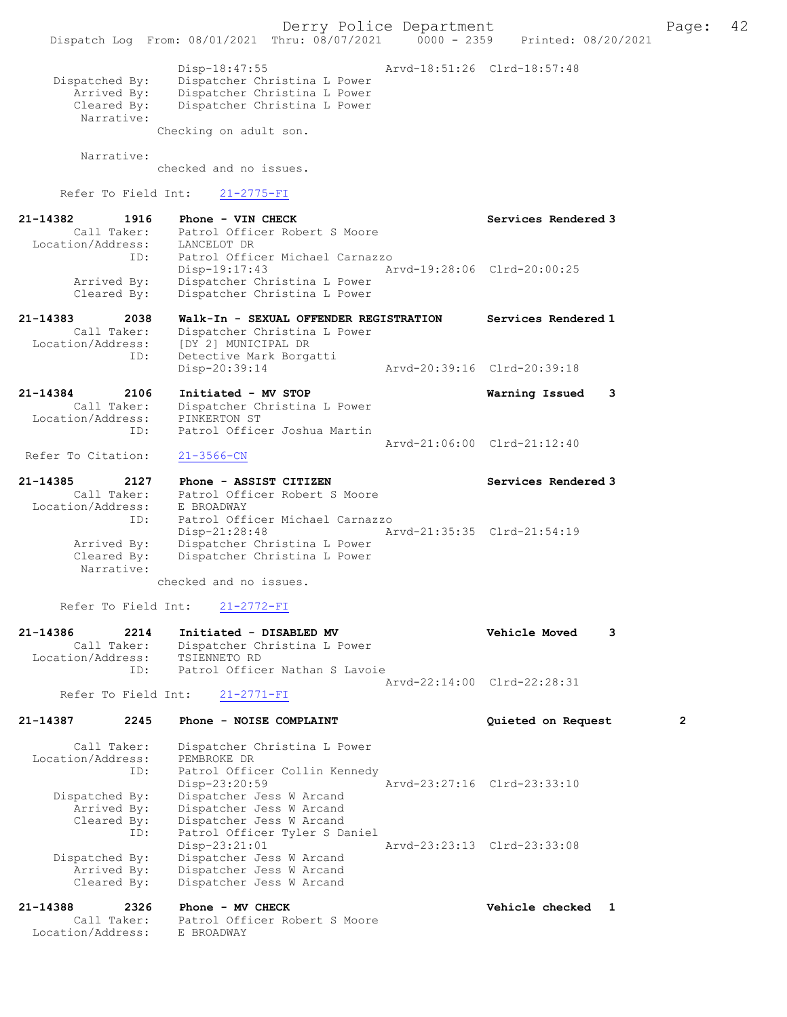Derry Police Department The Page: 42 Dispatch Log From: 08/01/2021 Thru: 08/07/2021 0000 - 2359 Printed: 08/20/2021 Disp-18:47:55 Arvd-18:51:26 Clrd-18:57:48 Dispatched By: Dispatcher Christina L Power Arrived By: Dispatcher Christina L Power<br>Cleared By: Dispatcher Christina L Power Dispatcher Christina L Power Narrative: Checking on adult son. Narrative: checked and no issues. Refer To Field Int: 21-2775-FI 21-14382 1916 Phone - VIN CHECK Services Rendered 3 Call Taker: Patrol Officer Robert S Moore Location/Address: LANCELOT DR ID: Patrol Officer Michael Carnazzo Disp-19:17:43 Arvd-19:28:06 Clrd-20:00:25 Arrived By: Dispatcher Christina L Power Cleared By: Dispatcher Christina L Power 21-14383 2038 Walk-In - SEXUAL OFFENDER REGISTRATION Services Rendered 1 Call Taker: Dispatcher Christina L Power Location/Address: [DY 2] MUNICIPAL DR ID: Detective Mark Borgatti<br>Disp-20:39:14 Disp-20:39:14 Arvd-20:39:16 Clrd-20:39:18 21-14384 2106 Initiated - MV STOP Warning Issued 3 Call Taker: Dispatcher Christina L Power Location/Address: PINKERTON ST ID: Patrol Officer Joshua Martin Arvd-21:06:00 Clrd-21:12:40 Refer To Citation: 21-3566-CN 21-14385 2127 Phone - ASSIST CITIZEN 21-14385 Services Rendered 3 Call Taker: Patrol Officer Robert S Moore Call Taker: Patrol Off:<br>Location/Address: E BROADWAY ID: Patrol Officer Michael Carnazzo Disp-21:28:48 Arvd-21:35:35 Clrd-21:54:19<br>Arrived By: Dispatcher Christina L Power Arrived By: Dispatcher Christina L Power<br>Cleared By: Dispatcher Christina L Power Dispatcher Christina L Power Narrative: checked and no issues. Refer To Field Int: 21-2772-FI 21-14386 2214 Initiated - DISABLED MV Vehicle Moved 3 Call Taker: Dispatcher Christina L Power<br>ion/Address: TSIENNETO RD Location/Address: ID: Patrol Officer Nathan S Lavoie Arvd-22:14:00 Clrd-22:28:31<br>21-2771-FI Refer To Field Int: 21-14387 2245 Phone - NOISE COMPLAINT Quieted on Request 2 Call Taker: Dispatcher Christina L Power Location/Address: PEMBROKE DR ID: Patrol Officer Collin Kennedy Disp-23:20:59 Arvd-23:27:16 Clrd-23:33:10 Dispatched By: Dispatcher Jess W Arcand Arrived By: Dispatcher Jess W Arcand Cleared By: Dispatcher Jess W Arcand ID: Patrol Officer Tyler S Daniel Disp-23:21:01 Arvd-23:23:13 Clrd-23:33:08 Dispatched By: Dispatcher Jess W Arcand Arrived By: Dispatcher Jess W Arcand Cleared By: Dispatcher Jess W Arcand 21-14388 2326 Phone - MV CHECK 2000 2000 Vehicle checked 1 Call Taker: Patrol Officer Robert S Moore Location/Address: E BROADWAY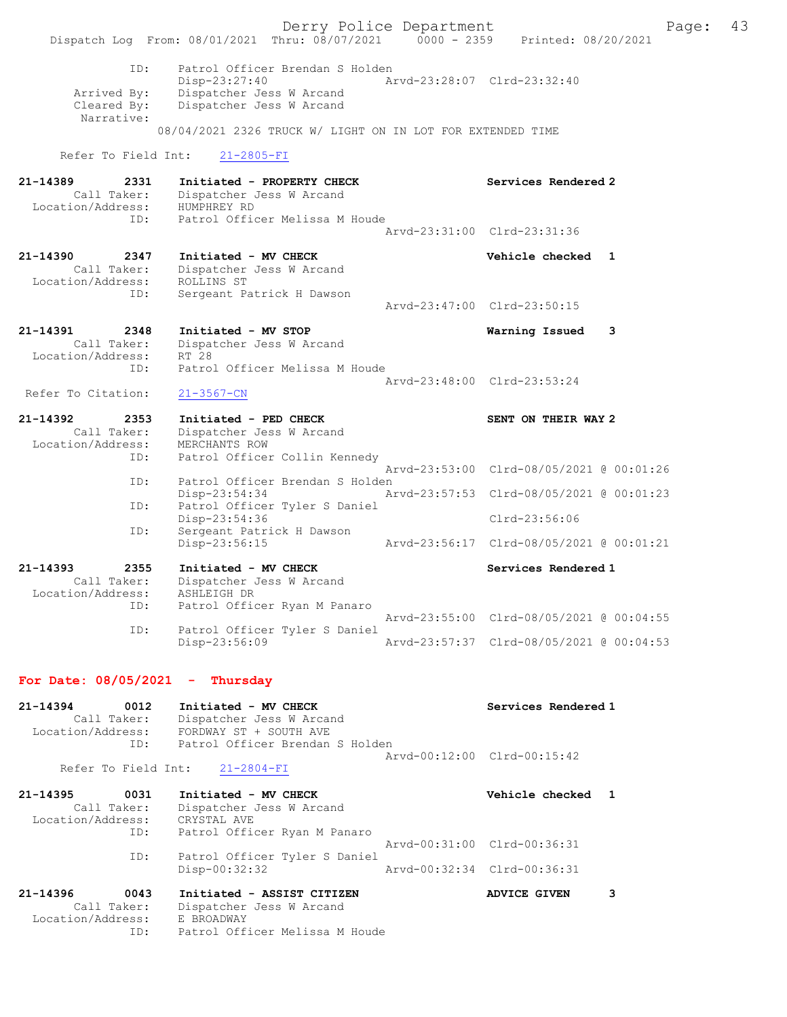|                                                             | Dispatch Log From: 08/01/2021 Thru: 08/07/2021 0000 - 2359 Printed: 08/20/2021                                                                                         | Derry Police Department     |                                          | Page: | 43 |
|-------------------------------------------------------------|------------------------------------------------------------------------------------------------------------------------------------------------------------------------|-----------------------------|------------------------------------------|-------|----|
| ID:<br>Arrived By:<br>Cleared By:<br>Narrative:             | Patrol Officer Brendan S Holden<br>Disp-23:27:40<br>Dispatcher Jess W Arcand<br>Dispatcher Jess W Arcand<br>08/04/2021 2326 TRUCK W/ LIGHT ON IN LOT FOR EXTENDED TIME | Arvd-23:28:07 Clrd-23:32:40 |                                          |       |    |
| Refer To Field Int:                                         | $21 - 2805 - FI$                                                                                                                                                       |                             |                                          |       |    |
| 21-14389<br>2331<br>Call Taker:<br>Location/Address:        | Initiated - PROPERTY CHECK<br>Dispatcher Jess W Arcand<br>HUMPHREY RD                                                                                                  |                             | Services Rendered 2                      |       |    |
| ID:                                                         | Patrol Officer Melissa M Houde                                                                                                                                         |                             | Arvd-23:31:00 Clrd-23:31:36              |       |    |
| 21-14390<br>2347<br>Call Taker:<br>Location/Address:        | Initiated - MV CHECK<br>Dispatcher Jess W Arcand<br>ROLLINS ST                                                                                                         |                             | Vehicle checked 1                        |       |    |
| ID:                                                         | Sergeant Patrick H Dawson                                                                                                                                              |                             | Arvd-23:47:00 Clrd-23:50:15              |       |    |
| 21-14391<br>2348<br>Call Taker:<br>Location/Address:        | Initiated - MV STOP<br>Dispatcher Jess W Arcand<br>RT 28                                                                                                               |                             | Warning Issued                           | 3     |    |
| ID:<br>Refer To Citation:                                   | Patrol Officer Melissa M Houde<br>$21 - 3567 - CN$                                                                                                                     |                             | Arvd-23:48:00 Clrd-23:53:24              |       |    |
| 21-14392<br>2353<br>Call Taker:<br>Location/Address:<br>ID: | Initiated - PED CHECK<br>Dispatcher Jess W Arcand<br>MERCHANTS ROW<br>Patrol Officer Collin Kennedy                                                                    |                             | SENT ON THEIR WAY 2                      |       |    |
| ID:                                                         | Patrol Officer Brendan S Holden                                                                                                                                        |                             | Arvd-23:53:00 Clrd-08/05/2021 @ 00:01:26 |       |    |
| ID:                                                         | Disp-23:54:34<br>Patrol Officer Tyler S Daniel                                                                                                                         |                             | Arvd-23:57:53 Clrd-08/05/2021 @ 00:01:23 |       |    |
|                                                             | Disp-23:54:36                                                                                                                                                          |                             | $Clrd-23:56:06$                          |       |    |
| ID:                                                         | Sergeant Patrick H Dawson<br>$Disp-23:56:15$                                                                                                                           |                             | Arvd-23:56:17 Clrd-08/05/2021 @ 00:01:21 |       |    |
| 21-14393<br>2355<br>Call Taker:<br>Location/Address:<br>ID: | Initiated - MV CHECK<br>Dispatcher Jess W Arcand<br>ASHLEIGH DR<br>Patrol Officer Ryan M Panaro                                                                        |                             | Services Rendered 1                      |       |    |
| ID:                                                         | Patrol Officer Tyler S Daniel                                                                                                                                          |                             | Arvd-23:55:00 Clrd-08/05/2021 @ 00:04:55 |       |    |
|                                                             | Disp-23:56:09                                                                                                                                                          |                             | Arvd-23:57:37 Clrd-08/05/2021 @ 00:04:53 |       |    |
|                                                             |                                                                                                                                                                        |                             |                                          |       |    |

# For Date:  $08/05/2021$  - Thursday

| $21 - 14394$      | 0012        | Initiated - MV CHECK                | Services Rendered 1         |   |
|-------------------|-------------|-------------------------------------|-----------------------------|---|
|                   | Call Taker: | Dispatcher Jess W Arcand            |                             |   |
| Location/Address: |             | FORDWAY ST + SOUTH AVE              |                             |   |
|                   |             | ID: Patrol Officer Brendan S Holden |                             |   |
|                   |             |                                     | Arvd-00:12:00 Clrd-00:15:42 |   |
|                   |             | Refer To Field Int: 21-2804-FI      |                             |   |
| 21-14395 0031     |             | Initiated - MV CHECK                | Vehicle checked 1           |   |
|                   | Call Taker: | Dispatcher Jess W Arcand            |                             |   |
| Location/Address: |             | CRYSTAL AVE                         |                             |   |
|                   | ID:         | Patrol Officer Ryan M Panaro        |                             |   |
|                   |             |                                     | Arvd-00:31:00 Clrd-00:36:31 |   |
|                   | ID:         | Patrol Officer Tyler S Daniel       |                             |   |
|                   |             | Disp-00:32:32                       | Arvd-00:32:34 Clrd-00:36:31 |   |
| $21 - 14396$      | 0043        | Initiated - ASSIST CITIZEN          | <b>ADVICE GIVEN</b>         | 3 |
|                   | Call Taker: | Dispatcher Jess W Arcand            |                             |   |
| Location/Address: |             | E BROADWAY                          |                             |   |
|                   | ID:         | Patrol Officer Melissa M Houde      |                             |   |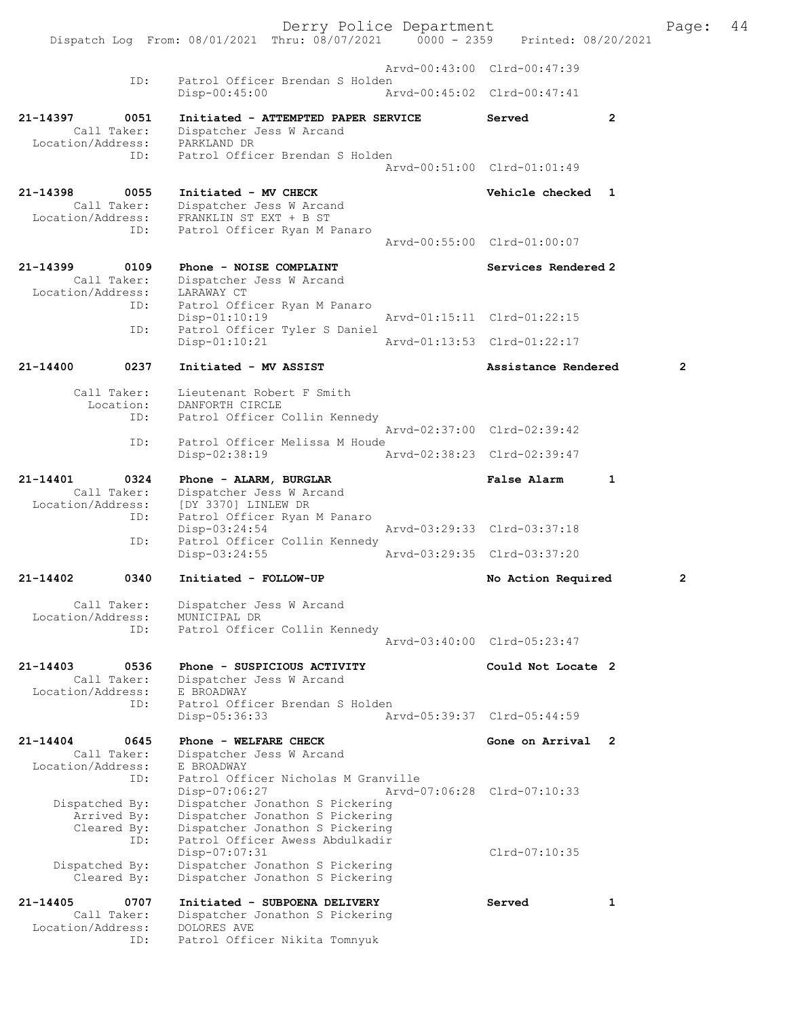Derry Police Department<br>
Page: 44<br>
Printed: 08/20/2021<br>
Printed: 08/20/2021 Dispatch Log From: 08/01/2021 Thru: 08/07/2021 0000 - 2359 Arvd-00:43:00 Clrd-00:47:39 ID: Patrol Officer Brendan S Holden<br>Disp-00:45:00 Am Disp-00:45:00 Arvd-00:45:02 Clrd-00:47:41 21-14397 0051 Initiated - ATTEMPTED PAPER SERVICE Served Call Taker: Dispatcher Jess W Arcand Dispatcher Jess W Arcand<br>PARKLAND DR Location/Address:<br>TD: Patrol Officer Brendan S Holden Arvd-00:51:00 Clrd-01:01:49 21-14398 0055 Initiated - MV CHECK Vehicle checked 1 Call Taker: Dispatcher Jess W Arcand<br>Location/Address: FRANKLIN ST EXT + B ST ess: FRANKLIN ST EXT + B ST<br>ID: Patrol Officer Ryan M P Patrol Officer Ryan M Panaro Arvd-00:55:00 Clrd-01:00:07 21-14399 0109 Phone - NOISE COMPLAINT Services Rendered 2 Call Taker: Dispatcher Jess W Arcand<br>ion/Address: LARAWAY CT Location/Address:<br>ID: Patrol Officer Ryan M Panaro<br>Disp-01:10:19 Disp-01:10:19 Arvd-01:15:11 Clrd-01:22:15<br>ID: Patrol Officer Tyler S Daniel Patrol Officer Tyler S Daniel<br>Disp-01:10:21 Arvd-01:13:53 Clrd-01:22:17 21-14400 0237 Initiated - MV ASSIST 21-14400 Assistance Rendered 2 Call Taker: Lieutenant Robert F Smith Location: DANFORTH CIRCLE<br>TD: Patrol Officer C Patrol Officer Collin Kennedy Arvd-02:37:00 Clrd-02:39:42<br>ID: Patrol Officer Melissa M Houde Patrol Officer Melissa M Houde Disp-02:38:19 Arvd-02:38:23 Clrd-02:39:47 21-14401 0324 Phone - ALARM, BURGLAR False Alarm 1 Call Taker: Dispatcher Jess W Arcand Location/Address: [DY 3370] LINLEW DR<br>TD: Patrol Officer Ryan Patrol Officer Ryan M Panaro<br>Disp-03:24:54 Disp-03:24:54 <br>Th: Patrol Officer Collin Kennedy Patrol Officer Collin Kennedy<br>Disp-03:24:55 Disp-03:24:55 Arvd-03:29:35 Clrd-03:37:20 21-14402 0340 Initiated - FOLLOW-UP No Action Required 2 Call Taker: Dispatcher Jess W Arcand<br>ion/Address: MUNICIPAL DR Location/Address: ID: Patrol Officer Collin Kennedy Arvd-03:40:00 Clrd-05:23:47 21-14403 0536 Phone - SUSPICIOUS ACTIVITY Could Not Locate 2<br>Call Taker: Dispatcher Jess W Arcand Dispatcher Jess W Arcand<br>E BROADWAY Location/Address:<br>ID: Patrol Officer Brendan S Holden Disp-05:36:33 Arvd-05:39:37 Clrd-05:44:59 21-14404 0645 Phone - WELFARE CHECK Gone on Arrival 2 Call Taker: Dispatcher Jess W Arcand Location/Address: E BROADWAY ID: Patrol Officer Nicholas M Granville Disp-07:06:27 Arvd-07:06:28 Clrd-07:10:33<br>Dispatched By: Dispatcher Jonathon S Pickering Dispatcher Jonathon S Pickering Arrived By: Dispatcher Jonathon S Pickering<br>Cleared By: Dispatcher Jonathon S Pickering By: Dispatcher Jonathon S Pickering<br>ID: Patrol Officer Awess Abdulkadir Patrol Officer Awess Abdulkadir Disp-07:07:31 Clrd-07:10:35<br>Dispatched By: Dispatcher Jonathon S Pickering Clrd-07:10:35 Dispatcher Jonathon S Pickering Cleared By: Dispatcher Jonathon S Pickering 21-14405 0707 Initiated - SUBPOENA DELIVERY Served 1 Dispatcher Jonathon S Pickering<br>DOLORES AVE Call Taker:<br>Location/Address: ID: Patrol Officer Nikita Tomnyuk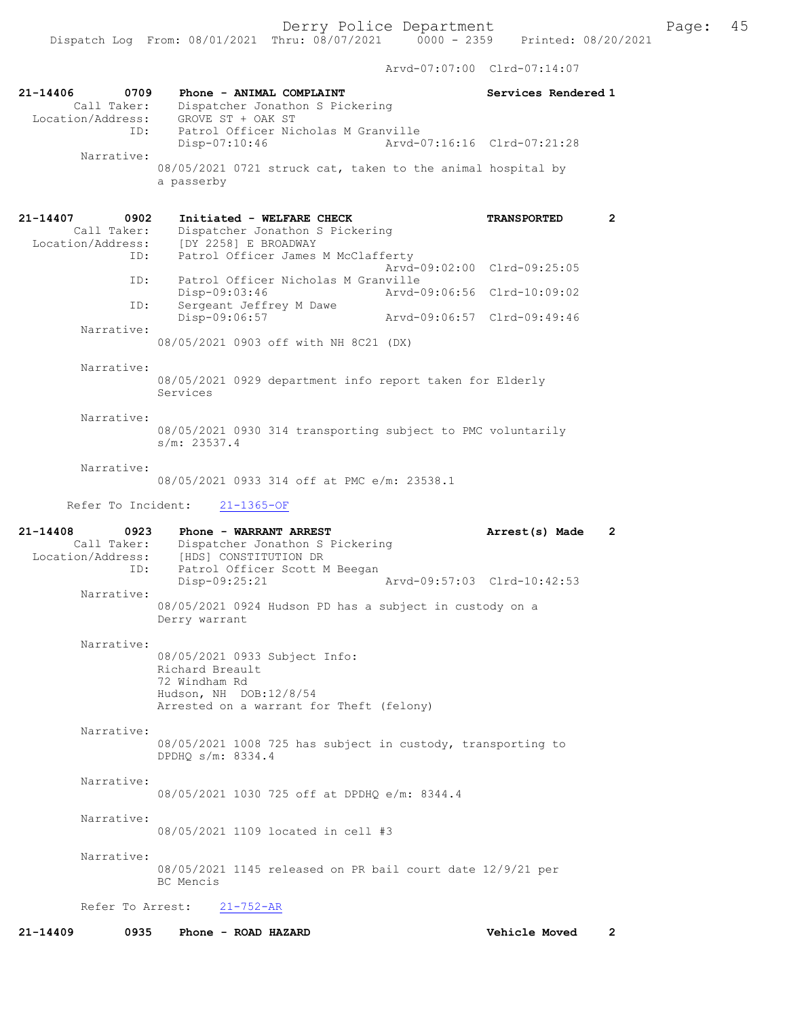Arvd-07:07:00 Clrd-07:14:07

| 21-14406<br>Call Taker:<br>Location/Address:     | 0709<br>Phone - ANIMAL COMPLAINT<br>Dispatcher Jonathon S Pickering<br>GROVE ST + OAK ST<br>Patrol Officer Nicholas M Granville<br>ID:    | Services Rendered 1                |
|--------------------------------------------------|-------------------------------------------------------------------------------------------------------------------------------------------|------------------------------------|
| Narrative:                                       | Disp-07:10:46                                                                                                                             | Arvd-07:16:16 Clrd-07:21:28        |
|                                                  | 08/05/2021 0721 struck cat, taken to the animal hospital by<br>a passerby                                                                 |                                    |
| 21-14407<br>Call Taker:<br>Location/Address:     | 0902<br>Initiated - WELFARE CHECK<br>Dispatcher Jonathon S Pickering<br>[DY 2258] E BROADWAY<br>Patrol Officer James M McClafferty<br>ID: | <b>TRANSPORTED</b><br>$\mathbf{2}$ |
|                                                  | Patrol Officer Nicholas M Granville<br>ID:                                                                                                | Aryd-09:02:00 Clrd-09:25:05        |
|                                                  | Disp-09:03:46<br>Sergeant Jeffrey M Dawe<br>ID:                                                                                           | Arvd-09:06:56 Clrd-10:09:02        |
| Narrative:                                       | Disp-09:06:57<br>08/05/2021 0903 off with NH 8C21 (DX)                                                                                    | Arvd-09:06:57 Clrd-09:49:46        |
| Narrative:                                       | 08/05/2021 0929 department info report taken for Elderly<br>Services                                                                      |                                    |
| Narrative:                                       | 08/05/2021 0930 314 transporting subject to PMC voluntarily<br>s/m: 23537.4                                                               |                                    |
| Narrative:                                       | 08/05/2021 0933 314 off at PMC e/m: 23538.1                                                                                               |                                    |
| Refer To Incident:                               | $21 - 1365 - OF$                                                                                                                          |                                    |
| $21 - 14408$<br>Call Taker:<br>Location/Address: | 0923<br>Phone - WARRANT ARREST<br>Dispatcher Jonathon S Pickering<br>[HDS] CONSTITUTION DR<br>Patrol Officer Scott M Beegan<br>ID:        | Arrest(s) Made<br>$\mathbf{2}$     |
| Narrative:                                       | $Disp-09:25:21$<br>08/05/2021 0924 Hudson PD has a subject in custody on a<br>Derry warrant                                               | Arvd-09:57:03 Clrd-10:42:53        |
| Narrative:                                       | 08/05/2021 0933 Subject Info:<br>Richard Breault<br>72 Windham Rd<br>Hudson, NH DOB:12/8/54<br>Arrested on a warrant for Theft (felony)   |                                    |
| Narrative:                                       | 08/05/2021 1008 725 has subject in custody, transporting to<br>DPDHO s/m: 8334.4                                                          |                                    |
| Narrative:                                       | 08/05/2021 1030 725 off at DPDHQ e/m: 8344.4                                                                                              |                                    |
| Narrative:                                       | 08/05/2021 1109 located in cell #3                                                                                                        |                                    |
| Narrative:                                       | 08/05/2021 1145 released on PR bail court date 12/9/21 per<br>BC Mencis                                                                   |                                    |
| Refer To Arrest:                                 |                                                                                                                                           |                                    |
|                                                  | $21 - 752 - AR$                                                                                                                           |                                    |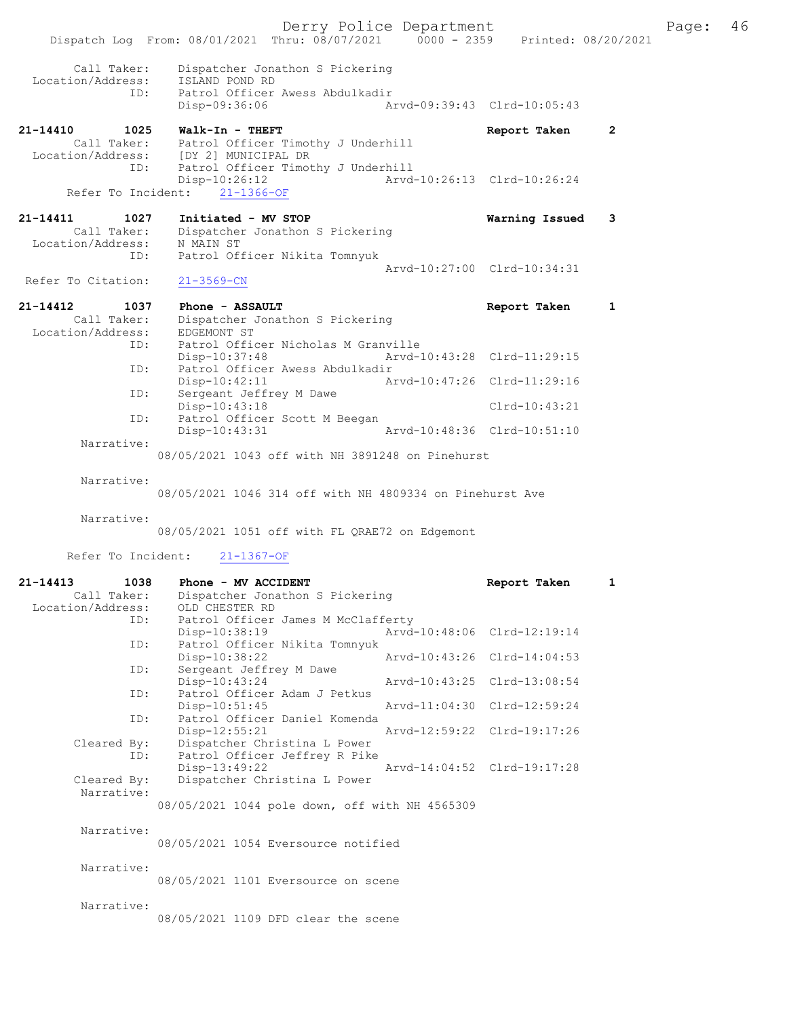|                                                             | Derry Police Department<br>Dispatch Log From: 08/01/2021 Thru: 08/07/2021 0000 - 2359 Printed: 08/20/2021                                              |                             |                | Page: | 46 |
|-------------------------------------------------------------|--------------------------------------------------------------------------------------------------------------------------------------------------------|-----------------------------|----------------|-------|----|
| Call Taker:<br>ID:                                          | Dispatcher Jonathon S Pickering<br>Location/Address: ISLAND POND RD<br>Patrol Officer Awess Abdulkadir<br>Arvd-09:39:43 Clrd-10:05:43<br>Disp-09:36:06 |                             |                |       |    |
| 21-14410 1025<br>ID:                                        | Walk-In - THEFT<br>Call Taker: Patrol Officer Timothy J Underhill<br>Location/Address: [DY 2] MUNICIPAL DR<br>Patrol Officer Timothy J Underhill       | Report Taken                | $\overline{2}$ |       |    |
|                                                             | $Disp-10:26:12$<br>Refer To Incident: 21-1366-OF                                                                                                       | Arvd-10:26:13 Clrd-10:26:24 |                |       |    |
| 21-14411<br>Location/Address: N MAIN ST<br>ID:              | 1027 Initiated - MV STOP<br>Call Taker: Dispatcher Jonathon S Pickering<br>Patrol Officer Nikita Tomnyuk                                               | Warning Issued 3            |                |       |    |
| Refer To Citation:                                          | $21 - 3569 - CN$                                                                                                                                       | Arvd-10:27:00 Clrd-10:34:31 |                |       |    |
| 21-14412<br>1037<br>Call Taker:<br>Location/Address:<br>ID: | Phone - ASSAULT<br>Dispatcher Jonathon S Pickering<br>EDGEMONT ST<br>Patrol Officer Nicholas M Granville                                               | Report Taken                | 1              |       |    |
| ID:                                                         | Disp-10:37:48<br>Patrol Officer Awess Abdulkadir                                                                                                       | Arvd-10:43:28 Clrd-11:29:15 |                |       |    |
| ID:                                                         | $Disp-10:42:11$<br>Sergeant Jeffrey M Dawe                                                                                                             | Arvd-10:47:26 Clrd-11:29:16 |                |       |    |
| ID:                                                         | Disp-10:43:18<br>Patrol Officer Scott M Beegan<br>Disp-10:43:31 Arvd-10:48:36 Clrd-10:51:10                                                            | Clrd-10:43:21               |                |       |    |
| Narrative:                                                  | 08/05/2021 1043 off with NH 3891248 on Pinehurst                                                                                                       |                             |                |       |    |

Narrative:

08/05/2021 1046 314 off with NH 4809334 on Pinehurst Ave

Narrative:

08/05/2021 1051 off with FL QRAE72 on Edgemont

Refer To Incident: 21-1367-OF

| 21-14413          | 1038        | Phone - MV ACCIDENT                            |                             | Report Taken                | $\mathbf{1}$ |
|-------------------|-------------|------------------------------------------------|-----------------------------|-----------------------------|--------------|
|                   | Call Taker: | Dispatcher Jonathon S Pickering                |                             |                             |              |
| Location/Address: |             | OLD CHESTER RD                                 |                             |                             |              |
|                   | ID:         | Patrol Officer James M McClafferty             |                             |                             |              |
|                   |             | Disp-10:38:19                                  |                             | Arvd-10:48:06 Clrd-12:19:14 |              |
|                   | ID:         | Patrol Officer Nikita Tomnyuk                  |                             |                             |              |
|                   |             | Disp-10:38:22                                  | Arvd-10:43:26 Clrd-14:04:53 |                             |              |
|                   | ID:         | Sergeant Jeffrey M Dawe                        |                             |                             |              |
|                   |             | Disp-10:43:24                                  |                             | Arvd-10:43:25 Clrd-13:08:54 |              |
|                   | ID:         | Patrol Officer Adam J Petkus                   |                             |                             |              |
|                   |             | $Disp-10:51:45$                                |                             | Arvd-11:04:30 Clrd-12:59:24 |              |
|                   | ID:         | Patrol Officer Daniel Komenda                  |                             |                             |              |
|                   |             | $Disp-12:55:21$                                |                             | Arvd-12:59:22 Clrd-19:17:26 |              |
|                   | Cleared By: | Dispatcher Christina L Power                   |                             |                             |              |
|                   | ID:         | Patrol Officer Jeffrey R Pike                  |                             |                             |              |
|                   |             | $Disp-13:49:22$                                |                             | Arvd-14:04:52 Clrd-19:17:28 |              |
|                   | Cleared By: | Dispatcher Christina L Power                   |                             |                             |              |
|                   | Narrative:  |                                                |                             |                             |              |
|                   |             | 08/05/2021 1044 pole down, off with NH 4565309 |                             |                             |              |
|                   |             |                                                |                             |                             |              |
|                   | Narrative:  |                                                |                             |                             |              |
|                   |             | 08/05/2021 1054 Eversource notified            |                             |                             |              |
|                   |             |                                                |                             |                             |              |
|                   | Narrative:  |                                                |                             |                             |              |
|                   |             | 08/05/2021 1101 Eversource on scene            |                             |                             |              |
|                   |             |                                                |                             |                             |              |

Narrative:

08/05/2021 1109 DFD clear the scene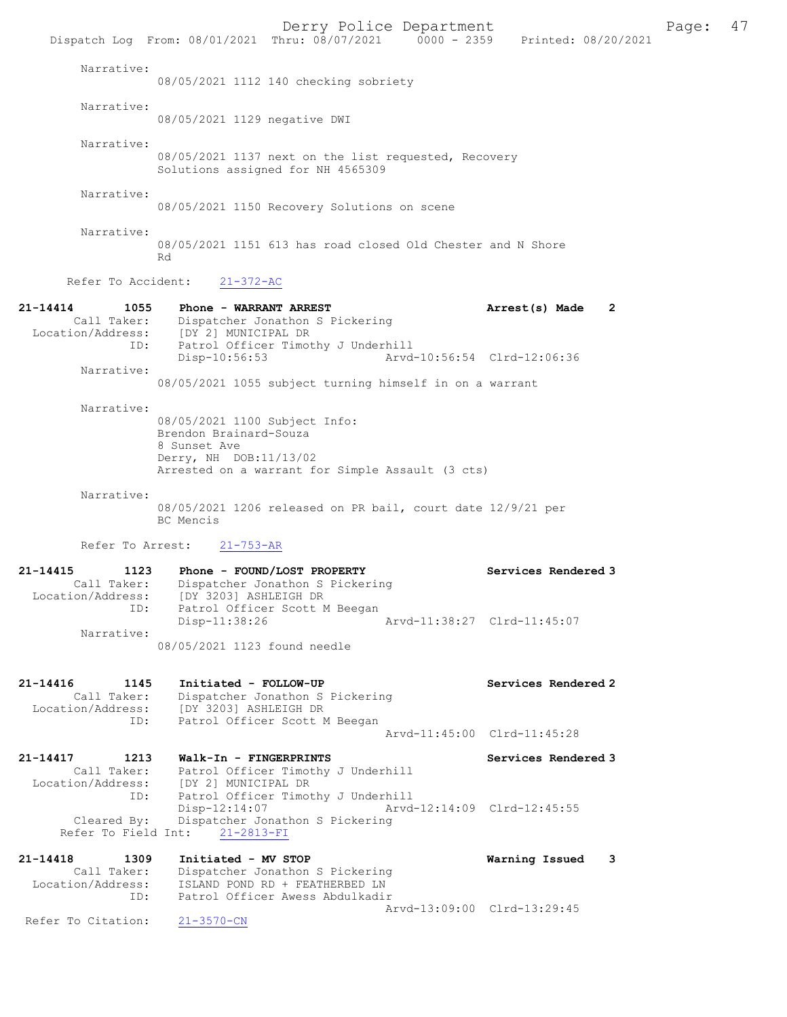Derry Police Department Fage: 47 Dispatch Log From: 08/01/2021 Thru: 08/07/2021 0000 - 2359 Printed: 08/20/2021 Narrative: 08/05/2021 1112 140 checking sobriety Narrative: 08/05/2021 1129 negative DWI Narrative: 08/05/2021 1137 next on the list requested, Recovery Solutions assigned for NH 4565309 Narrative: 08/05/2021 1150 Recovery Solutions on scene Narrative: 08/05/2021 1151 613 has road closed Old Chester and N Shore Rd Refer To Accident: 21-372-AC 21-14414 1055 Phone - WARRANT ARREST 21-14414 Arrest(s) Made 2 Call Taker: Dispatcher Jonathon S Pickering Location/Address: [DY 2] MUNICIPAL DR ID: Patrol Officer Timothy J Underhill Disp-10:56:53 Arvd-10:56:54 Clrd-12:06:36 Narrative: 08/05/2021 1055 subject turning himself in on a warrant Narrative: 08/05/2021 1100 Subject Info: Brendon Brainard-Souza 8 Sunset Ave Derry, NH DOB:11/13/02 Arrested on a warrant for Simple Assault (3 cts) Narrative: 08/05/2021 1206 released on PR bail, court date 12/9/21 per BC Mencis Refer To Arrest: 21-753-AR 21-14415 1123 Phone - FOUND/LOST PROPERTY Services Rendered 3 Call Taker: Dispatcher Jonathon S Pickering Location/Address: [DY 3203] ASHLEIGH DR ID: Patrol Officer Scott M Beegan Disp-11:38:26 Arvd-11:38:27 Clrd-11:45:07 Narrative: 08/05/2021 1123 found needle 21-14416 1145 Initiated - FOLLOW-UP Services Rendered 2 Call Taker: Dispatcher Jonathon S Pickering Location/Address: [DY 3203] ASHLEIGH DR ID: Patrol Officer Scott M Beegan Arvd-11:45:00 Clrd-11:45:28 21-14417 1213 Walk-In - FINGERPRINTS Services Rendered 3 Call Taker: Patrol Officer Timothy J Underhill Location/Address: [DY 2] MUNICIPAL DR ID: Patrol Officer Timothy J Underhill<br>Disp-12:14:07 <br>Arvd-12:14:09 Clrd-12:45:55 Disp-12:14:07 Arvd-12:14:09 Clrd-12:45:55 Cleared By: Dispatcher Jonathon S Pickering Refer To Field Int: 21-2813-FI 21-14418 1309 Initiated - MV STOP Warning Issued 3 Call Taker: Dispatcher Jonathon S Pickering Location/Address: ISLAND POND RD + FEATHERBED LN ID: Patrol Officer Awess Abdulkadir Arvd-13:09:00 Clrd-13:29:45<br>21-3570-CN Refer To Citation: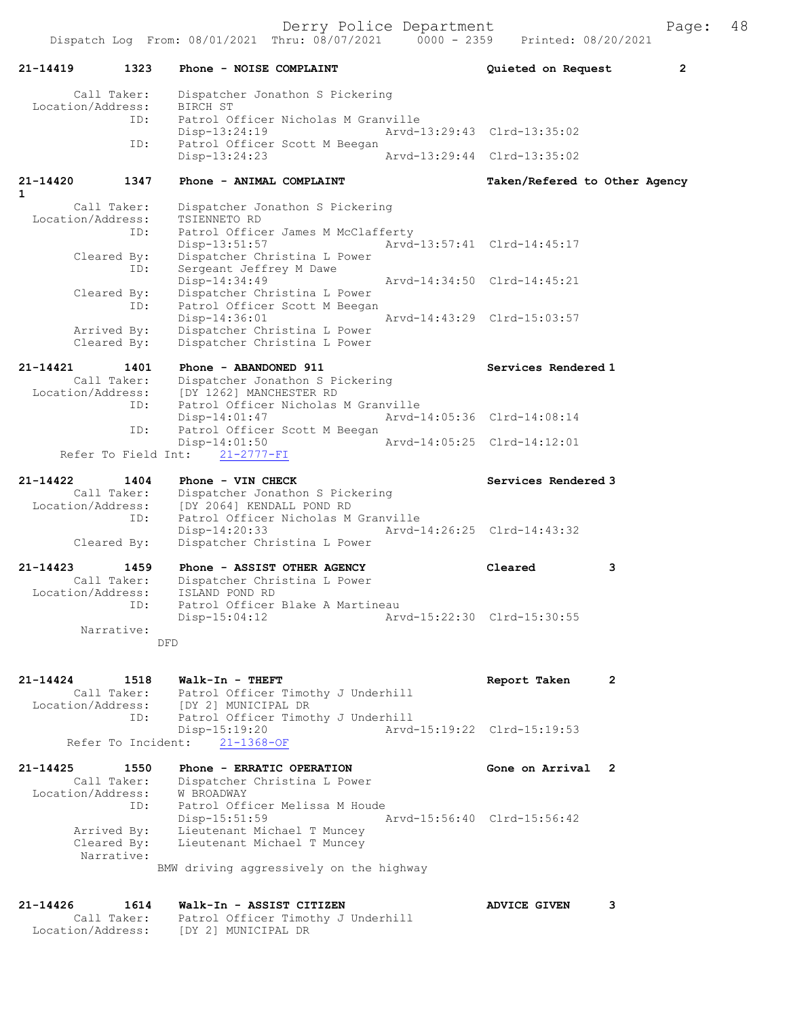Derry Police Department The Page: 48

21-14419 1323 Phone - NOISE COMPLAINT Quieted on Request 2 Call Taker: Dispatcher Jonathon S Pickering Location/Address: BIRCH ST ID: Patrol Officer Nicholas M Granville Disp-13:24:19  $\frac{13 \cdot 24 \cdot 19}{25 \cdot 24 \cdot 19}$   $\frac{13 \cdot 24 \cdot 19}{25 \cdot 24 \cdot 13 \cdot 29 \cdot 43}$  Clrd-13:35:02 Patrol Officer Scott M Beegan<br>Disp-13:24:23 Disp-13:24:23 Arvd-13:29:44 Clrd-13:35:02 21-14420 1347 Phone - ANIMAL COMPLAINT Taken/Refered to Other Agency Call Taker: Dispatcher Jonathon S Pickering Location/Address: TSIENNETO RD ID: Patrol Officer James M McClafferty Disp-13:51:57 Arvd-13:57:41 Clrd-14:45:17 Cleared By: Dispatcher Christina L Power ID: Sergeant Jeffrey M Dawe Disp-14:34:49 Arvd-14:34:50 Clrd-14:45:21 Cleared By: Dispatcher Christina L Power ID: Patrol Officer Scott M Beegan Disp-14:36:01 Arvd-14:43:29 Clrd-15:03:57 Arrived By: Dispatcher Christina L Power Cleared By: Dispatcher Christina L Power 21-14421 1401 Phone - ABANDONED 911 1402 Services Rendered 1 Call Taker: Dispatcher Jonathon S Pickering Location/Address: [DY 1262] MANCHESTER RD ID: Patrol Officer Nicholas M Granville Disp-14:01:47 Arvd-14:05:36 Clrd-14:08:14 ID: Patrol Officer Scott M Beegan<br>Disp-14:01:50 Arvd-14:05:25 Clrd-14:12:01 Refer To Field Int: 21-2777-FI 21-14422 1404 Phone - VIN CHECK Services Rendered 3 Call Taker: Dispatcher Jonathon S Pickering Location/Address: [DY 2064] KENDALL POND RD ID: Patrol Officer Nicholas M Granville<br>Disp-14:20:33 Arvd-1 Disp-14:20:33 Arvd-14:26:25 Clrd-14:43:32 Cleared By: Dispatcher Christina L Power 21-14423 1459 Phone - ASSIST OTHER AGENCY Cleared 3 Call Taker: Dispatcher Christina L Power Location/Address: ISLAND POND RD ID: Patrol Officer Blake A Martineau Disp-15:04:12 Arvd-15:22:30 Clrd-15:30:55 Narrative: DFD 21-14424 1518 Walk-In - THEFT Report Taken 2 Call Taker: Patrol Officer Timothy J Underhill Location/Address: [DY 2] MUNICIPAL DR ID: Patrol Officer Timothy J Underhill Disp-15:19:20 Arvd-15:19:22 Clrd-15:19:53 Refer To Incident: 21-1368-OF 21-14425 1550 Phone - ERRATIC OPERATION Gone on Arrival 2 Call Taker: Dispatcher Christina L Power Location/Address: W BROADWAY ID: Patrol Officer Melissa M Houde Disp-15:51:59 Arvd-15:56:40 Clrd-15:56:42 Arrived By: Lieutenant Michael T Muncey Cleared By: Lieutenant Michael T Muncey Narrative: BMW driving aggressively on the highway

1

21-14426 1614 Walk-In - ASSIST CITIZEN ADVICE GIVEN 3 Call Taker: Patrol Officer Timothy J Underhill Location/Address: [DY 2] MUNICIPAL DR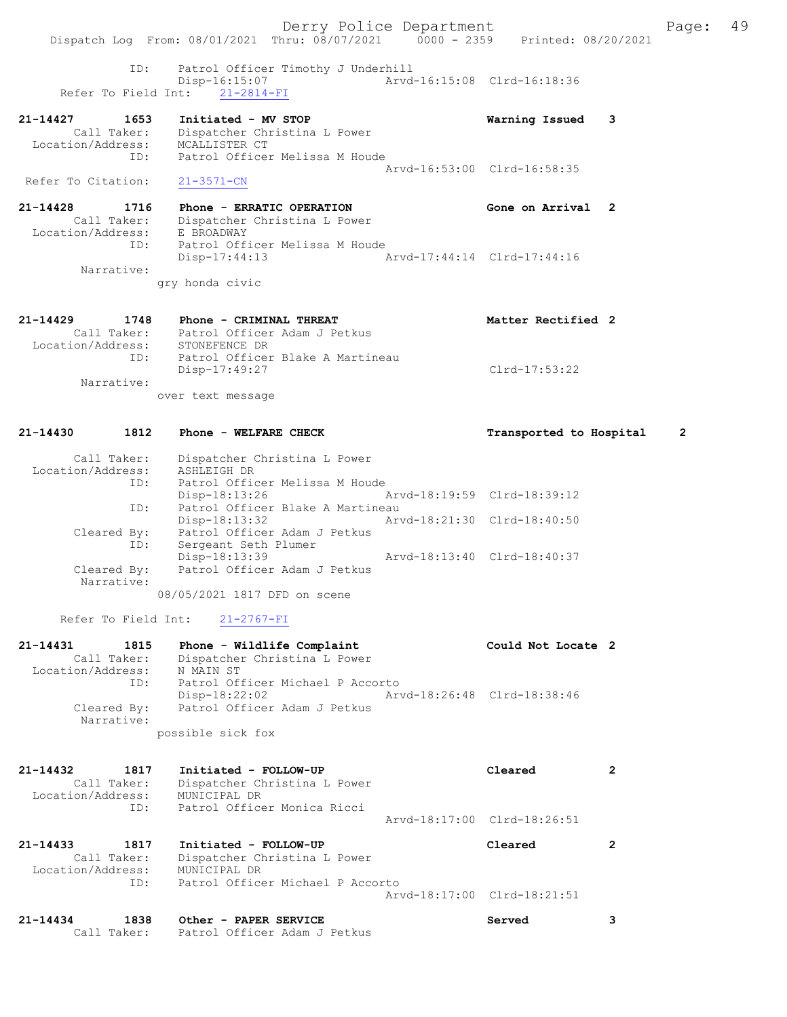Derry Police Department Fage: 49 Dispatch Log From: 08/01/2021 Thru: 08/07/2021 0000 - 2359 Printed: 08/20/2021 ID: Patrol Officer Timothy J Underhill Disp-16:15:07 Arvd-16:15:08 Clrd-16:18:36 Refer To Field Int: 21-2814-FI 21-14427 1653 Initiated - MV STOP Warning Issued 3 Call Taker: Dispatcher Christina L Power Location/Address: MCALLISTER CT ID: Patrol Officer Melissa M Houde Arvd-16:53:00 Clrd-16:58:35 Refer To Citation: 21-3571-CN 21-14428 1716 Phone - ERRATIC OPERATION Gone on Arrival 2 Call Taker: Dispatcher Christina L Power Location/Address: E BROADWAY ID: Patrol Officer Melissa M Houde Disp-17:44:13 Arvd-17:44:14 Clrd-17:44:16 Narrative: gry honda civic 21-14429 1748 Phone - CRIMINAL THREAT Nether Rectified 2 Call Taker: Patrol Officer Adam J Petkus Location/Address: STONEFENCE DR ID: Patrol Officer Blake A Martineau Disp-17:49:27 Clrd-17:53:22 Narrative: over text message 21-14430 1812 Phone - WELFARE CHECK Transported to Hospital 2 Call Taker: Dispatcher Christina L Power Location/Address: ASHLEIGH DR ID: Patrol Officer Melissa M Houde Disp-18:13:26 Arvd-18:19:59 Clrd-18:39:12 ID: Patrol Officer Blake A Martineau Disp-18:13:32 Arvd-18:21:30 Clrd-18:40:50 Cleared By: Patrol Officer Adam J Petkus ID: Sergeant Seth Plumer Disp-18:13:39 Arvd-18:13:40 Clrd-18:40:37 Cleared By: Patrol Officer Adam J Petkus Narrative:

08/05/2021 1817 DFD on scene

Refer To Field Int: 21-2767-FI

| 21-14431          | 1815        | Phone - Wildlife Complaint       |                             | Could Not Locate 2 |  |
|-------------------|-------------|----------------------------------|-----------------------------|--------------------|--|
|                   | Call Taker: | Dispatcher Christina L Power     |                             |                    |  |
| Location/Address: |             | N MAIN ST                        |                             |                    |  |
|                   | ID:         | Patrol Officer Michael P Accorto |                             |                    |  |
|                   |             | Disp-18:22:02                    | Arvd-18:26:48 Clrd-18:38:46 |                    |  |
|                   | Cleared By: | Patrol Officer Adam J Petkus     |                             |                    |  |
|                   | Narrative:  |                                  |                             |                    |  |
|                   |             | possible sick fox                |                             |                    |  |

| Initiated - FOLLOW-UP<br>Dispatcher Christina L Power<br>MUNICIPAL DR<br>Patrol Officer Monica Ricci | Cleared                          | 2                                                          |
|------------------------------------------------------------------------------------------------------|----------------------------------|------------------------------------------------------------|
|                                                                                                      |                                  |                                                            |
| Initiated - FOLLOW-UP<br>Dispatcher Christina L Power<br>MUNICIPAL DR                                | Cleared                          |                                                            |
|                                                                                                      | Patrol Officer Michael P Accorto | Arvd-18:17:00 Clrd-18:26:51<br>Arvd-18:17:00 Clrd-18:21:51 |

| 21-14434 | 1838        | Other - PAPER SERVICE        | Served |  |
|----------|-------------|------------------------------|--------|--|
|          | Call Taker: | Patrol Officer Adam J Petkus |        |  |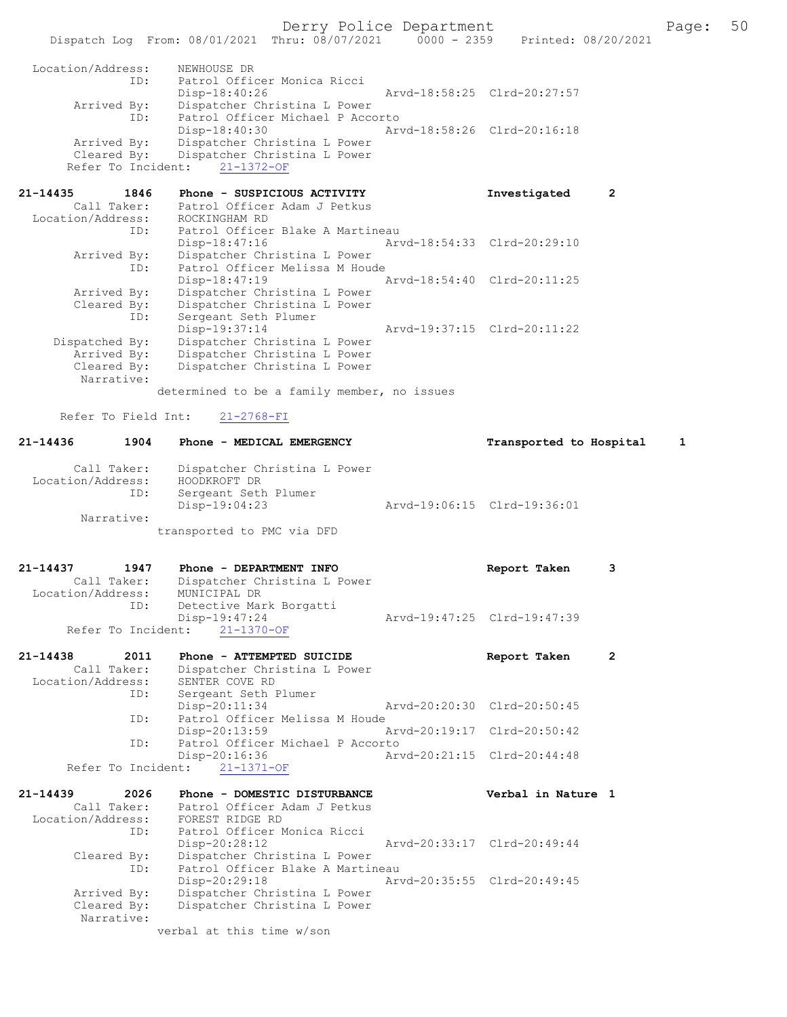Derry Police Department Fage: 50

 Arrived By: Dispatcher Christina L Power ID: Patrol Officer Michael P Accorto Disp-18:40:30 Arvd-18:58:26 Clrd-20:16:18 Arrived By: Dispatcher Christina L Power Cleared By: Dispatcher Christina L Power Refer To Incident: 21-1372-OF

| $21 - 14435$      | 1846           | Phone - SUSPICIOUS ACTIVITY      | Investigated                | 2 |
|-------------------|----------------|----------------------------------|-----------------------------|---|
|                   | Call Taker:    | Patrol Officer Adam J Petkus     |                             |   |
| Location/Address: |                | ROCKINGHAM RD                    |                             |   |
|                   | ID:            | Patrol Officer Blake A Martineau |                             |   |
|                   |                | Disp-18:47:16                    | Arvd-18:54:33 Clrd-20:29:10 |   |
|                   | Arrived By:    | Dispatcher Christina L Power     |                             |   |
|                   | ID:            | Patrol Officer Melissa M Houde   |                             |   |
|                   |                | Disp-18:47:19                    | Arvd-18:54:40 Clrd-20:11:25 |   |
|                   | Arrived By:    | Dispatcher Christina L Power     |                             |   |
|                   | Cleared By:    | Dispatcher Christina L Power     |                             |   |
|                   | ID:            | Sergeant Seth Plumer             |                             |   |
|                   |                | Disp-19:37:14                    | Arvd-19:37:15 Clrd-20:11:22 |   |
|                   | Dispatched By: | Dispatcher Christina L Power     |                             |   |
|                   | Arrived By:    | Dispatcher Christina L Power     |                             |   |
|                   | Cleared By:    | Dispatcher Christina L Power     |                             |   |
|                   | Narrative:     |                                  |                             |   |
|                   |                |                                  |                             |   |

determined to be a family member, no issues

Refer To Field Int: 21-2768-FI

## 21-14436 1904 Phone - MEDICAL EMERGENCY Transported to Hospital 1 Call Taker: Dispatcher Christina L Power Location/Address: HOODKROFT DR ID: Sergeant Seth Plumer Disp-19:04:23 Arvd-19:06:15 Clrd-19:36:01 Narrative:

transported to PMC via DFD

21-14437 1947 Phone - DEPARTMENT INFO Report Taken 3 Call Taker: Dispatcher Christina L Power Location/Address: MUNICIPAL DR ID: Detective Mark Borgatti<br>Disp-19:47:24 Disp-19:47:24 Arvd-19:47:25 Clrd-19:47:39 Refer To Incident: 21-1370-OF

| 21-14438          | 2011        | Phone - ATTEMPTED SUICIDE        | Report Taken                |  |
|-------------------|-------------|----------------------------------|-----------------------------|--|
|                   | Call Taker: | Dispatcher Christina L Power     |                             |  |
| Location/Address: |             | SENTER COVE RD                   |                             |  |
|                   | ID:         | Sergeant Seth Plumer             |                             |  |
|                   |             | $Disp-20:11:34$                  | Arvd-20:20:30 Clrd-20:50:45 |  |
|                   | ID:         | Patrol Officer Melissa M Houde   |                             |  |
|                   |             | Disp-20:13:59                    | Arvd-20:19:17 Clrd-20:50:42 |  |
|                   | ID:         | Patrol Officer Michael P Accorto |                             |  |
|                   |             | Disp-20:16:36                    | Arvd-20:21:15 Clrd-20:44:48 |  |
|                   |             | Refer To Incident: 21-1371-OF    |                             |  |

| 21-14439          | 2026        | Phone - DOMESTIC DISTURBANCE     | Verbal in Nature 1          |
|-------------------|-------------|----------------------------------|-----------------------------|
|                   | Call Taker: | Patrol Officer Adam J Petkus     |                             |
| Location/Address: |             | FOREST RIDGE RD                  |                             |
|                   | ID:         | Patrol Officer Monica Ricci      |                             |
|                   |             | $Disp-20:28:12$                  | Arvd-20:33:17 Clrd-20:49:44 |
|                   | Cleared By: | Dispatcher Christina L Power     |                             |
|                   | ID:         | Patrol Officer Blake A Martineau |                             |
|                   |             | $Disp-20:29:18$                  | Arvd-20:35:55 Clrd-20:49:45 |
|                   | Arrived By: | Dispatcher Christina L Power     |                             |
|                   | Cleared By: | Dispatcher Christina L Power     |                             |
|                   | Narrative:  |                                  |                             |
|                   |             | verbal at this time w/son        |                             |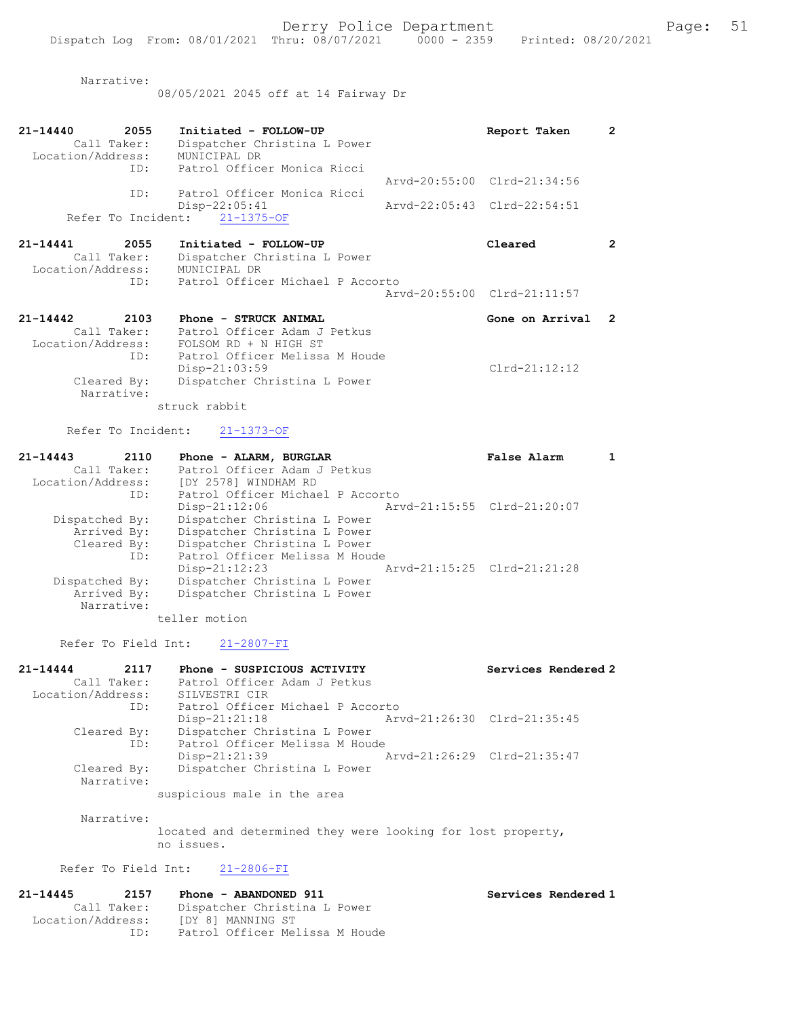Narrative:

08/05/2021 2045 off at 14 Fairway Dr

| 2055<br>21-14440<br>Call Taker:<br>Location/Address:<br>ID: | Initiated - FOLLOW-UP<br>Dispatcher Christina L Power<br>MUNICIPAL DR<br>Patrol Officer Monica Ricci                               | Report Taken                | 2              |
|-------------------------------------------------------------|------------------------------------------------------------------------------------------------------------------------------------|-----------------------------|----------------|
|                                                             |                                                                                                                                    | Arvd-20:55:00 Clrd-21:34:56 |                |
| ID:                                                         | Patrol Officer Monica Ricci<br>Disp-22:05:41                                                                                       | Arvd-22:05:43 Clrd-22:54:51 |                |
| Refer To Incident:                                          | $21 - 1375 - OF$                                                                                                                   |                             |                |
| 21-14441<br>2055                                            | Initiated - FOLLOW-UP                                                                                                              | Cleared                     | 2              |
| Call Taker:<br>Location/Address:<br>ID:                     | Dispatcher Christina L Power<br>MUNICIPAL DR<br>Patrol Officer Michael P Accorto                                                   |                             |                |
|                                                             |                                                                                                                                    | Arvd-20:55:00 Clrd-21:11:57 |                |
| $21 - 14442$<br>2103<br>Call Taker:<br>ID:                  | Phone - STRUCK ANIMAL<br>Patrol Officer Adam J Petkus<br>Location/Address: FOLSOM RD + N HIGH ST<br>Patrol Officer Melissa M Houde | Gone on Arrival             | $\overline{2}$ |
|                                                             | Disp-21:03:59                                                                                                                      | $Clrd-21:12:12$             |                |
| Cleared By:<br>Narrative:                                   | Dispatcher Christina L Power                                                                                                       |                             |                |

struck rabbit

Refer To Incident: 21-1373-OF

| 21-14443          | 2110                      | Phone - ALARM, BURGLAR           |                             | False Alarm |  |
|-------------------|---------------------------|----------------------------------|-----------------------------|-------------|--|
|                   | Call Taker:               | Patrol Officer Adam J Petkus     |                             |             |  |
| Location/Address: |                           | [DY 2578] WINDHAM RD             |                             |             |  |
|                   | ID:                       | Patrol Officer Michael P Accorto |                             |             |  |
|                   |                           | $Disp-21:12:06$                  | Arvd-21:15:55 Clrd-21:20:07 |             |  |
| Dispatched By:    |                           | Dispatcher Christina L Power     |                             |             |  |
|                   | Arrived By:               | Dispatcher Christina L Power     |                             |             |  |
|                   | Cleared By:               | Dispatcher Christina L Power     |                             |             |  |
|                   | ID:                       | Patrol Officer Melissa M Houde   |                             |             |  |
|                   |                           | $Disp-21:12:23$                  | Arvd-21:15:25 Clrd-21:21:28 |             |  |
| Dispatched By:    |                           | Dispatcher Christina L Power     |                             |             |  |
|                   | Arrived By:<br>Narrative: | Dispatcher Christina L Power     |                             |             |  |
|                   |                           |                                  |                             |             |  |

teller motion

Refer To Field Int: 21-2807-FI

| 21-14444          | 2117                      | Phone - SUSPICIOUS ACTIVITY                                                                                     |                             | Services Rendered 2 |
|-------------------|---------------------------|-----------------------------------------------------------------------------------------------------------------|-----------------------------|---------------------|
|                   | Call Taker:               | Patrol Officer Adam J Petkus                                                                                    |                             |                     |
| Location/Address: |                           | SILVESTRI CIR                                                                                                   |                             |                     |
|                   | ID:                       | Patrol Officer Michael P Accorto                                                                                |                             |                     |
|                   |                           | $Disp-21:21:18$                                                                                                 | Arvd-21:26:30 Clrd-21:35:45 |                     |
|                   | Cleared By:               | Dispatcher Christina L Power                                                                                    |                             |                     |
|                   | ID:                       | Patrol Officer Melissa M Houde                                                                                  |                             |                     |
|                   |                           | $Disp-21:21:39$                                                                                                 | Arvd-21:26:29 Clrd-21:35:47 |                     |
|                   | Cleared By:<br>Narrative: | Dispatcher Christina L Power                                                                                    |                             |                     |
|                   |                           | the contract of the contract of the contract of the contract of the contract of the contract of the contract of |                             |                     |

suspicious male in the area

Narrative:

located and determined they were looking for lost property, no issues.

### Refer To Field Int: 21-2806-FI

| Phone - ABANDONED 911          | Services Rendered 1 |
|--------------------------------|---------------------|
| Dispatcher Christina L Power   |                     |
| [DY 8] MANNING ST              |                     |
| Patrol Officer Melissa M Houde |                     |
|                                |                     |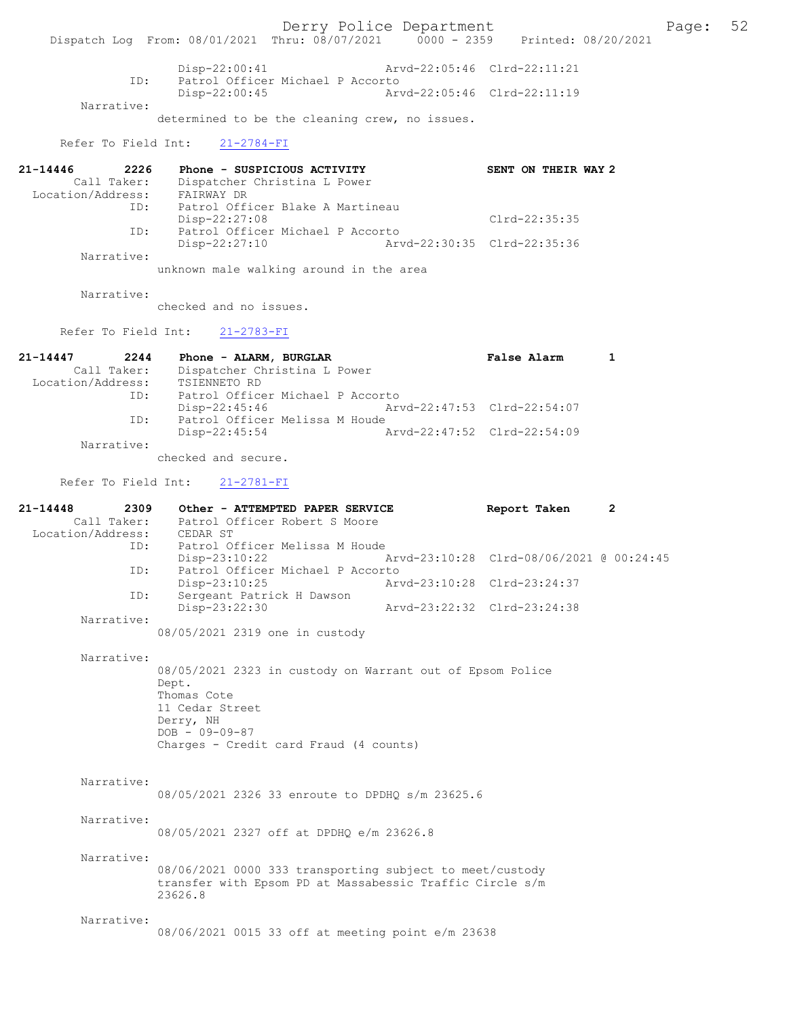Derry Police Department<br>
Page: 52 Printed: 08/20/2021 0000 - 2359 Printed: 08/20/2021 Dispatch Log From: 08/01/2021 Thru: 08/07/2021 0000 - 2359 Disp-22:00:41 Arvd-22:05:46 Clrd-22:11:21 ID: Patrol Officer Michael P Accorto<br>Disp-22:00:45 Arv Disp-22:00:45 Arvd-22:05:46 Clrd-22:11:19 Narrative: determined to be the cleaning crew, no issues. Refer To Field Int: 21-2784-FI 21-14446 2226 Phone - SUSPICIOUS ACTIVITY SENT ON THEIR WAY 2 Call Taker: Dispatcher Christina L Power Location/Address: FAIRWAY DR ID: Patrol Officer Blake A Martineau Disp-22:27:08 Clrd-22:35:35<br>ID: Patrol Officer Michael P Accorto Patrol Officer Michael P Accorto<br>Disp-22:27:10 Arv Disp-22:27:10 Arvd-22:30:35 Clrd-22:35:36 Narrative: unknown male walking around in the area Narrative: checked and no issues. Refer To Field Int: 21-2783-FI 21-14447 2244 Phone - ALARM, BURGLAR False Alarm 1 Call Taker: Dispatcher Christina L Power Location/Address: TSIENNETO RD ID: Patrol Officer Michael P Accorto Disp-22:45:46 Arvd-22:47:53 Clrd-22:54:07 ID: Patrol Officer Melissa M Houde<br>Disp-22:45:54 Disp-22:45:54 Arvd-22:47:52 Clrd-22:54:09 Narrative: checked and secure. Refer To Field Int: 21-2781-FI 21-14448 2309 Other - ATTEMPTED PAPER SERVICE Report Taken 2 Call Taker: Patrol Officer Robert S Moore Location/Address: CEDAR ST ID: Patrol Officer Melissa M Houde<br>Disp-23:10:22 / Disp-23:10:22 Arvd-23:10:28 Clrd-08/06/2021 @ 00:24:45 ID: Patrol Officer Michael P Accorto Disp-23:10:25 Arvd-23:10:28 Clrd-23:24:37 ID: Sergeant Patrick H Dawson Disp-23:22:30 Arvd-23:22:32 Clrd-23:24:38 Narrative: 08/05/2021 2319 one in custody Narrative: 08/05/2021 2323 in custody on Warrant out of Epsom Police Dept. Thomas Cote 11 Cedar Street Derry, NH  $DOB - 09-09-87$ Charges - Credit card Fraud (4 counts) Narrative: 08/05/2021 2326 33 enroute to DPDHQ s/m 23625.6 Narrative: 08/05/2021 2327 off at DPDHQ e/m 23626.8 Narrative: 08/06/2021 0000 333 transporting subject to meet/custody transfer with Epsom PD at Massabessic Traffic Circle s/m 23626.8 Narrative: 08/06/2021 0015 33 off at meeting point e/m 23638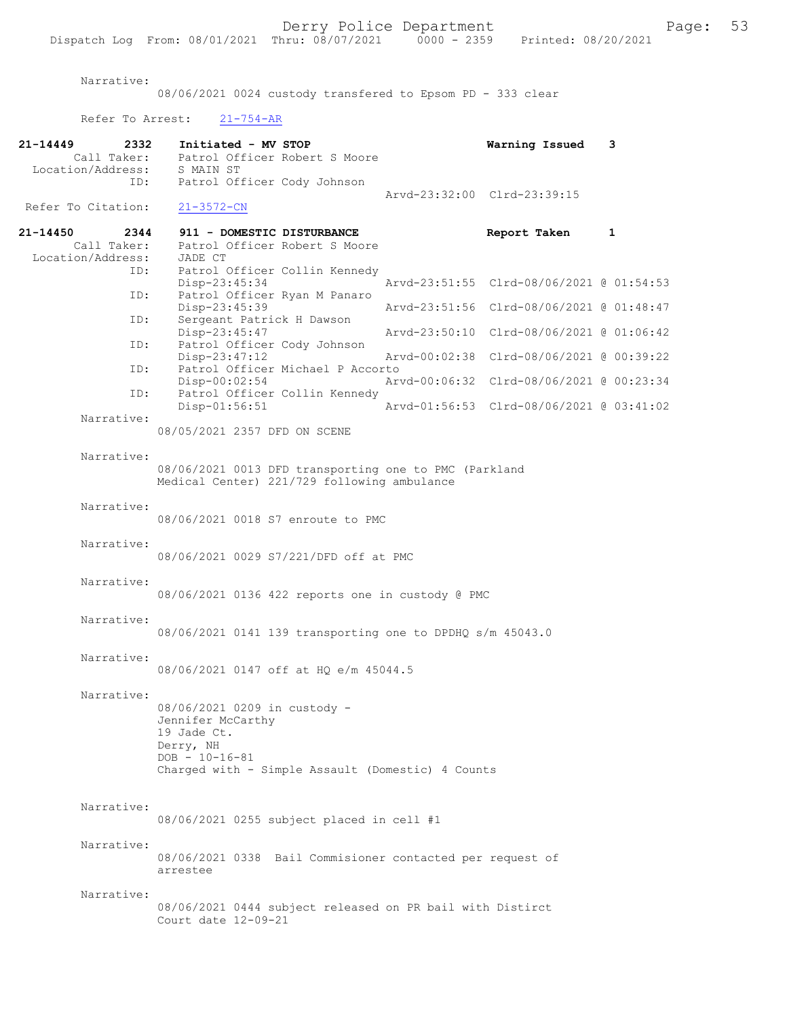Narrative:

08/06/2021 0024 custody transfered to Epsom PD - 333 clear

Refer To Arrest: 21-754-AR

| 21-14449<br>2332<br>Call Taker:<br>Location/Address:<br>ID: | Initiated - MV STOP<br>Patrol Officer Robert S Moore<br>S MAIN ST<br>Patrol Officer Cody Johnson                                                           | Warning Issued                           | 3 |
|-------------------------------------------------------------|------------------------------------------------------------------------------------------------------------------------------------------------------------|------------------------------------------|---|
| Refer To Citation:                                          | $21 - 3572 - CN$                                                                                                                                           | Arvd-23:32:00 Clrd-23:39:15              |   |
| 21-14450<br>2344                                            | 911 - DOMESTIC DISTURBANCE                                                                                                                                 | Report Taken                             | 1 |
| Call Taker:<br>Location/Address:<br>ID:                     | Patrol Officer Robert S Moore<br>JADE CT<br>Patrol Officer Collin Kennedy                                                                                  |                                          |   |
| ID:                                                         | $Disp-23:45:34$<br>Patrol Officer Ryan M Panaro                                                                                                            | Arvd-23:51:55 Clrd-08/06/2021 @ 01:54:53 |   |
| ID:                                                         | Disp-23:45:39<br>Sergeant Patrick H Dawson                                                                                                                 | Arvd-23:51:56 Clrd-08/06/2021 @ 01:48:47 |   |
| ID:                                                         | Disp-23:45:47<br>Patrol Officer Cody Johnson                                                                                                               | Arvd-23:50:10 Clrd-08/06/2021 @ 01:06:42 |   |
| ID:                                                         | Disp-23:47:12<br>Patrol Officer Michael P Accorto                                                                                                          | Arvd-00:02:38 Clrd-08/06/2021 @ 00:39:22 |   |
| ID:                                                         | Disp-00:02:54<br>Patrol Officer Collin Kennedy                                                                                                             | Arvd-00:06:32 Clrd-08/06/2021 @ 00:23:34 |   |
| Narrative:                                                  | Disp-01:56:51                                                                                                                                              | Arvd-01:56:53 Clrd-08/06/2021 @ 03:41:02 |   |
|                                                             | 08/05/2021 2357 DFD ON SCENE                                                                                                                               |                                          |   |
| Narrative:                                                  | 08/06/2021 0013 DFD transporting one to PMC (Parkland<br>Medical Center) 221/729 following ambulance                                                       |                                          |   |
| Narrative:                                                  | 08/06/2021 0018 S7 enroute to PMC                                                                                                                          |                                          |   |
| Narrative:                                                  | 08/06/2021 0029 S7/221/DFD off at PMC                                                                                                                      |                                          |   |
| Narrative:                                                  | 08/06/2021 0136 422 reports one in custody @ PMC                                                                                                           |                                          |   |
| Narrative:                                                  | 08/06/2021 0141 139 transporting one to DPDHQ s/m 45043.0                                                                                                  |                                          |   |
| Narrative:                                                  | 08/06/2021 0147 off at HQ e/m 45044.5                                                                                                                      |                                          |   |
| Narrative:                                                  | 08/06/2021 0209 in custody -<br>Jennifer McCarthy<br>19 Jade Ct.<br>Derry, NH<br>$DOB - 10 - 16 - 81$<br>Charged with - Simple Assault (Domestic) 4 Counts |                                          |   |
| Narrative:                                                  | 08/06/2021 0255 subject placed in cell #1                                                                                                                  |                                          |   |
| Narrative:                                                  | 08/06/2021 0338 Bail Commisioner contacted per request of<br>arrestee                                                                                      |                                          |   |
| Narrative:                                                  | 08/06/2021 0444 subject released on PR bail with Distirct<br>Court date 12-09-21                                                                           |                                          |   |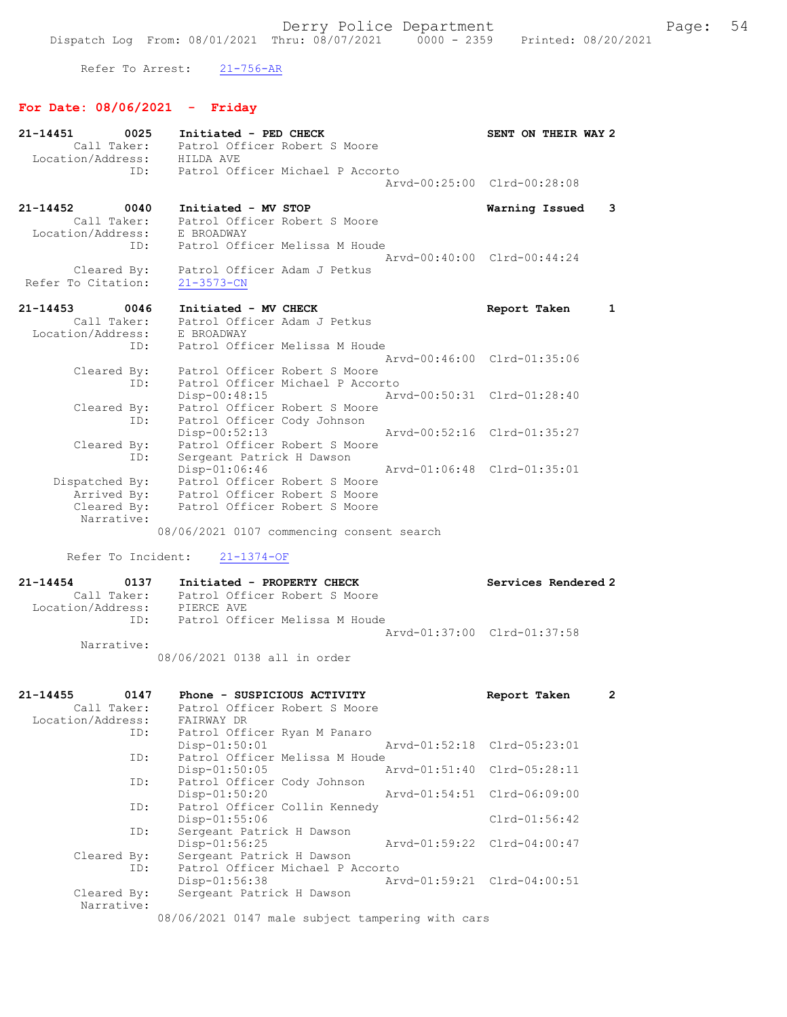Refer To Arrest: 21-756-AR

# For Date: 08/06/2021 - Friday

| $21 - 14451$<br>0025        | Initiated - PED CHECK                          | SENT ON THEIR WAY 2         |  |
|-----------------------------|------------------------------------------------|-----------------------------|--|
| Call Taker:                 | Patrol Officer Robert S Moore                  |                             |  |
| Location/Address: HILDA AVE |                                                |                             |  |
| ID:                         | Patrol Officer Michael P Accorto               |                             |  |
|                             |                                                | Arvd-00:25:00 Clrd-00:28:08 |  |
| $21 - 14452$<br>0040        | Initiated - MV STOP                            | Warning Issued<br>3         |  |
| Call Taker:                 | Patrol Officer Robert S Moore                  |                             |  |
| Location/Address:           | E BROADWAY                                     |                             |  |
| ID:                         | Patrol Officer Melissa M Houde                 |                             |  |
|                             |                                                | Arvd-00:40:00 Clrd-00:44:24 |  |
| Cleared By:                 | Patrol Officer Adam J Petkus                   |                             |  |
| Refer To Citation:          | $21 - 3573 - CN$                               |                             |  |
|                             |                                                |                             |  |
| 21-14453 0046               | Initiated - MV CHECK                           | Report Taken<br>1           |  |
| Call Taker:                 | Patrol Officer Adam J Petkus                   |                             |  |
| Location/Address:           | E BROADWAY                                     |                             |  |
| ID:                         | Patrol Officer Melissa M Houde                 |                             |  |
|                             |                                                | Arvd-00:46:00 Clrd-01:35:06 |  |
| Cleared By:                 | Patrol Officer Robert S Moore                  |                             |  |
| ID:                         | Patrol Officer Michael P Accorto               |                             |  |
|                             | Arvd-00:50:31 Clrd-01:28:40<br>Disp-00:48:15   |                             |  |
| Cleared By:                 | Patrol Officer Robert S Moore                  |                             |  |
| ID:                         | Patrol Officer Cody Johnson                    |                             |  |
|                             | $Disp-00:52:13$<br>Arvd-00:52:16 Clrd-01:35:27 |                             |  |
| Cleared By:                 | Patrol Officer Robert S Moore                  |                             |  |
| ID:                         | Sergeant Patrick H Dawson                      |                             |  |
|                             | Arvd-01:06:48 Clrd-01:35:01<br>Disp-01:06:46   |                             |  |
| Dispatched By:              | Patrol Officer Robert S Moore                  |                             |  |
| Arrived By:                 | Patrol Officer Robert S Moore                  |                             |  |
| Cleared By:                 | Patrol Officer Robert S Moore                  |                             |  |
| Narrative:                  |                                                |                             |  |
|                             | 08/06/2021 0107 commencing consent search      |                             |  |
|                             |                                                |                             |  |

Refer To Incident: 21-1374-OF

| 21-14454          | 0137        | Initiated - PROPERTY CHECK     | Services Rendered 2         |
|-------------------|-------------|--------------------------------|-----------------------------|
|                   | Call Taker: | Patrol Officer Robert S Moore  |                             |
| Location/Address: |             | PIERCE AVE                     |                             |
|                   | TD:         | Patrol Officer Melissa M Houde |                             |
|                   |             |                                | Aryd-01:37:00 Clrd-01:37:58 |
|                   | Narrative:  |                                |                             |

08/06/2021 0138 all in order

| $21 - 14455$ | 0147        | Phone - SUSPICIOUS ACTIVITY                      |                             | Report Taken                | $\overline{2}$ |
|--------------|-------------|--------------------------------------------------|-----------------------------|-----------------------------|----------------|
|              | Call Taker: | Patrol Officer Robert S Moore                    |                             |                             |                |
|              |             | Location/Address: FAIRWAY DR                     |                             |                             |                |
|              | ID:         | Patrol Officer Ryan M Panaro                     |                             |                             |                |
|              |             | Disp-01:50:01                                    | Arvd-01:52:18 Clrd-05:23:01 |                             |                |
|              | ID:         | Patrol Officer Melissa M Houde                   |                             |                             |                |
|              |             | $Disp-01:50:05$                                  |                             | Arvd-01:51:40 Clrd-05:28:11 |                |
|              | ID:         | Patrol Officer Cody Johnson                      |                             |                             |                |
|              |             | $Disp-01:50:20$                                  |                             | Arvd-01:54:51 Clrd-06:09:00 |                |
|              | ID:         | Patrol Officer Collin Kennedy                    |                             |                             |                |
|              |             | $Disp-01:55:06$                                  |                             | $Clrd-01:56:42$             |                |
|              | ID:         | Sergeant Patrick H Dawson                        |                             |                             |                |
|              |             | Disp-01:56:25                                    |                             | Arvd-01:59:22 Clrd-04:00:47 |                |
|              | Cleared By: | Sergeant Patrick H Dawson                        |                             |                             |                |
|              | ID:         | Patrol Officer Michael P Accorto                 |                             |                             |                |
|              |             | Disp-01:56:38                                    | Arvd-01:59:21 Clrd-04:00:51 |                             |                |
|              | Cleared By: | Sergeant Patrick H Dawson                        |                             |                             |                |
|              | Narrative:  |                                                  |                             |                             |                |
|              |             | 08/06/2021 0147 male subject tampering with cars |                             |                             |                |
|              |             |                                                  |                             |                             |                |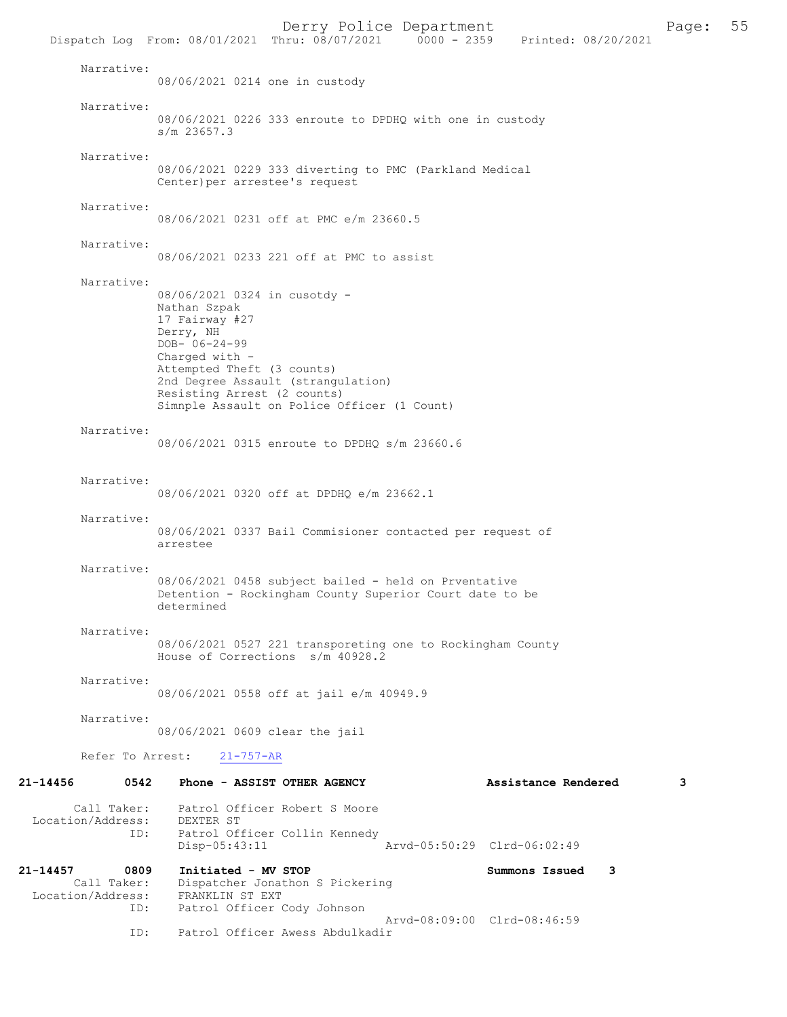Derry Police Department<br>
Page: 55 Printed: 08/20/2021 0000 - 2359 Printed: 08/20/2021 Dispatch Log From: 08/01/2021 Thru: 08/07/2021 Narrative: 08/06/2021 0214 one in custody Narrative: 08/06/2021 0226 333 enroute to DPDHQ with one in custody s/m 23657.3 Narrative: 08/06/2021 0229 333 diverting to PMC (Parkland Medical Center)per arrestee's request Narrative: 08/06/2021 0231 off at PMC e/m 23660.5 Narrative: 08/06/2021 0233 221 off at PMC to assist Narrative: 08/06/2021 0324 in cusotdy - Nathan Szpak 17 Fairway #27 Derry, NH DOB- 06-24-99 Charged with - Attempted Theft (3 counts) 2nd Degree Assault (strangulation) Resisting Arrest (2 counts) Simnple Assault on Police Officer (1 Count) Narrative: 08/06/2021 0315 enroute to DPDHQ s/m 23660.6 Narrative: 08/06/2021 0320 off at DPDHQ e/m 23662.1 Narrative: 08/06/2021 0337 Bail Commisioner contacted per request of arrestee Narrative: 08/06/2021 0458 subject bailed - held on Prventative Detention - Rockingham County Superior Court date to be determined Narrative: 08/06/2021 0527 221 transporeting one to Rockingham County House of Corrections s/m 40928.2 Narrative: 08/06/2021 0558 off at jail e/m 40949.9 Narrative: 08/06/2021 0609 clear the jail Refer To Arrest: 21-757-AR 21-14456 0542 Phone - ASSIST OTHER AGENCY Assistance Rendered 3 Call Taker: Patrol Officer Robert S Moore<br>.on/Address: DEXTER ST Location/Address:<br>ID: Patrol Officer Collin Kennedy Disp-05:43:11 Arvd-05:50:29 Clrd-06:02:49 21-14457 0809 Initiated - MV STOP Summons Issued 3 Call Taker: Dispatcher Jonathon S Pickering<br>ion/Address: FRANKLIN ST EXT Location/Address: ID: Patrol Officer Cody Johnson Arvd-08:09:00 Clrd-08:46:59<br>TD: Patrol Officer Awess Abdulkadir Patrol Officer Awess Abdulkadir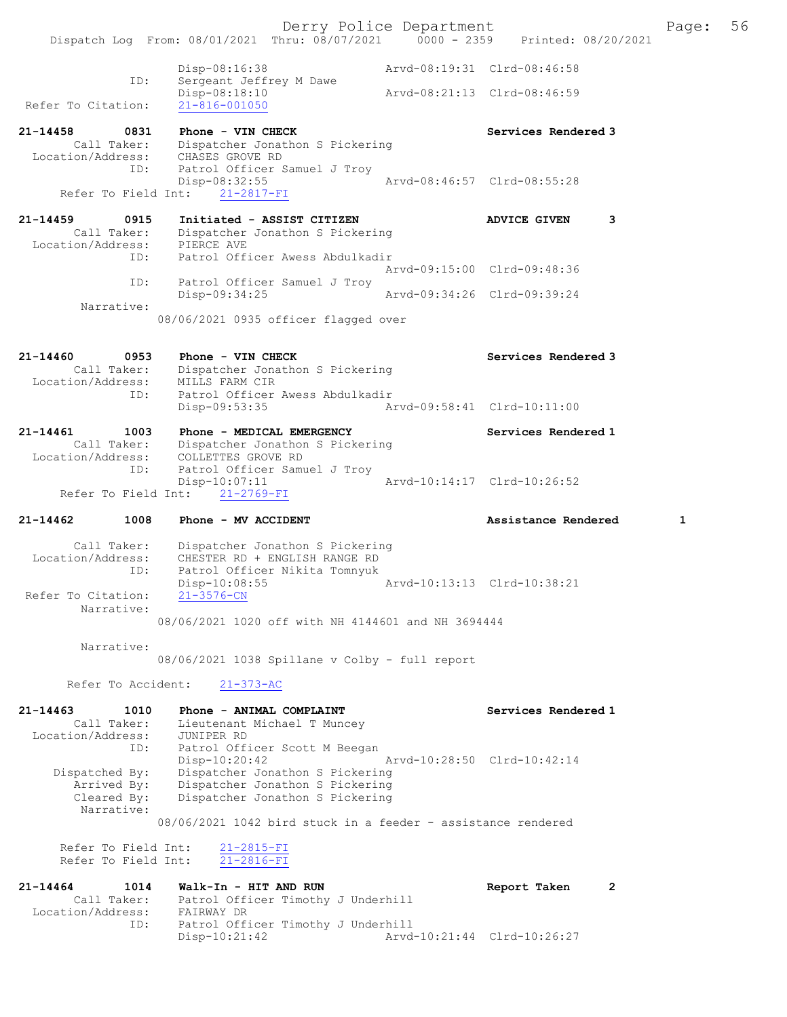Derry Police Department The Page: 56 Dispatch Log From: 08/01/2021 Thru: 08/07/2021 0000 - 2359 Printed: 08/20/2021 Disp-08:16:38 Arvd-08:19:31 Clrd-08:46:58 ID: Sergeant Jeffrey M Dawe Disp-08:18:10 Arvd-08:21:13 Clrd-08:46:59 Refer To Citation: 21-816-001050 21-14458 0831 Phone - VIN CHECK Services Rendered 3 Call Taker: Dispatcher Jonathon S Pickering Location/Address: CHASES GROVE RD ID: Patrol Officer Samuel J Troy Disp-08:32:55 Arvd-08:46:57 Clrd-08:55:28 Refer To Field Int: 21-2817-FI 21-14459 0915 Initiated - ASSIST CITIZEN ADVICE GIVEN 3 Call Taker: Dispatcher Jonathon S Pickering Location/Address: PIERCE AVE ID: Patrol Officer Awess Abdulkadir Arvd-09:15:00 Clrd-09:48:36 ID: Patrol Officer Samuel J Troy<br>Disp-09:34:25 Disp-09:34:25 Arvd-09:34:26 Clrd-09:39:24 Narrative: 08/06/2021 0935 officer flagged over 21-14460 0953 Phone - VIN CHECK Services Rendered 3 Call Taker: Dispatcher Jonathon S Pickering Location/Address: MILLS FARM CIR ID: Patrol Officer Awess Abdulkadir Disp-09:53:35 Arvd-09:58:41 Clrd-10:11:00 21-14461 1003 Phone - MEDICAL EMERGENCY Services Rendered 1 Call Taker: Dispatcher Jonathon S Pickering Location/Address: COLLETTES GROVE RD ID: Patrol Officer Samuel J Troy Disp-10:07:11 Arvd-10:14:17 Clrd-10:26:52 Refer To Field Int: 21-2769-FI 21-14462 1008 Phone - MV ACCIDENT 1 21-14462 Assistance Rendered 1 Call Taker: Dispatcher Jonathon S Pickering Location/Address: CHESTER RD + ENGLISH RANGE RD ID: Patrol Officer Nikita Tomnyuk Disp-10:08:55 Arvd-10:13:13 Clrd-10:38:21<br>21-3576-CN Refer To Citation: Narrative: 08/06/2021 1020 off with NH 4144601 and NH 3694444 Narrative: 08/06/2021 1038 Spillane v Colby - full report Refer To Accident: 21-373-AC 21-14463 1010 Phone - ANIMAL COMPLAINT Services Rendered 1 Call Taker: Lieutenant Michael T Muncey Location/Address: JUNIPER RD ID: Patrol Officer Scott M Beegan Disp-10:20:42 Arvd-10:28:50 Clrd-10:42:14 Dispatched By: Dispatcher Jonathon S Pickering Arrived By: Dispatcher Jonathon S Pickering Cleared By: Dispatcher Jonathon S Pickering Narrative: 08/06/2021 1042 bird stuck in a feeder - assistance rendered Refer To Field Int:  $\frac{21-2815-FI}{21-2816-FI}$ Refer To Field Int: 21-14464 1014 Walk-In - HIT AND RUN Report Taken 2 Call Taker: Patrol Officer Timothy J Underhill Location/Address: FAIRWAY DR ID: Patrol Officer Timothy J Underhill

Arvd-10:21:44 Clrd-10:26:27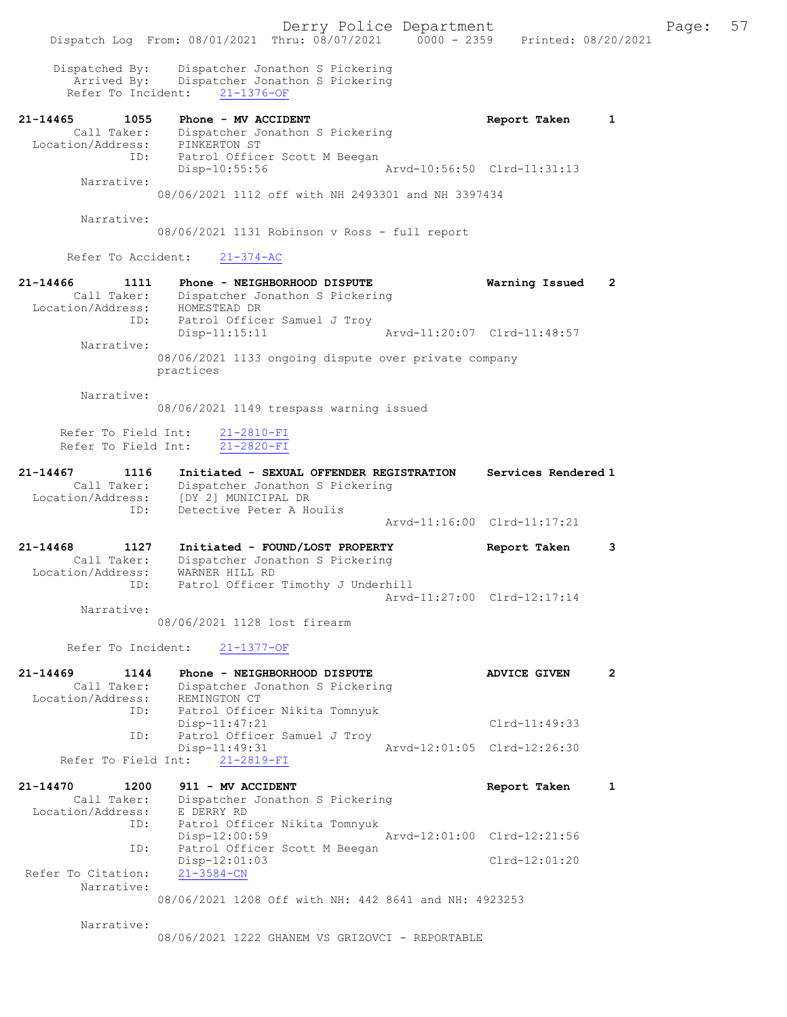Derry Police Department Fage: 57 Dispatch Log From: 08/01/2021 Thru: 08/07/2021 0000 - 2359 Printed: 08/20/2021 Dispatched By: Dispatcher Jonathon S Pickering Arrived By: Dispatcher Jonathon S Pickering Refer To Incident: 21-1376-OF 21-14465 1055 Phone - MV ACCIDENT Report Taken 1 Call Taker: Dispatcher Jonathon S Pickering Location/Address: PINKERTON ST ID: Patrol Officer Scott M Beegan Disp-10:55:56 Arvd-10:56:50 Clrd-11:31:13 Narrative: 08/06/2021 1112 off with NH 2493301 and NH 3397434 Narrative: 08/06/2021 1131 Robinson v Ross - full report Refer To Accident: 21-374-AC 21-14466 1111 Phone - NEIGHBORHOOD DISPUTE Warning Issued 2 Call Taker: Dispatcher Jonathon S Pickering Location/Address: HOMESTEAD DR ID: Patrol Officer Samuel J Troy Disp-11:15:11 Arvd-11:20:07 Clrd-11:48:57 Narrative: 08/06/2021 1133 ongoing dispute over private company practices Narrative: 08/06/2021 1149 trespass warning issued Refer To Field Int:  $\frac{21-2810-FI}{21-2820-FI}$ Refer To Field Int: 21-14467 1116 Initiated - SEXUAL OFFENDER REGISTRATION Services Rendered 1 Call Taker: Dispatcher Jonathon S Pickering Location/Address: [DY 2] MUNICIPAL DR ID: Detective Peter A Houlis Arvd-11:16:00 Clrd-11:17:21 21-14468 1127 Initiated - FOUND/LOST PROPERTY Report Taken 3 Call Taker: Dispatcher Jonathon S Pickering Location/Address: WARNER HILL RD ID: Patrol Officer Timothy J Underhill Arvd-11:27:00 Clrd-12:17:14 Narrative: 08/06/2021 1128 lost firearm Refer To Incident: 21-1377-OF 21-14469 1144 Phone - NEIGHBORHOOD DISPUTE ADVICE GIVEN 2 Call Taker: Dispatcher Jonathon S Pickering Location/Address: REMINGTON CT ID: Patrol Officer Nikita Tomnyuk Disp-11:47:21 Clrd-11:49:33 ID: Patrol Officer Samuel J Troy Disp-11:49:31 Arvd-12:01:05 Clrd-12:26:30 Refer To Field Int: 21-2819-FI 21-14470 1200 911 - MV ACCIDENT Report Taken 1 Call Taker: Dispatcher Jonathon S Pickering Location/Address: E DERRY RD ID: Patrol Officer Nikita Tomnyuk Disp-12:00:59 Arvd-12:01:00 Clrd-12:21:56 ID: Patrol Officer Scott M Beegan Disp-12:01:03 Clrd-12:01:20 Refer To Citation: 21-3584-CN Narrative: 08/06/2021 1208 Off with NH: 442 8641 and NH: 4923253 Narrative:

08/06/2021 1222 GHANEM VS GRIZOVCI - REPORTABLE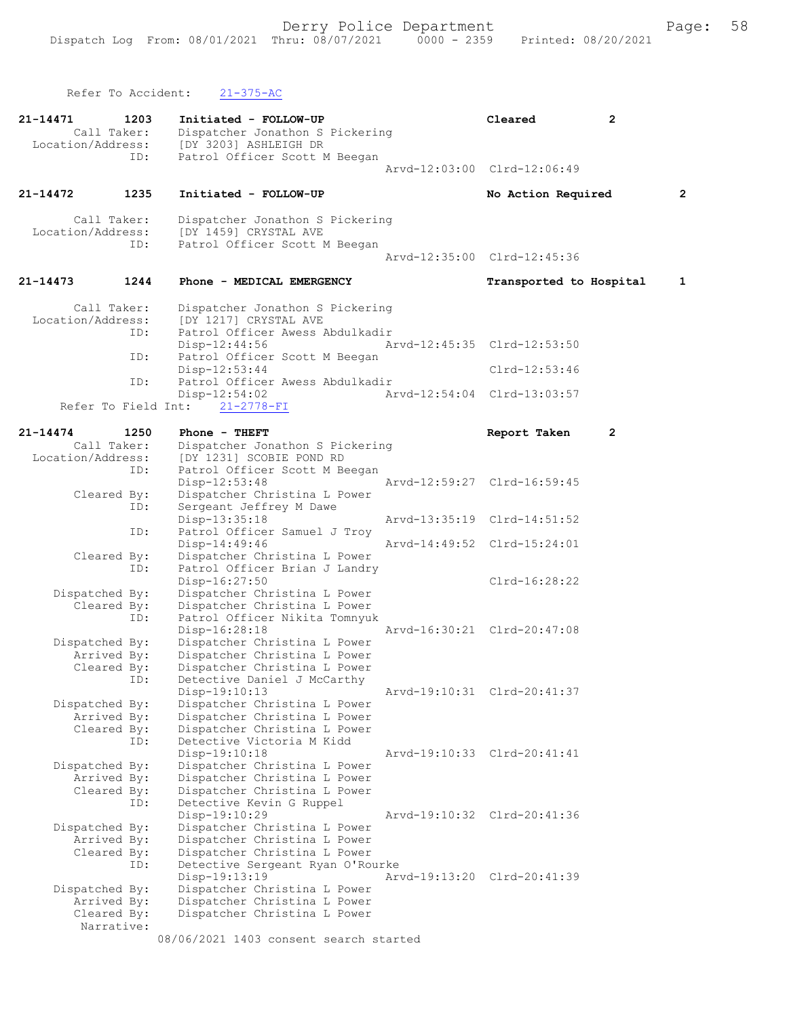Refer To Accident: 21-375-AC

| 21-14471<br>Location/Address: | 1203<br>Call Taker: | Initiated - FOLLOW-UP<br>Dispatcher Jonathon S Pickering<br>[DY 3203] ASHLEIGH DR | Cleared                     | $\mathbf{2}$ |   |
|-------------------------------|---------------------|-----------------------------------------------------------------------------------|-----------------------------|--------------|---|
|                               | ID:                 | Patrol Officer Scott M Beegan                                                     | Arvd-12:03:00 Clrd-12:06:49 |              |   |
| 21-14472                      | 1235                | Initiated - FOLLOW-UP                                                             | No Action Required          |              | 2 |
| Location/Address:             | Call Taker:         | Dispatcher Jonathon S Pickering<br>[DY 1459] CRYSTAL AVE                          |                             |              |   |
|                               | ID:                 | Patrol Officer Scott M Beegan                                                     | Arvd-12:35:00 Clrd-12:45:36 |              |   |
| 21-14473                      | 1244                | Phone - MEDICAL EMERGENCY                                                         | Transported to Hospital     |              | 1 |
| Location/Address:             | Call Taker:         | Dispatcher Jonathon S Pickering<br>[DY 1217] CRYSTAL AVE                          |                             |              |   |
|                               | ID:                 | Patrol Officer Awess Abdulkadir<br>Disp-12:44:56                                  | Arvd-12:45:35 Clrd-12:53:50 |              |   |
|                               | ID:<br>ID:          | Patrol Officer Scott M Beegan<br>Disp-12:53:44<br>Patrol Officer Awess Abdulkadir | $Clrd-12:53:46$             |              |   |
|                               |                     | Disp-12:54:02<br>Refer To Field Int:<br>$21 - 2778 - FI$                          | Arvd-12:54:04 Clrd-13:03:57 |              |   |
| 21-14474                      | 1250                | $Phone - THEFT$                                                                   | Report Taken                | $\mathbf{2}$ |   |
|                               | Call Taker:         | Dispatcher Jonathon S Pickering                                                   |                             |              |   |
| Location/Address:             |                     | [DY 1231] SCOBIE POND RD                                                          |                             |              |   |
|                               | ID:                 | Patrol Officer Scott M Beegan                                                     |                             |              |   |
|                               | Cleared By:         | Disp-12:53:48<br>Dispatcher Christina L Power                                     | Arvd-12:59:27 Clrd-16:59:45 |              |   |
|                               | ID:                 | Sergeant Jeffrey M Dawe                                                           |                             |              |   |
|                               |                     | Disp-13:35:18                                                                     | Arvd-13:35:19 Clrd-14:51:52 |              |   |
|                               | ID:                 | Patrol Officer Samuel J Troy                                                      |                             |              |   |
|                               |                     | Disp-14:49:46                                                                     | Arvd-14:49:52 Clrd-15:24:01 |              |   |
|                               | Cleared By:         | Dispatcher Christina L Power                                                      |                             |              |   |
|                               | ID:                 | Patrol Officer Brian J Landry                                                     |                             |              |   |
|                               |                     | Disp-16:27:50                                                                     | $Clrd-16:28:22$             |              |   |
| Dispatched By:                | Cleared By:         | Dispatcher Christina L Power<br>Dispatcher Christina L Power                      |                             |              |   |
|                               | ID:                 | Patrol Officer Nikita Tomnyuk                                                     |                             |              |   |
|                               |                     | Disp-16:28:18                                                                     | Arvd-16:30:21 Clrd-20:47:08 |              |   |
| Dispatched By:                |                     | Dispatcher Christina L Power                                                      |                             |              |   |
|                               | Arrived By:         | Dispatcher Christina L Power                                                      |                             |              |   |
|                               | Cleared By:         | Dispatcher Christina L Power                                                      |                             |              |   |
|                               | ID:                 | Detective Daniel J McCarthy                                                       |                             |              |   |
| Dispatched By:                |                     | Disp-19:10:13<br>Dispatcher Christina L Power                                     | Arvd-19:10:31 Clrd-20:41:37 |              |   |
|                               | Arrived By:         | Dispatcher Christina L Power                                                      |                             |              |   |
|                               | Cleared By:         | Dispatcher Christina L Power                                                      |                             |              |   |
|                               | ID:                 | Detective Victoria M Kidd                                                         |                             |              |   |
|                               |                     | Disp-19:10:18                                                                     | Arvd-19:10:33 Clrd-20:41:41 |              |   |
| Dispatched By:                |                     | Dispatcher Christina L Power                                                      |                             |              |   |
|                               | Arrived By:         | Dispatcher Christina L Power                                                      |                             |              |   |
|                               | Cleared By:<br>ID:  | Dispatcher Christina L Power<br>Detective Kevin G Ruppel                          |                             |              |   |
|                               |                     | Disp-19:10:29                                                                     | Arvd-19:10:32 Clrd-20:41:36 |              |   |
| Dispatched By:                |                     | Dispatcher Christina L Power                                                      |                             |              |   |
|                               | Arrived By:         | Dispatcher Christina L Power                                                      |                             |              |   |
|                               | Cleared By:         | Dispatcher Christina L Power                                                      |                             |              |   |
|                               | ID:                 | Detective Sergeant Ryan O'Rourke                                                  |                             |              |   |
|                               |                     | Disp-19:13:19                                                                     | Arvd-19:13:20 Clrd-20:41:39 |              |   |
| Dispatched By:                | Arrived By:         | Dispatcher Christina L Power<br>Dispatcher Christina L Power                      |                             |              |   |
|                               | Cleared By:         | Dispatcher Christina L Power                                                      |                             |              |   |
|                               | Narrative:          |                                                                                   |                             |              |   |
|                               |                     | 08/06/2021 1403 consent search started                                            |                             |              |   |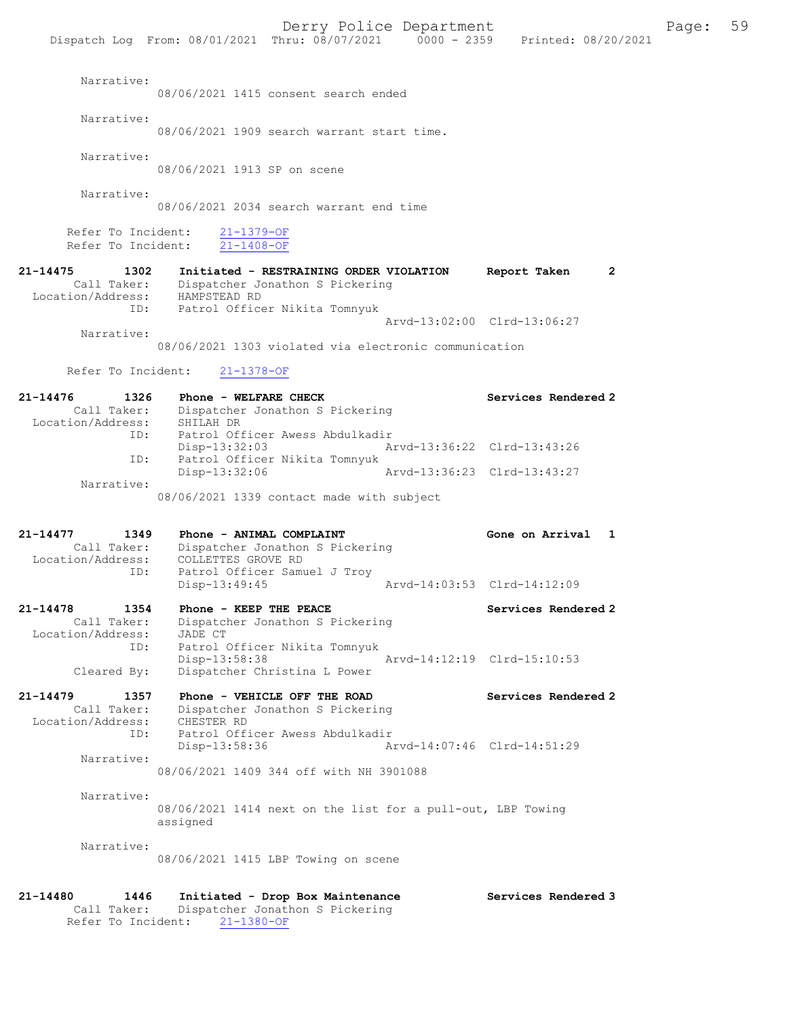|                                                                |                             | BULL, LUILUU BUDULUMUNU                    |  |                     |
|----------------------------------------------------------------|-----------------------------|--------------------------------------------|--|---------------------|
| Dispatch Log From: $08/01/2021$ Thru: $08/07/2021$ 0000 - 2359 |                             |                                            |  | Printed: 08/20/2021 |
|                                                                |                             |                                            |  |                     |
| Narrative:                                                     |                             |                                            |  |                     |
|                                                                |                             | 08/06/2021 1415 consent search ended       |  |                     |
| Narrative:                                                     |                             |                                            |  |                     |
|                                                                |                             | 08/06/2021 1909 search warrant start time. |  |                     |
|                                                                |                             |                                            |  |                     |
| Narrative:                                                     |                             |                                            |  |                     |
|                                                                | 08/06/2021 1913 SP on scene |                                            |  |                     |
|                                                                |                             |                                            |  |                     |
| Narrative:                                                     |                             |                                            |  |                     |
|                                                                |                             | 08/06/2021 2034 search warrant end time    |  |                     |
|                                                                |                             |                                            |  |                     |

Refer To Incident:  $\frac{21-1379-OF}{21-1408-OF}$ Refer To Incident:

21-14475 1302 Initiated - RESTRAINING ORDER VIOLATION Report Taken 2 Call Taker: Dispatcher Jonathon S Pickering -14475<br>Call Taker: Dispartnum<br>Location/Address: HAMPSTEAD RD ID: Patrol Officer Nikita Tomnyuk Arvd-13:02:00 Clrd-13:06:27 Narrative:

08/06/2021 1303 violated via electronic communication

Refer To Incident: 21-1378-OF

| 21-14476          | 1326        | Phone - WELFARE CHECK                     |                             | Services Rendered 2 |
|-------------------|-------------|-------------------------------------------|-----------------------------|---------------------|
|                   | Call Taker: | Dispatcher Jonathon S Pickering           |                             |                     |
| Location/Address: |             | SHILAH DR                                 |                             |                     |
|                   | ID:         | Patrol Officer Awess Abdulkadir           |                             |                     |
|                   |             | Disp-13:32:03                             | Arvd-13:36:22 Clrd-13:43:26 |                     |
|                   | ID:         | Patrol Officer Nikita Tomnyuk             |                             |                     |
|                   |             | Disp-13:32:06                             | Arvd-13:36:23 Clrd-13:43:27 |                     |
|                   | Narrative:  |                                           |                             |                     |
|                   |             | 08/06/2021 1339 contact made with subject |                             |                     |

21-14477 1349 Phone - ANIMAL COMPLAINT COME Gone on Arrival 1 Call Taker: Dispatcher Jonathon S Pickering Location/Address: COLLETTES GROVE RD ID: Patrol Officer Samuel J Troy<br>Disp-13:49:45 Disp-13:49:45 Arvd-14:03:53 Clrd-14:12:09

21-14478 1354 Phone - KEEP THE PEACE Services Rendered 2 Call Taker: Dispatcher Jonathon S Pickering Location/Address: JADE CT ID: Patrol Officer Nikita Tomnyuk Disp-13:58:38 Arvd-14:12:19 Clrd-15:10:53 Cleared By: Dispatcher Christina L Power

21-14479 1357 Phone - VEHICLE OFF THE ROAD Services Rendered 2<br>Call Taker: Dispatcher Jonathon S Pickering Dispatcher Jonathon S Pickering<br>CHESTER RD Location/Address: ID: Patrol Officer Awess Abdulkadir<br>Disp-13:58:36 Ar Disp-13:58:36 Arvd-14:07:46 Clrd-14:51:29 Narrative:

08/06/2021 1409 344 off with NH 3901088

 Narrative: 08/06/2021 1414 next on the list for a pull-out, LBP Towing assigned

Narrative:

08/06/2021 1415 LBP Towing on scene

21-14480 1446 Initiated - Drop Box Maintenance Services Rendered 3<br>Call Taker: Dispatcher Jonathon S Pickering Dispatcher Jonathon S Pickering Refer To Incident: 21-1380-OF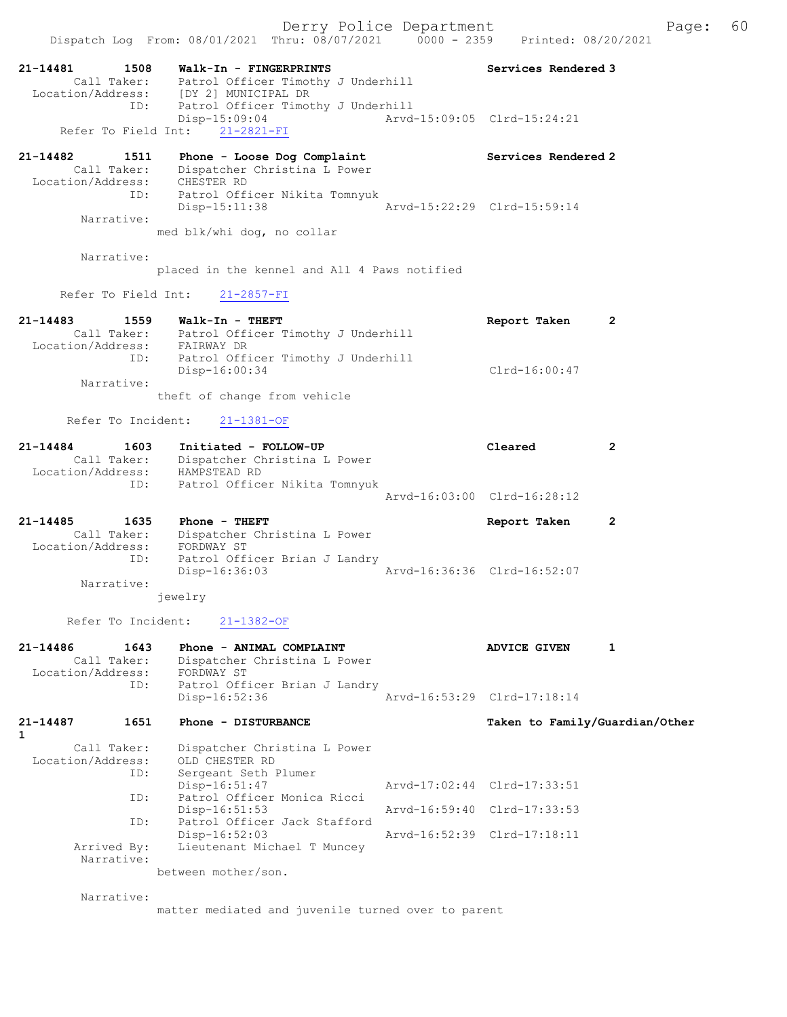Derry Police Department Fage: 60 Dispatch Log From: 08/01/2021 Thru: 08/07/2021 0000 - 2359 Printed: 08/20/2021 21-14481 1508 Walk-In - FINGERPRINTS Services Rendered 3 Call Taker: Patrol Officer Timothy J Underhill Location/Address: [DY 2] MUNICIPAL DR ID: Patrol Officer Timothy J Underhill Disp-15:09:04 Arvd-15:09:05 Clrd-15:24:21 Disp-15:09:04<br>Refer To Field Int: 21-2821-FI<br>Refer To Field Int: 21-2821-FI 21-14482 1511 Phone - Loose Dog Complaint Services Rendered 2 Call Taker: Dispatcher Christina L Power Location/Address: CHESTER RD ID: Patrol Officer Nikita Tomnyuk Disp-15:11:38 Arvd-15:22:29 Clrd-15:59:14 Narrative: med blk/whi dog, no collar Narrative: placed in the kennel and All 4 Paws notified Refer To Field Int: 21-2857-FI 21-14483 1559 Walk-In - THEFT Report Taken 2 Call Taker: Patrol Officer Timothy J Underhill Location/Address: FAIRWAY DR ID: Patrol Officer Timothy J Underhill Disp-16:00:34 Clrd-16:00:47 Narrative: theft of change from vehicle Refer To Incident: 21-1381-OF 21-14484 1603 Initiated - FOLLOW-UP Cleared 2 Call Taker: Dispatcher Christina L Power Location/Address: HAMPSTEAD RD ID: Patrol Officer Nikita Tomnyuk Arvd-16:03:00 Clrd-16:28:12 21-14485 1635 Phone - THEFT Report Taken 2 Call Taker: Dispatcher Christina L Power Location/Address: FORDWAY ST ID: Patrol Officer Brian J Landry<br>Disp-16:36:03 Arvd-16:36:36 Clrd-16:52:07 Disp-16:36:03 Narrative: jewelry Refer To Incident: 21-1382-OF 21-14486 1643 Phone - ANIMAL COMPLAINT AND ADVICE GIVEN 1 Call Taker: Dispatcher Christina L Power Location/Address: FORDWAY ST ID: Patrol Officer Brian J Landry Disp-16:52:36 Arvd-16:53:29 Clrd-17:18:14 21-14487 1651 Phone - DISTURBANCE Taken to Family/Guardian/Other 1 Call Taker: Dispatcher Christina L Power Location/Address: OLD CHESTER RD ess: One Onescape Protection<br>
ID: Sergeant Seth Plumer<br>
Disp-16:51:47 Disp-16:51:47 Arvd-17:02:44 Clrd-17:33:51 ID: Patrol Officer Monica Ricci Disp-16:51:53 Arvd-16:59:40 Clrd-17:33:53 ID: Patrol Officer Jack Stafford Disp-16:52:03 Arvd-16:52:39 Clrd-17:18:11<br>Arrived By: Lieutenant Michael T Muncey Lieutenant Michael T Muncey Narrative: between mother/son. Narrative:

matter mediated and juvenile turned over to parent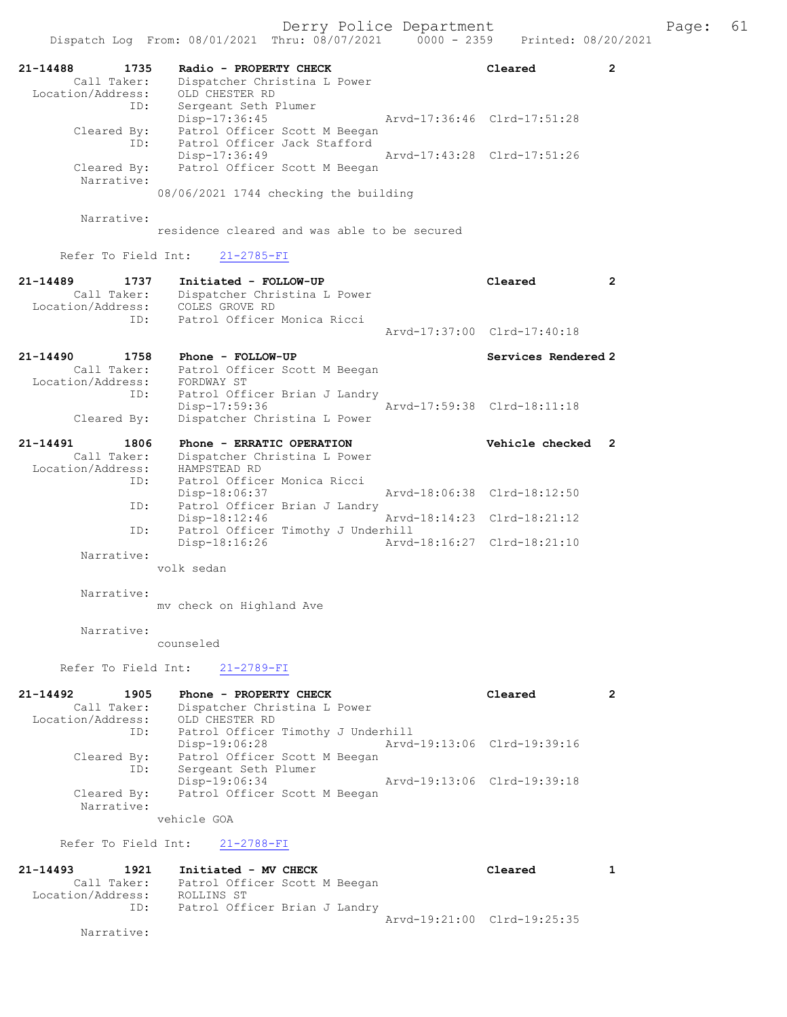|                                                             |             | Dispatch Log From: 08/01/2021 Thru: 08/07/2021                                                                 |  | $0000 - 2359$               | Printed: 08/20/2021         |                |
|-------------------------------------------------------------|-------------|----------------------------------------------------------------------------------------------------------------|--|-----------------------------|-----------------------------|----------------|
| 21-14488<br>Call Taker:<br>Location/Address:                | 1735<br>ID: | Radio - PROPERTY CHECK<br>Dispatcher Christina L Power<br>OLD CHESTER RD<br>Sergeant Seth Plumer               |  |                             | Cleared                     | 2              |
| Cleared By:                                                 | ID:         | Disp-17:36:45<br>Patrol Officer Scott M Beegan<br>Patrol Officer Jack Stafford                                 |  | Arvd-17:36:46 Clrd-17:51:28 |                             |                |
| Cleared By:<br>Narrative:                                   |             | Disp-17:36:49<br>Patrol Officer Scott M Beegan<br>08/06/2021 1744 checking the building                        |  | Arvd-17:43:28 Clrd-17:51:26 |                             |                |
|                                                             |             |                                                                                                                |  |                             |                             |                |
| Narrative:                                                  |             | residence cleared and was able to be secured                                                                   |  |                             |                             |                |
| Refer To Field Int:                                         |             | $21 - 2785 - FI$                                                                                               |  |                             |                             |                |
| $21 - 14489$<br>Call Taker:<br>Location/Address:            | 1737<br>ID: | Initiated - FOLLOW-UP<br>Dispatcher Christina L Power<br>COLES GROVE RD<br>Patrol Officer Monica Ricci         |  |                             | Cleared                     | $\overline{2}$ |
|                                                             |             |                                                                                                                |  |                             | Aryd-17:37:00 Clrd-17:40:18 |                |
| 21-14490<br>Call Taker:<br>Location/Address:                | 1758        | Phone - FOLLOW-UP<br>Patrol Officer Scott M Beegan<br>FORDWAY ST                                               |  |                             | Services Rendered 2         |                |
| Cleared By:                                                 | ID:         | Patrol Officer Brian J Landry<br>Disp-17:59:36<br>Dispatcher Christina L Power                                 |  |                             | Arvd-17:59:38 Clrd-18:11:18 |                |
| 21-14491<br>Call Taker:<br>Location/Address:                | 1806<br>ID: | Phone - ERRATIC OPERATION<br>Dispatcher Christina L Power<br>HAMPSTEAD RD<br>Patrol Officer Monica Ricci       |  |                             | Vehicle checked             | 2              |
|                                                             |             | Disp-18:06:37                                                                                                  |  |                             | Arvd-18:06:38 Clrd-18:12:50 |                |
|                                                             | ID:         | Patrol Officer Brian J Landry<br>$Disp-18:12:46$                                                               |  |                             | Arvd-18:14:23 Clrd-18:21:12 |                |
|                                                             | ID:         | Patrol Officer Timothy J Underhill<br>Disp-18:16:26                                                            |  |                             | Arvd-18:16:27 Clrd-18:21:10 |                |
| Narrative:                                                  |             | volk sedan                                                                                                     |  |                             |                             |                |
| Narrative:                                                  |             | mv check on Highland Ave                                                                                       |  |                             |                             |                |
| Narrative:                                                  |             | counseled                                                                                                      |  |                             |                             |                |
|                                                             |             | Refer To Field Int: 21-2789-FI                                                                                 |  |                             |                             |                |
| $21 - 14492$<br>Call Taker:<br>Location/Address:            | 1905<br>ID: | Phone - PROPERTY CHECK<br>Dispatcher Christina L Power<br>OLD CHESTER RD<br>Patrol Officer Timothy J Underhill |  |                             | Cleared                     | $\overline{2}$ |
| Cleared By:                                                 |             | Disp-19:06:28<br>Patrol Officer Scott M Beegan                                                                 |  | Arvd-19:13:06 Clrd-19:39:16 |                             |                |
| Cleared By:<br>Narrative:                                   | ID:         | Sergeant Seth Plumer<br>Disp-19:06:34<br>Patrol Officer Scott M Beegan                                         |  | Arvd-19:13:06 Clrd-19:39:18 |                             |                |
|                                                             |             | vehicle GOA                                                                                                    |  |                             |                             |                |
| Refer To Field Int:                                         |             | $21 - 2788 - FI$                                                                                               |  |                             |                             |                |
| $21 - 14493$<br>Call Taker:<br>Location/Address: ROLLINS ST | 1921        | Initiated - MV CHECK<br>Patrol Officer Scott M Beegan                                                          |  |                             | Cleared                     | 1              |
| Narrative:                                                  | ID:         | Patrol Officer Brian J Landry                                                                                  |  |                             | Arvd-19:21:00 Clrd-19:25:35 |                |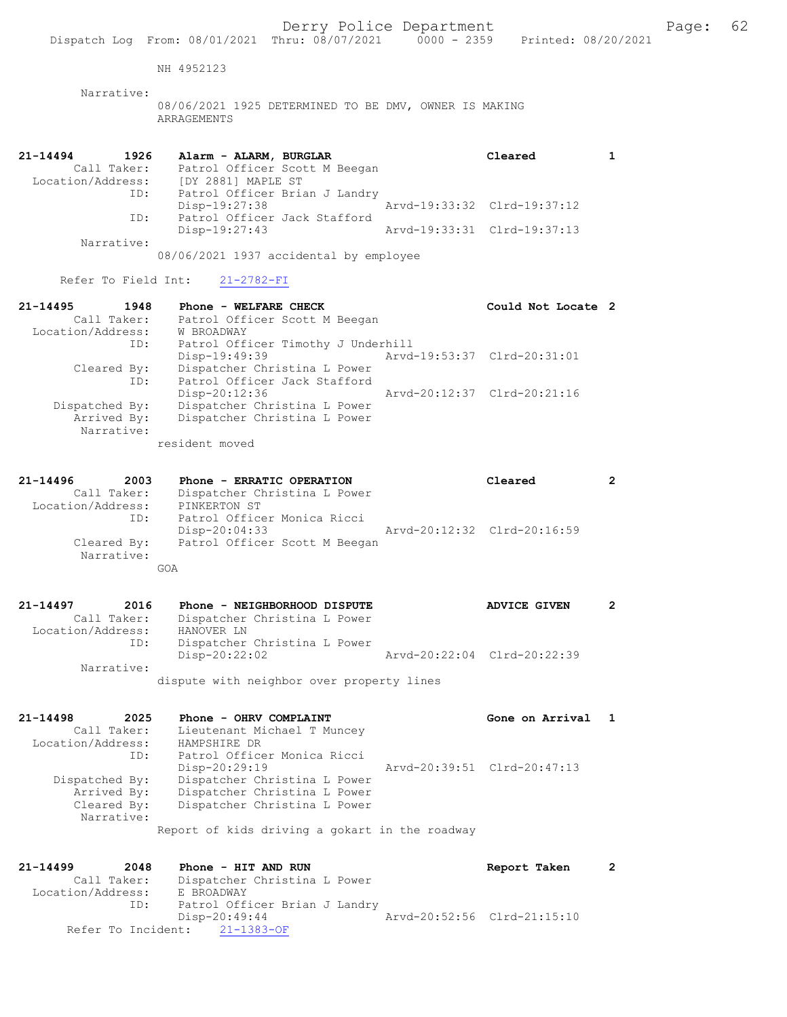|                     | Dispatch Log From: 08/01/2021                                        | Derry Police Department<br>Thru: 08/07/2021                  | $0000 - 2359$ | Printed: 08/20/2021         |                |
|---------------------|----------------------------------------------------------------------|--------------------------------------------------------------|---------------|-----------------------------|----------------|
|                     |                                                                      |                                                              |               |                             |                |
|                     | NH 4952123                                                           |                                                              |               |                             |                |
| Narrative:          | 08/06/2021 1925 DETERMINED TO BE DMV, OWNER IS MAKING<br>ARRAGEMENTS |                                                              |               |                             |                |
| 21-14494<br>1926    | Alarm - ALARM, BURGLAR                                               |                                                              |               | Cleared                     | $\mathbf{1}$   |
| Call Taker:         |                                                                      | Patrol Officer Scott M Beegan                                |               |                             |                |
| ID:                 | Location/Address: [DY 2881] MAPLE ST                                 |                                                              |               |                             |                |
|                     | Disp-19:27:38                                                        | Patrol Officer Brian J Landry                                |               | Arvd-19:33:32 Clrd-19:37:12 |                |
| ID:                 |                                                                      | Patrol Officer Jack Stafford                                 |               |                             |                |
|                     | Disp-19:27:43                                                        |                                                              |               | Arvd-19:33:31 Clrd-19:37:13 |                |
| Narrative:          |                                                                      |                                                              |               |                             |                |
|                     | 08/06/2021 1937 accidental by employee                               |                                                              |               |                             |                |
| Refer To Field Int: | $21 - 2782 - FI$                                                     |                                                              |               |                             |                |
| 21-14495<br>1948    | Phone - WELFARE CHECK                                                |                                                              |               | Could Not Locate 2          |                |
| Call Taker:         |                                                                      | Patrol Officer Scott M Beegan                                |               |                             |                |
| Location/Address:   | W BROADWAY                                                           |                                                              |               |                             |                |
| ID:                 |                                                                      | Patrol Officer Timothy J Underhill                           |               |                             |                |
|                     | Disp-19:49:39                                                        |                                                              |               | Arvd-19:53:37 Clrd-20:31:01 |                |
| Cleared By:<br>ID:  |                                                                      | Dispatcher Christina L Power<br>Patrol Officer Jack Stafford |               |                             |                |
|                     | Disp-20:12:36                                                        |                                                              |               | Arvd-20:12:37 Clrd-20:21:16 |                |
| Dispatched By:      |                                                                      | Dispatcher Christina L Power                                 |               |                             |                |
| Arrived By:         |                                                                      | Dispatcher Christina L Power                                 |               |                             |                |
| Narrative:          |                                                                      |                                                              |               |                             |                |
|                     | resident moved                                                       |                                                              |               |                             |                |
| 21-14496<br>2003    | Phone - ERRATIC OPERATION                                            |                                                              |               | Cleared                     | 2              |
| Call Taker:         |                                                                      | Dispatcher Christina L Power                                 |               |                             |                |
| Location/Address:   | PINKERTON ST                                                         |                                                              |               |                             |                |
| ID:                 | Patrol Officer Monica Ricci                                          |                                                              |               |                             |                |
|                     | Disp-20:04:33                                                        |                                                              |               | Aryd-20:12:32 Clrd-20:16:59 |                |
| Cleared By:         |                                                                      | Patrol Officer Scott M Beegan                                |               |                             |                |
| Narrative:          | GOA                                                                  |                                                              |               |                             |                |
|                     |                                                                      |                                                              |               |                             |                |
| 21-14497<br>2016    |                                                                      | Phone - NEIGHBORHOOD DISPUTE                                 |               | <b>ADVICE GIVEN</b>         | $\overline{2}$ |
| Call Taker:         |                                                                      | Dispatcher Christina L Power                                 |               |                             |                |
| Location/Address:   | HANOVER LN                                                           |                                                              |               |                             |                |
| ID:                 |                                                                      | Dispatcher Christina L Power                                 |               |                             |                |
|                     | Disp-20:22:02                                                        |                                                              |               | Arvd-20:22:04 Clrd-20:22:39 |                |
| Narrative:          | dispute with neighbor over property lines                            |                                                              |               |                             |                |
|                     |                                                                      |                                                              |               |                             |                |
| 21-14498            | 2025<br>Phone - OHRV COMPLAINT                                       |                                                              |               | Gone on Arrival 1           |                |

| <u>21-14490 </u>  | zuzo           | $FIOIE = OIRV COMELAINI$                                              | GONE ON ALLIVAL             |  |
|-------------------|----------------|-----------------------------------------------------------------------|-----------------------------|--|
|                   | Call Taker:    | Lieutenant Michael T Muncey                                           |                             |  |
| Location/Address: |                | HAMPSHIRE DR                                                          |                             |  |
|                   | ID:            | Patrol Officer Monica Ricci                                           |                             |  |
|                   |                | Disp-20:29:19                                                         | Arvd-20:39:51 Clrd-20:47:13 |  |
|                   | Dispatched By: | Dispatcher Christina L Power                                          |                             |  |
|                   | Arrived By:    | Dispatcher Christina L Power                                          |                             |  |
|                   | Cleared By:    | Dispatcher Christina L Power                                          |                             |  |
|                   | Narrative:     |                                                                       |                             |  |
|                   |                | material and the defected and containing the state of a decomposition |                             |  |

Report of kids driving a gokart in the roadway

21-14499 2048 Phone - HIT AND RUN Report Taken 2 Call Taker: Dispatcher Christina L Power Location/Address: E BROADWAY ID: Patrol Officer Brian J Landry Disp-20:49:44 Arvd-20:52:56 Clrd-21:15:10 Refer To Incident: 21-1383-OF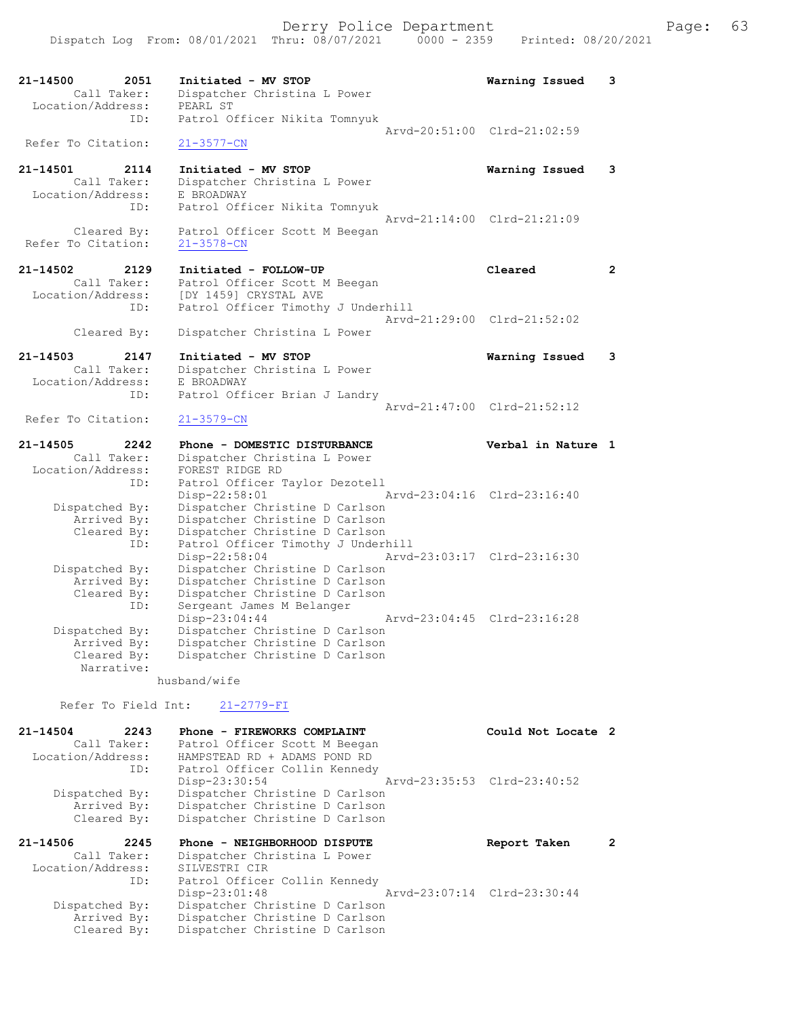Dispatch Log From: 08/01/2021 Thru: 08/07/2021 0000 - 2359 Printed: 08/20/2021 21-14500 2051 Initiated - MV STOP Warning Issued 3 Call Taker: Dispatcher Christina L Power Location/Address: PEARL ST ID: Patrol Officer Nikita Tomnyuk Arvd-20:51:00 Clrd-21:02:59 Refer To Citation: 21-3577-CN 21-14501 2114 Initiated - MV STOP Warning Issued 3 Call Taker: Dispatcher Christina L Power Location/Address: E BROADWAY ID: Patrol Officer Nikita Tomnyuk Arvd-21:14:00 Clrd-21:21:09 Cleared By: Patrol Officer Scott M Beegan Refer To Citation: 21-3578-CN 21-14502 2129 Initiated - FOLLOW-UP Cleared 2 Call Taker: Patrol Officer Scott M Beegan Location/Address: [DY 1459] CRYSTAL AVE ID: Patrol Officer Timothy J Underhill Arvd-21:29:00 Clrd-21:52:02 Cleared By: Dispatcher Christina L Power 21-14503 2147 Initiated - MV STOP Warning Issued 3 Call Taker: Dispatcher Christina L Power Location/Address: E BROADWAY ID: Patrol Officer Brian J Landry Arvd-21:47:00 Clrd-21:52:12<br>21-3579-CN Refer To Citation: 21-14505 2242 Phone - DOMESTIC DISTURBANCE Verbal in Nature 1 Call Taker: Dispatcher Christina L Power Location/Address: FOREST RIDGE RD ID: Patrol Officer Taylor Dezotell Disp-22:58:01 Arvd-23:04:16 Clrd-23:16:40 Dispatched By: Dispatcher Christine D Carlson Arrived By: Dispatcher Christine D Carlson Cleared By: Dispatcher Christine D Carlson ID: Patrol Officer Timothy J Underhill Disp-22:58:04 Arvd-23:03:17 Clrd-23:16:30 Dispatched By: Dispatcher Christine D Carlson Arrived By: Dispatcher Christine D Carlson Cleared By: Dispatcher Christine D Carlson ID: Sergeant James M Belanger Disp-23:04:44 Arvd-23:04:45 Clrd-23:16:28 Dispatched By: Dispatcher Christine D Carlson Arrived By: Dispatcher Christine D Carlson Cleared By: Dispatcher Christine D Carlson Narrative: husband/wife Refer To Field Int: 21-2779-FI 21-14504 2243 Phone - FIREWORKS COMPLAINT Could Not Locate 2 Call Taker: Patrol Officer Scott M Beegan Location/Address: HAMPSTEAD RD + ADAMS POND RD ID: Patrol Officer Collin Kennedy Disp-23:30:54 Arvd-23:35:53 Clrd-23:40:52 Dispatched By: Dispatcher Christine D Carlson Arrived By: Dispatcher Christine D Carlson Cleared By: Dispatcher Christine D Carlson

21-14506 2245 Phone - NEIGHBORHOOD DISPUTE Report Taken 2 Call Taker: Dispatcher Christina L Power Location/Address: SILVESTRI CIR ID: Patrol Officer Collin Kennedy Disp-23:01:48 Arvd-23:07:14 Clrd-23:30:44 Dispatched By: Dispatcher Christine D Carlson Arrived By: Dispatcher Christine D Carlson Cleared By: Dispatcher Christine D Carlson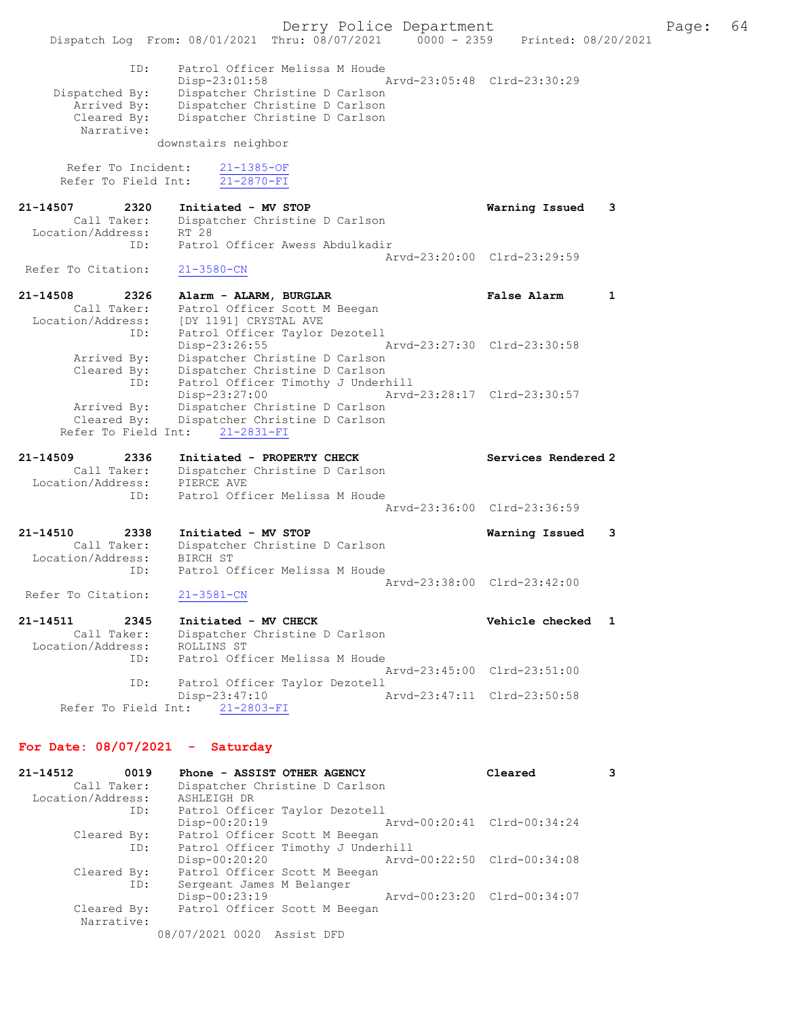Derry Police Department Fage: 64 Dispatch Log From: 08/01/2021 Thru: 08/07/2021 0000 - 2359 Printed: 08/20/2021 ID: Patrol Officer Melissa M Houde Disp-23:01:58 Arvd-23:05:48 Clrd-23:30:29 Dispatched By: Dispatcher Christine D Carlson Arrived By: Dispatcher Christine D Carlson Cleared By: Dispatcher Christine D Carlson Narrative: downstairs neighbor Refer To Incident: 21-1385-OF Refer To Field Int:  $\overline{21-2870-FI}$ 21-14507 2320 Initiated - MV STOP Warning Issued 3 Call Taker: Dispatcher Christine D Carlson Location/Address: RT 28 ID: Patrol Officer Awess Abdulkadir Arvd-23:20:00 Clrd-23:29:59<br>21-3580-CN Refer To Citation: 21-14508 2326 Alarm - ALARM, BURGLAR False Alarm 1 Call Taker: Patrol Officer Scott M Beegan Location/Address: [DY 1191] CRYSTAL AVE ID: Patrol Officer Taylor Dezotell Disp-23:26:55 Arvd-23:27:30 Clrd-23:30:58 Arrived By: Dispatcher Christine D Carlson Cleared By: Dispatcher Christine D Carlson ID: Patrol Officer Timothy J Underhill Disp-23:27:00 Arvd-23:28:17 Clrd-23:30:57 Arrived By: Dispatcher Christine D Carlson Cleared By: Dispatcher Christine D Carlson Refer To Field Int: 21-2831-FI 21-14509 2336 Initiated - PROPERTY CHECK Services Rendered 2 Call Taker: Dispatcher Christine D Carlson Location/Address: PIERCE AVE ID: Patrol Officer Melissa M Houde Arvd-23:36:00 Clrd-23:36:59 21-14510 2338 Initiated - MV STOP Warning Issued 3 Call Taker: Dispatcher Christine D Carlson Location/Address: BIRCH ST ID: Patrol Officer Melissa M Houde Arvd-23:38:00 Clrd-23:42:00<br>21-3581-CN Refer To Citation: 21-14511 2345 Initiated - MV CHECK 21 21-14511 vehicle checked 1 Call Taker: Dispatcher Christine D Carlson Location/Address: ROLLINS ST ID: Patrol Officer Melissa M Houde Arvd-23:45:00 Clrd-23:51:00 ID: Patrol Officer Taylor Dezotell Disp-23:47:10 Arvd-23:47:11 Clrd-23:50:58 Refer To Field Int: 21-2803-FI For Date: 08/07/2021 - Saturday 21-14512 0019 Phone - ASSIST OTHER AGENCY Cleared 3

| 21-19J12          | <b>9912</b> | $F11011E = A33131 0111EK A3EIV.$ |                                    | <b>CIEALEU</b>              |  |
|-------------------|-------------|----------------------------------|------------------------------------|-----------------------------|--|
|                   | Call Taker: |                                  | Dispatcher Christine D Carlson     |                             |  |
| Location/Address: |             | ASHLEIGH DR                      |                                    |                             |  |
|                   | ID:         |                                  | Patrol Officer Taylor Dezotell     |                             |  |
|                   |             | Disp-00:20:19                    |                                    | Arvd-00:20:41 Clrd-00:34:24 |  |
|                   | Cleared By: |                                  | Patrol Officer Scott M Beegan      |                             |  |
|                   | ID:         |                                  | Patrol Officer Timothy J Underhill |                             |  |
|                   |             | Disp-00:20:20                    |                                    | Arvd-00:22:50 Clrd-00:34:08 |  |
|                   | Cleared By: |                                  | Patrol Officer Scott M Beegan      |                             |  |
|                   | ID:         | Sergeant James M Belanger        |                                    |                             |  |
|                   |             | Disp-00:23:19                    |                                    | Arvd-00:23:20 Clrd-00:34:07 |  |
|                   | Cleared By: |                                  | Patrol Officer Scott M Beegan      |                             |  |
|                   | Narrative:  |                                  |                                    |                             |  |
|                   |             | 08/07/2021 0020 Assist DFD       |                                    |                             |  |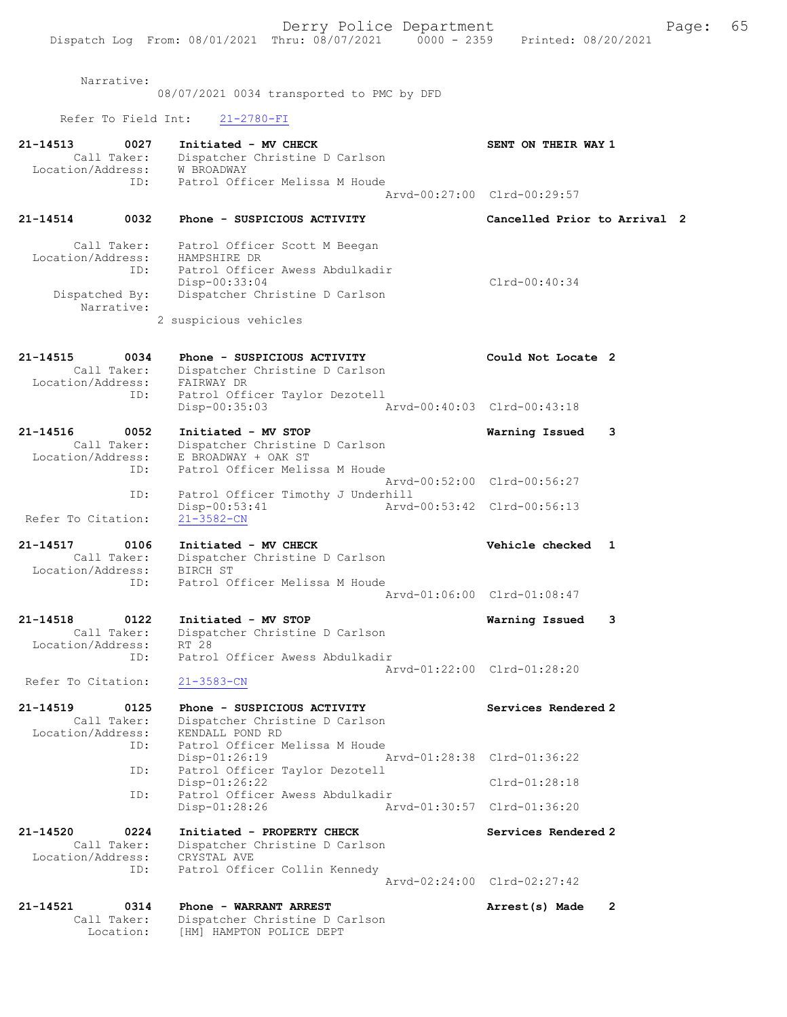|                                              |                            | Derry Police Department                                                                                      | Page:                        | 65 |
|----------------------------------------------|----------------------------|--------------------------------------------------------------------------------------------------------------|------------------------------|----|
|                                              |                            | Dispatch Log From: 08/01/2021 Thru: 08/07/2021 0000 - 2359 Printed: 08/20/2021                               |                              |    |
|                                              | Narrative:                 | 08/07/2021 0034 transported to PMC by DFD                                                                    |                              |    |
| Refer To Field Int:                          |                            | $21 - 2780 - FI$                                                                                             |                              |    |
|                                              |                            |                                                                                                              |                              |    |
| 21-14513<br>Call Taker:<br>Location/Address: | 0027                       | Initiated - MV CHECK<br>Dispatcher Christine D Carlson<br>W BROADWAY<br>Patrol Officer Melissa M Houde       | SENT ON THEIR WAY 1          |    |
|                                              | ID:                        |                                                                                                              | Arvd-00:27:00 Clrd-00:29:57  |    |
| 21-14514                                     | 0032                       | Phone - SUSPICIOUS ACTIVITY                                                                                  | Cancelled Prior to Arrival 2 |    |
| Call Taker:<br>Location/Address:             | ID:                        | Patrol Officer Scott M Beegan<br>HAMPSHIRE DR<br>Patrol Officer Awess Abdulkadir<br>Disp-00:33:04            | $Clrd-00:40:34$              |    |
| Dispatched By:                               | Narrative:                 | Dispatcher Christine D Carlson                                                                               |                              |    |
|                                              |                            | 2 suspicious vehicles                                                                                        |                              |    |
| 21-14515<br>Call Taker:<br>Location/Address: | 0034                       | Phone - SUSPICIOUS ACTIVITY<br>Dispatcher Christine D Carlson<br>FAIRWAY DR                                  | Could Not Locate 2           |    |
|                                              | ID:                        | Patrol Officer Taylor Dezotell<br>Disp-00:35:03                                                              | Arvd-00:40:03 Clrd-00:43:18  |    |
| 21-14516<br>Call Taker:<br>Location/Address: | 0052                       | Initiated - MV STOP<br>Dispatcher Christine D Carlson<br>E BROADWAY + OAK ST                                 | Warning Issued<br>3          |    |
|                                              | ID:<br>ID:                 | Patrol Officer Melissa M Houde<br>Patrol Officer Timothy J Underhill                                         | Arvd-00:52:00 Clrd-00:56:27  |    |
| Refer To Citation:                           |                            | Disp-00:53:41<br>$21 - 3582 - CN$                                                                            | Arvd-00:53:42 Clrd-00:56:13  |    |
| 21-14517<br>Call Taker:<br>Location/Address: | 0106                       | Initiated - MV CHECK<br>Dispatcher Christine D Carlson<br>BIRCH ST                                           | Vehicle checked 1            |    |
|                                              | ID:                        | Patrol Officer Melissa M Houde                                                                               | Arvd-01:06:00 Clrd-01:08:47  |    |
| 21-14518<br>Location/Address:                | 0122<br>Call Taker:        | Initiated - MV STOP<br>Dispatcher Christine D Carlson<br>RT 28                                               | Warning Issued<br>3          |    |
| Refer To Citation:                           | ID:                        | Patrol Officer Awess Abdulkadir<br>$21 - 3583 - CN$                                                          | Arvd-01:22:00 Clrd-01:28:20  |    |
| 21-14519                                     | 0125                       | Phone - SUSPICIOUS ACTIVITY                                                                                  | Services Rendered 2          |    |
| Call Taker:<br>Location/Address:             | ID:                        | Dispatcher Christine D Carlson<br>KENDALL POND RD<br>Patrol Officer Melissa M Houde                          |                              |    |
|                                              | ID:                        | $Disp-01:26:19$<br>Patrol Officer Taylor Dezotell                                                            | Arvd-01:28:38 Clrd-01:36:22  |    |
|                                              | ID:                        | $Disp-01:26:22$<br>Patrol Officer Awess Abdulkadir                                                           | $Clrd-01:28:18$              |    |
|                                              |                            | $Disp-01:28:26$                                                                                              | Arvd-01:30:57 Clrd-01:36:20  |    |
| 21-14520<br>Location/Address:                | 0224<br>Call Taker:<br>ID: | Initiated - PROPERTY CHECK<br>Dispatcher Christine D Carlson<br>CRYSTAL AVE<br>Patrol Officer Collin Kennedy | Services Rendered 2          |    |
|                                              |                            |                                                                                                              | Arvd-02:24:00 Clrd-02:27:42  |    |
| 21-14521<br>Call Taker:                      | 0314<br>Location:          | Phone - WARRANT ARREST<br>Dispatcher Christine D Carlson<br>[HM] HAMPTON POLICE DEPT                         | 2<br>Arrest(s) Made          |    |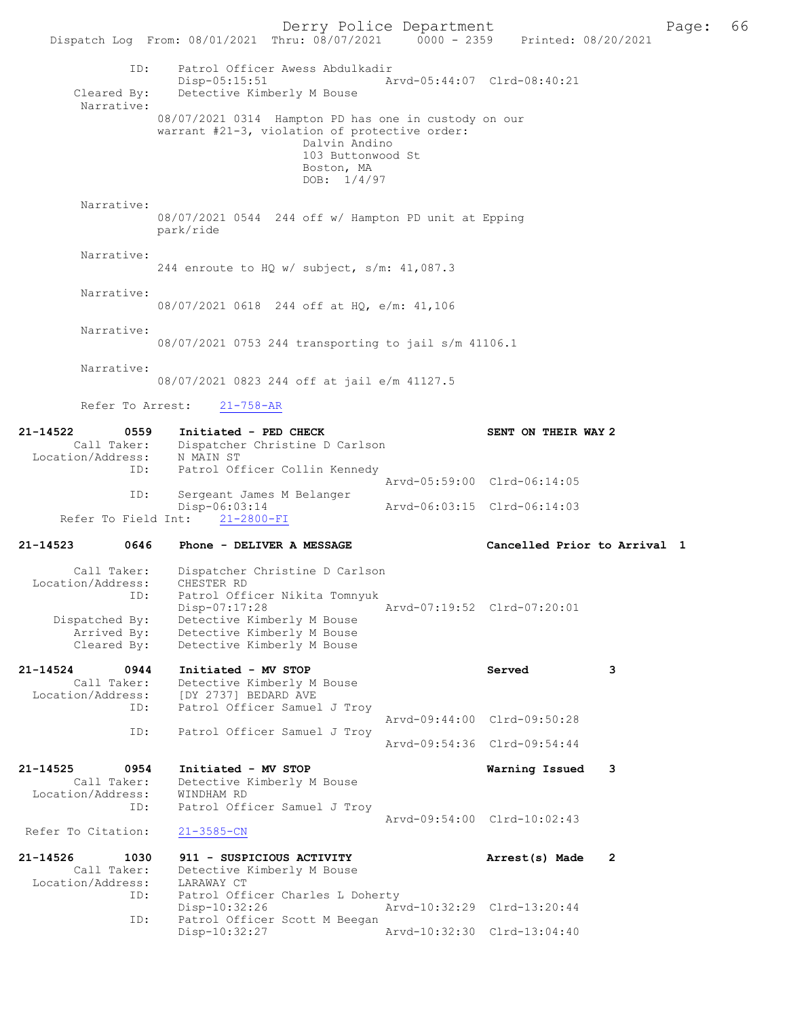Derry Police Department The Page: 66 Dispatch Log From: 08/01/2021 Thru: 08/07/2021 0000 - 2359 Printed: 08/20/2021 ID: Patrol Officer Awess Abdulkadir Disp-05:15:51 Arvd-05:44:07 Clrd-08:40:21<br>Cleared By: Detective Kimberly M Bouse Detective Kimberly M Bouse Narrative: 08/07/2021 0314 Hampton PD has one in custody on our warrant #21-3, violation of protective order: Dalvin Andino 103 Buttonwood St Boston, MA DOB: 1/4/97 Narrative: 08/07/2021 0544 244 off w/ Hampton PD unit at Epping park/ride Narrative: 244 enroute to HQ w/ subject, s/m: 41,087.3 Narrative: 08/07/2021 0618 244 off at HQ, e/m: 41,106 Narrative: 08/07/2021 0753 244 transporting to jail s/m 41106.1 Narrative: 08/07/2021 0823 244 off at jail e/m 41127.5 Refer To Arrest: 21-758-AR 21-14522 0559 Initiated - PED CHECK SENT ON THEIR WAY 2<br>Call Taker: Dispatcher Christine D Carlson Dispatcher Christine D Carlson Location/Address: N MAIN ST<br>TD: Patrol Ofi Patrol Officer Collin Kennedy Arvd-05:59:00 Clrd-06:14:05<br>ID: Sergeant James M Belanger Sergeant James M Belanger<br>Disp-06:03:14 -06:03:14 Arvd-06:03:15 Clrd-06:14:03<br>21-2800-FI Refer To Field Int: 21-14523 0646 Phone - DELIVER A MESSAGE Cancelled Prior to Arrival 1 Call Taker: Dispatcher Christine D Carlson Location/Address: CHESTER RD ID: Patrol Officer Nikita Tomnyuk Disp-07:17:28 Arvd-07:19:52 Clrd-07:20:01 Dispatched By: Detective Kimberly M Bouse Arrived By: Detective Kimberly M Bouse Cleared By: Detective Kimberly M Bouse 21-14524 0944 Initiated - MV STOP Served 3 Call Taker: Detective Kimberly M Bouse Location/Address: [DY 2737] BEDARD AVE ID: Patrol Officer Samuel J Troy Arvd-09:44:00 Clrd-09:50:28<br>TD: Patrol Officer Samuel J Trov Patrol Officer Samuel J Troy Arvd-09:54:36 Clrd-09:54:44 21-14525 0954 Initiated - MV STOP Warning Issued 3 Call Taker: Detective Kimberly M Bouse<br>ion/Address: WINDHAM RD Location/Address:<br>ID: Patrol Officer Samuel J Troy Arvd-09:54:00 Clrd-10:02:43<br>21-3585-CN Refer To Citation: 21-14526 1030 911 - SUSPICIOUS ACTIVITY Arrest(s) Made 2 Call Taker: Detective Kimberly M Bouse<br>ion/Address: LARAWAY CT Location/Address:<br>TD: Patrol Officer Charles L Doherty Disp-10:32:26 Arvd-10:32:29 Clrd-13:20:44 ID: Patrol Officer Scott M Beegan<br>Disp-10:32:27 Disp-10:32:27 Arvd-10:32:30 Clrd-13:04:40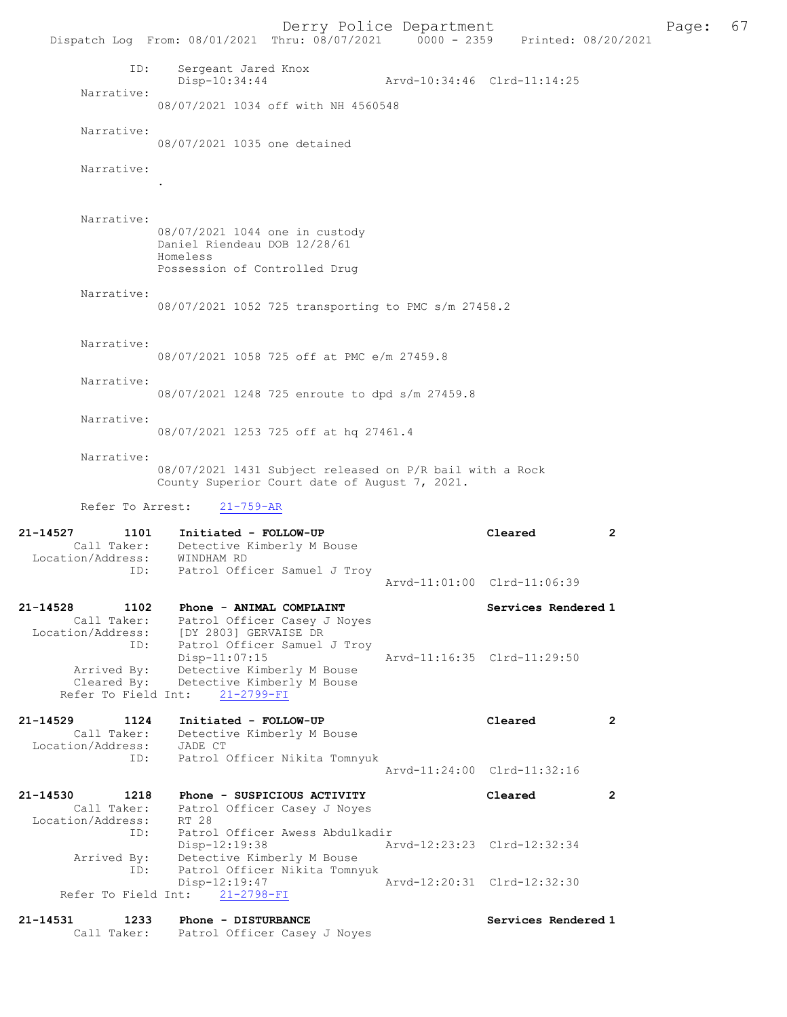Derry Police Department Fage: 67 Dispatch Log From: 08/01/2021 Thru: 08/07/2021 0000 - 2359 Printed: 08/20/2021 ID: Sergeant Jared Knox Disp-10:34:44 Arvd-10:34:46 Clrd-11:14:25 Narrative: 08/07/2021 1034 off with NH 4560548 Narrative: 08/07/2021 1035 one detained Narrative: . Narrative: 08/07/2021 1044 one in custody Daniel Riendeau DOB 12/28/61 Homeless Possession of Controlled Drug Narrative: 08/07/2021 1052 725 transporting to PMC s/m 27458.2 Narrative: 08/07/2021 1058 725 off at PMC e/m 27459.8 Narrative: 08/07/2021 1248 725 enroute to dpd s/m 27459.8 Narrative: 08/07/2021 1253 725 off at hq 27461.4 Narrative: 08/07/2021 1431 Subject released on P/R bail with a Rock County Superior Court date of August 7, 2021. Refer To Arrest: 21-759-AR 21-14527 1101 Initiated - FOLLOW-UP Cleared 2 Call Taker: Detective Kimberly M Bouse Location/Address: WINDHAM RD ID: Patrol Officer Samuel J Troy Arvd-11:01:00 Clrd-11:06:39 21-14528 1102 Phone - ANIMAL COMPLAINT Number of Services Rendered 1 Call Taker: Patrol Officer Casey J Noyes Location/Address: [DY 2803] GERVAISE DR ID: Patrol Officer Samuel J Troy Disp-11:07:15 Arvd-11:16:35 Clrd-11:29:50 Arrived By: Detective Kimberly M Bouse Cleared By: Detective Kimberly M Bouse Refer To Field Int: 21-2799-FI 21-14529 1124 Initiated - FOLLOW-UP Cleared 2 -<br>- Call Taker: Detective Kimberly M Bouse<br>tion/Address: JADE CT Location/Address:<br>ID: Patrol Officer Nikita Tomnyuk Arvd-11:24:00 Clrd-11:32:16 21-14530 1218 Phone - SUSPICIOUS ACTIVITY Cleared 2 Call Taker: Patrol Officer Casey J Noyes Location/Address: ess: RT 28<br>ID: Patrol Officer Awess Abdulkadir<br>Disp-12:19:38 Ar Disp-12:19:38 Arvd-12:23:23 Clrd-12:32:34 Arrived By: Detective Kimberly M Bouse ID: Patrol Officer Nikita Tomnyuk Arvd-12:20:31 Clrd-12:32:30 Refer To Field Int: 21-2798-FI 21-14531 1233 Phone - DISTURBANCE Services Rendered 1 Call Taker: Patrol Officer Casey J Noyes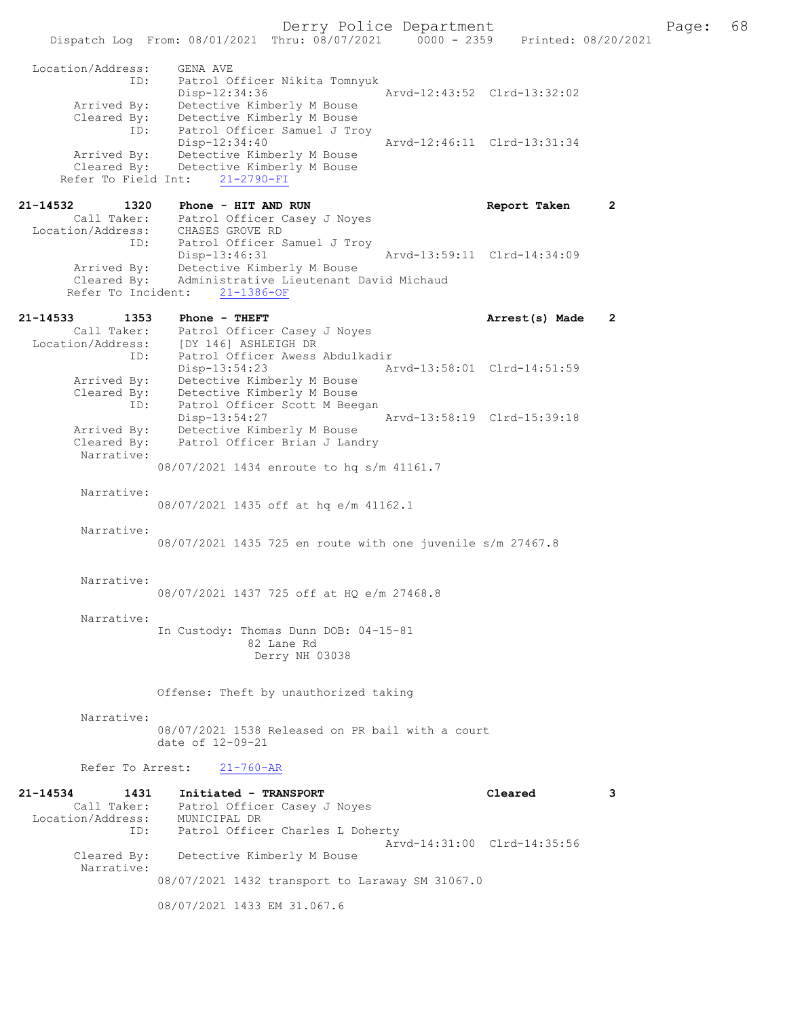Dispatch Log From: 08/01/2021 Thru: 08/07/2021 0000 - 2359 Printed: 08/20/2021 Location/Address: GENA AVE<br>ID: Patrol Officer<br>Disp-12:34:36 Patrol Officer Nikita Tomnyuk Disp-12:34:36 Arvd-12:43:52 Clrd-13:32:02 Arrived By: Detective Kimberly M Bouse Cleared By: Detective Kimberly M Bouse ID: Patrol Officer Samuel J Troy Disp-12:34:40 Arvd-12:46:11 Clrd-13:31:34 Arrived By: Detective Kimberly M Bouse Cleared By: Detective Kimberly M Bouse Refer To Field Int: 21-2790-FI 21-14532 1320 Phone - HIT AND RUN Report Taken 2 Call Taker: Patrol Officer Casey J Noyes Location/Address: CHASES GROVE RD ID: Patrol Officer Samuel J Troy Disp-13:46:31 Arvd-13:59:11 Clrd-14:34:09 Arrived By: Detective Kimberly M Bouse Cleared By: Administrative Lieutenant David Michaud Refer To Incident: 21-1386-OF 21-14533 1353 Phone - THEFT **Arrest(s)** Made 2 Call Taker: Patrol Officer Casey J Noyes Location/Address: [DY 146] ASHLEIGH DR ID: Patrol Officer Awess Abdulkadir Disp-13:54:23 Arvd-13:58:01 Clrd-14:51:59 Arrived By: Detective Kimberly M Bouse Cleared By: Detective Kimberly M Bouse ID: Patrol Officer Scott M Beegan Disp-13:54:27 Arvd-13:58:19 Clrd-15:39:18<br>Arrived By: Detective Kimberly M Bouse Arrived By: Detective Kimberly M Bouse<br>Cleared By: Patrol Officer Brian J Lan Patrol Officer Brian J Landry Narrative: 08/07/2021 1434 enroute to hq s/m 41161.7 Narrative: 08/07/2021 1435 off at hq e/m 41162.1 Narrative: 08/07/2021 1435 725 en route with one juvenile s/m 27467.8 Narrative: 08/07/2021 1437 725 off at HQ e/m 27468.8 Narrative: In Custody: Thomas Dunn DOB: 04-15-81 82 Lane Rd Derry NH 03038 Offense: Theft by unauthorized taking Narrative: 08/07/2021 1538 Released on PR bail with a court date of 12-09-21 Refer To Arrest: 21-760-AR 21-14534 1431 Initiated - TRANSPORT Cleared 3 Call Taker: Patrol Officer Casey J Noyes Call Taker: Patrol Office<br>Location/Address: MUNICIPAL DR<br>ID: Patrol Office Patrol Officer Charles L Doherty Arvd-14:31:00 Clrd-14:35:56<br>Cleared By: Detective Kimberly M Bouse Detective Kimberly M Bouse Narrative: 08/07/2021 1432 transport to Laraway SM 31067.0

08/07/2021 1433 EM 31.067.6

Derry Police Department The Page: 68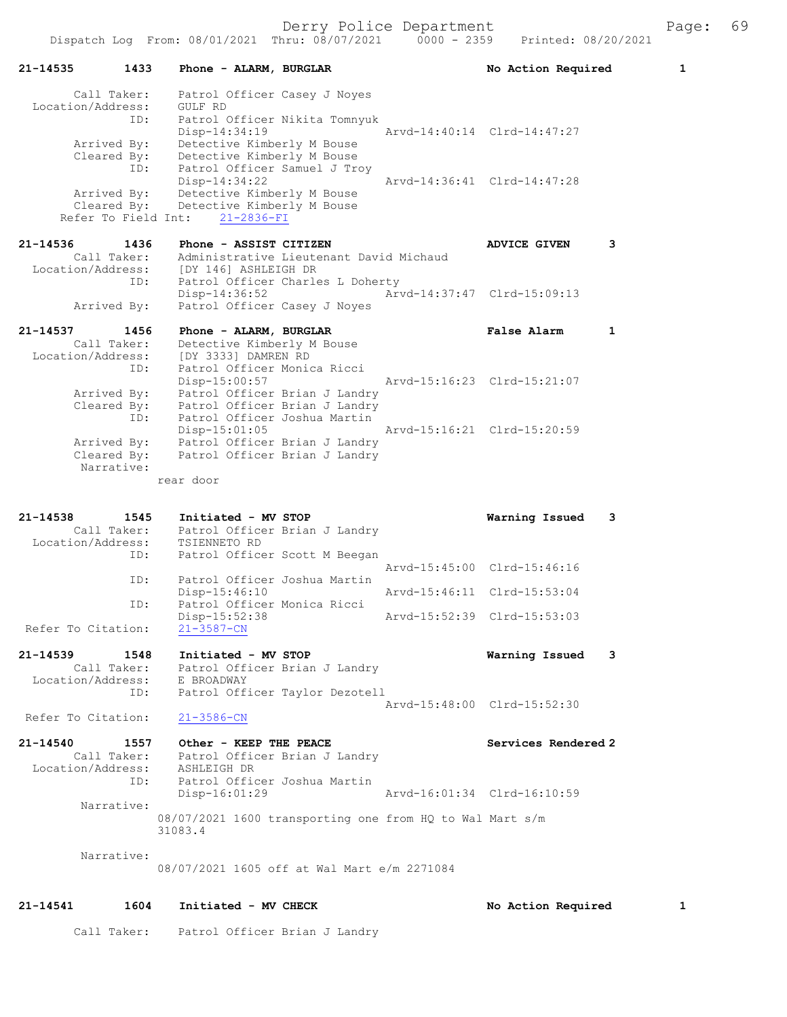| 21-14541                                          | 1604                              | Initiated - MV CHECK                                                                                                 |                             | No Action Required          | 1 |
|---------------------------------------------------|-----------------------------------|----------------------------------------------------------------------------------------------------------------------|-----------------------------|-----------------------------|---|
| Narrative:                                        |                                   | 08/07/2021 1605 off at Wal Mart e/m 2271084                                                                          |                             |                             |   |
| Narrative:                                        | 31083.4                           | 08/07/2021 1600 transporting one from HQ to Wal Mart s/m                                                             |                             |                             |   |
| Location/Address: ASHLEIGH DR                     | ID:<br>$Disp-16:01:29$            | Call Taker: Patrol Officer Brian J Landry<br>Patrol Officer Joshua Martin                                            |                             | Arvd-16:01:34 Clrd-16:10:59 |   |
| 21-14540                                          | $21 - 3586 - CN$                  | 1557 Other - KEEP THE PEACE                                                                                          |                             | Services Rendered 2         |   |
| Refer To Citation:                                | ID:                               | Patrol Officer Taylor Dezotell                                                                                       | Arvd-15:48:00 Clrd-15:52:30 |                             |   |
| $21 - 14539$                                      | 1548                              | Initiated - MV STOP<br>Call Taker: Patrol Officer Brian J Landry<br>Location/Address: E BROADWAY                     |                             | Warning Issued              | 3 |
| Refer To Citation:                                | Disp-15:52:38<br>$21 - 3587 - CN$ |                                                                                                                      | Arvd-15:52:39 Clrd-15:53:03 |                             |   |
|                                                   | Disp-15:46:10<br>ID:              | Patrol Officer Monica Ricci                                                                                          | Arvd-15:46:11 Clrd-15:53:04 |                             |   |
|                                                   | ID:                               | Patrol Officer Joshua Martin                                                                                         | Arvd-15:45:00 Clrd-15:46:16 |                             |   |
| 21-14538<br>Call Taker:<br>Location/Address:      | 1545<br>TSIENNETO RD<br>ID:       | Initiated - MV STOP<br>Patrol Officer Brian J Landry<br>Patrol Officer Scott M Beegan                                |                             | Warning Issued              | 3 |
|                                                   | rear door                         |                                                                                                                      |                             |                             |   |
| Cleared By:<br>Narrative:                         |                                   | Arrived By: Patrol Officer Brian J Landry<br>Patrol Officer Brian J Landry                                           |                             |                             |   |
| Cleared By:                                       | ID:<br>$Disp-15:01:05$            | Patrol Officer Brian J Landry<br>Patrol Officer Brian J Landry<br>Patrol Officer Joshua Martin                       | Arvd-15:16:21 Clrd-15:20:59 |                             |   |
| Location/Address:<br>Arrived By:                  | ID:                               | [DY 3333] DAMREN RD<br>Patrol Officer Monica Ricci<br>Disp-15:00:57                                                  | Arvd-15:16:23 Clrd-15:21:07 |                             |   |
| 21-14537<br>Call Taker:                           | 1456                              | Phone - ALARM, BURGLAR<br>Detective Kimberly M Bouse                                                                 |                             | False Alarm                 | 1 |
| Arrived By:                                       |                                   | Patrol Officer Casey J Noyes                                                                                         |                             |                             |   |
| Call Taker:<br>Location/Address:                  | ID:                               | Administrative Lieutenant David Michaud<br>[DY 146] ASHLEIGH DR<br>Patrol Officer Charles L Doherty<br>Disp-14:36:52 | Arvd-14:37:47 Clrd-15:09:13 |                             |   |
| 21-14536                                          | 1436                              | Phone - ASSIST CITIZEN                                                                                               |                             | <b>ADVICE GIVEN</b>         | 3 |
| Arrived By:<br>Cleared By:<br>Refer To Field Int: |                                   | Disp-14:34:22<br>Detective Kimberly M Bouse<br>Detective Kimberly M Bouse<br>21-2836-FI                              |                             | Arvd-14:36:41 Clrd-14:47:28 |   |
| Arrived By:<br>Cleared By:                        | Disp-14:34:19<br>ID:              | Detective Kimberly M Bouse<br>Detective Kimberly M Bouse<br>Patrol Officer Samuel J Troy                             |                             | Arvd-14:40:14 Clrd-14:47:27 |   |
| Call Taker:<br>Location/Address:                  | GULF RD<br>ID:                    | Patrol Officer Casey J Noyes<br>Patrol Officer Nikita Tomnyuk                                                        |                             |                             |   |
| 21-14535                                          | 1433                              | Phone - ALARM, BURGLAR                                                                                               |                             | No Action Required          | 1 |
|                                                   |                                   | Dispatch Log From: 08/01/2021 Thru: 08/07/2021                                                                       | $0000 - 2359$               | Printed: 08/20/2021         |   |

Call Taker: Patrol Officer Brian J Landry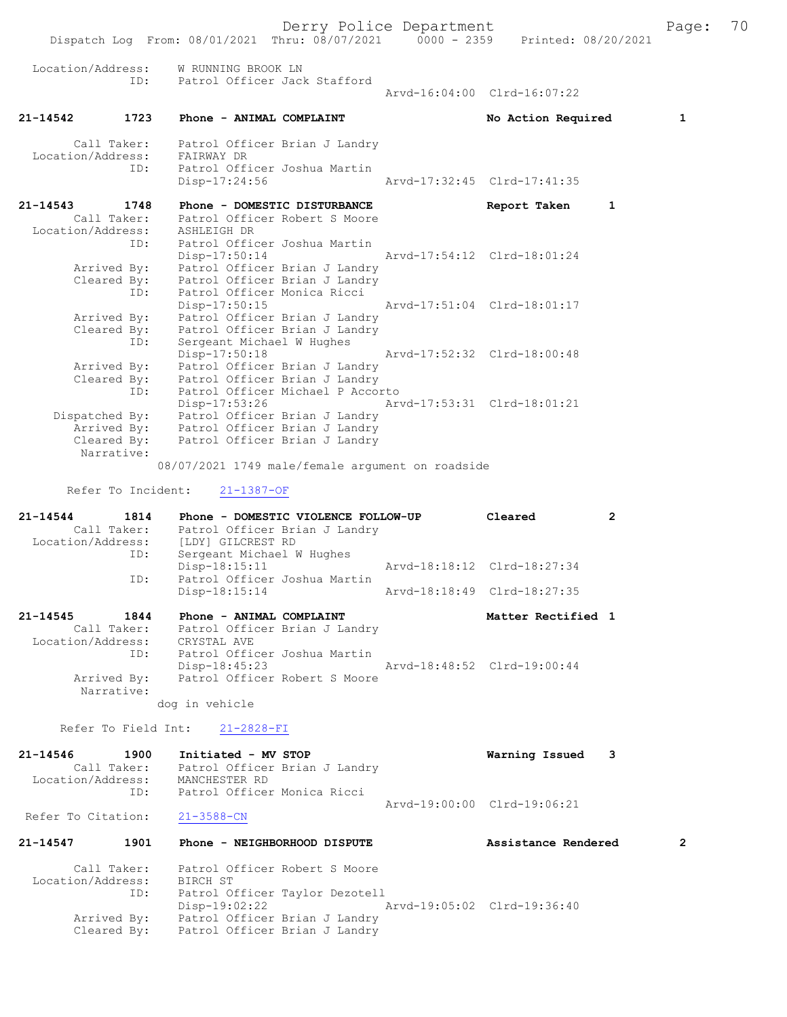Derry Police Department Fage: 70

 Dispatch Log From: 08/01/2021 Thru: 08/07/2021 0000 - 2359 Printed: 08/20/2021 Location/Address: W RUNNING BROOK LN ID: Patrol Officer Jack Stafford Arvd-16:04:00 Clrd-16:07:22 21-14542 1723 Phone - ANIMAL COMPLAINT No Action Required 1 Call Taker: Patrol Officer Brian J Landry Location/Address: FAIRWAY DR ID: Patrol Officer Joshua Martin Disp-17:24:56 Arvd-17:32:45 Clrd-17:41:35 21-14543 1748 Phone - DOMESTIC DISTURBANCE Report Taken 1 Call Taker: Patrol Officer Robert S Moore Location/Address: ASHLEIGH DR ID: Patrol Officer Joshua Martin Disp-17:50:14 Arvd-17:54:12 Clrd-18:01:24 Arrived By: Patrol Officer Brian J Landry Cleared By: Patrol Officer Brian J Landry ID: Patrol Officer Monica Ricci Disp-17:50:15 Arvd-17:51:04 Clrd-18:01:17 Arrived By: Patrol Officer Brian J Landry Cleared By: Patrol Officer Brian J Landry ID: Sergeant Michael W Hughes Disp-17:50:18 Arvd-17:52:32 Clrd-18:00:48 Arrived By: Patrol Officer Brian J Landry Cleared By: Patrol Officer Brian J Landry ID: Patrol Officer Michael P Accorto Disp-17:53:26 Arvd-17:53:31 Clrd-18:01:21 Dispatched By: Patrol Officer Brian J Landry Arrived By: Patrol Officer Brian J Landry Cleared By: Patrol Officer Brian J Landry Narrative: 08/07/2021 1749 male/female argument on roadside Refer To Incident: 21-1387-OF 21-14544 1814 Phone - DOMESTIC VIOLENCE FOLLOW-UP Cleared 2 Call Taker: Patrol Officer Brian J Landry Location/Address: [LDY] GILCREST RD ID: Sergeant Michael W Hughes Disp-18:15:11 Arvd-18:18:12 Clrd-18:27:34 ID: Patrol Officer Joshua Martin Arvd-18:18:49 Clrd-18:27:35 21-14545 1844 Phone - ANIMAL COMPLAINT Nettless and Matter Rectified 1 Call Taker: Patrol Officer Brian J Landry Location/Address: CRYSTAL AVE ID: Patrol Officer Joshua Martin Disp-18:45:23 Arvd-18:48:52 Clrd-19:00:44 Arrived By: Patrol Officer Robert S Moore Narrative: dog in vehicle Refer To Field Int: 21-2828-FI 21-14546 1900 Initiated - MV STOP Warning Issued 3 Call Taker: Patrol Officer Brian J Landry Location/Address: MANCHESTER RD ID: Patrol Officer Monica Ricci Arvd-19:00:00 Clrd-19:06:21<br>Patrol Officer Monica Ricci<br>Arvd-19:00:00 Clrd-19:06:21 Refer To Citation: 21-3588-CN 21-14547 1901 Phone - NEIGHBORHOOD DISPUTE Assistance Rendered 2 Call Taker: Patrol Officer Robert S Moore Location/Address: BIRCH ST ID: Patrol Officer Taylor Dezotell Disp-19:02:22 Arvd-19:05:02 Clrd-19:36:40 Arrived By: Patrol Officer Brian J Landry Cleared By: Patrol Officer Brian J Landry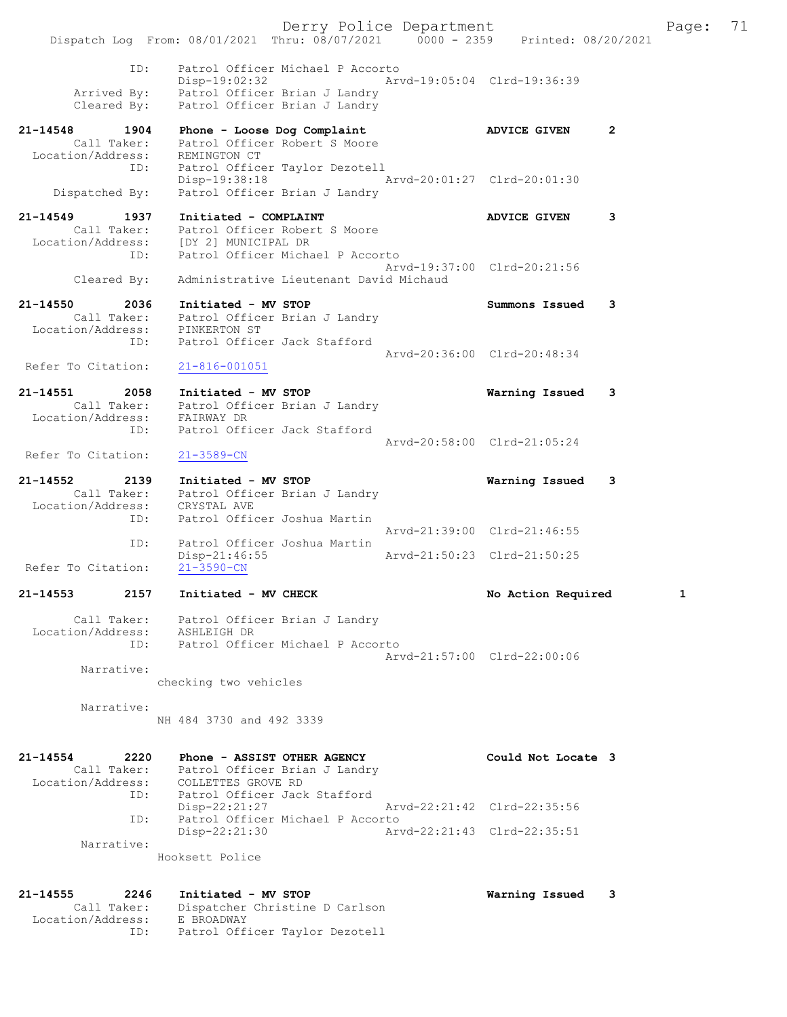Derry Police Department Fage: 71 Dispatch Log From: 08/01/2021 Thru: 08/07/2021 0000 - 2359 Printed: 08/20/2021 ID: Patrol Officer Michael P Accorto Disp-19:02:32 Arvd-19:05:04 Clrd-19:36:39 Arrived By: Patrol Officer Brian J Landry Cleared By: Patrol Officer Brian J Landry 21-14548 1904 Phone - Loose Dog Complaint ADVICE GIVEN 2 Call Taker: Patrol Officer Robert S Moore Location/Address: REMINGTON CT ID: Patrol Officer Taylor Dezotell Disp-19:38:18 Arvd-20:01:27 Clrd-20:01:30 Dispatched By: Patrol Officer Brian J Landry 21-14549 1937 Initiated - COMPLAINT ADVICE GIVEN 3 Call Taker: Patrol Officer Robert S Moore Location/Address: [DY 2] MUNICIPAL DR ID: Patrol Officer Michael P Accorto Arvd-19:37:00 Clrd-20:21:56 Cleared By: Administrative Lieutenant David Michaud 21-14550 2036 Initiated - MV STOP Summons Issued 3 Call Taker: Patrol Officer Brian J Landry Location/Address: PINKERTON ST ID: Patrol Officer Jack Stafford Arvd-20:36:00 Clrd-20:48:34<br>21-816-001051 Refer To Citation: 21-14551 2058 Initiated - MV STOP Warning Issued 3 Call Taker: Patrol Officer Brian J Landry Location/Address: FAIRWAY DR ID: Patrol Officer Jack Stafford Arvd-20:58:00 Clrd-21:05:24 Refer To Citation: 21-3589-CN 21-14552 2139 Initiated - MV STOP Warning Issued 3 Call Taker: Patrol Officer Brian J Landry Location/Address: CRYSTAL AVE ID: Patrol Officer Joshua Martin Arvd-21:39:00 Clrd-21:46:55 ID: Patrol Officer Joshua Martin Disp-21:46:55 Arvd-21:50:23 Clrd-21:50:25 Refer To Citation: 21-3590-CN 21-14553 2157 Initiated - MV CHECK No Action Required 1 Call Taker: Patrol Officer Brian J Landry Location/Address: ASHLEIGH DR ID: Patrol Officer Michael P Accorto Arvd-21:57:00 Clrd-22:00:06 Narrative: checking two vehicles Narrative: NH 484 3730 and 492 3339 21-14554 2220 Phone - ASSIST OTHER AGENCY Could Not Locate 3 Call Taker: Patrol Officer Brian J Landry Location/Address: COLLETTES GROVE RD ID: Patrol Officer Jack Stafford<br>Disp-22:21:27 hrvd-22:21:42 Clrd-22:35:56 Disp-22:21:27 Arvd-22:21:42 Clrd-22:35:56 ID: Patrol Officer Michael P Accorto Disp-22:21:30 Arvd-22:21:43 Clrd-22:35:51 Narrative: Hooksett Police 21-14555 2246 Initiated - MV STOP Warning Issued 3 Call Taker: Dispatcher Christine D Carlson Location/Address: E BROADWAY

ID: Patrol Officer Taylor Dezotell